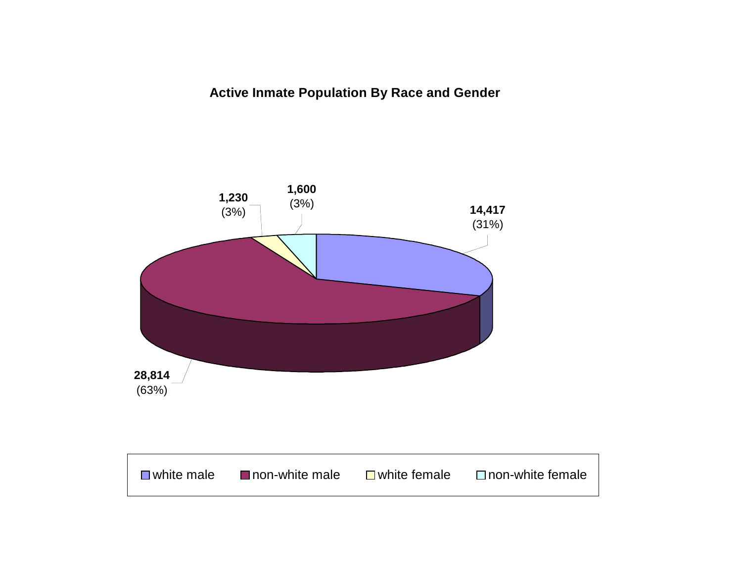### **Active Inmate Population By Race and Gender**

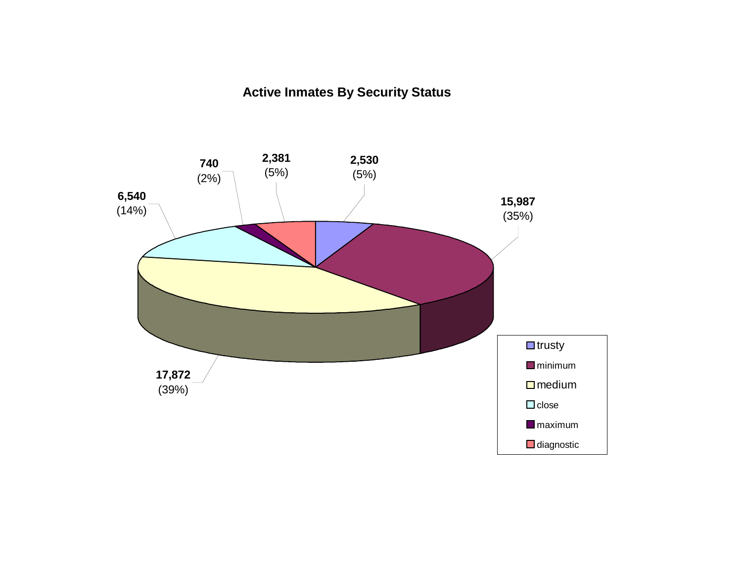### **Active Inmates By Security Status**

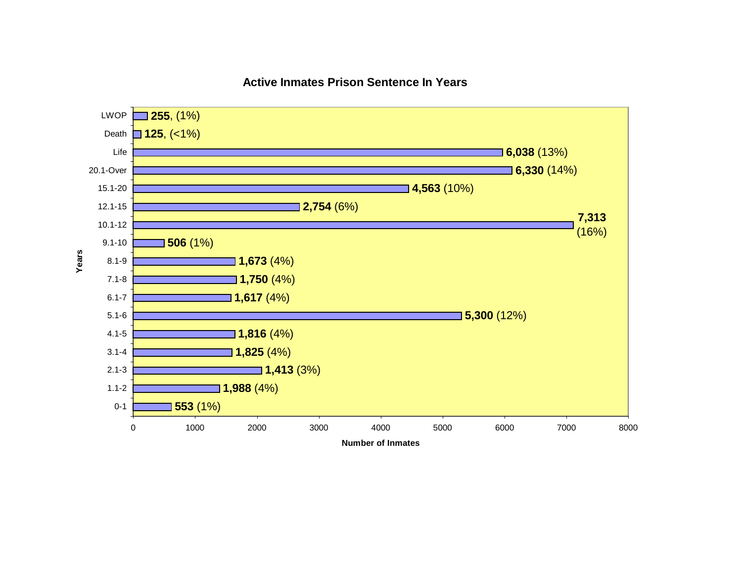**Active Inmates Prison Sentence In Years**

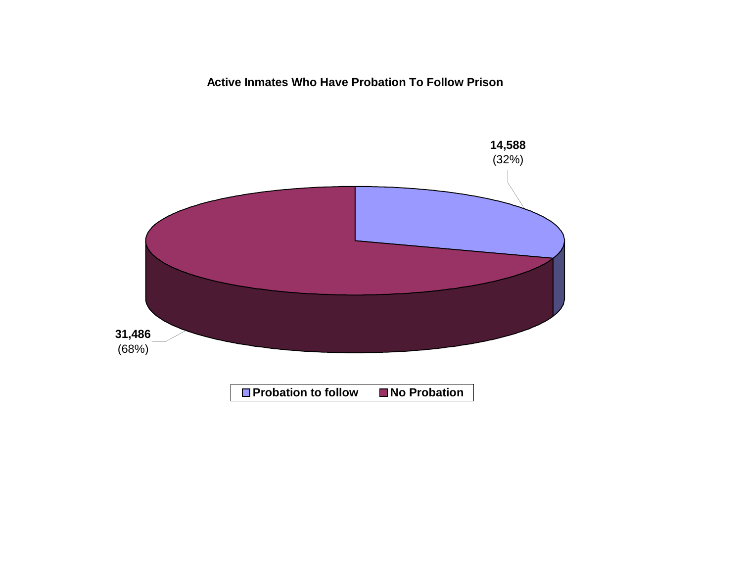### **Active Inmates Who Have Probation To Follow Prison**

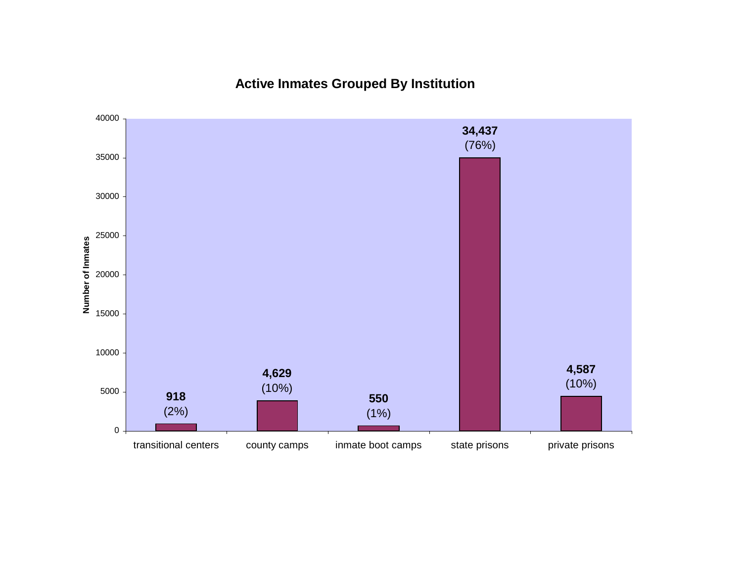### **Active Inmates Grouped By Institution**

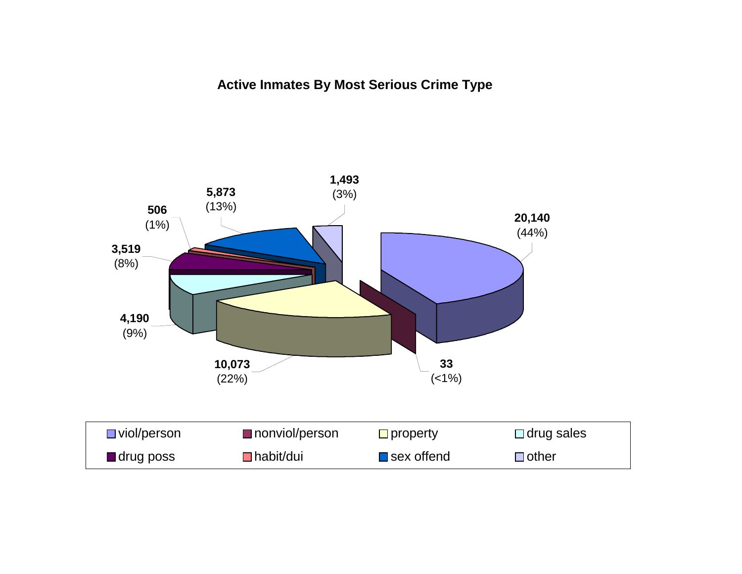### **Active Inmates By Most Serious Crime Type**

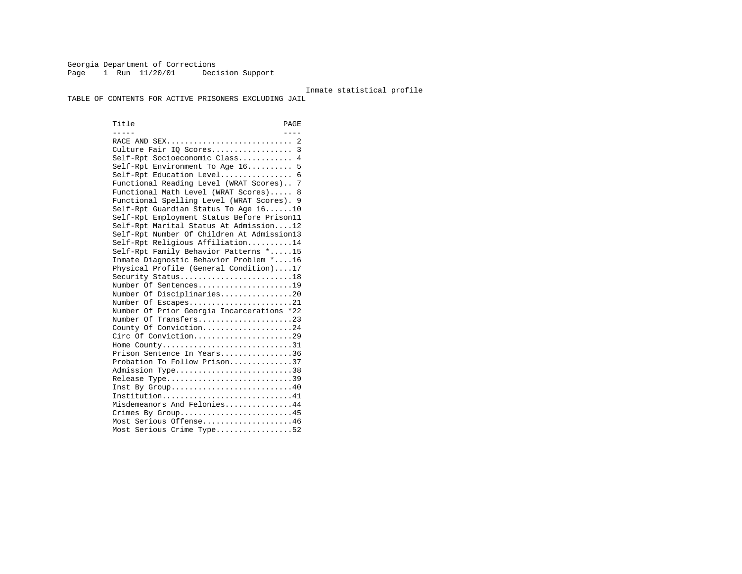Georgia Department of Corrections Page 1 Run 11/20/01 Decision Support

#### Inmate statistical profile

TABLE OF CONTENTS FOR ACTIVE PRISONERS EXCLUDING JAIL

Title PAGE ----- ----RACE AND SEX................................ 2 Culture Fair IQ Scores.................. 3 Self-Rpt Socioeconomic Class............ 4 Self-Rpt Environment To Age 16.......... 5 Self-Rpt Education Level................ 6 Functional Reading Level (WRAT Scores).. 7 Functional Math Level (WRAT Scores)..... 8 Functional Spelling Level (WRAT Scores). 9 Self-Rpt Guardian Status To Age 16......10 Self-Rpt Employment Status Before Prison11 Self-Rpt Marital Status At Admission....12 Self-Rpt Number Of Children At Admission13 Self-Rpt Religious Affiliation..........14 Self-Rpt Family Behavior Patterns \*.....15 Inmate Diagnostic Behavior Problem \*....16 Physical Profile (General Condition)....17 Security Status...........................18 Number Of Sentences.....................19 Number Of Disciplinaries................20 Number Of Escapes.........................21 Number Of Prior Georgia Incarcerations \*22 Number Of Transfers.....................23 County Of Conviction....................24 Circ Of Conviction.............................29 Home County................................31 Prison Sentence In Years................36 Probation To Follow Prison..............37Admission Type.............................38 Release Type...............................39 Inst By Group.............................40 Institution.............................41 Misdemeanors And Felonies...............44 Crimes By Group...........................45 Most Serious Offense....................46 Most Serious Crime Type.................52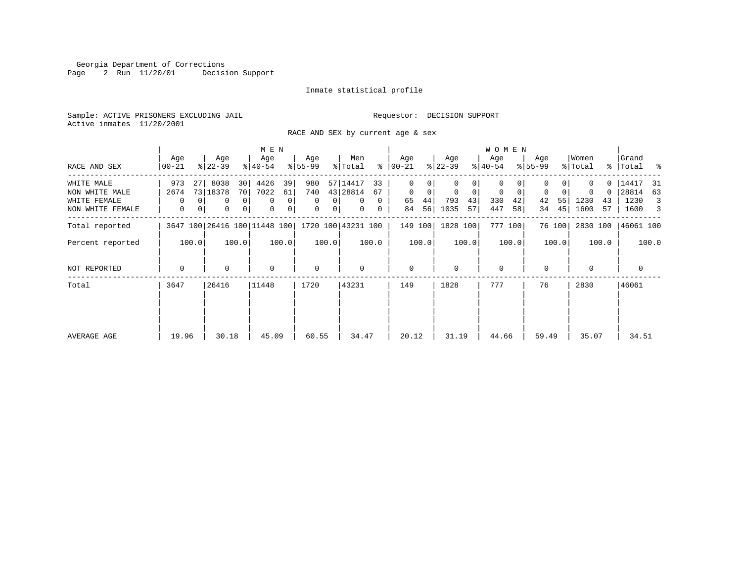Georgia Department of Corrections Page 2 Run 11/20/01 Decision Support

#### Inmate statistical profile

Sample: ACTIVE PRISONERS EXCLUDING JAIL **Requestor: DECISION SUPPORT** Active inmates 11/20/2001

RACE AND SEX by current age & sex

|                                  |                   |                                                | M E N                    |                                                          |                                  |                                                    |                              | <b>WOMEN</b>                        |                         |                             |                             |
|----------------------------------|-------------------|------------------------------------------------|--------------------------|----------------------------------------------------------|----------------------------------|----------------------------------------------------|------------------------------|-------------------------------------|-------------------------|-----------------------------|-----------------------------|
| RACE AND SEX                     | Age<br>00-21      | Age<br>$ 22-39 $                               | Age<br>$ 40-54 $         | Age<br>$8 55-99$                                         | Men<br>% Total                   | Age<br>$8   00 - 21$                               | Age<br>$ 22-39 $             | Age<br>$ 40-54 $                    | Age<br>$8 55-99$        | Women<br>% Total            | Grand<br>%   Total %        |
| WHITE MALE<br>NON WHITE MALE     | 973<br>27<br>2674 | 8038<br>30<br>73 18378<br>70                   | 4426<br>39<br>7022<br>61 | 980<br>740                                               | 57 14417<br>33<br>43 28814<br>67 | $\Omega$<br>$\Omega$<br>$\mathbf 0$<br>$\mathbf 0$ | 0<br>$\mathbf 0$<br>$\Omega$ | $\Omega$<br>$\mathbf 0$<br>$\Omega$ | $\mathbf 0$<br>$\Omega$ | ი -<br>$\Omega$<br>$\Omega$ | 14417<br>-31<br>28814<br>63 |
| WHITE FEMALE<br>NON WHITE FEMALE | $\Omega$<br>0     | $\Omega$<br>0<br>$\Omega$<br>0<br>$\mathbf{0}$ | 0<br>0<br>0<br>0         | $\Omega$<br>0 <sup>1</sup><br>$\Omega$<br>0 <sup>1</sup> | $\mathbf{0}$<br>0<br>0<br>0      | 44<br>65<br>56<br>84                               | 793<br>43<br>1035<br>57      | 330<br>42<br>447<br>58              | 42<br>55 <br>45 <br>34  | 1230<br>43<br>1600<br>57    | 1230<br>3<br>1600<br>3      |
| Total reported                   |                   | 3647 100 26416 100 11448 100                   |                          |                                                          | 1720 100 43231 100               | 149 100                                            | 1828 100                     | 777 100                             | 76 100                  | 2830 100                    | 46061 100                   |
| Percent reported                 | 100.0             | 100.0                                          | 100.0                    | 100.0                                                    | 100.0                            | 100.0                                              | 100.0                        | 100.0                               | 100.0                   | 100.0                       | 100.0                       |
| NOT REPORTED                     | $\Omega$          | $\Omega$                                       | $\Omega$                 | $\mathbf 0$                                              | $\Omega$                         | $\mathbf 0$                                        | $\Omega$                     | $\Omega$                            | $\Omega$                |                             | 0                           |
| Total                            | 3647              | 26416                                          | 11448                    | 1720                                                     | 43231                            | 149                                                | 1828                         | 777                                 | 76                      | 2830                        | 46061                       |
|                                  |                   |                                                |                          |                                                          |                                  |                                                    |                              |                                     |                         |                             |                             |
| AVERAGE AGE                      | 19.96             | 30.18                                          | 45.09                    | 60.55                                                    | 34.47                            | 20.12                                              | 31.19                        | 44.66                               | 59.49                   | 35.07                       | 34.51                       |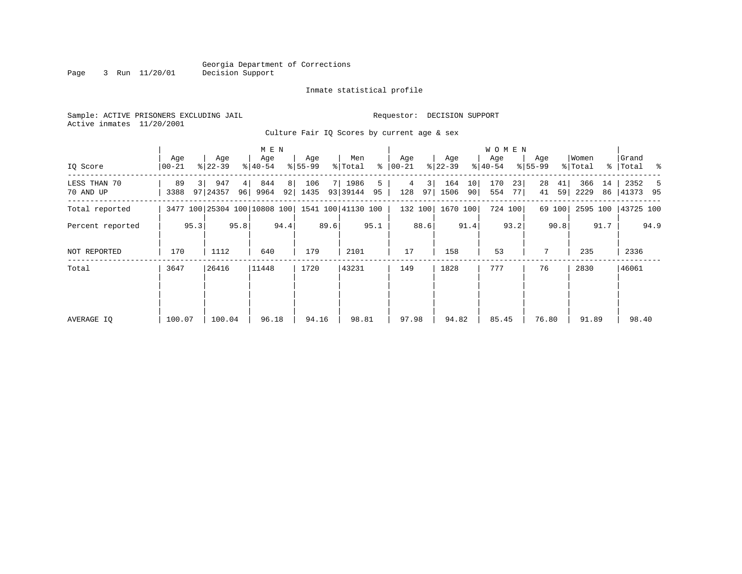Page 3 Run 11/20/01

#### Inmate statistical profile

Sample: ACTIVE PRISONERS EXCLUDING JAIL **Requestor: DECISION SUPPORT** Active inmates 11/20/2001

Culture Fair IQ Scores by current age & sex

|                           |                  |                              | M E N                     |                   |                             |                      |                         | W O M E N              |                      |                         |                         |
|---------------------------|------------------|------------------------------|---------------------------|-------------------|-----------------------------|----------------------|-------------------------|------------------------|----------------------|-------------------------|-------------------------|
| IQ Score                  | Age<br>$00 - 21$ | Age<br>$ 22-39 $             | Age<br>$ 40-54 $          | Age<br>$8 55-99$  | Men<br>% Total<br>ႜ         | Age<br>  00-21       | Age<br>$ 22-39 $        | Age<br>$ 40-54 $       | Age<br>$8 55-99$     | Women<br>% Total        | Grand<br>%   Total %    |
| LESS THAN 70<br>70 AND UP | 89<br>3388       | 947<br>97 24357              | 844<br>4<br>96 9964<br>92 | 8 <br>106<br>1435 | 1986<br>5<br>93 39144<br>95 | 3 <br>4<br>128<br>97 | 164<br>10<br>1506<br>90 | 170<br>23<br>554<br>77 | 28<br>41<br>59<br>41 | 366<br>14<br>2229<br>86 | 2352<br>-5<br> 41373 95 |
| Total reported            |                  | 3477 100 25304 100 10808 100 |                           |                   | 1541 100 41130 100          | 132 100              | 1670 100                | 724 100                | 69 100               | 2595 100                | 43725 100               |
| Percent reported          | 95.3             | 95.8                         | 94.4                      | 89.6              | 95.1                        | 88.6                 | 91.4                    | 93.2                   | 90.8                 | 91.7                    | 94.9                    |
| <b>NOT REPORTED</b>       | 170              | 1112                         | 640                       | 179               | 2101                        | 17                   | 158                     | 53                     | 7                    | 235                     | 2336                    |
| Total                     | 3647             | 26416                        | 11448                     | 1720              | 43231                       | 149                  | 1828                    | 777                    | 76                   | 2830                    | 46061                   |
|                           |                  |                              |                           |                   |                             |                      |                         |                        |                      |                         |                         |
| AVERAGE IQ                | 100.07           | 100.04                       | 96.18                     | 94.16             | 98.81                       | 97.98                | 94.82                   | 85.45                  | 76.80                | 91.89                   | 98.40                   |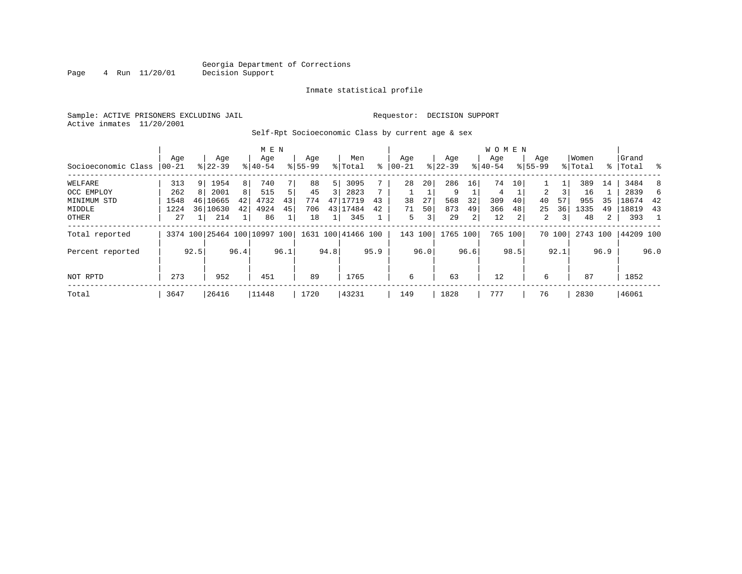Page 4 Run 11/20/01

#### Inmate statistical profile

Sample: ACTIVE PRISONERS EXCLUDING JAIL **Requestor: DECISION SUPPORT** Active inmates 11/20/2001

### Self-Rpt Socioeconomic Class by current age & sex

|                     |           |                |                              |                | M E N     |      |             |      |                    |      |         |                |             |                 | W O M E N |                 |                |        |          |      |           |      |
|---------------------|-----------|----------------|------------------------------|----------------|-----------|------|-------------|------|--------------------|------|---------|----------------|-------------|-----------------|-----------|-----------------|----------------|--------|----------|------|-----------|------|
|                     | Age       |                | Age                          |                | Age       |      | Age         |      | Men                |      | Age     |                | Age         |                 | Age       |                 | Age            |        | Women    |      | Grand     |      |
| Socioeconomic Class | $ 00-21 $ |                | $8 22-39$                    |                | $8 40-54$ |      | $8155 - 99$ |      | % Total            | ៖    | 00-21   |                | $8$   22-39 |                 | $8 40-54$ |                 | $8155 - 99$    |        | % Total  |      | %   Total |      |
| WELFARE             | 313       | 9              | 1954                         | 8              | 740       |      | 88          | 5    | 3095               |      | 28      | 20             | 286         | 16 <sup>1</sup> | 74        | 10 <sub>1</sub> |                |        | 389      | 14   | 3484      | -8   |
| OCC EMPLOY          | 262       | 8 <sup>1</sup> | 2001                         | 8 <sup>1</sup> | 515       | 5    | 45          | 3    | 2823               | 7    |         |                | 9           |                 | 4         |                 | 2              |        | 16       |      | 2839      | 6    |
| MINIMUM STD         | 1548      |                | 46 10665                     | 42             | 4732      | 43   | 774         | 47   | 17719              | 43   | 38      | 27             | 568         | 32              | 309       | 40              | 40             | 57     | 955      | 35   | 18674     | 42   |
| MIDDLE              | 1224      |                | 36 10630                     | 42             | 4924      | 45   | 706         | 43   | 17484              | 42   | 71      | 50             | 873         | 49              | 366       | 48              | 25             | 36     | 1335     | 49   | 18819     | 43   |
| OTHER               | 27        |                | 214                          |                | 86        |      | 18          |      | 345                |      | 5       | 3 <sup>1</sup> | 29          | $\overline{2}$  | 12        | 2               | $\overline{2}$ | 3      | 48       | 2    | 393       |      |
| Total reported      |           |                | 3374 100 25464 100 10997 100 |                |           |      |             |      | 1631 100 41466 100 |      | 143 100 |                | 1765 100    |                 |           | 765 100         |                | 70 100 | 2743 100 |      | 44209 100 |      |
| Percent reported    |           | 92.5           |                              | 96.4           |           | 96.1 |             | 94.8 |                    | 95.9 |         | 96.0           |             | 96.6            |           | 98.5            |                | 92.1   |          | 96.9 |           | 96.0 |
| NOT RPTD            | 273       |                | 952                          |                | 451       |      | 89          |      | 1765               |      | 6       |                | 63          |                 | 12        |                 | 6              |        | 87       |      | 1852      |      |
|                     |           |                |                              |                |           |      |             |      |                    |      |         |                |             |                 |           |                 |                |        |          |      |           |      |
| Total               | 3647      |                | 26416                        |                | 11448     |      | 1720        |      | 43231              |      | 149     |                | 1828        |                 | 777       |                 | 76             |        | 2830     |      | 46061     |      |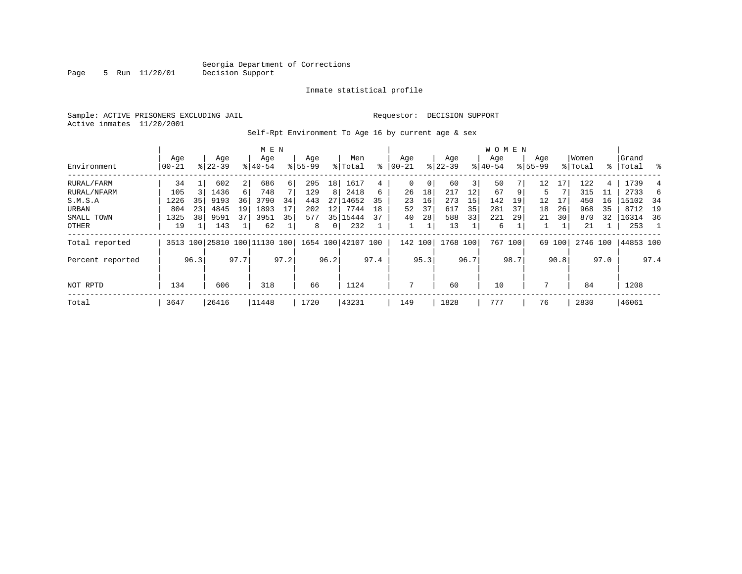Page 5 Run 11/20/01

#### Inmate statistical profile

Sample: ACTIVE PRISONERS EXCLUDING JAIL **Requestor: DECISION SUPPORT** Active inmates 11/20/2001

Self-Rpt Environment To Age 16 by current age & sex

|                  |                  |      |                  |                | M E N                        |      |                    |      |                    |      |                  |      |                  |      | W O M E N        |      |                    |        |                  |      |                    |                |
|------------------|------------------|------|------------------|----------------|------------------------------|------|--------------------|------|--------------------|------|------------------|------|------------------|------|------------------|------|--------------------|--------|------------------|------|--------------------|----------------|
| Environment      | Age<br>$00 - 21$ |      | Age<br>$8 22-39$ |                | Age<br>$8140 - 54$           |      | Age<br>$8155 - 99$ |      | Men<br>% Total     | ៖    | Age<br>$00 - 21$ |      | Age<br>$ 22-39 $ |      | Age<br>$8 40-54$ |      | Age<br>$8155 - 99$ |        | Women<br>% Total |      | Grand<br>%   Total | ႜ              |
| RURAL/FARM       | 34               |      | 602              | $\overline{2}$ | 686                          | 6    | 295                | 18   | 1617               | 4    | 0                | 0    | 60               | 3    | 50               |      | 12                 | 17     | 122              | 4    | 1739               |                |
| RURAL/NFARM      | 105              |      | 1436             | $6 \mid$       | 748                          |      | 129                | 8    | 2418               | 6    | 26               | 18   | 217              | 12   | 67               | 9    | 5                  |        | 315              | 11   | 2733               | 6              |
| S.M.S.A          | 1226             | 35   | 9193             | 36             | 3790                         | 34   | 443                | 27   | 14652              | 35   | 23               | 16   | 273              | 15   | 142              | 19   | 12                 | 17     | 450              | 16   | 15102              | 34             |
| URBAN            | 804              | 23   | 4845             | 19             | 1893                         | 17   | 202                | 12   | 7744               | 18   | 52               | 37   | 617              | 35   | 281              | 37   | 18                 | 26     | 968              | 35   | 8712               | 19             |
| SMALL TOWN       | 1325             | 38   | 9591             | 37             | 3951                         | 35   | 577                | 35   | 15444              | 37   | 40               | 28   | 588              | 33   | 221              | 29   | 21                 | 30     | 870              | 32   | 16314              | - 36           |
| OTHER            | 19               |      | 143              | $\mathbf{1}$   | 62                           |      | 8                  | 0    | 232                |      | 1                |      | 13               |      | 6                |      |                    |        | 21               |      | 253                | $\overline{1}$ |
| Total reported   |                  |      |                  |                | 3513 100 25810 100 11130 100 |      |                    |      | 1654 100 42107 100 |      | 142 100          |      | 1768 100         |      | 767 100          |      |                    | 69 100 | 2746 100         |      | 44853 100          |                |
| Percent reported |                  | 96.3 |                  | 97.7           |                              | 97.2 |                    | 96.2 |                    | 97.4 |                  | 95.3 |                  | 96.7 |                  | 98.7 |                    | 90.8   |                  | 97.0 |                    | 97.4           |
| NOT RPTD         | 134              |      | 606              |                | 318                          |      | 66                 |      | 1124               |      | 7                |      | 60               |      | 10               |      | 7                  |        | 84               |      | 1208               |                |
| Total            | 3647             |      | 26416            |                | 11448                        |      | 1720               |      | 43231              |      | 149              |      | 1828             |      | 777              |      | 76                 |        | 2830             |      | 46061              |                |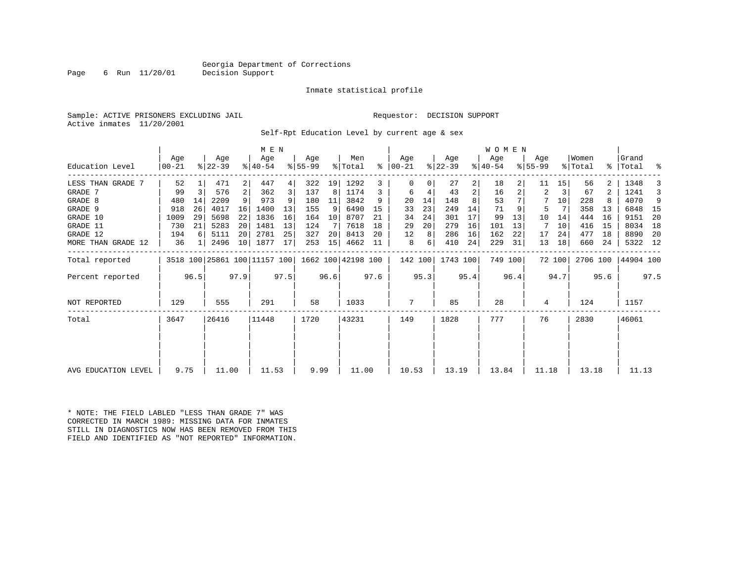Page 6 Run 11/20/01 Decision Support

#### Inmate statistical profile

Sample: ACTIVE PRISONERS EXCLUDING JAIL **Requestor: DECISION SUPPORT** Active inmates 11/20/2001

Self-Rpt Education Level by current age & sex

| Education Level     | Age<br>  00-21 |                | Age<br>$ 22-39 $                                    |      | M E N<br>Age<br>$ 40-54 $ |      | Age<br>$8 55-99$ |      | Men<br>% Total | ွေ   | Age<br>  00-21 |      | Age<br>$ 22-39 $ |      | WOMEN<br>Age<br>$ 40-54 $ |      | Age<br>$8 55-99$ |        | Women<br>% Total |                | Grand<br>%   Total | ್ಠಿ  |
|---------------------|----------------|----------------|-----------------------------------------------------|------|---------------------------|------|------------------|------|----------------|------|----------------|------|------------------|------|---------------------------|------|------------------|--------|------------------|----------------|--------------------|------|
| LESS THAN GRADE 7   | 52             |                | 471                                                 | 2    | 447                       | 4    | 322              | 19   | 1292           | 3    | $\Omega$       |      | 27               | 2    | 18                        |      | 11               | 15     | 56               |                | 1348               |      |
| GRADE 7             | 99             | $\overline{3}$ | 576                                                 | 2    | 362                       | 3    | 137              | 8    | 1174           | 3    | 6              | 4    | 43               | 2    | 16                        |      | 2                | 3      | 67               | $\overline{a}$ | 1241               | 3    |
| GRADE 8             | 480            | 14             | 2209                                                |      | 973                       |      | 180              | 11   | 3842           | 9    | 20             | 14   | 148              |      | 53                        |      | 7                | 10     | 228              |                | 4070               | 9    |
| GRADE 9             | 918            | 26             | 4017                                                | 16   | 1400                      | 13   | 155              | 9    | 6490           | 15   | 33             | 23   | 249              | 14   | 71                        |      | 5                |        | 358              | 13             | 6848               | 15   |
| GRADE 10            | 1009           | 29             | 5698                                                | 22   | 1836                      | 16   | 164              | 10   | 8707           | 21   | 34             | 24   | 301              | 17   | 99                        | 13   | 10               | 14     | 444              | 16             | 9151               | 20   |
| GRADE 11            | 730            | 21             | 5283                                                | 20   | 1481                      | 13   | 124              |      | 7618           | 18   | 29             | 20   | 279              | 16   | 101                       | 13   | 7                | 10     | 416              | 15             | 8034               | 18   |
| GRADE 12            | 194            |                | 5111                                                | 20   | 2781                      | 25   | 327              | 20   | 8413           | 20   | 12             | 8    | 286              | 16   | 162                       | 22   | 17               | 24     | 477              | 18             | 8890               | -20  |
| MORE THAN GRADE 12  | 36             |                | 2496                                                | 10   | 1877                      | 17   | 253              | 15   | 4662           | 11   | 8              | 6    | 410              | 24   | 229                       | 31   | 13               | 18     | 660              | 24             | 5322 12            |      |
| Total reported      |                |                | 3518 100 25861 100 11157 100   1662 100   42198 100 |      |                           |      |                  |      |                |      | 142 100        |      | 1743 100         |      | 749 100                   |      |                  | 72 100 | 2706 100         |                | 44904 100          |      |
| Percent reported    |                | 96.5           |                                                     | 97.9 |                           | 97.5 |                  | 96.6 |                | 97.6 |                | 95.3 |                  | 95.4 |                           | 96.4 |                  | 94.7   |                  | 95.6           |                    | 97.5 |
| <b>NOT REPORTED</b> | 129            |                | 555                                                 |      | 291                       |      | 58               |      | 1033           |      | 7              |      | 85               |      | 28                        |      | 4                |        | 124              |                | 1157               |      |
| Total               | 3647           |                | 26416                                               |      | 11448                     |      | 1720             |      | 43231          |      | 149            |      | 1828             |      | 777                       |      | 76               |        | 2830             |                | 46061              |      |
|                     |                |                |                                                     |      |                           |      |                  |      |                |      |                |      |                  |      |                           |      |                  |        |                  |                |                    |      |
| AVG EDUCATION LEVEL | 9.75           |                | 11.00                                               |      | 11.53                     |      | 9.99             |      | 11.00          |      | 10.53          |      | 13.19            |      | 13.84                     |      | 11.18            |        | 13.18            |                | 11.13              |      |

\* NOTE: THE FIELD LABLED "LESS THAN GRADE 7" WAS CORRECTED IN MARCH 1989: MISSING DATA FOR INMATES STILL IN DIAGNOSTICS NOW HAS BEEN REMOVED FROM THISFIELD AND IDENTIFIED AS "NOT REPORTED" INFORMATION.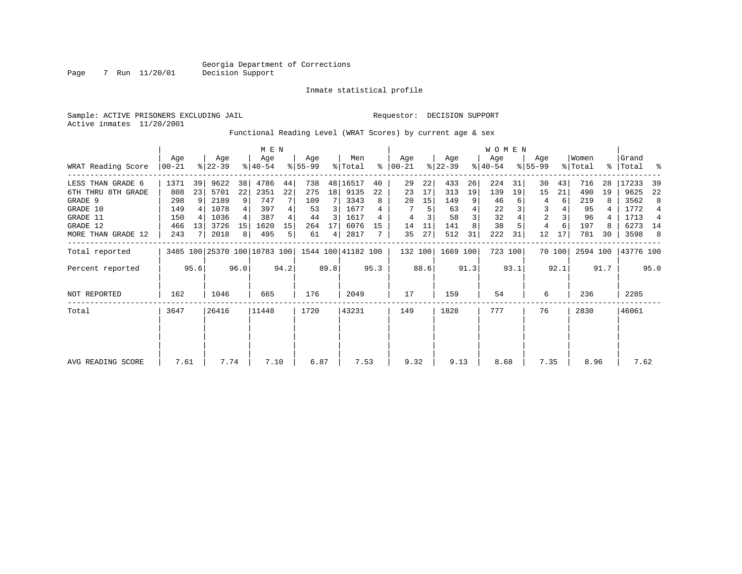Page 7 Run 11/20/01

#### Inmate statistical profile

Sample: ACTIVE PRISONERS EXCLUDING JAIL **Requestor: DECISION SUPPORT** Active inmates 11/20/2001

Functional Reading Level (WRAT Scores) by current age & sex

|                     | M E N            |      |                  |      |                              |      |                  |      |                    |      |                  |      |                  |      | <b>WOMEN</b>     |         |                    |        |                  |      |                    |                |
|---------------------|------------------|------|------------------|------|------------------------------|------|------------------|------|--------------------|------|------------------|------|------------------|------|------------------|---------|--------------------|--------|------------------|------|--------------------|----------------|
| WRAT Reading Score  | Age<br>$00 - 21$ |      | Age<br>$ 22-39 $ |      | Age<br>$ 40-54 $             |      | Age<br>$ 55-99 $ |      | Men<br>% Total     | ႜ    | Age<br>$ 00-21 $ |      | Age<br>$ 22-39 $ |      | Age<br>$ 40-54 $ |         | Age<br>$8155 - 99$ |        | Women<br>% Total |      | Grand<br>%   Total | ್ಠಿ            |
| LESS THAN GRADE 6   | 1371             | 39   | 9622             | 38   | 4786                         | 44   | 738              |      | 48 16517           | 40   | 29               | 22   | 433              | 26   | 224              | 31      | 30                 | 43     | 716              | 28   | 17233              | 39             |
| 6TH THRU 8TH GRADE  | 808              | 23   | 5701             | 22   | 2351                         | 22   | 275              | 18   | 9135               | 22   | 23               | 17   | 313              | 19   | 139              | 19      | 15                 | 21     | 490              | 19   | 9625               | 22             |
| GRADE 9             | 298              | 9    | 2189             | 9    | 747                          |      | 109              |      | 3343               | 8    | 20               | 15   | 149              | 9    | 46               |         |                    | 6      | 219              |      | 3562               | 8              |
| GRADE 10            | 149              |      | 1078             |      | 397                          | 4    | 53               | 3    | 1677               |      |                  | 5    | 63               | 4    | 22               |         | 3                  |        | 95               |      | 1772               | $\overline{4}$ |
| GRADE 11            | 150              |      | 1036             |      | 387                          |      | 44               | 3    | 1617               |      | 4                |      | 58               | 3    | 32               |         | $\overline{a}$     |        | 96               |      | 1713               | $\overline{4}$ |
| GRADE 12            | 466              | 13   | 3726             | 15   | 1620                         | 15   | 264              | 17   | 6076               | 15   | 14               | 11   | 141              |      | 38               |         | 4                  |        | 197              |      | 6273               | 14             |
| MORE THAN GRADE 12  | 243              |      | 2018             | 8    | 495                          | 5    | 61               | 4    | 2817               |      | 35               | 27   | 512              | 31   | 222              | 31      | 12                 | 17     | 781              | 30   | 3598               | 8              |
| Total reported      |                  |      |                  |      | 3485 100 25370 100 10783 100 |      |                  |      | 1544 100 41182 100 |      | 132 100          |      | 1669 100         |      |                  | 723 100 |                    | 70 100 | 2594 100         |      | 43776 100          |                |
| Percent reported    |                  | 95.6 |                  | 96.0 |                              | 94.2 |                  | 89.8 |                    | 95.3 |                  | 88.6 |                  | 91.3 |                  | 93.1    |                    | 92.1   |                  | 91.7 |                    | 95.0           |
| <b>NOT REPORTED</b> | 162              |      | 1046             |      | 665                          |      | 176              |      | 2049               |      | 17               |      | 159              |      | 54               |         | 6                  |        | 236              |      | 2285               |                |
| Total               | 3647             |      | 26416            |      | 11448                        |      | 1720             |      | 43231              |      | 149              |      | 1828             |      | 777              |         | 76                 |        | 2830             |      | 46061              |                |
|                     |                  |      |                  |      |                              |      |                  |      |                    |      |                  |      |                  |      |                  |         |                    |        |                  |      |                    |                |
| AVG READING SCORE   | 7.61             |      | 7.74             |      | 7.10                         |      | 6.87             |      | 7.53               |      | 9.32             |      | 9.13             |      | 8.68             |         | 7.35               |        | 8.96             |      | 7.62               |                |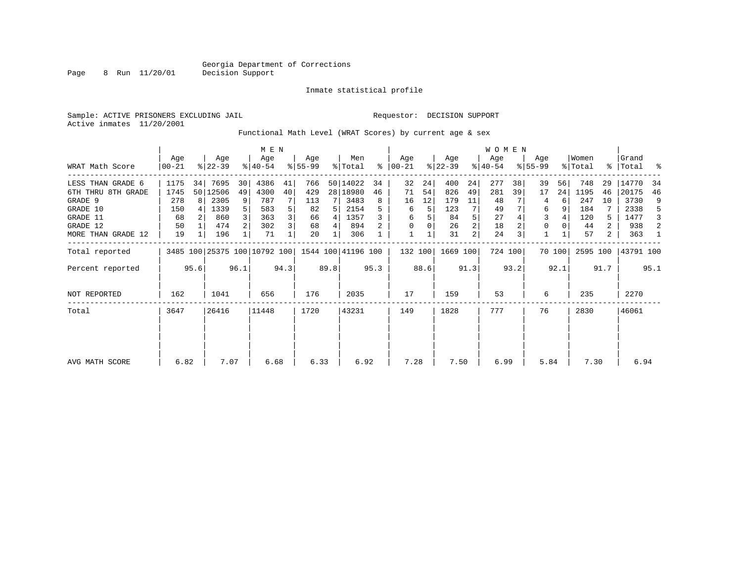Page 8 Run 11/20/01

#### Inmate statistical profile

Sample: ACTIVE PRISONERS EXCLUDING JAIL **Requestor: DECISION SUPPORT** Active inmates 11/20/2001

Functional Math Level (WRAT Scores) by current age & sex

|                    | M E N             |       |                  |       |                                                 |      |                 |       |                |      |                    |      |                  |      | <b>WOMEN</b>     |         |                    |        |                  |       |                    |      |
|--------------------|-------------------|-------|------------------|-------|-------------------------------------------------|------|-----------------|-------|----------------|------|--------------------|------|------------------|------|------------------|---------|--------------------|--------|------------------|-------|--------------------|------|
| WRAT Math Score    | Age<br>$ 00 - 21$ |       | Age<br>$ 22-39 $ |       | Age<br>$ 40-54 $                                |      | Age<br>$ 55-99$ |       | Men<br>% Total | ႜ    | Age<br>$ 00 - 21 $ |      | Age<br>$ 22-39 $ |      | Age<br>$ 40-54 $ |         | Age<br>$8155 - 99$ |        | Women<br>% Total |       | Grand<br>%   Total | ႜ    |
| LESS THAN GRADE 6  | 1175              | 34    | 7695             | 30    | 4386                                            | 41   | 766             |       | 50 14022       | 34   | 32                 | 24   | 400              | 24   | 277              | 38      | 39                 | 56     | 748              | 29    | 14770              | 34   |
| 6TH THRU 8TH GRADE | 1745              |       | 50 12506         | 49    | 4300                                            | 40   | 429             |       | 28   18980     | 46   | 71                 | 54   | 826              | 49   | 281              | 39      | 17                 | 24     | 1195             | 46    | 20175              | 46   |
| GRADE 9            | 278               | R I   | 2305             | 9     | 787                                             |      | 113             |       | 3483           | 8    | 16                 | 12   | 179              | 11   | 48               |         | 4                  |        | 247              | 10    | 3730               | 9    |
| GRADE 10           | 150               |       | 1339             |       | 583                                             |      | 82              | 5     | 2154           | 5    | 6                  | 5    | 123              |      | 49               |         | 6                  |        | 184              |       | 2338               | 5    |
| GRADE 11           | 68                |       | 860              |       | 363                                             |      | 66              | 4     | 1357           |      | 6                  |      | 84               | 5    | 27               |         | 3                  |        | 120              | 5     | 1477               | 3    |
| GRADE 12           | 50                |       | 474              |       | 302                                             |      | 68              | 4     | 894            |      | 0                  |      | 26               | 2    | 18               |         | 0                  |        | 44               | 2     | 938                | 2    |
| MORE THAN GRADE 12 | 19                |       | 196              |       | 71                                              |      | 20              |       | 306            |      |                    |      | 31               | 2    | 24               |         |                    |        | 57               | 2     | 363                |      |
| Total reported     |                   |       |                  |       | 3485 100 25375 100 10792 100 1544 100 41196 100 |      |                 |       |                |      | 132 100            |      | 1669 100         |      |                  | 724 100 |                    | 70 100 | 2595 100         |       | 43791 100          |      |
| Percent reported   |                   | 95.6  |                  | 96.1  |                                                 | 94.3 |                 | 89.8  |                | 95.3 |                    | 88.6 |                  | 91.3 |                  | 93.2    |                    | 92.1   |                  | 91.7  |                    | 95.1 |
| NOT REPORTED       | 162               |       | 1041             |       | 656                                             |      | 176             |       | 2035           |      | 17                 |      | 159              |      | 53               |         | 6                  |        | 235              |       | 2270               |      |
| Total              | 3647              | 26416 |                  | 11448 |                                                 | 1720 |                 | 43231 |                | 149  |                    | 1828 |                  | 777  |                  | 76      |                    | 2830   |                  | 46061 |                    |      |
|                    |                   |       |                  |       |                                                 |      |                 |       |                |      |                    |      |                  |      |                  |         |                    |        |                  |       |                    |      |
| AVG MATH SCORE     | 6.82              |       | 7.07             |       | 6.68                                            |      | 6.33            |       | 6.92           |      | 7.28               |      | 7.50             |      | 6.99             |         | 5.84               |        | 7.30             |       | 6.94               |      |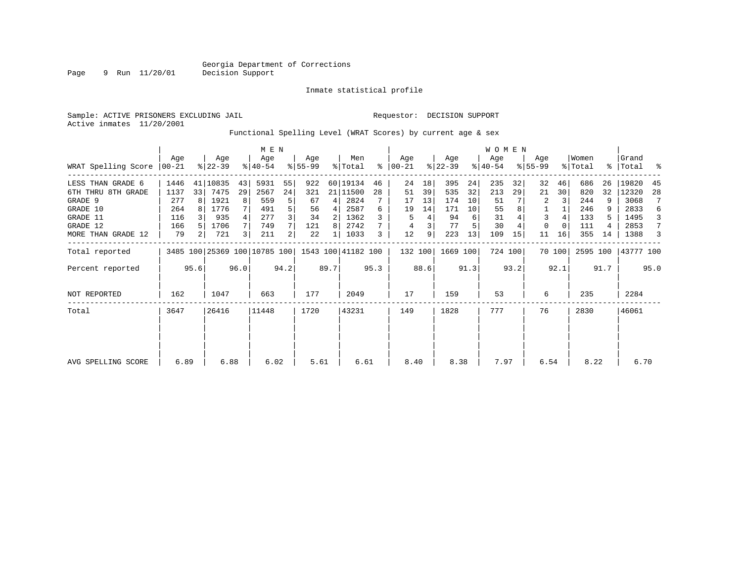Page 9 Run 11/20/01

#### Inmate statistical profile

Sample: ACTIVE PRISONERS EXCLUDING JAIL **Requestor: DECISION SUPPORT** Active inmates 11/20/2001

### Functional Spelling Level (WRAT Scores) by current age & sex

|                             |               |                                                                 | M E N            |    |                  |      |                 |                |                |           | WOMEN            |      |                  |      |                  |         |                    |          |                  |      |                    |      |
|-----------------------------|---------------|-----------------------------------------------------------------|------------------|----|------------------|------|-----------------|----------------|----------------|-----------|------------------|------|------------------|------|------------------|---------|--------------------|----------|------------------|------|--------------------|------|
| WRAT Spelling Score   00-21 | Age           |                                                                 | Age<br>$ 22-39 $ |    | Age<br>$8 40-54$ |      | Age<br>$ 55-99$ |                | Men<br>% Total | $\approx$ | Age<br>$00 - 21$ |      | Age<br>$ 22-39 $ |      | Age<br>$ 40-54 $ |         | Age<br>$8155 - 99$ |          | Women<br>% Total |      | Grand<br>%   Total |      |
| LESS THAN GRADE 6           | 1446          | 41                                                              | 10835            | 43 | 5931             | 55   | 922             |                | 60 19134       | 46        | 24               | 18   | 395              | 24   | 235              | 32      | 32                 | 46       | 686              | 26   | 19820              | 45   |
| 6TH THRU 8TH GRADE          | 1137          | 33                                                              | 7475             | 29 | 2567             | 24   | 321             |                | 21 11500       | 28        | 51               | 39   | 535              | 32   | 213              | 29      | 21                 | 30       | 820              | 32   | 12320              | 28   |
| GRADE 9                     | 277           | 8                                                               | 1921             | 8  | 559              |      | 67              | $\overline{4}$ | 2824           |           | 17               | 13   | 174              | 10   | 51               |         | 2                  | 3        | 244              | 9    | 3068               | 7    |
| GRADE 10                    | 264           |                                                                 | 1776             |    | 491              |      | 56              | 4              | 2587           | 6         | 19               | 14   | 171              | 10   | 55               |         |                    |          | 246              |      | 2833               | 6    |
| GRADE 11                    | 116           |                                                                 | 935              | 4  | 277              |      | 34              | 2              | 1362           |           | 5                |      | 94               | 6    | 31               |         | 3                  |          | 133              |      | 1495               | 3    |
| GRADE 12                    | 166           |                                                                 | 1706             | 7  | 749              |      | 121             | 8              | 2742           |           | 4                |      | 77               |      | 30               |         | 0                  | $\Omega$ | 111              |      | 2853               | 7    |
| MORE THAN GRADE 12          | 79            | 2                                                               | 721              | 3  | 211              |      | 22              |                | 1033           |           | 12               | 9    | 223              | 13   | 109              | 15      | 11                 | 16       | 355              | 14   | 1388               | 3    |
| Total reported              |               |                                                                 |                  |    |                  |      |                 |                |                |           | 132 100          |      | 1669 100         |      |                  | 724 100 |                    | 70 100   | 2595 100         |      | 43777 100          |      |
| Percent reported            |               | 3485 100 25369 100 10785 100 1543 100 41182 100<br>95.6<br>96.0 |                  |    |                  | 94.2 |                 | 89.7           |                | 95.3      |                  | 88.6 |                  | 91.3 |                  | 93.2    |                    | 92.1     |                  | 91.7 |                    | 95.0 |
| NOT REPORTED                | 162           |                                                                 | 1047             |    | 663              |      | 177             |                | 2049           |           | 17               |      | 159              |      | 53               |         | 6                  |          | 235              |      | 2284               |      |
| Total                       | 26416<br>3647 |                                                                 | 11448            |    | 1720             |      | 43231           |                | 149            |           | 1828             |      | 777              |      | 76               |         | 2830               |          | 46061            |      |                    |      |
|                             |               |                                                                 |                  |    |                  |      |                 |                |                |           |                  |      |                  |      |                  |         |                    |          |                  |      |                    |      |
| AVG SPELLING SCORE          | 6.89          |                                                                 | 6.88             |    | 6.02             |      | 5.61            |                | 6.61           |           | 8.40             |      | 8.38             |      | 7.97             |         | 6.54               |          | 8.22             |      | 6.70               |      |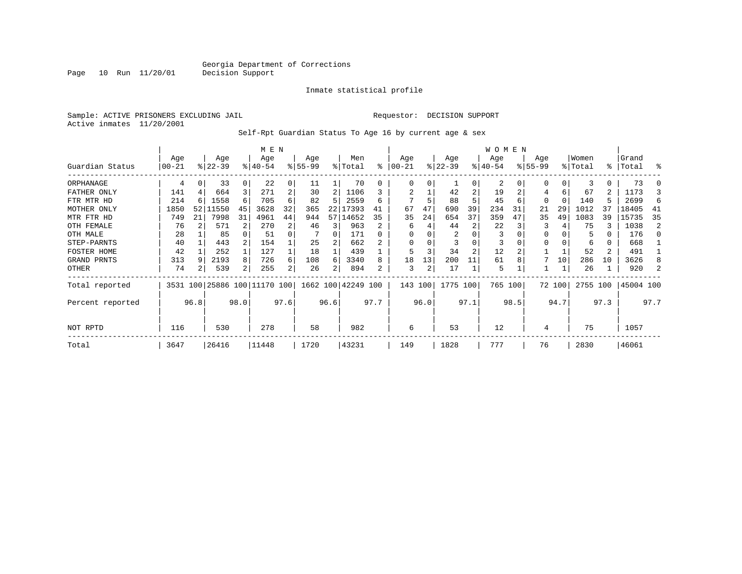Page 10 Run 11/20/01

#### Inmate statistical profile

Sample: ACTIVE PRISONERS EXCLUDING JAIL **Requestor: DECISION SUPPORT** Active inmates 11/20/2001

Self-Rpt Guardian Status To Age 16 by current age & sex

|                  | M E N            |      |                  |                |                              |      |                  |      |                    |      |                 |      |                  |                | <b>WOMEN</b>    |      |                  |        |                  |      |                    |      |
|------------------|------------------|------|------------------|----------------|------------------------------|------|------------------|------|--------------------|------|-----------------|------|------------------|----------------|-----------------|------|------------------|--------|------------------|------|--------------------|------|
| Guardian Status  | Age<br>$00 - 21$ |      | Age<br>$ 22-39 $ |                | Age<br>$8140 - 54$           |      | Age<br>$8 55-99$ |      | Men<br>% Total     | % ิ  | Age<br>$ 00-21$ |      | Age<br>$ 22-39 $ |                | Age<br>$ 40-54$ |      | Age<br>$8 55-99$ |        | Women<br>% Total |      | Grand<br>%   Total | ႜ    |
|                  |                  |      |                  |                |                              |      |                  |      |                    |      |                 |      |                  |                |                 |      |                  |        |                  |      |                    |      |
| ORPHANAGE        | 4                |      | 33               | $\Omega$       | 22                           | 0    | 11               |      | 70                 |      | $\Omega$        | U    |                  | 0              | 2               |      | O                |        |                  | 0    | 73                 |      |
| FATHER ONLY      | 141              |      | 664              | 3              | 271                          | 2    | 30               |      | 1106               |      |                 |      | 42               | $\overline{2}$ | 19              |      | 4                | 6      | 67               | 2    | 1173               |      |
| FTR MTR HD       | 214              | 6    | 1558             | 6              | 705                          | 6    | 82               | 5    | 2559               | 6    |                 | 5    | 88               |                | 45              | 6    | $\Omega$         |        | 140              | 5    | 2699               | 6    |
| MOTHER ONLY      | 1850             | 52   | 11550            | 45             | 3628                         | 32   | 365              | 22   | 17393              | 41   | 67              | 47   | 690              | 39             | 234             | 31   | 21               | 29     | 1012             | 35   | 18405              | 41   |
| MTR FTR HD       | 749              | 21   | 7998             | 31             | 4961                         | 44   | 944              | 57   | 14652              | 35   | 35              | 24   | 654              | 37             | 359             | 47   | 35               | 49     | 1083             | 39   | 15735              | 35   |
| OTH FEMALE       | 76               |      | 571              | $\overline{2}$ | 270                          | 2    | 46               | 3    | 963                |      | 6               |      | 44               | 2              | 22              |      | 3                |        | 75               | 3    | 1038               | 2    |
| OTH MALE         | 28               |      | 85               |                | 51                           | 0    |                  | 0    | 171                |      | $\Omega$        |      | 2                |                | 3               |      | <sup>0</sup>     |        | 5                | 0    | 176                | n    |
| STEP-PARNTS      | 40               |      | 443              |                | 154                          |      | 25               |      | 662                |      | $\Omega$        |      |                  | $\Omega$       | 3               |      | 0                |        | 6                | 0    | 668                |      |
| FOSTER HOME      | 42               |      | 252              |                | 127                          |      | 18               |      | 439                |      | 5               |      | 34               | $\overline{2}$ | 12              |      |                  |        | 52               | 2    | 491                |      |
| GRAND PRNTS      | 313              | 9    | 2193             | 8              | 726                          | 6    | 108              | 6    | 3340               | 8    | 18              | 13   | 200              | 11             | 61              |      |                  | 10     | 286              | 10   | 3626               | 8    |
| OTHER            | 74               | 2    | 539              | 2              | 255                          | 2    | 26               |      | 894                | 2    | 3               | 2    | 17               |                | 5               |      |                  |        | 26               |      | 920                |      |
| Total reported   |                  |      |                  |                | 3531 100 25886 100 11170 100 |      |                  |      | 1662 100 42249 100 |      | 143 100         |      | 1775 100         |                | 765 100         |      |                  | 72 100 | 2755 100         |      | 45004 100          |      |
| Percent reported |                  | 96.8 |                  | 98.0           |                              | 97.6 |                  | 96.6 |                    | 97.7 |                 | 96.0 |                  | 97.1           |                 | 98.5 |                  | 94.7   |                  | 97.3 |                    | 97.7 |
| NOT RPTD         | 116              |      | 530              |                | 278                          |      | 58               |      | 982                |      | 6               |      | 53               |                | 12              |      | 4                |        | 75               |      | 1057               |      |
| Total            | 3647             |      | 26416            |                | 11448                        |      | 1720             |      | 43231              |      | 149             |      | 1828             |                | 777             |      | 76               |        | 2830             |      | 46061              |      |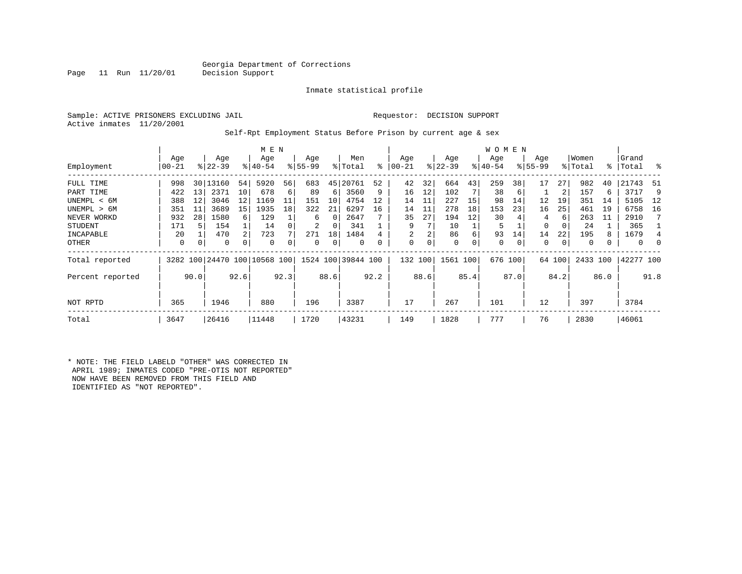Page 11 Run 11/20/01 Decision Support

#### Inmate statistical profile

Sample: ACTIVE PRISONERS EXCLUDING JAIL **Requestor: DECISION SUPPORT** Active inmates 11/20/2001

#### Self-Rpt Employment Status Before Prison by current age & sex

|                  | M E N |      |           |          |                              |      |             |      |                    |      |            |          |             |      | <b>WOMEN</b> |          |             |        |          |      |           |          |
|------------------|-------|------|-----------|----------|------------------------------|------|-------------|------|--------------------|------|------------|----------|-------------|------|--------------|----------|-------------|--------|----------|------|-----------|----------|
|                  | Age   |      | Age       |          | Age                          |      | Age         |      | Men                |      | Age        |          | Age         |      | Age          |          | Age         |        | Women    |      | Grand     |          |
| Employment       | 00-21 |      | $ 22-39 $ |          | $8140 - 54$                  |      | $8155 - 99$ |      | % Total            | ៖    | $ 00 - 21$ |          | $ 22-39 $   |      | $ 40-54 $    |          | $8155 - 99$ |        | % Total  |      | %   Total | ి        |
| FULL TIME        | 998   | 30   | 13160     | 54       | 5920                         | 56   | 683         | 45   | 20761              | 52   | 42         | 32       | 664         | 43   | 259          | 38       | 17          | 27     | 982      | 40   | 21743     | 51       |
| PART TIME        | 422   | 13   | 2371      | 10       | 678                          | 6    | 89          | 6    | 3560               | 9    | 16         | 12       | 102         |      | 38           | 6        |             | 2      | 157      |      | 3717      | 9        |
| UNEMPL < 6M      | 388   | 12   | 3046      | 12       | 1169                         | 11   | 151         | 10   | 4754               | 12   | 14         | 11       | 227         | 15   | 98           | 14       | 12          | 19     | 351      | 14   | 5105      | 12       |
| UNEMPL > 6M      | 351   | 11   | 3689      | 15       | 1935                         | 18   | 322         | 21   | 6297               | 16   | 14         | 11       | 278         | 18   | 153          | 23       | 16          | 25     | 461      | 19   | 6758      | 16       |
| NEVER WORKD      | 932   | 28   | 1580      | 6        | 129                          |      | 6           | 0    | 2647               |      | 35         | 27       | 194         | 12   | 30           |          | 4           | 6      | 263      | 11   | 2910      | 7        |
| <b>STUDENT</b>   | 171   |      | 154       |          | 14                           |      | 2           | 0    | 341                |      | 9          |          | 10          |      | 5            |          | 0           | 0      | 24       |      | 365       |          |
| INCAPABLE        | 20    |      | 470       | 2        | 723                          |      | 271         | 18   | 1484               |      |            | 2        | 86          | 6    | 93           | 14       | 14          | 22     | 195      |      | 1679      | 4        |
| OTHER            | 0     | 0    | $\Omega$  | $\Omega$ | $\Omega$                     |      | 0           | 0    | $\Omega$           |      | 0          | $\Omega$ | $\mathbf 0$ | 0    | $\mathbf 0$  | $\Omega$ | $\Omega$    | 0      | $\Omega$ |      | $\Omega$  | $\Omega$ |
| Total reported   |       |      |           |          | 3282 100 24470 100 10568 100 |      |             |      | 1524 100 39844 100 |      | 132 100    |          | 1561        | 100  | 676 100      |          |             | 64 100 | 2433     | 100  | 42277 100 |          |
| Percent reported |       | 90.0 |           | 92.6     |                              | 92.3 |             | 88.6 |                    | 92.2 |            | 88.6     |             | 85.4 |              | 87.0     |             | 84.2   |          | 86.0 |           | 91.8     |
| NOT RPTD         | 365   |      | 1946      |          | 880                          |      | 196         |      | 3387               |      | 17         |          | 267         |      | 101          |          | 12          |        | 397      |      | 3784      |          |
| Total            | 3647  |      | 26416     |          | 11448                        |      | 1720        |      | 43231              |      | 149        |          | 1828        |      | 777          |          | 76          |        | 2830     |      | 46061     |          |

\* NOTE: THE FIELD LABELD "OTHER" WAS CORRECTED IN APRIL 1989; INMATES CODED "PRE-OTIS NOT REPORTED" NOW HAVE BEEN REMOVED FROM THIS FIELD AND IDENTIFIED AS "NOT REPORTED".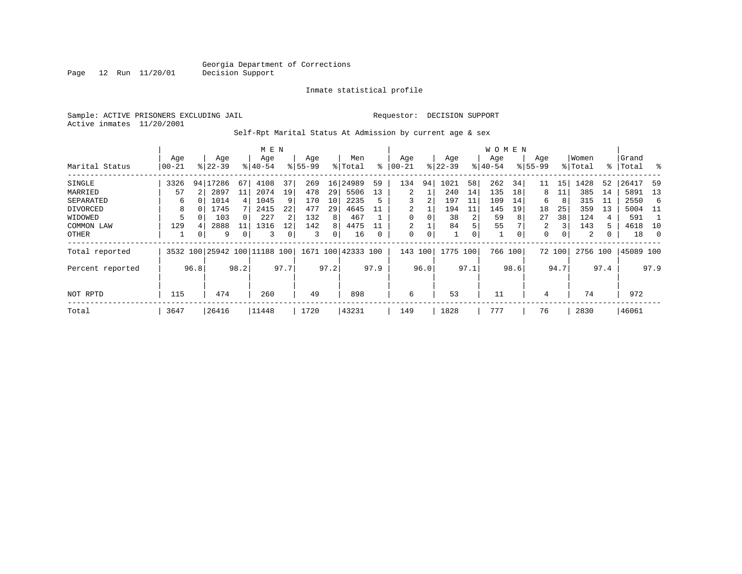Page 12 Run 11/20/01

#### Inmate statistical profile

Sample: ACTIVE PRISONERS EXCLUDING JAIL **Requestor: DECISION SUPPORT** Active inmates 11/20/2001

### Self-Rpt Marital Status At Admission by current age & sex

|                  | M E N         |              |                              |    |           |      |          |                 |                    |           |          |      |           |      | W O M E N |      |           |        |          |      |           |      |
|------------------|---------------|--------------|------------------------------|----|-----------|------|----------|-----------------|--------------------|-----------|----------|------|-----------|------|-----------|------|-----------|--------|----------|------|-----------|------|
|                  | Age           |              | Age                          |    | Age       |      | Age      |                 | Men                |           | Age      |      | Age       |      | Age       |      | Age       |        | Women    |      | Grand     |      |
| Marital Status   | $00 - 21$     |              | $8 22-39$                    |    | $8 40-54$ |      | $ 55-99$ |                 | % Total            | $\approx$ | 00-21    |      | $ 22-39 $ |      | $ 40-54 $ |      | $8 55-99$ |        | % Total  |      | %   Total | ႜ    |
| SINGLE           | 3326          |              | 94 17286                     | 67 | 4108      | 37   | 269      | 16              | 24989              | 59        | 134      | 94   | 1021      | 58   | 262       | 34   | 11        | 15     | 1428     | 52   | 26417     | 59   |
| MARRIED          | 57            |              | 2897                         | 11 | 2074      | 19   | 478      | 29              | 5506               | 13        | 2        |      | 240       | 14   | 135       | 18   | 8         | 11     | 385      | 14   | 5891      | -13  |
| SEPARATED        | 6             |              | 1014                         | 4  | 1045      | 9    | 170      | 10 <sup>°</sup> | 2235               | 5         | 3        | 2    | 197       | 11   | 109       | 14   | 6         | 8      | 315      | ТT   | 2550      | -6   |
| DIVORCED         | 8             | 0            | 1745                         |    | 2415      | 22   | 477      | 29              | 4645               |           | 2        |      | 194       | 11   | 145       | 19   | 18        | 25     | 359      | 13   | 5004      | - 11 |
| WIDOWED          |               |              | 103                          |    | 227       |      | 132      | 8               | 467                |           | $\Omega$ |      | 38        | 2    | 59        | 8    | 27        | 38     | 124      | 4    | 591       |      |
| COMMON LAW       | 129           | 4            | 2888                         |    | 1316      | 12   | 142      | 8               | 4475               |           | 2        |      | 84        | 5    | 55        |      | 2         | 3      | 143      | 5.   | 4618      | 10   |
| OTHER            |               | 0            | 9                            | 0  | 3         |      | 3        | 0               | 16                 |           | $\Omega$ | 0    |           | 0    |           | 0    | 0         |        | 2        |      | 18        | - 0  |
| Total reported   |               |              | 3532 100 25942 100 11188 100 |    |           |      |          |                 | 1671 100 42333 100 |           | 143      | 100  | 1775      | 100  | 766 100   |      |           | 72 100 | 2756 100 |      | 45089 100 |      |
| Percent reported |               | 96.8<br>98.2 |                              |    |           | 97.7 |          | 97.2            |                    | 97.9      |          | 96.0 |           | 97.1 |           | 98.6 |           | 94.7   |          | 97.4 |           | 97.9 |
| NOT RPTD         | 115           |              | 474                          |    | 260       |      | 49       |                 | 898                |           | 6        |      | 53        |      | 11        |      | 4         |        | 74       |      | 972       |      |
| Total            | 3647<br>26416 |              |                              |    | 11448     |      | 1720     |                 | 43231              |           | 149      |      | 1828      |      | 777       |      | 76        |        | 2830     |      | 46061     |      |
|                  |               |              |                              |    |           |      |          |                 |                    |           |          |      |           |      |           |      |           |        |          |      |           |      |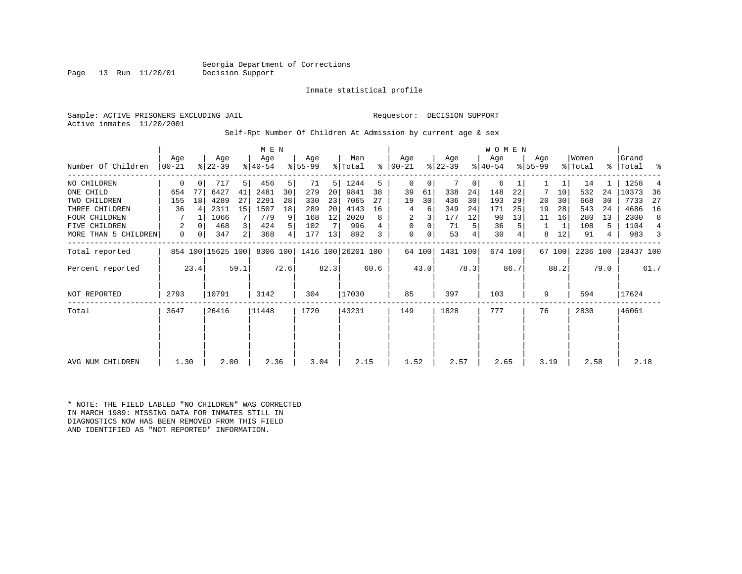Page 13 Run 11/20/01 Decision Support

#### Inmate statistical profile

Sample: ACTIVE PRISONERS EXCLUDING JAIL **Requestor: DECISION SUPPORT** Active inmates 11/20/2001

#### Self-Rpt Number Of Children At Admission by current age & sex

|                      | M E N            |             |                   |                         |                  |                |                  |       |                    |      |                 |        |                  |      | WOMEN            |         |                  |        |                  |       |                    |                |
|----------------------|------------------|-------------|-------------------|-------------------------|------------------|----------------|------------------|-------|--------------------|------|-----------------|--------|------------------|------|------------------|---------|------------------|--------|------------------|-------|--------------------|----------------|
| Number Of Children   | Age<br>$00 - 21$ |             | Age<br>$ 22-39 $  |                         | Age<br>$ 40-54 $ |                | Age<br>$ 55-99 $ |       | Men<br>% Total     | % ิ  | Age<br>$ 00-21$ |        | Age<br>$ 22-39 $ |      | Age<br>$ 40-54 $ |         | Age<br>$8 55-99$ |        | Women<br>% Total |       | Grand<br>%   Total | ႜ              |
| NO CHILDREN          | $\mathbf 0$      | $\mathbf 0$ | 717               | 5                       | 456              | 5              | 71               | 5     | 1244               | 5    | $\mathbf 0$     | 0      |                  | 0    | 6                |         |                  |        | 14               |       | 1258               | $\overline{4}$ |
| ONE CHILD            | 654              | 77          | 6427              | 41                      | 2481             | 30             | 279              | 20    | 9841               | 38   | 39              | 61     | 338              | 24   | 148              | 22      |                  | 10     | 532              | 24    | 10373              | 36             |
| TWO CHILDREN         | 155              | 18          | 4289              | 27                      | 2291             | 28             | 330              | 23    | 7065               | 27   | 19              | 30     | 436              | 30   | 193              | 29      | 20               | 30     | 668              | 30    | 7733               | 27             |
| THREE CHILDREN       | 36               | 4           | 2311              | 15                      | 1507             | 18             | 289              | 20    | 4143               | 16   | 4               | 6      | 349              | 24   | 171              | 25      | 19               | 28     | 543              | 24    | 4686               | 16             |
| <b>FOUR CHILDREN</b> |                  |             | 1066              | 7                       | 779              | 9              | 168              | 12    | 2020               | 8    | 2               |        | 177              | 12   | 90               | 13      | 11               | 16     | 280              | 13    | 2300               | 8              |
| FIVE CHILDREN        | 2                | 0           | 468               | $\overline{\mathbf{3}}$ | 424              | 5              | 102              |       | 996                |      | $\mathbf 0$     | 0      | 71               | 5    | 36               |         |                  |        | 108              | 5     | 1104               | 4              |
| MORE THAN 5 CHILDREN | 0                | 0           | 347               | $\overline{2}$          | 368              | $\overline{4}$ | 177              | 13    | 892                | 3    | $\mathbf 0$     | 0      | 53               | 4    | 30               |         | 8                | 12     | 91               | 4     | 983                | 3              |
| Total reported       |                  |             | 854 100 15625 100 |                         | 8306 100         |                |                  |       | 1416 100 26201 100 |      |                 | 64 100 | 1431 100         |      |                  | 674 100 |                  | 67 100 | 2236 100         |       | 28437 100          |                |
| Percent reported     |                  | 23.4        |                   | 59.1                    |                  | 72.6           |                  | 82.3  |                    | 60.6 |                 | 43.0   |                  | 78.3 |                  | 86.7    |                  | 88.2   |                  | 79.0  |                    | 61.7           |
| <b>NOT REPORTED</b>  | 2793             |             | 10791             |                         | 3142             |                | 304              |       | 17030              |      | 85              |        | 397              |      | 103              |         | 9                |        | 594              |       | 17624              |                |
| Total                | 3647             | 26416       |                   | 11448                   |                  | 1720           |                  | 43231 |                    | 149  |                 | 1828   |                  | 777  |                  | 76      |                  | 2830   |                  | 46061 |                    |                |
|                      |                  |             |                   |                         |                  |                |                  |       |                    |      |                 |        |                  |      |                  |         |                  |        |                  |       |                    |                |
| AVG NUM CHILDREN     | 1.30             |             | 2.00              |                         | 2.36             |                | 3.04             |       | 2.15               |      | 1.52            |        | 2.57             |      | 2.65             |         | 3.19             |        | 2.58             |       | 2.18               |                |

\* NOTE: THE FIELD LABLED "NO CHILDREN" WAS CORRECTED IN MARCH 1989: MISSING DATA FOR INMATES STILL IN DIAGNOSTICS NOW HAS BEEN REMOVED FROM THIS FIELD AND IDENTIFIED AS "NOT REPORTED" INFORMATION.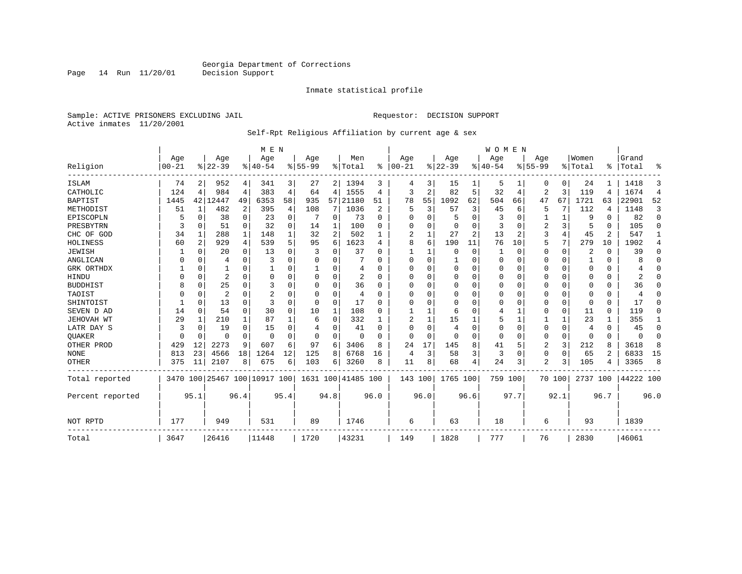Page 14 Run 11/20/01

#### Inmate statistical profile

Sample: ACTIVE PRISONERS EXCLUDING JAIL **Requestor: DECISION SUPPORT** Active inmates 11/20/2001

Self-Rpt Religious Affiliation by current age & sex

|                  |           |              |           |             | M E N                        |          |           |          |                    |                |                |          |             |      | <b>WOMEN</b> |                |                |          |                |          |           |                |
|------------------|-----------|--------------|-----------|-------------|------------------------------|----------|-----------|----------|--------------------|----------------|----------------|----------|-------------|------|--------------|----------------|----------------|----------|----------------|----------|-----------|----------------|
|                  | Age       |              | Age       |             | Age                          |          | Age       |          | Men                |                | Age            |          | Age         |      | Age          |                | Age            |          | Women          |          | Grand     |                |
| Religion         | $00 - 21$ |              | $8 22-39$ |             | $ 40-54$                     |          | $8 55-99$ |          | % Total            | ွေ             | $ 00-21$       |          | $ 22-39$    |      | $ 40-54$     |                | $8 55-99$      |          | % Total        |          | %   Total | ႜ              |
| ISLAM            | 74        | 2            | 952       | 4           | 341                          | 3        | 27        | 2        | 1394               | 3              | 4              | 3        | 15          |      | 5            |                | 0              | $\Omega$ | 24             |          | 1418      | 3              |
| CATHOLIC         | 124       | 4            | 984       | 4           | 383                          | 4        | 64        | 4        | 1555               | 4              | 3              | 2        | 82          | 5    | 32           | 4              | $\overline{2}$ | 3        | 119            | 4        | 1674      | $\overline{4}$ |
| <b>BAPTIST</b>   | 1445      |              | 42 12447  | 49          | 6353                         | 58       | 935       | 57       | 21180              | 51             | 78             | 55       | 1092        | 62   | 504          | 66             | 47             | 67       | 1721           | 63       | 22901     | 52             |
| METHODIST        | 51        | $\mathbf{1}$ | 482       | 2           | 395                          | 4        | 108       | 7        | 1036               | $\overline{2}$ | 5              | 3        | 57          | 3    | 45           | 6              | 5              | 7        | 112            | 4        | 1148      | 3              |
| EPISCOPLN        |           | $\Omega$     | 38        | $\Omega$    | 23                           | $\Omega$ |           | 0        | 73                 | $\Omega$       | $\Omega$       | $\Omega$ | 5           | 0    | 3            | $\Omega$       |                |          | 9              | O        | 82        | $\Omega$       |
| PRESBYTRN        | 3         | $\Omega$     | 51        | $\Omega$    | 32                           | $\Omega$ | 14        | 1        | 100                | U              | $\Omega$       | U        | $\Omega$    | 0    | 3            | $\Omega$       | $\overline{2}$ | 3        |                | O        | 105       | $\Omega$       |
| CHC OF GOD       | 34        | 1            | 288       | 1           | 148                          |          | 32        | 2        | 502                |                | 2              |          | 27          | 2    | 13           | $\overline{c}$ | 3              | 4        | 45             | 2        | 547       | 1              |
| HOLINESS         | 60        | 2            | 929       | 4           | 539                          | 5        | 95        | 6        | 1623               | 4              | 8              | 6        | 190         | 11   | 76           | 10             | 5              | 7        | 279            | 10       | 1902      | 4              |
| JEWISH           |           | 0            | 20        | $\Omega$    | 13                           | $\Omega$ | 3         | 0        | 37                 | O              |                |          | $\Omega$    | 0    |              | 0              | $\Omega$       | $\Omega$ | 2              | O        | 39        | $\Omega$       |
| ANGLICAN         | O         | $\Omega$     | 4         | $\Omega$    | 3                            | $\Omega$ | C         | 0        |                    | U              | $\Omega$       | $\Omega$ | -1          | 0    | $\Omega$     | $\Omega$       | 0              | 0        |                | O        | 8         | $\Omega$       |
| GRK ORTHDX       |           | $\Omega$     |           | $\Omega$    |                              |          |           | 0        | 4                  | U              | ∩              | U        | $\Omega$    | 0    | $\Omega$     | $\Omega$       | 0              | $\Omega$ | $\Omega$       | O        |           | $\Omega$       |
| HINDU            |           | $\Omega$     | 2         | $\Omega$    | $\Omega$                     | $\Omega$ |           | 0        | 2                  | $\Omega$       | $\Omega$       | $\Omega$ | $\Omega$    | U    | $\Omega$     | $\Omega$       | 0              | $\Omega$ | $\Omega$       | U        | 2         | $\Omega$       |
| <b>BUDDHIST</b>  | 8         | $\Omega$     | 25        | $\Omega$    | 3                            |          | 0         | $\Omega$ | 36                 | O              | $\Omega$       | O        | $\Omega$    | 0    | $\Omega$     | $\Omega$       | 0              | 0        | $\Omega$       |          | 36        | $\Omega$       |
| TAOIST           |           | $\Omega$     | 2         | O           | $\overline{2}$               |          | C         | $\Omega$ | 4                  | ∩              | O              | $\Omega$ | $\Omega$    | 0    | O            | $\Omega$       | 0              | $\Omega$ | $\Omega$       | O        |           | ∩              |
| SHINTOIST        |           | $\Omega$     | 13        | $\Omega$    | 3                            | $\Omega$ | $\Omega$  | 0        | 17                 | ∩              | ∩              |          | $\Omega$    | U    | $\Omega$     | $\Omega$       | $\Omega$       | $\Omega$ | ∩              | 0        | 17        | ∩              |
| SEVEN D AD       | 14        | $\Omega$     | 54        | 0           | 30                           | $\Omega$ | 10        | 1        | 108                | O              |                |          | 6           | U    | 4            |                | $\Omega$       | 0        | 11             | $\Omega$ | 119       | $\Omega$       |
| JEHOVAH WT       | 29        | 1            | 210       | 1           | 87                           |          | 6         | 0        | 332                |                | $\overline{2}$ |          | 15          |      | 5            |                |                | 1        | 23             |          | 355       | 1              |
| LATR DAY S       | 3         | $\Omega$     | 19        | $\Omega$    | 15                           | $\Omega$ | 4         | 0        | 41                 | O              | $\Omega$       | $\Omega$ | 4           | 0    | $\Omega$     | $\Omega$       | 0              | $\Omega$ | $\overline{4}$ | 0        | 45        | $\Omega$       |
| <b>OUAKER</b>    | O         | $\mathbf 0$  | 0         | $\mathbf 0$ | $\Omega$                     | $\Omega$ | $\Omega$  | 0        | $\Omega$           | $\Omega$       | $\Omega$       | $\Omega$ | $\mathbf 0$ | 0    | $\Omega$     | $\Omega$       | 0              | 0        | $\Omega$       | $\Omega$ | O         | $\Omega$       |
| OTHER PROD       | 429       | 12           | 2273      | 9           | 607                          | 6        | 97        | 6        | 3406               | 8              | 24             | 17       | 145         | 8    | 41           | 5              | 2              | 3        | 212            | 8        | 3618      | 8              |
| <b>NONE</b>      | 813       | 23           | 4566      | 18          | 1264                         | 12       | 125       | 8        | 6768               | 16             | 4              | 3        | 58          | 3    | 3            | 0              | 0              | $\Omega$ | 65             | 2        | 6833      | 15             |
| <b>OTHER</b>     | 375       | 11           | 2107      | 8           | 675                          | 6        | 103       | 6        | 3260               | 8              | 11             | 8        | 68          | 4    | 24           | 3              | 2              | 3        | 105            | 4        | 3365      | 8              |
| Total reported   |           |              |           |             | 3470 100 25467 100 10917 100 |          |           |          | 1631 100 41485 100 |                | 143 100        |          | 1765 100    |      | 759 100      |                |                | 70 100   | 2737 100       |          | 44222 100 |                |
| Percent reported |           | 95.1         |           | 96.4        |                              | 95.4     |           | 94.8     |                    | 96.0           |                | 96.0     |             | 96.6 |              | 97.7           |                | 92.1     |                | 96.7     |           | 96.0           |
| NOT RPTD         | 177       |              | 949       |             | 531                          |          | 89        |          | 1746               |                | 6              |          | 63          |      | 18           |                | 6              |          | 93             |          | 1839      |                |
| Total            | 3647      |              | 26416     |             | 11448                        |          | 1720      |          | 43231              |                | 149            |          | 1828        |      | 777          |                | 76             |          | 2830           |          | 46061     |                |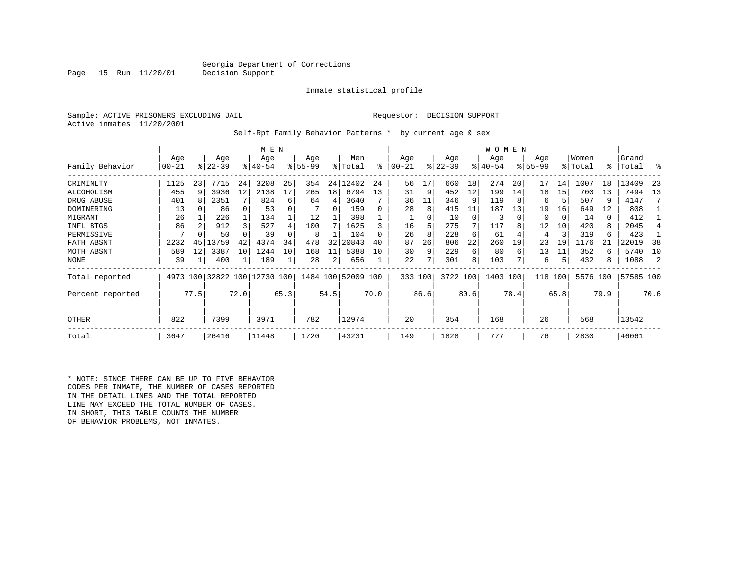Page 15 Run 11/20/01 Decision Support

#### Inmate statistical profile

Sample: ACTIVE PRISONERS EXCLUDING JAIL **Requestor: DECISION SUPPORT** Active inmates 11/20/2001

Self-Rpt Family Behavior Patterns \* by current age & sex

|                         |                  | M E N   |                    |          |                              |          |                  |          |                    |          |                   |         |                  |          | W O M E N        |          |                    |          |                  |          |                |           |
|-------------------------|------------------|---------|--------------------|----------|------------------------------|----------|------------------|----------|--------------------|----------|-------------------|---------|------------------|----------|------------------|----------|--------------------|----------|------------------|----------|----------------|-----------|
| Family Behavior         | Age<br>$00 - 21$ |         | Age<br>$8122 - 39$ |          | Age<br>$8140 - 54$           |          | Age<br>$8 55-99$ |          | Men<br>% Total     | ి        | Age<br>$ 00 - 21$ |         | Age<br>$ 22-39 $ |          | Age<br>$ 40-54 $ |          | Age<br>$8155 - 99$ |          | Women<br>% Total | ∻        | Grand<br>Total | ႜ         |
|                         |                  |         |                    |          |                              |          |                  |          |                    |          |                   |         |                  |          |                  |          |                    |          |                  |          |                |           |
| CRIMINLTY<br>ALCOHOLISM | 1125<br>455      | 23<br>9 | 7715<br>3936       | 24<br>12 | 3208<br>2138                 | 25<br>17 | 354<br>265       | 24<br>18 | 12402<br>6794      | 24<br>13 | 56<br>31          | 17<br>9 | 660<br>452       | 18<br>12 | 274<br>199       | 20<br>14 | 17<br>18           | 14<br>15 | 1007<br>700      | 18<br>13 | 13409<br>7494  | -23<br>13 |
| DRUG ABUSE              | 401              |         | 2351               |          | 824                          | 6        | 64               | 4        | 3640               |          | 36                | 11      | 346              |          | 119              |          | 6                  | 5        | 507              | 9        | 4147           |           |
| DOMINERING              | 13               |         | 86                 |          | 53                           | 0        |                  | $\Omega$ | 159                |          | 28                | 8       | 415              | 11       | 187              | 13       | 19                 | 16       | 649              | 12       | 808            |           |
| MIGRANT                 | 26               |         | 226                |          | 134                          |          | 12               |          | 398                |          |                   | 0       | 10               | $\Omega$ | 3                |          | 0                  | 0        | 14               | 0        | 412            |           |
| INFL BTGS               | 86               | 2       | 912                |          | 527                          | 4        | 100              |          | 1625               |          | 16                | 5       | 275              | 7        | 117              |          | 12                 | 10       | 420              | 8        | 2045           |           |
| PERMISSIVE              | 7                |         | 50                 |          | 39                           |          | 8                |          | 104                |          | 26                | 8       | 228              | 6        | 61               |          | 4                  | 3        | 319              | 6        | 423            |           |
| FATH ABSNT              | 2232             | 45      | .3759              | 42       | 4374                         | 34       | 478              | 32       | 20843              | 40       | 87                | 26      | 806              | 22       | 260              | 19       | 23                 | 19       | 1176             | 21       | 22019          | 38        |
| MOTH ABSNT              | 589              | 12      | 3387               | 10       | 1244                         | 10       | 168              | 11       | 5388               | 10       | 30                | 9       | 229              | 6        | 80               | 6        | 13                 | 11       | 352              | 6        | 5740           | 10        |
| NONE                    | 39               |         | 400                |          | 189                          | 1        | 28               |          | 656                |          | 22                |         | 301              | 8        | 103              |          | 6                  | 5        | 432              | 8        | 1088           | 2         |
| Total reported          |                  |         |                    |          | 4973 100 32822 100 12730 100 |          |                  |          | 1484 100 52009 100 |          | 333 100           |         | 3722             | 100      | 1403 100         |          | 118                | 100      | 5576 100         |          | 57585 100      |           |
| Percent reported        |                  | 77.5    |                    | 72.0     |                              | 65.3     |                  | 54.5     |                    | 70.0     |                   | 86.6    |                  | 80.6     |                  | 78.4     |                    | 65.8     |                  | 79.9     |                | 70.6      |
| OTHER                   | 822              |         | 7399               |          | 3971                         |          | 782              |          | 12974              |          | 20                |         | 354              |          | 168              |          | 26                 |          | 568              |          | 13542          |           |
| Total                   | 3647             |         | 26416              |          | 11448                        |          | 1720             |          | 43231              |          | 149               |         | 1828             |          | 777              |          | 76                 |          | 2830             |          | 46061          |           |

\* NOTE: SINCE THERE CAN BE UP TO FIVE BEHAVIOR CODES PER INMATE, THE NUMBER OF CASES REPORTED IN THE DETAIL LINES AND THE TOTAL REPORTED LINE MAY EXCEED THE TOTAL NUMBER OF CASES. IN SHORT, THIS TABLE COUNTS THE NUMBER OF BEHAVIOR PROBLEMS, NOT INMATES.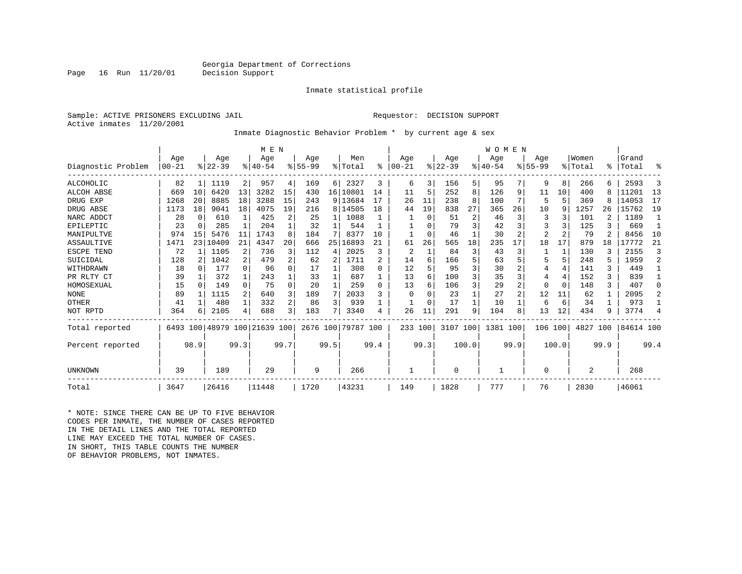Page 16 Run 11/20/01 Decision Support

#### Inmate statistical profile

Sample: ACTIVE PRISONERS EXCLUDING JAIL **Requestor: DECISION SUPPORT** Active inmates 11/20/2001

Inmate Diagnostic Behavior Problem \* by current age & sex

|                    |                   |          |                  |              | M E N                        |                |                  |              |                    |                |                   |          |                  |       | WOMEN           |      |                    |          |                  |                |                |                |
|--------------------|-------------------|----------|------------------|--------------|------------------------------|----------------|------------------|--------------|--------------------|----------------|-------------------|----------|------------------|-------|-----------------|------|--------------------|----------|------------------|----------------|----------------|----------------|
| Diagnostic Problem | Age<br>$ 00 - 21$ |          | Age<br>$8 22-39$ |              | Age<br>$8140 - 54$           |                | Age<br>$8 55-99$ |              | Men<br>% Total     | ፠              | Age<br>$ 00 - 21$ |          | Age<br>$ 22-39 $ |       | Age<br>$ 40-54$ |      | Age<br>$8155 - 99$ |          | Women<br>% Total | °≈             | Grand<br>Total | ዱ              |
| ALCOHOLIC          | 82                |          | 1119             | 2            | 957                          | 4              | 169              | 6            | 2327               | 3              | 6                 | 3        | 156              | 5     | 95              |      | 9                  | 8        | 266              |                | 2593           | 3              |
| ALCOH ABSE         | 669               | 10       | 6420             | 13           | 3282                         | 15             | 430              |              | 16 10801           | 14             | 11                |          | 252              | 8     | 126             | 9    | 11                 | 10       | 400              |                | 11201          | 13             |
| DRUG EXP           | 1268              | 20       | 8885             | 18           | 3288                         | 15             | 243              |              | 9 13684            |                | 26                | 11       | 238              | 8     | 100             |      | 5                  | 5        | 369              |                | 14053          | 17             |
| DRUG ABSE          | 1173              | 18       | 9041             | 18           | 4075                         | 19             | 216              |              | 8   14505          | 18             | 44                | 19       | 838              | 27    | 365             | 26   | 10                 | 9        | 1257             | 26             | 15762          | 19             |
| NARC ADDCT         | 28                | $\Omega$ | 610              | $\mathbf{1}$ | 425                          | 2              | 25               | 1            | 1088               |                |                   | $\Omega$ | 51               | 2     | 46              | 3    | 3                  |          | 101              |                | 1189           | -1             |
| EPILEPTIC          | 23                | 0        | 285              | -1           | 204                          |                | 32               | 1            | 544                |                |                   |          | 79               | 3     | 42              |      | 3                  |          | 125              | 3              | 669            | -1             |
| MANIPULTVE         | 974               | 15       | 5476             | 11           | 1743                         | 8              | 184              |              | 8377               | 10             |                   | $\Omega$ | 46               |       | 30              |      | $\overline{2}$     |          | 79               | $\mathfrak{D}$ | 8456           | 10             |
| ASSAULTIVE         | 1471              | 23       | 10409            | 21           | 4347                         | 20             | 666              | 25           | 16893              | 21             | 61                | 26       | 565              | 18    | 235             | 17   | 18                 | 17       | 879              | 18             | 17772          | 21             |
| ESCPE TEND         | 72                |          | 1105             | 2            | 736                          | 3              | 112              | 4            | 2025               | ζ              | 2                 |          | 84               | 3     | 43              | 3    |                    |          | 130              |                | 2155           | 3              |
| SUICIDAL           | 128               | 2        | 1042             | 2            | 479                          | 2              | 62               | 2            | 1711               | $\mathfrak{D}$ | 14                | 6        | 166              | 5     | 63              |      |                    | 5        | 248              |                | 1959           | $\overline{a}$ |
| WITHDRAWN          | 18                | $\Omega$ | 177              | $\cap$       | 96                           | $\Omega$       | 17               | 1            | 308                | $\Omega$       | 12                |          | 95               | 3     | 30              |      | 4                  | 4        | 141              | 3              | 449            | -1             |
| PR RLTY CT         | 39                | 1        | 372              | 1            | 243                          |                | 33               | 1            | 687                | 1              | 13                | 6        | 100              | 3     | 35              | 3    | 4                  | 4        | 152              | ζ              | 839            | 1              |
| HOMOSEXUAL         | 15                | $\Omega$ | 149              | $\Omega$     | 75                           | $\Omega$       | 20               | $\mathbf{1}$ | 259                | $\Omega$       | 13                | 6        | 106              | 3     | 29              | 2    | 0                  | $\Omega$ | 148              | 3              | 407            | $\Omega$       |
| <b>NONE</b>        | 89                |          | 1115             | 2            | 640                          | 3              | 189              | 7            | 2033               | 3              | $\Omega$          |          | 23               |       | 27              |      | 12                 | 11       | 62               |                | 2095           | 2              |
| OTHER              | 41                |          | 480              | $\mathbf{1}$ | 332                          | $\overline{a}$ | 86               | 3            | 939                |                |                   | $\Omega$ | 17               |       | 10              |      | 6                  | 6        | 34               |                | 973            |                |
| NOT RPTD           | 364               | 6        | 2105             | 4            | 688                          | 3              | 183              |              | 3340               | 4              | 26                | 11       | 291              | 9     | 104             | 8    | 13                 | 12       | 434              | 9              | 3774           | 4              |
| Total reported     |                   |          |                  |              | 6493 100 48979 100 21639 100 |                |                  |              | 2676 100 79787 100 |                | 233 100           |          | 3107 100         |       | 1381 100        |      | 106                | 100      | 4827             | 100            | 84614 100      |                |
| Percent reported   |                   | 98.9     |                  | 99.3         |                              | 99.7           |                  | 99.5         |                    | 99.4           |                   | 99.3     |                  | 100.0 |                 | 99.9 |                    | 100.0    |                  | 99.9           |                | 99.4           |
| UNKNOWN            | 39                |          | 189              |              | 29                           |                | 9                |              | 266                |                |                   |          | $\Omega$         |       |                 |      | 0                  |          | $\overline{2}$   |                | 268            |                |
| Total              | 3647              |          | 26416            |              | 11448                        |                | 1720             |              | 43231              |                | 149               |          | 1828             |       | 777             |      | 76                 |          | 2830             |                | 46061          |                |

\* NOTE: SINCE THERE CAN BE UP TO FIVE BEHAVIOR CODES PER INMATE, THE NUMBER OF CASES REPORTED IN THE DETAIL LINES AND THE TOTAL REPORTED LINE MAY EXCEED THE TOTAL NUMBER OF CASES. IN SHORT, THIS TABLE COUNTS THE NUMBER OF BEHAVIOR PROBLEMS, NOT INMATES.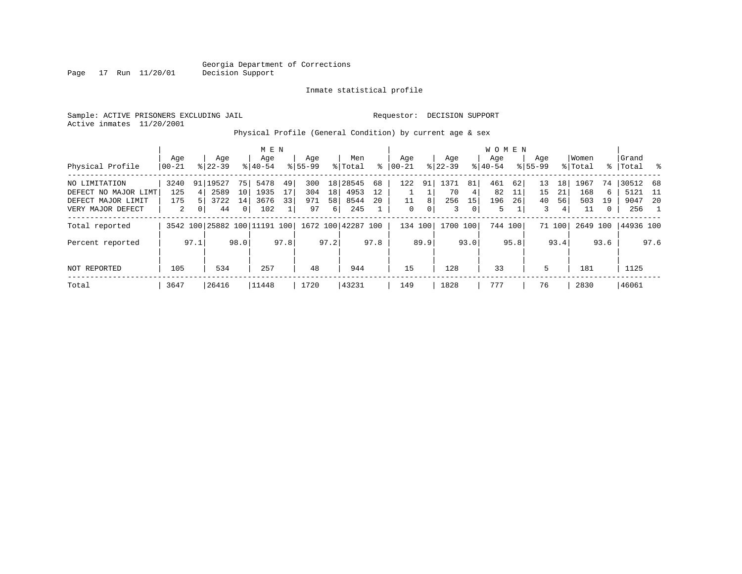Page 17 Run 11/20/01

#### Inmate statistical profile

Sample: ACTIVE PRISONERS EXCLUDING JAIL **Requestor: DECISION SUPPORT** Active inmates 11/20/2001

### Physical Profile (General Condition) by current age & sex

|                      |       |      |                              |                 | M E N     |      |             |          |                    |      |          |      |             |                | <b>WOMEN</b> |         |             |        |          |      |           |      |
|----------------------|-------|------|------------------------------|-----------------|-----------|------|-------------|----------|--------------------|------|----------|------|-------------|----------------|--------------|---------|-------------|--------|----------|------|-----------|------|
|                      | Age   |      | Age                          |                 | Age       |      | Age         |          | Men                |      | Age      |      | Aqe         |                | Aqe          |         | Age         |        | Women    |      | Grand     |      |
| Physical Profile     | 00-21 |      | $8122 - 39$                  |                 | $8 40-54$ |      | $8155 - 99$ |          | % Total            | ႜ    | $ 00-21$ |      | $8$   22-39 |                | $8 40-54$    |         | $8155 - 99$ |        | % Total  |      | %   Total | - 왕  |
| NO LIMITATION        | 3240  |      | 91   19527                   | 75 I            | 5478      | 49   | 300         |          | 18 28545           | 68   | 122      | 91   | 1371        | 81             | 461          | 62      | 13          | 18     | 1967     | 74   | 30512 68  |      |
| DEFECT NO MAJOR LIMT | 125   | 4    | 2589                         | 10 <sup>1</sup> | 1935      | 17   | 304         | 18       | 4953               | 12   |          |      | 70          | $\overline{4}$ | 82           | 11      | 15          | 21     | 168      | 6    | 5121      | - 11 |
| DEFECT MAJOR LIMIT   | 175   |      | 3722                         | 14              | 3676      | 33   | 971         | 58       | 8544               | 20   | 11       | 8    | 256         | 15             | 196          | 26      | 40          | 56     | 503      | 19   | 9047      | -20  |
| VERY MAJOR DEFECT    | 2     | 0    | 44                           | 0 <sup>1</sup>  | 102       |      | 97          | $6 \mid$ | 245                |      | 0        | 0    | 3           | 0              | 5            |         | 3           | 4      | 11       | 0    | 256       |      |
| Total reported       |       |      | 3542 100 25882 100 11191 100 |                 |           |      |             |          | 1672 100 42287 100 |      | 134 100  |      | 1700 100    |                |              | 744 100 |             | 71 100 | 2649 100 |      | 44936 100 |      |
| Percent reported     |       | 97.1 |                              | 98.0            |           | 97.8 |             | 97.2     |                    | 97.8 |          | 89.9 |             | 93.0           |              | 95.8    |             | 93.4   |          | 93.6 |           | 97.6 |
| NOT REPORTED         | 105   |      | 534                          |                 | 257       |      | 48          |          | 944                |      | 15       |      | 128         |                | 33           |         | 5           |        | 181      |      | 1125      |      |
|                      |       |      |                              |                 |           |      |             |          |                    |      |          |      |             |                |              |         |             |        |          |      |           |      |
| Total                | 3647  |      | 26416                        |                 | 11448     |      | 1720        |          | 43231              |      | 149      |      | 1828        |                | 777          |         | 76          |        | 2830     |      | 46061     |      |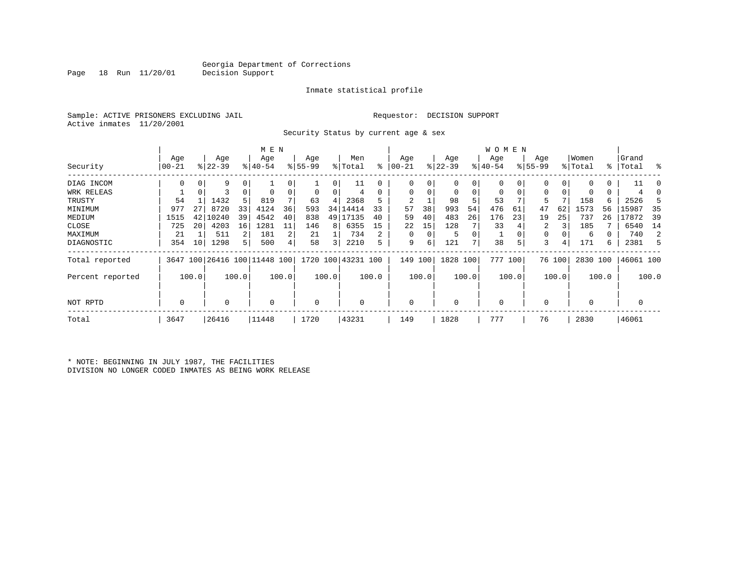Page 18 Run 11/20/01 Decision Support

#### Inmate statistical profile

Sample: ACTIVE PRISONERS EXCLUDING JAIL **Requestor: DECISION SUPPORT** Active inmates 11/20/2001

Security Status by current age & sex

|                  |                 |                 |                  |                | M E N                        |       |                  |       |                    |       |                 |          |                  |       | W O M E N        |         |                    |        |                  |       |                    |       |
|------------------|-----------------|-----------------|------------------|----------------|------------------------------|-------|------------------|-------|--------------------|-------|-----------------|----------|------------------|-------|------------------|---------|--------------------|--------|------------------|-------|--------------------|-------|
| Security         | Age<br>$ 00-21$ |                 | Age<br>$ 22-39 $ |                | Age<br>$ 40-54 $             |       | Age<br>$ 55-99 $ |       | Men<br>% Total     | ៖     | Age<br>$ 00-21$ |          | Age<br>$ 22-39 $ |       | Age<br>$ 40-54 $ |         | Age<br>$8155 - 99$ |        | Women<br>% Total |       | Grand<br>%   Total | ႜ     |
|                  |                 |                 |                  |                |                              |       |                  |       |                    |       |                 |          |                  |       |                  |         |                    |        |                  |       |                    |       |
| DIAG INCOM       |                 |                 | 9                | 0              |                              |       |                  | 0     | 11                 | 0     | 0               |          | 0                | 0     |                  |         |                    |        |                  | 0     | 11                 |       |
| WRK RELEAS       |                 | 0               | 3                | 0              |                              | 0     | 0                | 0     | 4                  | 0     | $\mathbf 0$     | 0        | $\mathbf 0$      | 0     | $\mathbf 0$      | 0       | 0                  | 0      | 0                | 0     |                    |       |
| TRUSTY           | 54              |                 | 1432             | 5 <sup>1</sup> | 819                          |       | 63               | 4     | 2368               |       | 2               |          | 98               | 5     | 53               |         | 5                  |        | 158              | 6     | 2526               |       |
| MINIMUM          | 977             | 27              | 8720             | 33             | 4124                         | 36    | 593              | 34    | 14414              | 33    | 57              | 38       | 993              | 54    | 476              | 61      | 47                 | 62     | 1573             | 56    | 15987              | 35    |
| MEDIUM           | 1515            | 42              | 10240            | 39             | 4542                         | 40    | 838              | 49    | 17135              | 40    | 59              | 40       | 483              | 26    | 176              | 23      | 19                 | 25     | 737              | 26    | 17872              | 39    |
| CLOSE            | 725             | 20              | 4203             | 16             | 1281                         | 11    | 146              | 8     | 6355               | 15    | 22              | 15       | 128              |       | 33               |         | 2                  | 3      | 185              |       | 6540               | 14    |
| MAXIMUM          | 21              |                 | 511              | $\overline{2}$ | 181                          | 2     | 21               |       | 734                |       | 0               | $\Omega$ | 5                | 0     |                  |         | 0                  |        | 6                |       | 740                | 2     |
| DIAGNOSTIC       | 354             | 10 <sup>1</sup> | 1298             | 5              | 500                          | 4     | 58               | 3     | 2210               | 5     | 9               | 6        | 121              | 7     | 38               | 5       | 3                  | 4      | 171              | б.    | 2381               | .5    |
| Total reported   |                 |                 |                  |                | 3647 100 26416 100 11448 100 |       |                  |       | 1720 100 43231 100 |       | 149             | 100      | 1828 100         |       |                  | 777 100 |                    | 76 100 | 2830 100         |       | 46061 100          |       |
| Percent reported |                 | 100.0           |                  | 100.0          |                              | 100.0 |                  | 100.0 |                    | 100.0 |                 | 100.0    |                  | 100.0 |                  | 100.0   |                    | 100.0  |                  | 100.0 |                    | 100.0 |
| NOT RPTD         | 0               |                 | 0                |                | $\mathbf 0$                  |       | 0                |       | 0                  |       | $\Omega$        |          | $\mathbf 0$      |       | $\mathbf 0$      |         | 0                  |        | $\mathbf 0$      |       | 0                  |       |
| Total            | 3647            |                 | 26416            |                | 11448                        |       | 1720             |       | 43231              |       | 149             |          | 1828             |       | 777              |         | 76                 |        | 2830             |       | 46061              |       |

\* NOTE: BEGINNING IN JULY 1987, THE FACILITIES DIVISION NO LONGER CODED INMATES AS BEING WORK RELEASE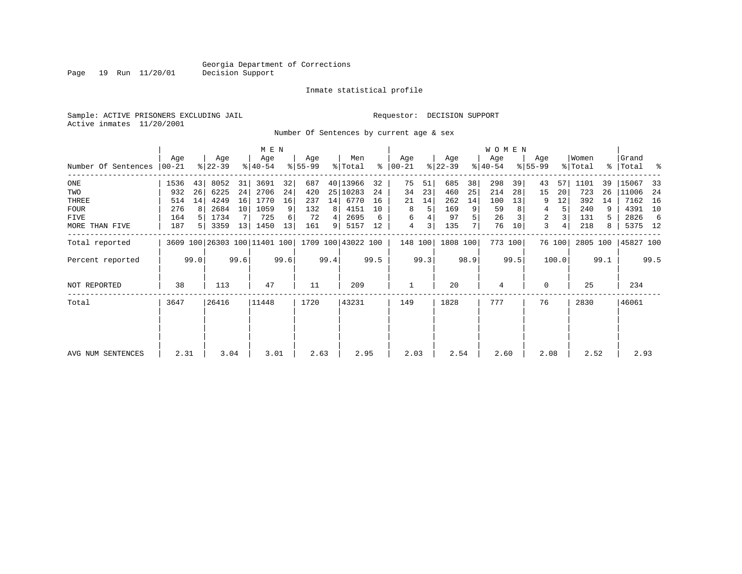Page 19 Run 11/20/01

#### Inmate statistical profile

Sample: ACTIVE PRISONERS EXCLUDING JAIL **Requestor: DECISION SUPPORT** Active inmates 11/20/2001

Number Of Sentences by current age & sex

|                     |       |      |           |      | M E N     |      |           |      |                                                 |      |               |         |           |      | <b>WOMEN</b> |         |             |        |          |      |             |      |
|---------------------|-------|------|-----------|------|-----------|------|-----------|------|-------------------------------------------------|------|---------------|---------|-----------|------|--------------|---------|-------------|--------|----------|------|-------------|------|
|                     | Age   |      | Age       |      | Age       |      | Age       |      | Men                                             |      | Age           |         | Age       |      | Age          |         | Age         |        | Women    |      | Grand       |      |
| Number Of Sentences | 00-21 |      | $ 22-39 $ |      | $ 40-54 $ |      | $8 55-99$ |      | % Total                                         |      | $8   00 - 21$ |         | $ 22-39 $ |      | $ 40-54 $    |         | $8155 - 99$ |        | % Total  |      | %   Total % |      |
| ONE                 | 1536  | 43   | 8052      | 31   | 3691      | 32   | 687       |      | 40 13966                                        | 32   | 75            | 51      | 685       | 38   | 298          | 39      | 43          | 57     | 1101     | 39   | 15067       | -33  |
| TWO                 | 932   | 26   | 6225      | 24   | 2706      | 24   | 420       |      | 25 10283                                        | 24   | 34            | 23      | 460       | 25   | 214          | 28      | 15          | 20     | 723      | 26   | 11006       | -24  |
| THREE               | 514   | 14   | 4249      | 16   | 1770      | 16   | 237       | 14   | 6770                                            | 16   | 21            | 14      | 262       | 14   | 100          | 13      | 9           | 12     | 392      | 14   | 7162        | 16   |
| <b>FOUR</b>         | 276   |      | 2684      | 10   | 1059      | 9    | 132       | 8    | 4151                                            | 10   | 8             | 5       | 169       | 9    | 59           |         | 4           | 5      | 240      |      | 4391 10     |      |
| FIVE                | 164   |      | 1734      |      | 725       | 6    | 72        | 4    | 2695                                            | 6    | 6             |         | 97        |      | 26           |         | 2           |        | 131      | 5    | 2826        | -6   |
| MORE THAN FIVE      | 187   |      | 3359      | 13   | 1450      | 13   | 161       | 91   | 5157                                            | 12   | 4             | 3       | 135       |      | 76           | 10      | 3           | 4      | 218      | 8    | 5375 12     |      |
| Total reported      |       |      |           |      |           |      |           |      | 3609 100 26303 100 11401 100 1709 100 43022 100 |      |               | 148 100 | 1808 100  |      |              | 773 100 |             | 76 100 | 2805 100 |      | 45827 100   |      |
| Percent reported    |       | 99.0 |           | 99.6 |           | 99.6 |           | 99.4 |                                                 | 99.5 |               | 99.3    |           | 98.9 |              | 99.5    |             | 100.0  |          | 99.1 |             | 99.5 |
| <b>NOT REPORTED</b> | 38    |      | 113       |      | 47        |      | 11        |      | 209                                             |      |               |         | 20        |      | 4            |         | $\Omega$    |        | 25       |      | 234         |      |
| Total               | 3647  |      | 26416     |      | 11448     |      | 1720      |      | 43231                                           |      | 149           |         | 1828      |      | 777          |         | 76          |        | 2830     |      | 46061       |      |
|                     |       |      |           |      |           |      |           |      |                                                 |      |               |         |           |      |              |         |             |        |          |      |             |      |
| AVG NUM SENTENCES   | 2.31  |      | 3.04      |      | 3.01      |      | 2.63      |      | 2.95                                            |      | 2.03          |         | 2.54      |      | 2.60         |         | 2.08        |        | 2.52     |      | 2.93        |      |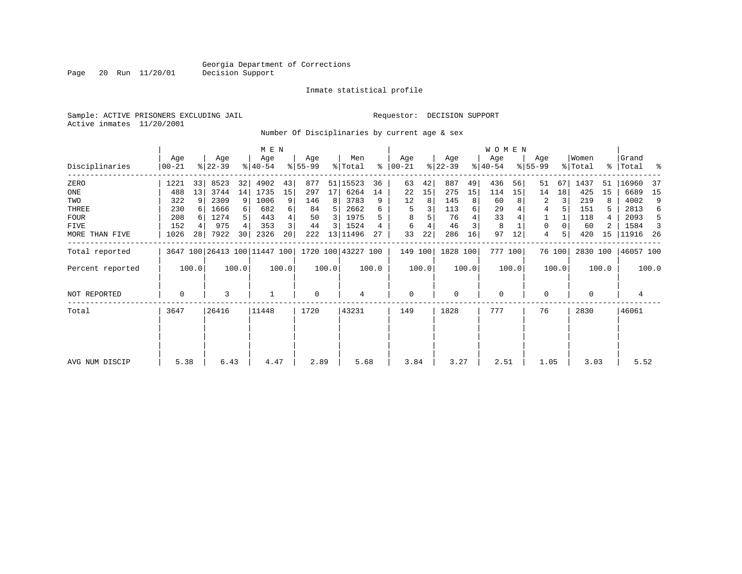Page 20 Run 11/20/01

#### Inmate statistical profile

Sample: ACTIVE PRISONERS EXCLUDING JAIL **Requestor: DECISION SUPPORT** Active inmates 11/20/2001

Number Of Disciplinaries by current age & sex

|                  |                   |                 |                  |       | M E N                        |       |                 |                |                    |       |                  |       |                  |       | <b>WOMEN</b>     |       |                  |        |                  |       |                    |       |
|------------------|-------------------|-----------------|------------------|-------|------------------------------|-------|-----------------|----------------|--------------------|-------|------------------|-------|------------------|-------|------------------|-------|------------------|--------|------------------|-------|--------------------|-------|
| Disciplinaries   | Age<br>$ 00 - 21$ |                 | Age<br>$ 22-39 $ |       | Age<br>$ 40-54 $             |       | Age<br>$ 55-99$ |                | Men<br>% Total     | ႜ     | Age<br>$00 - 21$ |       | Age<br>$ 22-39 $ |       | Age<br>$ 40-54 $ |       | Age<br>$ 55-99 $ |        | Women<br>% Total |       | Grand<br>%   Total | ႜ     |
| ZERO             | 1221              | 33              | 8523             | 32    | 4902                         | 43    | 877             |                | 51 15523           | 36    | 63               | 42    | 887              | 49    | 436              | 56    | 51               | 67     | 1437             | 51    | 16960              | -37   |
| ONE              | 488               | 13              | 3744             | 14    | 1735                         | 15    | 297             | 17             | 6264               | 14    | 22               | 15    | 275              | 15    | 114              | 15    | 14               | 18     | 425              | 15    | 6689               | 15    |
| TWO              | 322               | 9               | 2309             | 9     | 1006                         | 9     | 146             | 8              | 3783               | 9     | 12               | 8     | 145              | 8     | 60               |       | 2                |        | 219              | 8     | 4002               | 9     |
| THREE            | 230               |                 | 1666             |       | 682                          | 6     | 84              | 5              | 2662               | 6     | 5                |       | 113              | 6     | 29               |       | 4                |        | 151              |       | 2813               | 6     |
| <b>FOUR</b>      | 208               |                 | 1274             |       | 443                          |       | 50              | 3              | 1975               |       | 8                |       | 76               |       | 33               |       |                  |        | 118              |       | 2093               | 5     |
| FIVE             | 152               |                 | 975              |       | 353                          |       | 44              | $\overline{3}$ | 1524               |       | 6                |       | 46               | 3     | 8                |       | 0                |        | 60               |       | 1584               | 3     |
| MORE THAN FIVE   | 1026              | 28 <sub>1</sub> | 7922             | 30    | 2326                         | 20    | 222             |                | 13 11496           | 27    | 33               | 22    | 286              | 16    | 97               | 12    | 4                |        | 420              | 15    | 11916              | - 26  |
| Total reported   |                   |                 |                  |       | 3647 100 26413 100 11447 100 |       |                 |                | 1720 100 43227 100 |       | 149 100          |       | 1828 100         |       | 777 100          |       |                  | 76 100 | 2830 100         |       | 46057 100          |       |
| Percent reported |                   | 100.0           |                  | 100.0 |                              | 100.0 |                 | 100.0          |                    | 100.0 |                  | 100.0 |                  | 100.0 |                  | 100.0 |                  | 100.0  |                  | 100.0 |                    | 100.0 |
| NOT REPORTED     | 0                 |                 | 3                |       |                              |       | $\mathbf 0$     |                | 4                  |       | $\mathbf 0$      |       | $\mathbf 0$      |       | $\mathbf 0$      |       | $\Omega$         |        | $\Omega$         |       | 4                  |       |
| Total            | 3647              |                 | 26416            |       | 11448                        |       | 1720            |                | 43231              |       | 149              |       | 1828             |       | 777              |       | 76               |        | 2830             |       | 46061              |       |
| AVG NUM DISCIP   | 5.38              |                 | 6.43             |       | 4.47                         |       | 2.89            |                | 5.68               |       | 3.84             |       | 3.27             |       | 2.51             |       | 1.05             |        | 3.03             |       | 5.52               |       |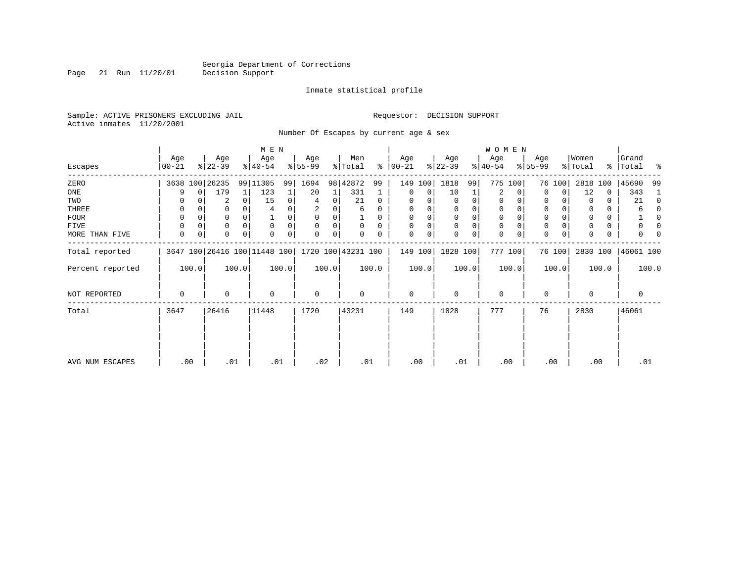Page 21 Run 11/20/01

#### Inmate statistical profile

Sample: ACTIVE PRISONERS EXCLUDING JAIL **Requestor: DECISION SUPPORT** Active inmates 11/20/2001

Number Of Escapes by current age & sex

|                  |                 |       |                  |       | M E N                                           |       |                 |       |                |          |                  |       |                  |          | W O M E N        |       |                  |        |                  |       |                    |          |
|------------------|-----------------|-------|------------------|-------|-------------------------------------------------|-------|-----------------|-------|----------------|----------|------------------|-------|------------------|----------|------------------|-------|------------------|--------|------------------|-------|--------------------|----------|
| Escapes          | Age<br>$ 00-21$ |       | Age<br>$ 22-39 $ |       | Age<br>$ 40-54 $                                |       | Age<br>$ 55-99$ |       | Men<br>% Total | ႜ        | Age<br>$00 - 21$ |       | Age<br>$ 22-39 $ |          | Age<br>$ 40-54 $ |       | Age<br>$ 55-99 $ |        | Women<br>% Total |       | Grand<br>% Total % |          |
| ZERO             |                 |       | 3638 100 26235   |       | 99 11305                                        | 99    | 1694            |       | 98 42872       | 99       | 149 100          |       | 1818             | 99       | 775              | 100   |                  | 76 100 | 2818             | 100   | 45690              | -99      |
| ONE              | 9               | 0     | 179              | 1     | 123                                             |       | 20              |       | 331            |          | 0                | 0     | 10               |          | 2                | 0     | 0                | 0      | 12               | 0     | 343                |          |
| TWO              |                 |       | 2                |       | 15                                              | 0     | 4               | 0     | 21             | $\Omega$ | $\Omega$         |       |                  | $\Omega$ | $\Omega$         |       | $\Omega$         |        |                  | U     | 21                 | $\Omega$ |
| THREE            | 0               |       | 0                |       |                                                 |       | 2               | 0     | 6              | 0        | 0                |       | 0                | 0        | 0                |       | 0                |        |                  | 0     |                    | n        |
| <b>FOUR</b>      | $\Omega$        |       | 0                |       |                                                 |       | $\Omega$        |       |                | U        | $\Omega$         |       | $\Omega$         | $\Omega$ | $\Omega$         |       | $\Omega$         |        |                  |       |                    | O        |
| FIVE             | $\Omega$        |       | 0                |       | $\mathbf 0$                                     | 0     | $\Omega$        | 0     | 0              | $\Omega$ | 0                |       | $\mathbf 0$      | 0        | 0                |       | 0                |        |                  | 0     |                    | n        |
| MORE THAN FIVE   | 0               | 0     | 0                | 0     | $\mathbf 0$                                     | 0     | 0               | 0     | 0              | 0        | 0                | 0     | $\Omega$         | 0        | $\mathbf 0$      | 0     | $\mathbf 0$      | 0      | $\Omega$         | 0     | 0                  |          |
| Total reported   |                 |       |                  |       | 3647 100 26416 100 11448 100 1720 100 43231 100 |       |                 |       |                |          | 149 100          |       | 1828 100         |          | 777 100          |       |                  | 76 100 | 2830 100         |       | 46061 100          |          |
| Percent reported |                 | 100.0 |                  | 100.0 |                                                 | 100.0 |                 | 100.0 |                | 100.0    |                  | 100.0 |                  | 100.0    |                  | 100.0 |                  | 100.0  |                  | 100.0 |                    | 100.0    |
| NOT REPORTED     | 0               |       | 0                |       | $\mathbf 0$                                     |       | 0               |       | 0              |          | $\mathbf{0}$     |       | $\mathbf 0$      |          | $\mathbf 0$      |       | 0                |        | $\Omega$         |       | $\mathbf 0$        |          |
| Total            | 3647            |       | 26416            |       | 11448                                           |       | 1720            |       | 43231          |          | 149              |       | 1828             |          | 777              |       | 76               |        | 2830             |       | 46061              |          |
|                  |                 |       |                  |       |                                                 |       |                 |       |                |          |                  |       |                  |          |                  |       |                  |        |                  |       |                    |          |
| AVG NUM ESCAPES  | .00             |       | .01              |       | .01                                             |       | .02             |       | .01            |          | .00              |       | .01              |          | .00              |       |                  | .00    | .00              |       | .01                |          |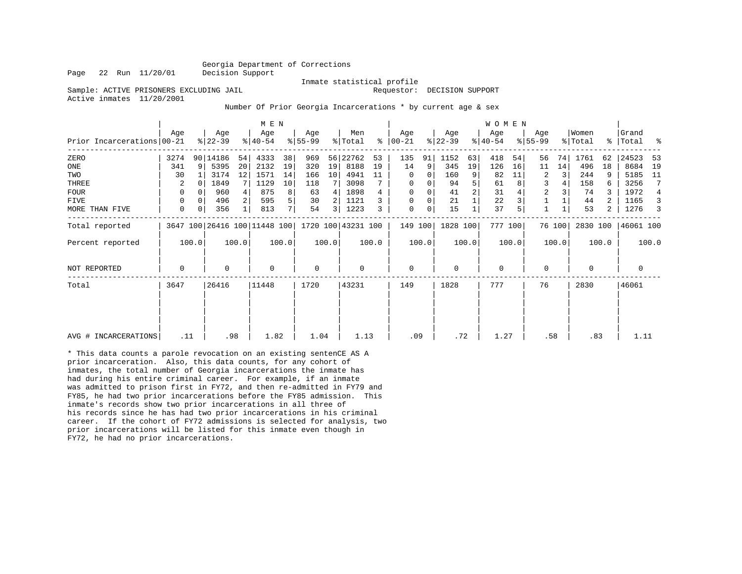Page 22 Run 11/20/01 Decision Support

 Inmate statistical profile Sample: ACTIVE PRISONERS EXCLUDING JAIL **Requestor: DECISION SUPPORT** 

Active inmates 11/20/2001

Number Of Prior Georgia Incarcerations \* by current age & sex

|                            |      |       |                  |                   | M E N                        |       |                  |       |                    |       |                  |          |                  |       | WOMEN            |         |                  |        |                  |       |                |       |
|----------------------------|------|-------|------------------|-------------------|------------------------------|-------|------------------|-------|--------------------|-------|------------------|----------|------------------|-------|------------------|---------|------------------|--------|------------------|-------|----------------|-------|
| Prior Incarcerations 00-21 | Aqe  |       | Age<br>$ 22-39 $ |                   | Age<br>$ 40-54 $             |       | Age<br>$8 55-99$ |       | Men<br>% Total     | ႜ     | Age<br>$00 - 21$ |          | Age<br>$ 22-39 $ |       | Age<br>$ 40-54 $ |         | Age<br>$ 55-99 $ |        | Women<br>% Total | န္    | Grand<br>Total | ႜ     |
| ZERO                       | 3274 |       | 90 14186         | 54                | 4333                         | 38    | 969              |       | 56 22762           | 53    | 135              | 91       | 1152             | 63    | 418              | 54      | 56               | 74     | 1761             | 62    | 24523          | 53    |
| ONE                        | 341  | 9     | 5395             | 20                | 2132                         | 19    | 320              | 19    | 8188               | 19    | 14               | 9        | 345              | 19    | 126              | 16      | 11               | 14     | 496              | 18    | 8684           | 19    |
| TWO                        | 30   |       | 3174             | $12 \overline{ }$ | 1571                         | 14    | 166              | 10    | 4941               | 11    | $\Omega$         | 0        | 160              | 9     | 82               | 11      | 2                |        | 244              | 9     | 5185           | 11    |
| THREE                      |      |       | 1849             |                   | 1129                         | 10    | 118              |       | 3098               |       | $\Omega$         |          | 94               |       | 61               |         | 3                |        | 158              | 6     | 3256           | 7     |
| <b>FOUR</b>                | 0    |       | 960              |                   | 875                          | 8     | 63               | 4     | 1898               | 4     | $\Omega$         | $\Omega$ | 41               | 2     | 31               |         | $\overline{2}$   |        | 74               |       | 1972           | 4     |
| FIVE                       | 0    |       | 496              |                   | 595                          | 5     | 30               |       | 1121               |       | 0                | 0        | 21               |       | 22               |         |                  |        | 44               |       | 1165           | 3     |
| MORE THAN FIVE             | 0    |       | 356              |                   | 813                          | 7     | 54               | 3     | 1223               | 3     | $\mathbf 0$      | 0        | 15               |       | 37               |         |                  |        | 53               | 2     | 1276           | 3     |
| Total reported             |      |       |                  |                   | 3647 100 26416 100 11448 100 |       |                  |       | 1720 100 43231 100 |       | 149 100          |          | 1828 100         |       |                  | 777 100 |                  | 76 100 | 2830 100         |       | 46061 100      |       |
| Percent reported           |      | 100.0 |                  | 100.0             |                              | 100.0 |                  | 100.0 |                    | 100.0 |                  | 100.0    |                  | 100.0 |                  | 100.0   |                  | 100.0  |                  | 100.0 |                | 100.0 |
| <b>NOT REPORTED</b>        | 0    |       | $\mathbf 0$      |                   | $\Omega$                     |       | $\mathbf 0$      |       | 0                  |       | $\mathbf 0$      |          | $\Omega$         |       | 0                |         | $\Omega$         |        | $\Omega$         |       | 0              |       |
| Total                      | 3647 |       | 26416            |                   | 11448                        |       | 1720             |       | 43231              |       | 149              |          | 1828             |       | 777              |         | 76               |        | 2830             |       | 46061          |       |
|                            |      |       |                  |                   |                              |       |                  |       |                    |       |                  |          |                  |       |                  |         |                  |        |                  |       |                |       |
| AVG # INCARCERATIONS       | .11  |       |                  | .98               | 1.82                         |       | 1.04             |       | 1.13               |       | .09              |          | .72              |       | 1.27             |         | .58              |        | .83              |       | 1.11           |       |

\* This data counts a parole revocation on an existing sentenCE AS A prior incarceration. Also, this data counts, for any cohort of inmates, the total number of Georgia incarcerations the inmate has had during his entire criminal career. For example, if an inmate was admitted to prison first in FY72, and then re-admitted in FY79 and FY85, he had two prior incarcerations before the FY85 admission. This inmate's records show two prior incarcerations in all three of his records since he has had two prior incarcerations in his criminal career. If the cohort of FY72 admissions is selected for analysis, two prior incarcerations will be listed for this inmate even though in FY72, he had no prior incarcerations.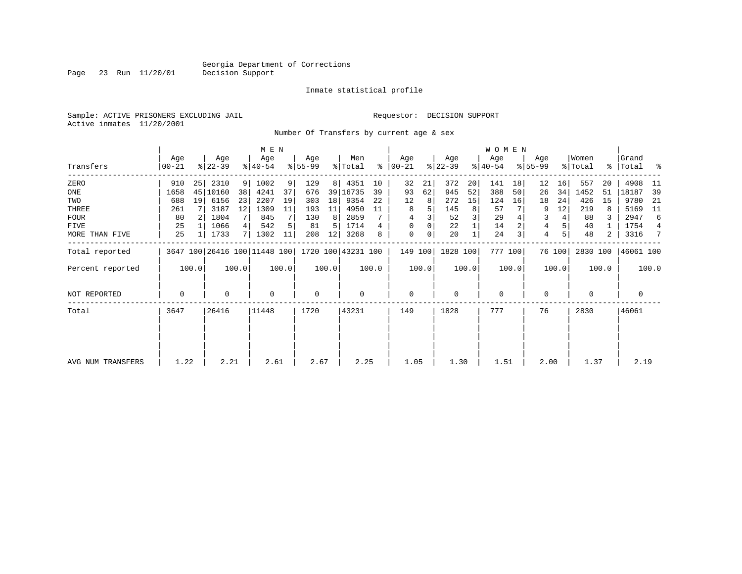Page 23 Run 11/20/01

#### Inmate statistical profile

Sample: ACTIVE PRISONERS EXCLUDING JAIL **Requestor: DECISION SUPPORT** Active inmates 11/20/2001

Number Of Transfers by current age & sex

|                     |                 |                 |                  |                 | M E N                                           |       |                 |                |                |       |                    |       |                  |       | W O M E N        |       |                    |        |                  |       |                      |       |
|---------------------|-----------------|-----------------|------------------|-----------------|-------------------------------------------------|-------|-----------------|----------------|----------------|-------|--------------------|-------|------------------|-------|------------------|-------|--------------------|--------|------------------|-------|----------------------|-------|
| Transfers           | Age<br>$ 00-21$ |                 | Age<br>$ 22-39 $ |                 | Age<br>$ 40-54 $                                |       | Age<br>$ 55-99$ |                | Men<br>% Total | ∻     | Age<br>$ 00 - 21 $ |       | Age<br>$ 22-39 $ |       | Age<br>$ 40-54 $ |       | Age<br>$8155 - 99$ |        | Women<br>% Total |       | Grand<br>%   Total % |       |
| ZERO                | 910             | 25              | 2310             | 9               | 1002                                            | 9     | 129             | 8 <sup>1</sup> | 4351           | 10    | 32                 | 21    | 372              | 20    | 141              | 18    | 12                 | 16     | 557              | 20    | 4908                 | -11   |
| ONE                 | 1658            |                 | 45   10160       | 38              | 4241                                            | 37    | 676             |                | 39 16735       | 39    | 93                 | 62    | 945              | 52    | 388              | 50    | 26                 | 34     | 1452             | 51    | 18187                | 39    |
| TWO                 | 688             | 19 <sup>1</sup> | 6156             | 23              | 2207                                            | 19    | 303             | 18             | 9354           | 22    | 12                 | 8     | 272              | 15    | 124              | 16    | 18                 | 24     | 426              | 15    | 9780                 | 21    |
| THREE               | 261             |                 | 3187             | 12 <sup>°</sup> | 1309                                            | 11    | 193             | 11             | 4950           | 11    | 8                  |       | 145              | 8     | 57               |       | 9                  | 12     | 219              | 8     | 5169                 | 11    |
| <b>FOUR</b>         | 80              |                 | 1804             |                 | 845                                             |       | 130             | 8              | 2859           |       | 4                  |       | 52               |       | 29               |       | 3                  | 4      | 88               | 3     | 2947                 | 6     |
| FIVE                | 25              |                 | 1066             |                 | 542                                             |       | 81              | 5              | 1714           | 4     | 0                  |       | 22               |       | 14               |       | 4                  |        | 40               |       | 1754                 | 4     |
| MORE THAN FIVE      | 25              |                 | 1733             |                 | 1302                                            | 11    | 208             | 12             | 3268           | 8     | $\mathbf 0$        | 0     | 20               |       | 24               |       | 4                  | 5      | 48               | 2     | 3316                 | 7     |
| Total reported      |                 |                 |                  |                 | 3647 100 26416 100 11448 100 1720 100 43231 100 |       |                 |                |                |       | 149 100            |       | 1828 100         |       | 777 100          |       |                    | 76 100 | 2830 100         |       | 46061 100            |       |
| Percent reported    |                 | 100.0           |                  | 100.0           |                                                 | 100.0 |                 | 100.0          |                | 100.0 |                    | 100.0 |                  | 100.0 |                  | 100.0 |                    | 100.0  |                  | 100.0 |                      | 100.0 |
| <b>NOT REPORTED</b> | 0               |                 | 0                |                 | $\mathbf 0$                                     |       | $\mathbf 0$     |                | $\mathbf 0$    |       | $\mathbf 0$        |       | $\mathbf 0$      |       | $\mathbf 0$      |       | 0                  |        | $\Omega$         |       | $\mathbf 0$          |       |
| Total               | 3647            |                 | 26416            |                 | 11448                                           |       | 1720            |                | 43231          |       | 149                |       | 1828             |       | 777              |       | 76                 |        | 2830             |       | 46061                |       |
| AVG NUM TRANSFERS   | 1.22            |                 | 2.21             |                 | 2.61                                            |       | 2.67            |                | 2.25           |       | 1.05               |       | 1.30             |       | 1.51             |       | 2.00               |        | 1.37             |       | 2.19                 |       |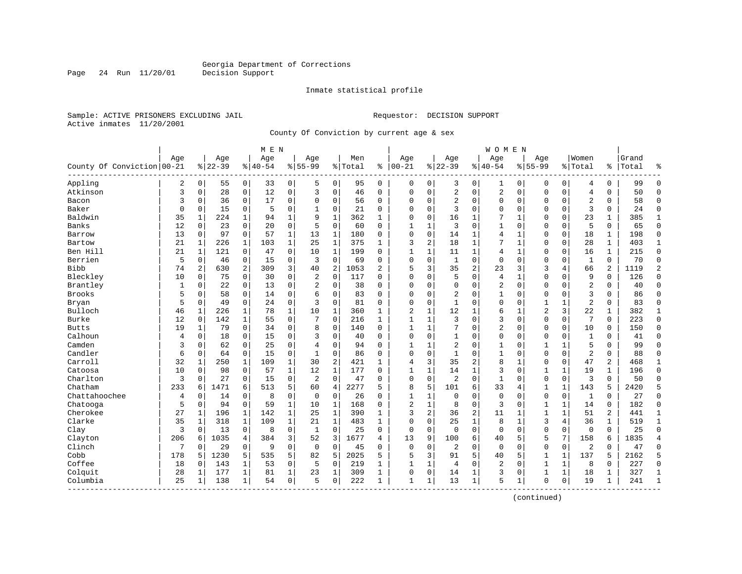Page 24 Run 11/20/01

#### Inmate statistical profile

Sample: ACTIVE PRISONERS EXCLUDING JAIL **Requestor: DECISION SUPPORT** Active inmates 11/20/2001

County Of Conviction by current age & sex

|                                 |     |              |           |              | M E N       |              |                |                |         |              |                |              |                |               | <b>WOMEN</b>   |              |                |                |                |              |       |                |
|---------------------------------|-----|--------------|-----------|--------------|-------------|--------------|----------------|----------------|---------|--------------|----------------|--------------|----------------|---------------|----------------|--------------|----------------|----------------|----------------|--------------|-------|----------------|
|                                 | Age |              | Age       |              | Age         |              | Age            |                | Men     |              | Age            |              | Age            |               | Age            |              | Age            |                | Women          |              | Grand |                |
| County Of Conviction 00-21      |     |              | $8 22-39$ |              | $8140 - 54$ |              | $8 55-99$      |                | % Total | ి            | $00 - 21$      |              | $ 22-39$       | $\frac{1}{6}$ | $40 - 54$      |              | $8155 - 99$    |                | % Total        | ႜ            | Total | ٩,             |
| Appling                         | 2   | 0            | 55        | 0            | 33          | 0            | 5              | 0              | 95      | $\mathbf 0$  | 0              | 0            | 3              | 0             | 1              | 0            | 0              | 0              | 4              | 0            | 99    | $\Omega$       |
| Atkinson                        | 3   | 0            | 28        | 0            | 12          | 0            | 3              | $\mathsf 0$    | 46      | $\mathbf 0$  | $\mathbf 0$    | $\mathbf 0$  | $\sqrt{2}$     | $\mathsf 0$   | 2              | $\mathsf 0$  | 0              | 0              | $\overline{4}$ | $\mathbf 0$  | 50    | $\mathbf 0$    |
| Bacon                           | 3   | 0            | 36        | $\mathbf 0$  | 17          | 0            | $\Omega$       | $\mathbf 0$    | 56      | $\mathbf 0$  | $\mathbf 0$    | $\mathbf 0$  | $\overline{2}$ | $\mathbf 0$   | $\Omega$       | $\mathbf 0$  | $\Omega$       | $\mathbf 0$    | $\overline{2}$ | 0            | 58    | $\Omega$       |
| Baker                           | 0   | 0            | 15        | $\mathbf 0$  | 5           | 0            | 1              | 0              | 21      | 0            | $\mathbf 0$    | 0            | 3              | $\mathbf 0$   | $\Omega$       | 0            | 0              | $\mathbf 0$    | 3              | $\mathbf 0$  | 24    | $\mathbf 0$    |
| Baldwin                         | 35  | 1            | 224       | 1            | 94          | 1            | 9              | 1              | 362     | 1            | $\Omega$       | 0            | 16             | 1             |                | 1            | 0              | 0              | 23             |              | 385   | 1              |
| Banks                           | 12  | 0            | 23        | $\mathbf 0$  | 20          | 0            | 5              | $\mathbf 0$    | 60      | $\Omega$     | $\mathbf{1}$   | $\mathbf{1}$ | 3              | $\mathbf 0$   | $\mathbf{1}$   | $\mathbf 0$  | $\Omega$       | $\mathbf 0$    | 5              | $\Omega$     | 65    | $\Omega$       |
| Barrow                          | 13  | $\Omega$     | 97        | $\Omega$     | 57          | $\mathbf{1}$ | 13             | $\mathbf{1}$   | 180     | $\Omega$     | $\mathbf 0$    | $\mathbf 0$  | 14             | $\mathbf{1}$  | $\overline{4}$ | $\mathbf{1}$ | $\Omega$       | $\Omega$       | 18             | 1            | 198   | $\mathbf 0$    |
| Bartow                          | 21  | $\mathbf{1}$ | 226       | $\mathbf 1$  | 103         | $\mathbf{1}$ | 25             | $\mathbf{1}$   | 375     | $\mathbf{1}$ | 3              | 2            | 18             | $\mathbf{1}$  | 7              | $\mathbf{1}$ | $\Omega$       | $\mathbf 0$    | 28             | $\mathbf{1}$ | 403   | $\mathbf{1}$   |
| Ben Hill                        | 21  | $\mathbf{1}$ | 121       | $\mathbf 0$  | 47          | 0            | 10             | $\mathbf{1}$   | 199     | $\Omega$     | $\mathbf{1}$   | $\mathbf{1}$ | 11             | $\mathbf{1}$  | $\overline{4}$ | $\mathbf{1}$ | $\Omega$       | $\mathbf 0$    | 16             | $\mathbf{1}$ | 215   | $\Omega$       |
| Berrien                         | 5   | 0            | 46        | 0            | 15          | 0            | 3              | $\mathbf 0$    | 69      | $\Omega$     | $\mathbf 0$    | $\mathbf 0$  | $\mathbf{1}$   | $\mathbf 0$   | $\mathbf 0$    | $\mathbf 0$  | $\mathbf 0$    | $\mathbf 0$    | $\mathbf{1}$   | $\mathbf 0$  | 70    | $\mathbf 0$    |
| <b>Bibb</b>                     | 74  | 2            | 630       | 2            | 309         | 3            | 40             | $\sqrt{2}$     | 1053    | 2            | 5              | 3            | 35             | 2             | 23             | 3            | 3              | 4              | 66             | 2            | 1119  | $\overline{2}$ |
| Bleckley                        | 10  | $\Omega$     | 75        | $\Omega$     | 30          | 0            | 2              | $\Omega$       | 117     | 0            | $\Omega$       | $\Omega$     | 5              | $\Omega$      | 4              | 1            | $\Omega$       | $\Omega$       | 9              | $\Omega$     | 126   | $\mathbf 0$    |
| Brantley                        | 1   | $\Omega$     | 22        | $\Omega$     | 13          | 0            | $\overline{2}$ | $\mathbf 0$    | 38      | 0            | $\mathbf 0$    | $\Omega$     | 0              | $\mathbf 0$   | 2              | $\mathbf 0$  | $\Omega$       | $\Omega$       | $\overline{2}$ | $\mathbf 0$  | 40    | $\Omega$       |
| <b>Brooks</b>                   | 5   | 0            | 58        | $\mathbf 0$  | 14          | 0            | 6              | $\mathbf 0$    | 83      | 0            | $\mathbf 0$    | $\mathbf 0$  | 2              | $\mathbf 0$   | 1              | 0            | 0              | $\mathbf 0$    | $\overline{3}$ | 0            | 86    | $\Omega$       |
| Bryan                           | 5   | $\mathbf 0$  | 49        | $\mathbf 0$  | 24          | 0            | 3              | $\mathbf 0$    | 81      | $\mathbf 0$  | $\mathbf 0$    | $\mathbf 0$  | $\mathbf{1}$   | $\Omega$      | $\mathbf 0$    | $\mathbf 0$  | $\mathbf{1}$   | $\mathbf{1}$   | $\overline{2}$ | $\Omega$     | 83    | $\Omega$       |
| Bulloch                         | 46  | 1            | 226       | 1            | 78          | $\mathbf{1}$ | 10             | $\mathbf{1}$   | 360     | $\mathbf{1}$ | $\overline{2}$ | $\mathbf{1}$ | 12             | $\mathbf{1}$  | 6              | $\mathbf{1}$ | $\overline{2}$ | 3              | 22             | 1            | 382   | $\mathbf{1}$   |
| Burke                           | 12  | 0            | 142       | 1            | 55          | 0            |                | $\Omega$       | 216     | $\mathbf{1}$ | $\mathbf{1}$   | $\mathbf{1}$ | 3              | $\mathbf 0$   | 3              | $\mathbf 0$  | $\Omega$       | $\mathbf 0$    | 7              | $\Omega$     | 223   | $\mathbf 0$    |
| <b>Butts</b>                    | 19  | 1            | 79        | $\Omega$     | 34          | 0            | 8              | $\Omega$       | 140     | $\Omega$     | $\mathbf{1}$   | $\mathbf{1}$ | 7              | $\Omega$      | $\overline{2}$ | $\Omega$     | $\Omega$       | $\Omega$       | 10             | $\Omega$     | 150   | $\Omega$       |
| Calhoun                         | 4   | $\Omega$     | 18        | $\Omega$     | 15          | 0            | 3              | $\mathbf 0$    | 40      | $\Omega$     | $\mathbf 0$    | $\Omega$     | $\mathbf{1}$   | 0             | $\Omega$       | $\mathbf 0$  | $\Omega$       | $\Omega$       | $\mathbf{1}$   | $\Omega$     | 41    | $\Omega$       |
| Camden                          | 3   | 0            | 62        | 0            | 25          | 0            |                | $\mathbf 0$    | 94      | 0            | $\mathbf{1}$   | 1            | $\sqrt{2}$     | 0             | 1              | $\mathbf 0$  | $\mathbf{1}$   | $\mathbf{1}$   | 5              | $\mathbf 0$  | 99    | $\Omega$       |
| Candler                         | 6   | 0            | 64        | $\mathbf 0$  | 15          | 0            | $\mathbf{1}$   | $\mathbf 0$    | 86      | $\Omega$     | $\Omega$       | $\Omega$     | $\mathbf{1}$   | $\mathbf 0$   | $\mathbf{1}$   | 0            | $\mathbf 0$    | $\mathbf 0$    | $\overline{2}$ | $\Omega$     | 88    | $\Omega$       |
| Carroll                         | 32  | 1            | 250       | 1            | 109         | 1            | 30             | $\overline{2}$ | 421     | 1            | 4              | 3            | 35             | 2             | 8              | 1            | 0              | $\mathbf 0$    | 47             | 2            | 468   | 1              |
| Catoosa                         | 10  | 0            | 98        | 0            | 57          | $\mathbf{1}$ | 12             | $\mathbf{1}$   | 177     | 0            | 1              | 1            | 14             | $\mathbf{1}$  | 3              | 0            | $\mathbf{1}$   | $\mathbf{1}$   | 19             | 1            | 196   | $\mathbf 0$    |
| Charlton                        | 3   | $\Omega$     | 27        | 0            | 15          | 0            | 2              | $\Omega$       | 47      | 0            | $\mathbf 0$    | $\mathbf 0$  | $\overline{2}$ | $\mathbf 0$   | 1              | 0            | $\mathbf 0$    | $\mathbf 0$    | 3              | $\Omega$     | 50    | $\Omega$       |
| Chatham                         | 233 | 6            | 1471      | 6            | 513         | 5            | 60             | 4              | 2277    | 5            | 8              | 5            | 101            | 6             | 33             | 4            | 1              | $\mathbf{1}$   | 143            | 5            | 2420  | 5              |
| Chattahoochee                   | 4   | 0            | 14        | $\mathbf 0$  | 8           | 0            | $\mathbf 0$    | $\mathbf 0$    | 26      | 0            | $\mathbf{1}$   | 1            | $\mathbf 0$    | $\mathbf 0$   | $\mathbf 0$    | $\mathbf 0$  | $\mathbf 0$    | $\mathbf 0$    | $\mathbf{1}$   | $\Omega$     | 27    | $\Omega$       |
| Chatooga                        | 5   | $\Omega$     | 94        | $\Omega$     | 59          | $\mathbf{1}$ | 10             | $\mathbf{1}$   | 168     | $\Omega$     | $\overline{2}$ | $\mathbf{1}$ | 8              | $\Omega$      | 3              | $\mathbf 0$  | $\mathbf{1}$   | $\mathbf{1}$   | 14             | $\Omega$     | 182   | $\Omega$       |
| Cherokee                        | 27  | 1            | 196       | 1            | 142         | $\mathbf{1}$ | 25             | $\mathbf{1}$   | 390     | 1            | 3              | 2            | 36             | 2             | 11             | 1            | $\mathbf{1}$   | $\mathbf{1}$   | 51             | 2            | 441   | $\mathbf{1}$   |
| Clarke                          | 35  | 1            | 318       | $\mathbf{1}$ | 109         | $\mathbf{1}$ | 21             | $\mathbf{1}$   | 483     | $\mathbf{1}$ | $\Omega$       | $\Omega$     | 25             | $\mathbf{1}$  | 8              | $\mathbf{1}$ | 3              | $\overline{4}$ | 36             | $\mathbf{1}$ | 519   | $\mathbf{1}$   |
| Clay                            | 3   | $\Omega$     | 13        | $\mathbf 0$  | 8           | 0            | $\mathbf{1}$   | $\Omega$       | 25      | $\Omega$     | $\mathbf 0$    | $\Omega$     | $\Omega$       | $\Omega$      | $\Omega$       | $\mathbf 0$  | $\Omega$       | $\Omega$       | $\Omega$       | $\Omega$     | 25    | $\Omega$       |
| Clayton                         | 206 | 6            | 1035      | 4            | 384         | 3            | 52             | 3              | 1677    | 4            | 13             | 9            | 100            | 6             | 40             | 5            | 5              | 7              | 158            | 6            | 1835  | $\overline{4}$ |
| Clinch                          | 7   | $\Omega$     | 29        | $\mathbf 0$  | 9           | 0            | $\mathbf 0$    | $\mathbf 0$    | 45      | 0            | $\mathbf 0$    | $\mathbf 0$  | 2              | $\mathbf 0$   | $\mathbf 0$    | $\mathbf 0$  | $\mathbf 0$    | $\mathbf 0$    | $\overline{2}$ | $\Omega$     | 47    | $\Omega$       |
| Cobb                            | 178 | 5            | 1230      | 5            | 535         | 5            | 82             | 5              | 2025    | 5            | 5              | 3            | 91             | 5             | 40             | 5            | $\mathbf{1}$   | $\mathbf{1}$   | 137            | 5            | 2162  | 5              |
| Coffee                          | 18  | 0            | 143       | 1            | 53          | 0            | 5              | 0              | 219     | 1            | 1              | 1            | 4              | $\mathbf 0$   | 2              | 0            | 1              | 1              | 8              | 0            | 227   | $\mathbf 0$    |
| Colquit                         | 28  | 1            | 177       | 1            | 81          | $\mathbf{1}$ | 23             | 1              | 309     | 1            | $\mathbf 0$    | 0            | 14             | 1             | 3              | $\mathbf 0$  | 1              | $\mathbf{1}$   | 18             | 1            | 327   | 1              |
| Columbia<br>- - - - - - - - - - | 25  | 1            | 138       | 1            | 54          | 0            | 5              | 0              | 222     | 1            | 1              | 1            | 13             | $\mathbf{1}$  | 5              | 1            | $\mathbf 0$    | 0              | 19             | $\mathbf 1$  | 241   | 1              |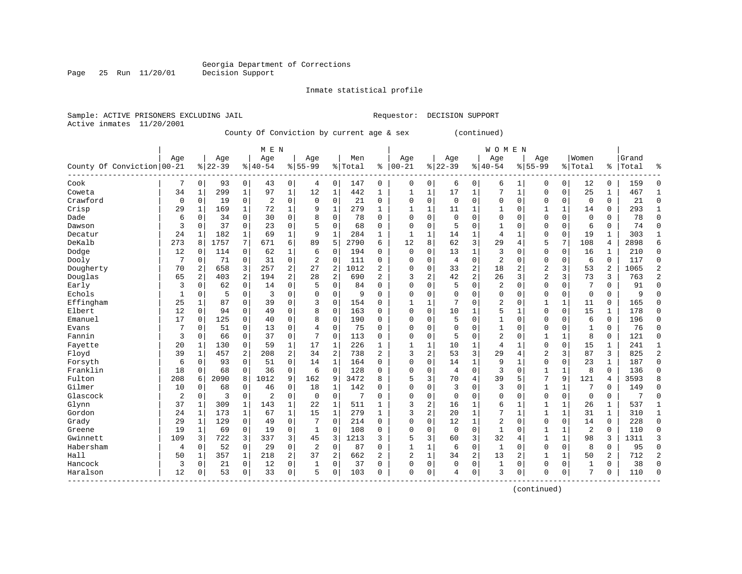Page 25 Run 11/20/01

#### Inmate statistical profile

Sample: ACTIVE PRISONERS EXCLUDING JAIL **Requestor: DECISION SUPPORT** Active inmates 11/20/2001

County Of Conviction by current age & sex (continued)

|                                   |                |                |           |              | M E N          |                |                |                |         |                |              |              |             |                | <b>WOMEN</b>   |                |                |              |                |               |       |                |
|-----------------------------------|----------------|----------------|-----------|--------------|----------------|----------------|----------------|----------------|---------|----------------|--------------|--------------|-------------|----------------|----------------|----------------|----------------|--------------|----------------|---------------|-------|----------------|
|                                   | Age            |                | Age       |              | Age            |                | Age            |                | Men     |                | Age          |              | Age         |                | Age            |                | Aqe            |              | Women          |               | Grand |                |
| County Of Conviction 00-21        |                |                | $8 22-39$ |              | $8 40-54$      |                | $8155 - 99$    |                | % Total | ႜ              | $ 00-21$     |              | $8 22-39$   |                | $ 40-54$       |                | $8155 - 99$    |              | % Total        | $\frac{1}{6}$ | Total | ٩,             |
| Cook                              | 7              | 0              | 93        | 0            | 43             | 0              | 4              | 0              | 147     | 0              | $\Omega$     | 0            | 6           | 0              | 6              |                | $\Omega$       | 0            | 12             | 0             | 159   | $\Omega$       |
| Coweta                            | 34             | $\mathbf{1}$   | 299       | 1            | 97             | $\mathbf 1$    | 12             | 1              | 442     | 1              | 1            | 1            | 17          | 1              | 7              | $\mathbf{1}$   | $\Omega$       | 0            | 25             | 1             | 467   | 1              |
| Crawford                          | $\mathbf 0$    | 0              | 19        | 0            | $\overline{2}$ | $\mathbf 0$    | $\mathbf 0$    | $\mathbf 0$    | 21      | 0              | $\Omega$     | 0            | $\mathbf 0$ | 0              | $\mathbf 0$    | $\mathbf 0$    | $\Omega$       | 0            | $\mathbf 0$    | 0             | 21    | $\Omega$       |
| Crisp                             | 29             | 1              | 169       | $\mathbf{1}$ | 72             | $\mathbf{1}$   | 9              | $\mathbf{1}$   | 279     | $\mathbf{1}$   | 1            | $\mathbf{1}$ | 11          | 1              | 1              | $\mathbf 0$    | 1              | 1            | 14             | 0             | 293   | $\mathbf{1}$   |
| Dade                              | 6              | $\mathsf 0$    | 34        | $\mathbf 0$  | 30             | 0              | 8              | $\mathbf 0$    | 78      | 0              | $\Omega$     | 0            | $\Omega$    | 0              | $\Omega$       | $\Omega$       | $\Omega$       | 0            | $\mathbf 0$    | 0             | 78    | $\Omega$       |
| Dawson                            | 3              | $\mathbf 0$    | 37        | $\mathbf 0$  | 23             | $\mathbf 0$    | 5              | $\mathbf 0$    | 68      | $\Omega$       | $\Omega$     | 0            | 5           | $\Omega$       | $\mathbf{1}$   | $\Omega$       | $\Omega$       | 0            | 6              | $\Omega$      | 74    | $\Omega$       |
| Decatur                           | 24             | 1              | 182       | 1            | 69             | $\mathbf{1}$   | 9              | 1              | 284     | 1              | $\mathbf{1}$ | 1            | 14          | 1              | 4              | $\mathbf{1}$   | $\Omega$       | $\Omega$     | 19             | 1             | 303   | $\mathbf{1}$   |
| DeKalb                            | 273            | 8              | 1757      | 7            | 671            | 6              | 89             | 5              | 2790    | 6              | 12           | 8            | 62          | 3              | 29             | 4              | 5              | 7            | 108            | 4             | 2898  | 6              |
| Dodge                             | 12             | $\Omega$       | 114       | $\mathbf 0$  | 62             | 1              | 6              | $\mathbf 0$    | 194     | 0              | $\Omega$     | 0            | 13          | $\mathbf{1}$   | 3              | $\Omega$       | $\Omega$       | $\Omega$     | 16             | 1             | 210   | $\Omega$       |
| Dooly                             | 7              | 0              | 71        | $\mathbf 0$  | 31             | $\mathbf 0$    | $\overline{2}$ | $\mathbf 0$    | 111     | 0              | $\Omega$     | 0            | 4           | 0              | $\overline{2}$ | $\Omega$       | $\Omega$       | 0            | 6              | $\Omega$      | 117   | $\Omega$       |
| Dougherty                         | 70             | $\overline{2}$ | 658       | 3            | 257            | $\overline{2}$ | 27             | $\overline{c}$ | 1012    | 2              | $\Omega$     | 0            | 33          | $\overline{c}$ | 18             | $\overline{c}$ | $\overline{c}$ | 3            | 53             | 2             | 1065  | $\overline{2}$ |
| Douglas                           | 65             | 2              | 403       | 2            | 194            | 2              | 28             | $\overline{c}$ | 690     | 2              | 3            | 2            | 42          | $\overline{c}$ | 26             | 3              | $\overline{2}$ | 3            | 73             | 3             | 763   | $\overline{2}$ |
| Early                             | 3              | 0              | 62        | 0            | 14             | 0              | 5              | $\mathbf 0$    | 84      | 0              | $\Omega$     | 0            | 5           | 0              | 2              | $\Omega$       | $\Omega$       | 0            | 7              | 0             | 91    | $\Omega$       |
| Echols                            | $\mathbf{1}$   | $\mathbf 0$    | 5         | $\mathbf 0$  | 3              | $\mathbf 0$    | $\Omega$       | $\mathbf 0$    | 9       | $\Omega$       | $\Omega$     | 0            | $\Omega$    | $\Omega$       | $\Omega$       | $\Omega$       | $\Omega$       | 0            | $\mathbf 0$    | $\Omega$      | 9     | $\Omega$       |
| Effingham                         | 25             | 1              | 87        | $\mathbf 0$  | 39             | $\mathbf 0$    | 3              | 0              | 154     | $\Omega$       | $\mathbf{1}$ | 1            | 7           | $\Omega$       | 2              | $\mathbf 0$    | 1              | $\mathbf{1}$ | 11             | $\Omega$      | 165   | $\Omega$       |
| Elbert                            | 12             | $\Omega$       | 94        | $\mathbf 0$  | 49             | $\mathbf 0$    | 8              | $\mathbf 0$    | 163     | $\Omega$       | $\Omega$     | 0            | 10          |                | 5              | $\mathbf{1}$   | $\Omega$       | $\Omega$     | 15             | 1             | 178   | $\Omega$       |
| Emanuel                           | 17             | $\Omega$       | 125       | 0            | 40             | $\mathbf 0$    | 8              | $\mathbf 0$    | 190     | 0              | $\Omega$     | 0            | 5           | 0              | $\mathbf{1}$   | $\Omega$       | $\Omega$       | 0            | 6              | 0             | 196   | $\Omega$       |
| Evans                             | 7              | $\Omega$       | 51        | $\mathbf 0$  | 13             | $\mathbf 0$    | $\overline{4}$ | $\mathbf 0$    | 75      | $\Omega$       | $\Omega$     | 0            | $\Omega$    | $\Omega$       | $\mathbf{1}$   | $\Omega$       | $\Omega$       | $\Omega$     | $\mathbf{1}$   | $\Omega$      | 76    | $\Omega$       |
| Fannin                            | 3              | $\Omega$       | 66        | $\mathbf 0$  | 37             | $\mathbf 0$    | 7              | $\mathbf 0$    | 113     | $\Omega$       | $\Omega$     | 0            | 5           | $\Omega$       | 2              | $\Omega$       | $\mathbf{1}$   | 1            | 8              | 0             | 121   | $\Omega$       |
| Fayette                           | 20             | 1              | 130       | $\mathbf 0$  | 59             | $\mathbf{1}$   | 17             | $\mathbf{1}$   | 226     | 1              | 1            | $\mathbf{1}$ | 10          | 1              | $\overline{4}$ | $\mathbf{1}$   | $\Omega$       | $\mathbf 0$  | 15             | 1             | 241   | $\mathbf{1}$   |
| Floyd                             | 39             | $\mathbf{1}$   | 457       | 2            | 208            | $\sqrt{2}$     | 34             | 2              | 738     | $\overline{a}$ | 3            | 2            | 53          | 3              | 29             | 4              | $\overline{2}$ | 3            | 87             | 3             | 825   | $\overline{2}$ |
| Forsyth                           | 6              | 0              | 93        | $\mathbf 0$  | 51             | $\mathbf 0$    | 14             | $\mathbf{1}$   | 164     | $\Omega$       | $\Omega$     | 0            | 14          | 1              | 9              | $\mathbf{1}$   | $\Omega$       | 0            | 23             | $\mathbf{1}$  | 187   | $\Omega$       |
| Franklin                          | 18             | 0              | 68        | 0            | 36             | $\mathbf 0$    | 6              | $\mathbf 0$    | 128     | 0              | $\Omega$     | 0            | 4           | 0              | 3              | $\mathbf 0$    | $\mathbf{1}$   | 1            | 8              | 0             | 136   | $\Omega$       |
| Fulton                            | 208            | 6              | 2090      | 8            | 1012           | 9              | 162            | 9              | 3472    | 8              | 5            | 3            | 70          | 4              | 39             | 5              | 7              | 9            | 121            | 4             | 3593  | 8              |
| Gilmer                            | 10             | 0              | 68        | 0            | 46             | 0              | 18             | 1              | 142     | O              | $\Omega$     | 0            | 3           | $\Omega$       | 3              | $\Omega$       | $\mathbf{1}$   | 1            |                | 0             | 149   | $\Omega$       |
| Glascock                          | $\overline{2}$ | 0              | 3         | $\mathbf 0$  | $\overline{2}$ | $\mathbf 0$    | $\mathbf 0$    | $\mathbf 0$    | 7       | O              | $\Omega$     | 0            | $\Omega$    | $\Omega$       | $\Omega$       | $\Omega$       | $\Omega$       | 0            | $\mathbf 0$    | 0             | 7     | $\Omega$       |
| Glynn                             | 37             | $\mathbf{1}$   | 309       | $\mathbf{1}$ | 143            | $\mathbf 1$    | 22             | $\mathbf{1}$   | 511     | $\mathbf{1}$   | 3            | 2            | 16          | 1              | 6              | 1              | $\mathbf{1}$   | $\mathbf 1$  | 26             | $\mathbf{1}$  | 537   | $\mathbf{1}$   |
| Gordon                            | 24             | 1              | 173       | 1            | 67             | $\mathbf 1$    | 15             | $\mathbf{1}$   | 279     | $\mathbf{1}$   | 3            | 2            | 20          | 1              | 7              | $\mathbf{1}$   | 1              | 1            | 31             | 1             | 310   | $\mathbf{1}$   |
| Grady                             | 29             | $\mathbf{1}$   | 129       | 0            | 49             | 0              | 7              | $\mathbf 0$    | 214     | 0              | $\Omega$     | 0            | 12          | 1              | 2              | $\mathbf 0$    | $\Omega$       | 0            | 14             | 0             | 228   | $\Omega$       |
| Greene                            | 19             | $\mathbf{1}$   | 69        | $\mathbf 0$  | 19             | $\mathbf 0$    | $\mathbf{1}$   | $\mathbf 0$    | 108     | 0              | 0            | 0            | $\mathbf 0$ | 0              | $\mathbf{1}$   | 0              | 1              | 1            | $\overline{2}$ | 0             | 110   | $\Omega$       |
| Gwinnett                          | 109            | 3              | 722       | 3            | 337            | 3              | 45             | 3              | 1213    | 3              | 5            | 3            | 60          | 3              | 32             | 4              | $\mathbf{1}$   | 1            | 98             | 3             | 1311  | 3              |
| Habersham                         | 4              | 0              | 52        | $\mathbf 0$  | 29             | 0              | 2              | $\mathbf 0$    | 87      | O              | $\mathbf{1}$ | 1            | 6           | 0              | $\mathbf{1}$   | $\mathbf 0$    | $\Omega$       | 0            | 8              | 0             | 95    | $\mathbf{0}$   |
| Hall                              | 50             | $\mathbf{1}$   | 357       | 1            | 218            | $\overline{a}$ | 37             | 2              | 662     | $\overline{2}$ | 2            | 1            | 34          | 2              | 13             | 2              | 1              | $\mathbf{1}$ | 50             | 2             | 712   | $\overline{2}$ |
| Hancock                           | 3              | 0              | 21        | 0            | 12             | $\mathbf 0$    | 1              | 0              | 37      | 0              | $\Omega$     | 0            | $\Omega$    | 0              | $\mathbf{1}$   | $\Omega$       | $\Omega$       | 0            | $\mathbf{1}$   | 0             | 38    | $\Omega$       |
| Haralson<br>--------------------- | 12             | $\Omega$       | 53        | 0            | 33             | $\mathbf 0$    | 5              | $\mathbf 0$    | 103     | $\Omega$       | $\Omega$     | 0            | 4           | 0              | 3              | 0              | $\Omega$       | 0            | 7              | 0             | 110   | $\Omega$       |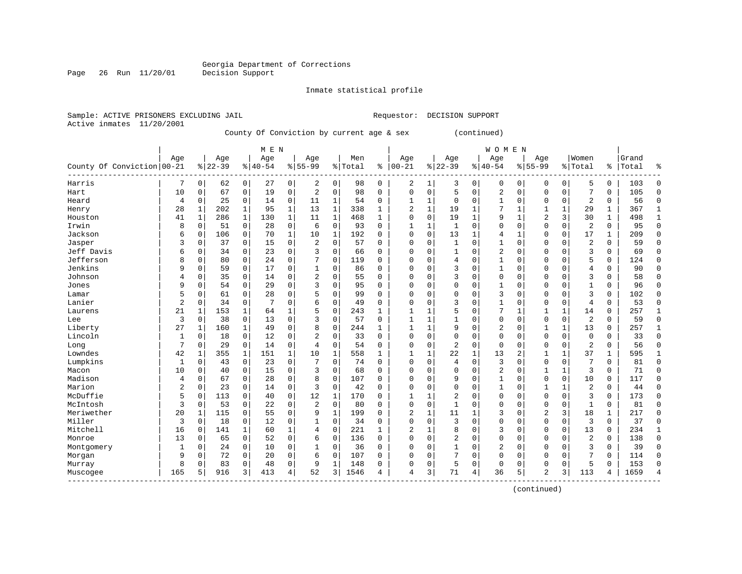Page 26 Run 11/20/01

#### Inmate statistical profile

Sample: ACTIVE PRISONERS EXCLUDING JAIL **Requestor: DECISION SUPPORT** Active inmates 11/20/2001

County Of Conviction by current age & sex (continued)

|                            |                |             |           |             | M E N     |             |                |              |         |              |                |              |                |              | <b>WOMEN</b> |              |                |              |                |               |       |                |
|----------------------------|----------------|-------------|-----------|-------------|-----------|-------------|----------------|--------------|---------|--------------|----------------|--------------|----------------|--------------|--------------|--------------|----------------|--------------|----------------|---------------|-------|----------------|
|                            | Aqe            |             | Age       |             | Age       |             | Age            |              | Men     |              | Age            |              | Age            |              | Age          |              | Aqe            |              | Women          |               | Grand |                |
| County Of Conviction 00-21 |                |             | $8 22-39$ |             | $8 40-54$ |             | $8155 - 99$    |              | % Total | နွ           | $00 - 21$      | %            | $22 - 39$      |              | $8 40-54$    |              | $8155 - 99$    |              | % Total        | $\frac{1}{6}$ | Total | န္             |
| Harris                     |                | 0           | 62        | 0           | 27        | 0           | 2              | 0            | 98      | 0            | 2              | 1            | 3              | 0            | 0            | 0            | $\Omega$       | 0            | 5              | 0             | 103   | $\Omega$       |
| Hart                       | 10             | $\Omega$    | 67        | 0           | 19        | $\mathbf 0$ | 2              | $\mathbf 0$  | 98      | 0            | 0              | 0            | 5              | $\mathbf 0$  | 2            | $\mathbf 0$  | $\Omega$       | 0            | 7              | 0             | 105   | $\Omega$       |
| Heard                      | $\overline{4}$ | $\mathbf 0$ | 25        | 0           | 14        | $\mathbf 0$ | 11             | 1            | 54      | $\mathbf 0$  | -1             | 1            | $\Omega$       | $\mathbf 0$  | $\mathbf{1}$ | $\mathbf 0$  | $\Omega$       | 0            | $\overline{2}$ | 0             | 56    | $\Omega$       |
| Henry                      | 28             | 1           | 202       | $\mathbf 1$ | 95        | $\mathbf 1$ | 13             | $\mathbf{1}$ | 338     | $\mathbf{1}$ | $\overline{2}$ | $\mathbf 1$  | 19             | $\mathbf{1}$ | 7            | 1            |                | 1            | 29             | 1             | 367   | $\mathbf{1}$   |
| Houston                    | 41             | 1           | 286       | $\mathbf 1$ | 130       | $\mathbf 1$ | 11             | $\mathbf{1}$ | 468     | $\mathbf{1}$ | $\Omega$       | 0            | 19             | 1            | 9            | $\mathbf 1$  | $\overline{2}$ | 3            | 30             | $\mathbf{1}$  | 498   | $\mathbf{1}$   |
| Irwin                      | 8              | 0           | 51        | 0           | 28        | 0           | 6              | $\mathbf 0$  | 93      | $\Omega$     | $\mathbf{1}$   | 1            | $\mathbf{1}$   | $\Omega$     | 0            | $\Omega$     | $\Omega$       | 0            | $\overline{c}$ | $\Omega$      | 95    | $\Omega$       |
| Jackson                    | 6              | 0           | 106       | 0           | 70        | $\mathbf 1$ | 10             | 1            | 192     | $\Omega$     | $\Omega$       | 0            | 13             | $\mathbf{1}$ | 4            | $\mathbf{1}$ | $\Omega$       | 0            | 17             | 1             | 209   | $\Omega$       |
| Jasper                     | 3              | $\mathbf 0$ | 37        | 0           | 15        | 0           | 2              | 0            | 57      | $\Omega$     | $\Omega$       | 0            |                | $\Omega$     | 1            | $\Omega$     | $\Omega$       | $\Omega$     | $\overline{2}$ | 0             | 59    | $\Omega$       |
| Jeff Davis                 | 6              | $\Omega$    | 34        | 0           | 23        | $\mathbf 0$ | 3              | $\mathbf 0$  | 66      | $\Omega$     | $\Omega$       | $\Omega$     |                | $\Omega$     | 2            | $\Omega$     | $\Omega$       | $\Omega$     | 3              | 0             | 69    | $\Omega$       |
| Jefferson                  | R              | $\Omega$    | 80        | 0           | 24        | $\mathbf 0$ | 7              | $\Omega$     | 119     | $\Omega$     | $\Omega$       | $\Omega$     | 4              | $\Omega$     | 1            | $\Omega$     | $\Omega$       | $\Omega$     | 5              | 0             | 124   | $\Omega$       |
| Jenkins                    | 9              | $\Omega$    | 59        | 0           | 17        | $\mathbf 0$ | $\mathbf{1}$   | $\mathbf 0$  | 86      | $\Omega$     | $\Omega$       | $\Omega$     | २              | $\Omega$     | 1            | $\Omega$     | $\Omega$       | $\Omega$     | 4              | 0             | 90    | $\Omega$       |
| Johnson                    | $\overline{4}$ | $\Omega$    | 35        | 0           | 14        | $\mathbf 0$ | 2              | $\mathbf 0$  | 55      | $\Omega$     | 0              | $\Omega$     | 3              | $\Omega$     | 0            | $\Omega$     | $\Omega$       | $\Omega$     | 3              | 0             | 58    | $\Omega$       |
| Jones                      | 9              | 0           | 54        | 0           | 29        | $\mathbf 0$ | 3              | $\mathbf 0$  | 95      | $\Omega$     | C              | $\Omega$     | $\Omega$       | $\Omega$     | 1            | $\Omega$     | $\Omega$       | $\Omega$     | $\mathbf{1}$   | 0             | 96    | $\Omega$       |
| Lamar                      | 5              | $\Omega$    | 61        | 0           | 28        | $\mathbf 0$ | 5              | 0            | 99      | $\Omega$     | $\Omega$       | $\Omega$     | $\Omega$       | $\Omega$     | 3            | $\Omega$     | $\Omega$       | $\Omega$     | 3              | 0             | 102   | $\Omega$       |
| Lanier                     | $\overline{c}$ | $\Omega$    | 34        | $\mathbf 0$ | 7         | $\mathbf 0$ | 6              | $\mathbf 0$  | 49      | $\Omega$     | $\Omega$       | $\Omega$     | २              | $\Omega$     | 1            | $\Omega$     | $\Omega$       | $\Omega$     | 4              | $\Omega$      | 53    | $\Omega$       |
| Laurens                    | 21             | 1           | 153       | 1           | 64        | 1           | 5              | $\mathbf 0$  | 243     | $\mathbf{1}$ |                |              |                | $\Omega$     | 7            | $\mathbf{1}$ | $\mathbf{1}$   | 1            | 14             | 0             | 257   | $\mathbf{1}$   |
| Lee                        | 3              | 0           | 38        | 0           | 13        | $\mathbf 0$ | 3              | $\mathbf 0$  | 57      | $\Omega$     |                | 1            |                | $\Omega$     | 0            | $\Omega$     | $\Omega$       | 0            | $\overline{2}$ | 0             | 59    | $\Omega$       |
| Liberty                    | 27             | 1           | 160       | 1           | 49        | $\mathbf 0$ | 8              | $\mathbf 0$  | 244     | $\mathbf{1}$ | -1             | 1            | 9              | $\Omega$     | 2            | $\Omega$     | $\mathbf{1}$   | $\mathbf{1}$ | 13             | $\Omega$      | 257   | $\mathbf{1}$   |
| Lincoln                    | 1              | 0           | 18        | $\Omega$    | 12        | $\Omega$    | $\overline{a}$ | $\Omega$     | 33      | $\Omega$     | $\Omega$       | $\Omega$     | $\Omega$       | $\Omega$     | 0            | 0            | $\Omega$       | $\Omega$     | $\Omega$       | 0             | 33    | $\Omega$       |
| Long                       | 7              | $\Omega$    | 29        | 0           | 14        | $\mathbf 0$ | 4              | $\Omega$     | 54      | $\Omega$     | $\Omega$       | $\Omega$     | $\overline{2}$ | $\Omega$     | 0            | $\Omega$     | $\Omega$       | $\Omega$     | 2              | 0             | 56    | $\Omega$       |
| Lowndes                    | 42             | 1           | 355       | 1           | 151       | 1           | 10             | 1            | 558     | $\mathbf{1}$ |                | 1            | 22             | 1            | 13           | 2            | 1              | 1            | 37             | 1             | 595   |                |
| Lumpkins                   | 1              | $\Omega$    | 43        | $\mathbf 0$ | 23        | $\mathbf 0$ |                | $\mathbf 0$  | 74      | $\Omega$     | 0              | 0            | 4              | $\mathbf 0$  | 3            | $\Omega$     | $\Omega$       | 0            | 7              | 0             | 81    | $\Omega$       |
| Macon                      | 10             | $\Omega$    | 40        | $\mathbf 0$ | 15        | $\mathbf 0$ | 3              | $\mathbf 0$  | 68      | $\Omega$     | C              | $\Omega$     | $\Omega$       | $\Omega$     | 2            | 0            | 1              | 1            | 3              | $\Omega$      | 71    | $\Omega$       |
| Madison                    | $\overline{4}$ | $\Omega$    | 67        | $\mathbf 0$ | 28        | $\mathbf 0$ | 8              | $\mathbf 0$  | 107     | $\Omega$     | $\Omega$       | $\Omega$     | 9              | $\Omega$     | 1            | $\Omega$     | $\Omega$       | $\Omega$     | 10             | $\Omega$      | 117   | $\Omega$       |
| Marion                     | 2              | $\mathbf 0$ | 23        | 0           | 14        | $\mathbf 0$ | 3              | $\mathbf 0$  | 42      | 0            | 0              | $\Omega$     | $\Omega$       | $\Omega$     | 1            | 0            | 1              |              | $\overline{2}$ | 0             | 44    | $\Omega$       |
| McDuffie                   | 5              | 0           | 113       | 0           | 40        | $\mathbf 0$ | 12             | 1            | 170     | 0            |                | 1            | 2              | $\Omega$     | 0            | 0            | $\Omega$       | $\Omega$     | 3              | 0             | 173   | $\Omega$       |
| McIntosh                   | 3              | $\Omega$    | 53        | 0           | 22        | $\mathbf 0$ | $\overline{2}$ | $\Omega$     | 80      | $\Omega$     | $\Omega$       | $\Omega$     | 1              | $\Omega$     | 0            | 0            | $\Omega$       | $\Omega$     | $\mathbf{1}$   | 0             | 81    | $\Omega$       |
| Meriwether                 | 20             | 1           | 115       | $\Omega$    | 55        | $\Omega$    | 9              | $\mathbf{1}$ | 199     | $\Omega$     | $\overline{a}$ | $\mathbf{1}$ | 11             | 1            | 3            | $\Omega$     | $\overline{2}$ | 3            | 18             | $\mathbf{1}$  | 217   | $\Omega$       |
| Miller                     | $\overline{3}$ | $\Omega$    | 18        | 0           | 12        | $\mathbf 0$ | 1              | $\mathbf 0$  | 34      | 0            | $\Omega$       | 0            | 3              | $\mathbf 0$  | 0            | $\Omega$     | $\Omega$       | 0            | 3              | 0             | 37    | $\Omega$       |
| Mitchell                   | 16             | 0           | 141       | $\mathbf 1$ | 60        | 1           | 4              | $\mathbf 0$  | 221     | $\mathbf{1}$ | $\overline{2}$ | $\mathbf{1}$ | 8              | $\Omega$     | 3            | 0            | $\Omega$       | 0            | 13             | 0             | 234   |                |
| Monroe                     | 13             | $\mathbf 0$ | 65        | $\mathbf 0$ | 52        | $\mathbf 0$ | 6              | $\mathbf 0$  | 136     | $\mathbf 0$  | $\Omega$       | 0            | $\overline{2}$ | $\Omega$     | 0            | 0            | $\Omega$       | 0            | $\overline{a}$ | 0             | 138   | $\Omega$       |
| Montgomery                 | 1              | 0           | 24        | $\mathbf 0$ | 10        | $\mathbf 0$ | 1              | $\mathbf 0$  | 36      | $\mathbf 0$  | $\Omega$       | 0            | 1              | $\Omega$     | 2            | $\Omega$     | $\Omega$       | 0            | 3              | 0             | 39    | $\Omega$       |
| Morgan                     | 9              | 0           | 72        | 0           | 20        | 0           | 6              | $\mathbf 0$  | 107     | $\Omega$     | $\Omega$       | 0            |                | 0            | 0            | $\Omega$     | $\Omega$       | $\Omega$     |                | 0             | 114   | $\Omega$       |
| Murray                     | 8              | $\Omega$    | 83        | 0           | 48        | $\mathbf 0$ | 9              | $\mathbf{1}$ | 148     | 0            | 0              | 0            | 5              | 0            | 0            | 0            | $\Omega$       | 0            | 5              | 0             | 153   | $\Omega$       |
| Muscogee                   | 165            | 5           | 916       | 3           | 413       | 4           | 52             | 3            | 1546    | 4            | 4              | 3            | 71             | 4            | 36           | 5            | $\overline{2}$ | 3            | 113            | 4             | 1659  | $\overline{4}$ |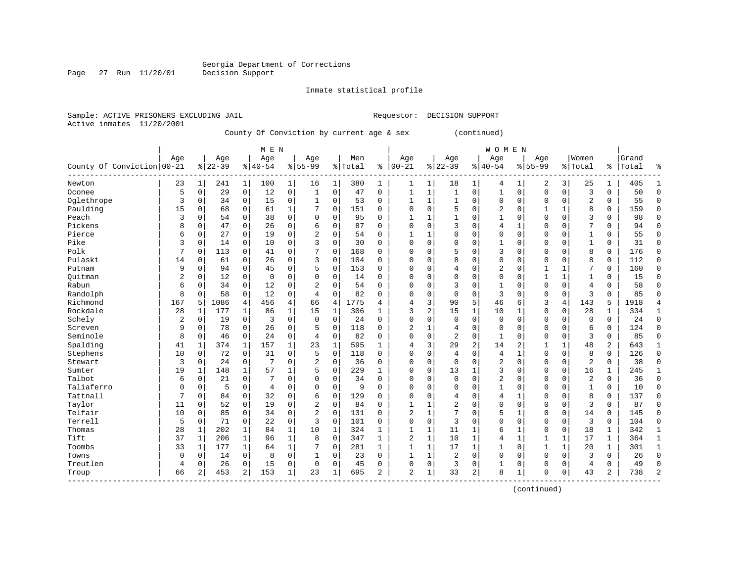Page 27 Run 11/20/01

#### Inmate statistical profile

Sample: ACTIVE PRISONERS EXCLUDING JAIL **Requestor: DECISION SUPPORT** Active inmates 11/20/2001

County Of Conviction by current age & sex (continued)

|                            |     |                |           |                | M E N       |              |                |             |           |              |                |              |                |                | <b>WOMEN</b> |                |             |              |                |                |       |                |
|----------------------------|-----|----------------|-----------|----------------|-------------|--------------|----------------|-------------|-----------|--------------|----------------|--------------|----------------|----------------|--------------|----------------|-------------|--------------|----------------|----------------|-------|----------------|
|                            | Age |                | Age       |                | Age         |              | Age            |             | Men       |              | Age            |              | Age            |                | Age          |                | Age         |              | Women          |                | Grand |                |
| County Of Conviction 00-21 |     |                | $8 22-39$ |                | $8 40-54$   |              | $8 55-99$      |             | %   Total | ႜ            | $ 00-21$       |              | $ 22-39$       |                | $ 40-54$     |                | $8155 - 99$ |              | % Total        | %              | Total | န္             |
| Newton                     | 23  | $1\vert$       | 241       | $\mathbf 1$    | 100         | 1            | 16             | 1           | 380       | 1            | 1              | 1            | 18             | 1              | 4            | 1              | 2           | 3            | 25             | $\mathbf 1$    | 405   | -1             |
| Oconee                     | 5   | 0              | 29        | $\overline{0}$ | 12          | 0            | 1              | $\mathbf 0$ | 47        | 0            | $\mathbf{1}$   | 1            | $\mathbf{1}$   | 0              | $\mathbf{1}$ | $\mathbf 0$    | $\mathbf 0$ | $\mathbf 0$  | $\overline{3}$ | 0              | 50    | $\Omega$       |
| Oglethrope                 | 3   | 0              | 34        | $\overline{0}$ | 15          | 0            | 1              | $\mathbf 0$ | 53        | 0            | 1              | 1            | 1              | 0              | 0            | $\mathbf 0$    | 0           | $\mathbf 0$  | $\overline{2}$ | 0              | 55    | $\Omega$       |
| Paulding                   | 15  | 0              | 68        | $\mathbf 0$    | 61          | $\mathbf{1}$ |                | $\mathbf 0$ | 151       | 0            | $\Omega$       | 0            | 5              | 0              | 2            | $\mathbf 0$    | 1           | $\mathbf 1$  | 8              | 0              | 159   | $\Omega$       |
| Peach                      | 3   | 0              | 54        | $\mathbf 0$    | 38          | 0            | $\Omega$       | $\Omega$    | 95        | $\Omega$     | $\mathbf{1}$   | 1            | 1              | $\Omega$       | 1            | $\mathbf 0$    | $\Omega$    | $\Omega$     | 3              | 0              | 98    | $\Omega$       |
| Pickens                    | 8   | 0              | 47        | $\mathbf 0$    | 26          | 0            | 6              | $\Omega$    | 87        | $\Omega$     | $\Omega$       | 0            | 3              | $\Omega$       | 4            | 1              | $\Omega$    | $\Omega$     | 7              | 0              | 94    | $\Omega$       |
| Pierce                     | 6   | 0              | 27        | $\Omega$       | 19          | 0            | 2              | $\Omega$    | 54        | $\Omega$     | $\mathbf{1}$   |              | $\Omega$       | $\Omega$       | 0            | $\mathbf 0$    | $\Omega$    | $\Omega$     | $\mathbf{1}$   | 0              | 55    | $\Omega$       |
| Pike                       | 3   | $\Omega$       | 14        | 0              | 10          | 0            | ς              | $\Omega$    | 30        | $\Omega$     | $\Omega$       | O            | $\Omega$       | $\Omega$       | 1            | $\Omega$       | $\Omega$    | $\Omega$     | $\mathbf{1}$   | $\Omega$       | 31    | $\Omega$       |
| Polk                       | 7   | $\Omega$       | 113       | $\Omega$       | 41          | 0            | 7              | $\Omega$    | 168       | $\Omega$     | $\Omega$       | O            | 5              | $\Omega$       | 3            | $\Omega$       | $\Omega$    | $\Omega$     | 8              | $\Omega$       | 176   | $\Omega$       |
| Pulaski                    | 14  | $\Omega$       | 61        | $\Omega$       | 26          | 0            | 3              | $\Omega$    | 104       | $\Omega$     | $\Omega$       | O            | 8              | $\Omega$       | $\Omega$     | $\Omega$       | $\Omega$    | $\Omega$     | 8              | $\Omega$       | 112   | $\Omega$       |
| Putnam                     | 9   | 0              | 94        | $\Omega$       | 45          | 0            | 5              | $\Omega$    | 153       | 0            | $\Omega$       | O            | 4              | $\Omega$       | 2            | $\Omega$       | 1           | 1            | 7              | 0              | 160   | $\Omega$       |
| Ouitman                    | 2   | 0              | 12        | $\Omega$       | $\mathbf 0$ | 0            | 0              | 0           | 14        | $\Omega$     | $\Omega$       | 0            | $\Omega$       | 0              | $\Omega$     | $\Omega$       | 1           | $\mathbf{1}$ | $\mathbf{1}$   | 0              | 15    | $\Omega$       |
| Rabun                      | 6   | 0              | 34        | $\mathbf 0$    | 12          | 0            | $\overline{2}$ | $\Omega$    | 54        | $\Omega$     | $\Omega$       | 0            | 3              | 0              | $\mathbf{1}$ | $\mathbf 0$    | $\mathbf 0$ | $\Omega$     | $\overline{4}$ | 0              | 58    | $\Omega$       |
| Randolph                   | 8   | $\Omega$       | 58        | $\Omega$       | 12          | $\Omega$     | 4              | $\Omega$    | 82        | $\Omega$     | $\Omega$       | 0            | $\Omega$       | $\Omega$       | 3            | $\Omega$       | $\Omega$    | $\Omega$     | 3              | $\Omega$       | 85    | $\Omega$       |
| Richmond                   | 167 | 5              | 1086      | 4              | 456         | 4            | 66             | 4           | 1775      | 4            | 4              | 3            | 90             | 5              | 46           | 6              | 3           | 4            | 143            | 5              | 1918  | 4              |
| Rockdale                   | 28  | 1              | 177       | 1              | 86          | $\mathbf 1$  | 15             | 1           | 306       | 1            | 3              | 2            | 15             | 1              | 10           | 1              | $\Omega$    | 0            | 28             | 1              | 334   | 1              |
| Schely                     | 2   | 0              | 19        | $\mathbf 0$    | 3           | 0            | $\Omega$       | $\Omega$    | 24        | $\Omega$     | $\Omega$       | O            | $\Omega$       | $\Omega$       | $\mathbf 0$  | $\Omega$       | $\Omega$    | $\Omega$     | $\mathbf 0$    | 0              | 24    | $\Omega$       |
| Screven                    | 9   | $\Omega$       | 78        | $\Omega$       | 26          | 0            | 5              | $\Omega$    | 118       | $\Omega$     | $\overline{2}$ | 1            | 4              | $\Omega$       | $\mathbf{0}$ | $\Omega$       | $\Omega$    | $\Omega$     | 6              | 0              | 124   | $\Omega$       |
| Seminole                   | 8   | $\Omega$       | 46        | $\Omega$       | 24          | 0            | 4              | $\Omega$    | 82        | $\Omega$     | $\Omega$       | 0            | $\overline{2}$ | 0              | 1            | $\Omega$       | $\Omega$    | $\Omega$     | 3              | 0              | 85    | $\Omega$       |
| Spalding                   | 41  | 1              | 374       | $\mathbf 1$    | 157         | $\mathbf 1$  | 23             | $\mathbf 1$ | 595       | $\mathbf{1}$ | 4              | 3            | 29             | 2              | 14           | $\overline{2}$ | 1           | $\mathbf 1$  | 48             | 2              | 643   |                |
| Stephens                   | 10  | 0              | 72        | $\mathbf 0$    | 31          | 0            | 5              | $\mathbf 0$ | 118       | $\Omega$     | $\Omega$       | 0            | 4              | 0              | 4            | $\mathbf 1$    | $\Omega$    | $\mathbf 0$  | 8              | 0              | 126   | $\Omega$       |
| Stewart                    | 3   | 0              | 24        | 0              | 7           | $\Omega$     | 2              | $\Omega$    | 36        | $\Omega$     | $\Omega$       | 0            | $\Omega$       | $\Omega$       | 2            | $\mathbf 0$    | $\Omega$    | $\Omega$     | $\overline{2}$ | 0              | 38    | $\Omega$       |
| Sumter                     | 19  | 1              | 148       | $\mathbf{1}$   | 57          | 1            | 5              | $\Omega$    | 229       | $\mathbf{1}$ | $\Omega$       | 0            | 13             | 1              | 3            | $\Omega$       | $\Omega$    | $\Omega$     | 16             | 1              | 245   | $\mathbf{1}$   |
| Talbot                     | 6   | 0              | 21        | $\Omega$       | 7           | 0            | U              | $\Omega$    | 34        | 0            | $\Omega$       | 0            | $\mathbf 0$    | $\Omega$       | 2            | $\Omega$       | $\Omega$    | $\Omega$     | $\overline{2}$ | 0              | 36    | $\Omega$       |
| Taliaferro                 | 0   | 0              | 5         | 0              | 4           | 0            | $\Omega$       | $\Omega$    | 9         | $\Omega$     | $\Omega$       | O            | $\mathbf 0$    | $\Omega$       | $\mathbf{1}$ | $\mathbf 0$    | $\Omega$    | $\Omega$     | $\mathbf{1}$   | 0              | 10    | $\Omega$       |
| Tattnall                   | 7   | $\Omega$       | 84        | $\Omega$       | 32          | $\Omega$     | 6              | $\Omega$    | 129       | 0            | $\Omega$       | O            | 4              | $\Omega$       | 4            | $\mathbf{1}$   | $\Omega$    | $\Omega$     | 8              | $\Omega$       | 137   | $\Omega$       |
| Taylor                     | 11  | 0              | 52        | $\mathbf 0$    | 19          | 0            | $\overline{2}$ | $\mathbf 0$ | 84        | 0            | $\mathbf{1}$   | 1            | $\overline{2}$ | 0              | $\Omega$     | $\mathbf 0$    | $\Omega$    | $\Omega$     | 3              | 0              | 87    | ∩              |
| Telfair                    | 10  | 0              | 85        | $\mathbf 0$    | 34          | 0            | $\overline{2}$ | $\mathbf 0$ | 131       | $\Omega$     | $\overline{2}$ | $\mathbf{1}$ | 7              | 0              | 5            | 1              | 0           | $\mathbf 0$  | 14             | 0              | 145   | $\Omega$       |
| Terrell                    | 5   | 0              | 71        | $\mathbf 0$    | 22          | 0            | 3              | 0           | 101       | 0            | $\Omega$       | 0            | 3              | $\Omega$       | 0            | $\mathbf 0$    | $\Omega$    | 0            | 3              | 0              | 104   | $\Omega$       |
| Thomas                     | 28  | $\mathbf{1}$   | 202       | $\mathbf{1}$   | 84          | $\mathbf 1$  | 10             | 1           | 324       | $\mathbf{1}$ | $\mathbf{1}$   | $\mathbf{1}$ | 11             | $\mathbf{1}$   | 6            | $\mathbf 1$    | $\Omega$    | $\mathbf 0$  | 18             | $\mathbf{1}$   | 342   | $\mathbf{1}$   |
| Tift                       | 37  | 1              | 206       | 1              | 96          | 1            | 8              | 0           | 347       | 1            | $\overline{c}$ | 1            | 10             | 1              | 4            | 1              | 1           | $\mathbf{1}$ | 17             | 1              | 364   | 1              |
| Toombs                     | 33  | 1              | 177       | 1              | 64          | $\mathbf 1$  |                | $\Omega$    | 281       | $\mathbf{1}$ | $\mathbf{1}$   | 1            | 17             | 1              | 1            | $\Omega$       | 1           | $\mathbf 1$  | 20             | 1              | 301   | 1              |
| Towns                      | 0   | 0              | 14        | 0              | 8           | 0            | 1              | $\Omega$    | 23        | $\Omega$     | $\mathbf{1}$   | 1            | $\overline{2}$ | $\Omega$       | $\Omega$     | $\mathbf 0$    | $\Omega$    | $\Omega$     | 3              | 0              | 26    | $\Omega$       |
| Treutlen                   | 4   | $\Omega$       | 26        | 0              | 15          | 0            | $\mathbf 0$    | $\Omega$    | 45        | $\Omega$     | $\Omega$       | 0            | 3              | 0              |              | $\mathbf 0$    | $\Omega$    | $\Omega$     | $\overline{4}$ | 0              | 49    | $\Omega$       |
| Troup                      | 66  | $\overline{2}$ | 453       | 2              | 153         | 1            | 23             | 1           | 695       | 2            | 2              | $\mathbf 1$  | 33             | $\overline{a}$ | 8            | 1              | $\Omega$    | $\mathbf 0$  | 43             | $\overline{a}$ | 738   | $\overline{2}$ |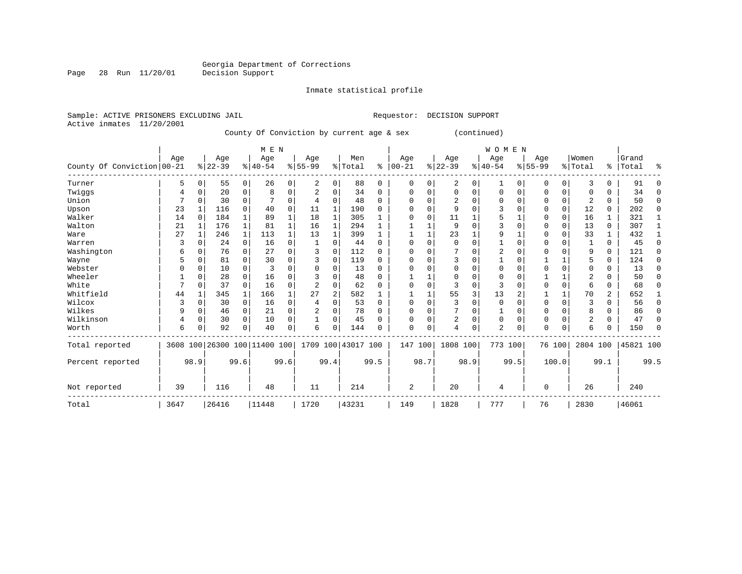Page 28 Run 11/20/01

#### Inmate statistical profile

Sample: ACTIVE PRISONERS EXCLUDING JAIL **Requestor: DECISION SUPPORT** Active inmates 11/20/2001

County Of Conviction by current age & sex (continued)

|                            |      |          |           |          | M E N                        |              |           |                |                    |          |          |          |                |      | <b>WOMEN</b>   |          |             |          |                |           |           |          |
|----------------------------|------|----------|-----------|----------|------------------------------|--------------|-----------|----------------|--------------------|----------|----------|----------|----------------|------|----------------|----------|-------------|----------|----------------|-----------|-----------|----------|
|                            | Age  |          | Age       |          | Age                          |              | Age       |                | Men                |          | Age      |          | Age            |      | Age            |          | Age         |          | Women          |           | Grand     |          |
| County Of Conviction 00-21 |      |          | $8 22-39$ |          | $8 40-54$                    |              | $8 55-99$ |                | % Total            | ႜ        | $ 00-21$ |          | $ 22-39 $      |      | $ 40-54$       |          | $8155 - 99$ |          | %   Total      | $\approx$ | Total     | ిక       |
| Turner                     | 5    | 0        | 55        | 0        | 26                           | 0            | 2         | 0              | 88                 | 0        | 0        | 0        | 2              | 0    | 1              | 0        | 0           | 0        | 3              | $\Omega$  | 91        | $\Omega$ |
| Twiggs                     | 4    | $\Omega$ | 20        | 0        | 8                            | 0            | 2         | 0              | 34                 | $\Omega$ | O        |          | $\Omega$       | U    | $\Omega$       | $\Omega$ | 0           | 0        | O              | U         | 34        | $\Omega$ |
| Union                      |      | $\Omega$ | 30        | $\Omega$ |                              | 0            | 4         | 0              | 48                 | $\Omega$ |          |          | $\overline{2}$ |      | ∩              | $\Omega$ | O           | $\Omega$ | $\overline{2}$ | $\Omega$  | 50        | $\Omega$ |
| Upson                      | 23   |          | 116       | $\Omega$ | 40                           | 0            | 11        | 1              | 190                | $\Omega$ |          |          | 9              | U    |                |          | 0           | $\Omega$ | 12             | $\Omega$  | 202       | $\Omega$ |
| Walker                     | 14   | $\Omega$ | 184       |          | 89                           | 1            | 18        |                | 305                |          |          |          | 11             |      |                |          | 0           | 0        | 16             |           | 321       |          |
| Walton                     | 21   |          | 176       | 1        | 81                           | $\mathbf{1}$ | 16        | 1              | 294                | 1        |          |          | 9              | U    |                |          | 0           | $\Omega$ | 13             | $\Omega$  | 307       |          |
| Ware                       | 27   |          | 246       | 1        | 113                          | 1            | 13        | 1              | 399                | 1        |          |          | 23             |      | 9              |          | 0           | $\Omega$ | 33             |           | 432       |          |
| Warren                     | 3    | $\Omega$ | 24        | 0        | 16                           | 0            |           | 0              | 44                 | $\Omega$ | $\cap$   |          | $\Omega$       | U    |                |          | 0           | O        |                | $\Omega$  | 45        | $\Omega$ |
| Washington                 | 6    | $\Omega$ | 76        | $\Omega$ | 27                           | $\Omega$     | 3         | $\Omega$       | 112                | $\Omega$ |          |          |                | U    | $\overline{2}$ | $\Omega$ | 0           | $\Omega$ | 9              | $\Omega$  | 121       | $\Omega$ |
| Wayne                      | 5    | $\Omega$ | 81        | $\Omega$ | 30                           | 0            |           | 0              | 119                | $\Omega$ |          |          | 3              | U    |                |          |             |          |                | $\Omega$  | 124       | $\Omega$ |
| Webster                    |      | $\Omega$ | 10        | 0        | 3                            | O            |           | $\Omega$       | 13                 | $\Omega$ |          |          | $\Omega$       | U    | $\Omega$       |          | 0           | $\Omega$ | $\Omega$       | $\Omega$  | 13        | 0        |
| Wheeler                    |      | $\Omega$ | 28        | $\Omega$ | 16                           | O            |           | $\Omega$       | 48                 | $\Omega$ |          |          | $\Omega$       | U    | <sup>0</sup>   | ∩        |             |          |                | U         | 50        | $\Omega$ |
| White                      |      | $\Omega$ | 37        | $\Omega$ | 16                           | 0            | 2         | 0              | 62                 | $\Omega$ | $\Omega$ | $\Omega$ | 3              | U    | 3              |          | $\Omega$    | $\Omega$ | 6              | $\Omega$  | 68        | $\Omega$ |
| Whitfield                  | 44   |          | 345       | 1        | 166                          | 1            | 27        | $\overline{2}$ | 582                |          |          |          | 55             | 3    | 13             | 2        |             |          | 70             | 2         | 652       | 1        |
| Wilcox                     | 3    | $\Omega$ | 30        | $\Omega$ | 16                           | 0            | 4         | $\Omega$       | 53                 | $\Omega$ | $\Omega$ |          | 3              | 0    | $\Omega$       |          | $\Omega$    | $\Omega$ | २              | $\Omega$  | 56        | $\Omega$ |
| Wilkes                     | 9    | $\Omega$ | 46        | 0        | 21                           | 0            |           | 0              | 78                 | $\Omega$ |          | $\Omega$ | 7              | 0    |                | $\Omega$ | 0           | $\Omega$ | 8              | O         | 86        | 0        |
| Wilkinson                  | 4    | $\Omega$ | 30        | $\Omega$ | 10                           | 0            |           | 0              | 45                 | $\Omega$ | O        |          | 2              | 0    | $\Omega$       | $\Omega$ | 0           | $\Omega$ | $\overline{2}$ | $\Omega$  | 47        | $\Omega$ |
| Worth                      | 6    | $\Omega$ | 92        | $\Omega$ | 40                           | 0            | 6         | $\Omega$       | 144                | O        | $\Omega$ | 0        | 4              | 0    | $\overline{2}$ | 0        | $\Omega$    | $\Omega$ | 6              |           | 150       | $\Omega$ |
| Total reported             |      |          |           |          | 3608 100 26300 100 11400 100 |              |           |                | 1709 100 43017 100 |          | 147      | 100      | 1808 100       |      | 773 100        |          | 76 100      |          | 2804 100       |           | 45821 100 |          |
| Percent reported           |      | 98.9     |           | 99.6     |                              | 99.6         |           | 99.4           |                    | 99.5     |          | 98.7     |                | 98.9 |                | 99.5     |             | 100.0    |                | 99.1      |           | 99.5     |
| Not reported               | 39   |          | 116       |          | 48                           |              | 11        |                | 214                |          | 2        |          | 20             |      | 4              |          | $\Omega$    |          | 26             |           | 240       |          |
| Total                      | 3647 |          | 26416     |          | 11448                        |              | 1720      |                | 43231              |          | 149      |          | 1828           |      | 777            |          | 76          |          | 2830           |           | 46061     |          |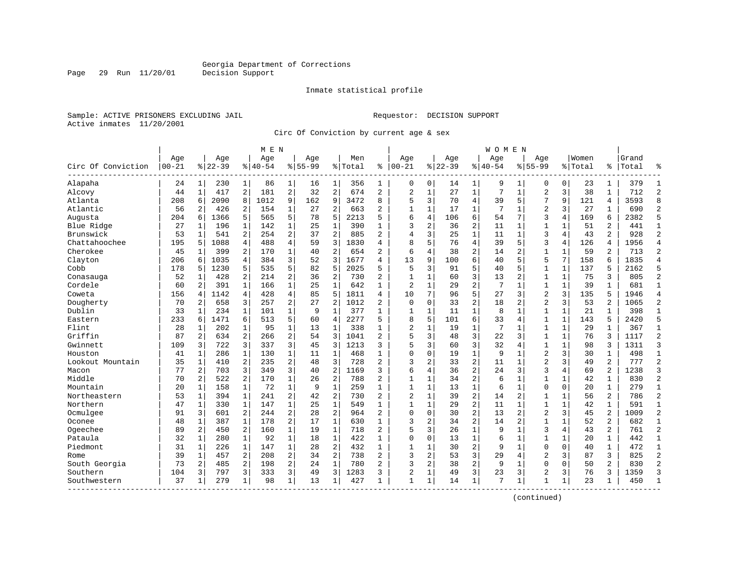Page 29 Run 11/20/01

#### Inmate statistical profile

Sample: ACTIVE PRISONERS EXCLUDING JAIL **Requestor: DECISION SUPPORT** Active inmates 11/20/2001

Circ Of Conviction by current age & sex

|                    |           |              |           |                | M E N     |                |             |                |         |                |                |                |          |                | W O M E N   |                |                |              |         |                |       |                |
|--------------------|-----------|--------------|-----------|----------------|-----------|----------------|-------------|----------------|---------|----------------|----------------|----------------|----------|----------------|-------------|----------------|----------------|--------------|---------|----------------|-------|----------------|
|                    | Age       |              | Age       |                | Age       |                | Age         |                | Men     |                | Age            |                | Age      |                | Age         |                | Age            |              | Women   |                | Grand |                |
| Circ Of Conviction | $00 - 21$ |              | $8 22-39$ |                | $8 40-54$ |                | $8155 - 99$ |                | % Total | ి              | $ 00 - 21$     |                | $ 22-39$ |                | $8140 - 54$ |                | $8155 - 99$    |              | % Total | ႜ              | Total | ዱ              |
| Alapaha            | 24        | $\mathbf{1}$ | 230       | $\mathbf 1$    | 86        | 1              | 16          | 1              | 356     | 1              | 0              | 0              | 14       | 1              | 9           | 1              | 0              | 0            | 23      | 1              | 379   | 1              |
| Alcovy             | 44        | $\mathbf{1}$ | 417       | $\overline{a}$ | 181       | $\overline{2}$ | 32          | $\overline{2}$ | 674     | 2              | $\overline{2}$ | $\mathbf{1}$   | 27       | $\mathbf{1}$   | 7           | $\mathbf{1}$   | $\overline{2}$ | 3            | 38      | $\mathbf{1}$   | 712   | $\overline{2}$ |
| Atlanta            | 208       | 6            | 2090      | 8              | 1012      | 9              | 162         | 9              | 3472    | 8              | 5              | 3              | 70       | 4              | 39          | 5              | 7              | 9            | 121     | 4              | 3593  | 8              |
| Atlantic           | 56        | 2            | 426       | $\overline{a}$ | 154       | 1              | 27          | 2              | 663     | 2              | 1              | 1              | 17       | 1              | 7           | 1              | 2              | 3            | 27      | 1              | 690   | $\overline{2}$ |
| Augusta            | 204       | 6            | 1366      | 5              | 565       | 5              | 78          | 5              | 2213    | 5              | 6              | 4              | 106      | б.             | 54          | 7              | 3              | 4            | 169     | 6              | 2382  | 5              |
| Blue Ridge         | 27        | $\mathbf{1}$ | 196       | $\mathbf{1}$   | 142       | $\mathbf{1}$   | 25          | $\mathbf{1}$   | 390     | $\mathbf{1}$   | 3              | 2              | 36       | $\overline{a}$ | 11          | $\mathbf{1}$   | $\mathbf{1}$   | $\mathbf{1}$ | 51      | $\mathfrak{D}$ | 441   | $\mathbf{1}$   |
| Brunswick          | 53        | $\mathbf{1}$ | 541       | 2              | 254       | $\overline{a}$ | 37          | $\overline{2}$ | 885     | $\overline{2}$ | $\overline{4}$ | 3              | 25       | $\mathbf{1}$   | 11          | $\mathbf{1}$   | 3              | 4            | 43      | $\overline{a}$ | 928   | $\overline{2}$ |
| Chattahoochee      | 195       | 5            | 1088      | $\overline{4}$ | 488       | 4              | 59          | 3              | 1830    | 4              | 8              | 5              | 76       | $\overline{4}$ | 39          | 5              | 3              | 4            | 126     | $\overline{4}$ | 1956  | $\overline{4}$ |
| Cherokee           | 45        | 1            | 399       | 2              | 170       | $\mathbf{1}$   | 40          | $\overline{2}$ | 654     | 2              | 6              | 4              | 38       | 2              | 14          | 2              | $\mathbf{1}$   | $\mathbf{1}$ | 59      | 2              | 713   | $\overline{2}$ |
| Clayton            | 206       | 6            | 1035      | 4              | 384       | 3              | 52          | 3              | 1677    | 4              | 13             | 9              | 100      | 6              | 40          | 5              | 5              | 7            | 158     | 6              | 1835  | $\overline{4}$ |
| Cobb               | 178       | 5            | 1230      | 5              | 535       | 5              | 82          | 5              | 2025    | 5              | 5              | 3              | 91       | 5              | 40          | 5              | 1              | $\mathbf{1}$ | 137     | 5              | 2162  | 5              |
| Conasauga          | 52        | 1            | 428       | 2              | 214       | 2              | 36          | $\overline{2}$ | 730     | 2              | $\mathbf{1}$   | $\mathbf{1}$   | 60       | 3              | 13          | $\overline{2}$ | $\mathbf{1}$   | $\mathbf{1}$ | 75      | 3              | 805   | $\overline{2}$ |
| Cordele            | 60        | 2            | 391       | $\mathbf{1}$   | 166       | $\mathbf 1$    | 25          | $\mathbf{1}$   | 642     | $\mathbf{1}$   | $\overline{2}$ | $\mathbf 1$    | 29       | $\mathbf{2}$   | 7           | $\mathbf{1}$   | $\mathbf{1}$   | $\mathbf{1}$ | 39      |                | 681   | $\mathbf{1}$   |
| Coweta             | 156       | 4            | 1142      | $\overline{4}$ | 428       | $\overline{4}$ | 85          | 5              | 1811    | 4              | 10             | 7              | 96       | 5              | 27          | 3              | $\overline{2}$ | 3            | 135     | 5              | 1946  | $\overline{4}$ |
| Dougherty          | 70        | 2            | 658       | 3              | 257       | $\overline{a}$ | 27          | $\overline{2}$ | 1012    | 2              | $\mathbf 0$    | $\mathbf 0$    | 33       | 2              | 18          | 2              | $\overline{2}$ | 3            | 53      | 2              | 1065  | $\overline{2}$ |
| Dublin             | 33        | 1            | 234       | $\mathbf{1}$   | 101       | 1              | 9           | $\mathbf{1}$   | 377     | 1              | $\mathbf{1}$   | 1              | 11       | $\mathbf 1$    | 8           | $\mathbf{1}$   | $\mathbf{1}$   | $\mathbf{1}$ | 21      |                | 398   | 1              |
| Eastern            | 233       | 6            | 1471      | 6              | 513       | 5              | 60          | $\overline{4}$ | 2277    | 5              | 8              | 5              | 101      | б.             | 33          | 4              | 1              | $\mathbf{1}$ | 143     |                | 2420  | 5              |
| Flint              | 28        | $\mathbf{1}$ | 202       | $\mathbf{1}$   | 95        | $\mathbf{1}$   | 13          | $\mathbf{1}$   | 338     | $\mathbf{1}$   | $\overline{2}$ | $\mathbf{1}$   | 19       | $\mathbf{1}$   | 7           | 1              | $\mathbf{1}$   | $\mathbf{1}$ | 29      | $\mathbf{1}$   | 367   | $\mathbf{1}$   |
| Griffin            | 87        | 2            | 634       | 2              | 266       | 2              | 54          | 3              | 1041    | 2              | 5              | 3              | 48       | 3              | 22          | 3              | $\mathbf{1}$   | $\mathbf{1}$ | 76      | 3              | 1117  | $\overline{2}$ |
| Gwinnett           | 109       | 3            | 722       | 3              | 337       | 3              | 45          | 3              | 1213    | 3              | 5              | 3              | 60       | 3              | 32          | $\overline{4}$ | $\mathbf{1}$   | $\mathbf{1}$ | 98      | 3              | 1311  | 3              |
| Houston            | 41        | 1            | 286       | $\mathbf{1}$   | 130       | $\mathbf 1$    | 11          | $\mathbf{1}$   | 468     | $\mathbf{1}$   | $\Omega$       | $\mathbf 0$    | 19       | $\mathbf{1}$   | 9           | 1              | 2              | 3            | 30      | $\mathbf{1}$   | 498   | $\mathbf{1}$   |
| Lookout Mountain   | 35        | 1            | 410       | 2              | 235       | 2              | 48          | 3              | 728     | 2              | 3              | $\overline{a}$ | 33       | 2              | 11          | $\mathbf{1}$   | $\overline{2}$ | 3            | 49      | $\overline{2}$ | 777   | $\overline{2}$ |
| Macon              | 77        | 2            | 703       | 3              | 349       | 3              | 40          | $\overline{2}$ | 1169    | 3              | 6              | 4              | 36       | $\overline{a}$ | 24          | 3              | 3              | 4            | 69      | $\overline{2}$ | 1238  | 3              |
| Middle             | 70        | 2            | 522       | 2              | 170       | $\mathbf{1}$   | 26          | $\overline{2}$ | 788     | 2              | 1              | 1              | 34       | 2              | 6           | 1              | 1              | 1            | 42      | $\mathbf{1}$   | 830   | $\overline{2}$ |
| Mountain           | 20        | $\mathbf{1}$ | 158       | $\mathbf{1}$   | 72        | $\mathbf{1}$   | 9           | $\mathbf{1}$   | 259     | $\mathbf{1}$   | 1              | $\mathbf{1}$   | 13       | $\mathbf{1}$   | 6           | $\mathbf{1}$   | 0              | $\Omega$     | 2.0     | $\mathbf{1}$   | 279   | $\mathbf{1}$   |
| Northeastern       | 53        | $\mathbf{1}$ | 394       | $\mathbf{1}$   | 241       | 2              | 42          | $\overline{2}$ | 730     | 2              | $\overline{c}$ | $\mathbf 1$    | 39       | 2              | 14          | $\overline{2}$ | 1              | $\mathbf 1$  | 56      | $\overline{c}$ | 786   | $\overline{2}$ |
| Northern           | 47        | 1            | 330       | $\mathbf{1}$   | 147       | $\mathbf 1$    | 25          | 1              | 549     | $\mathbf{1}$   | $\overline{1}$ | $\mathbf{1}$   | 29       | 2              | 11          | 1              | $\mathbf 1$    | $\mathbf{1}$ | 42      | $\mathbf{1}$   | 591   | $\mathbf{1}$   |
| Ocmulgee           | 91        | 3            | 601       | 2              | 244       | 2              | 28          | $\overline{2}$ | 964     | 2              | $\mathbf 0$    | $\mathbf 0$    | 30       | $\overline{c}$ | 13          | $\overline{c}$ | 2              | 3            | 45      | 2              | 1009  | $\overline{2}$ |
| Oconee             | 48        | 1            | 387       | 1              | 178       | 2              | 17          | 1              | 630     | $\mathbf{1}$   | ζ              | 2              | 34       | $\overline{a}$ | 14          | $\overline{c}$ | $\mathbf{1}$   | $\mathbf{1}$ | 52      | $\overline{2}$ | 682   | $\mathbf{1}$   |
| Ogeechee           | 89        | 2            | 450       | 2              | 160       | $\mathbf{1}$   | 19          | 1              | 718     | 2              | 5              | 3              | 26       | $\mathbf{1}$   | 9           | $\mathbf{1}$   | 3              | 4            | 43      | $\overline{a}$ | 761   | $\overline{2}$ |
| Pataula            | 32        | $\mathbf{1}$ | 280       | $\mathbf{1}$   | 92        | $\mathbf{1}$   | 18          | $\mathbf{1}$   | 422     | $\mathbf{1}$   | $\mathbf 0$    | $\mathbf 0$    | 13       | $\mathbf{1}$   | 6           | $\mathbf{1}$   | $\mathbf{1}$   | $\mathbf{1}$ | 20      |                | 442   | $\mathbf{1}$   |
| Piedmont           | 31        | $\mathbf{1}$ | 226       | $\mathbf{1}$   | 147       | $\mathbf{1}$   | 28          | $\overline{2}$ | 432     | $\mathbf{1}$   | $\mathbf{1}$   | $\mathbf{1}$   | 30       | $\overline{2}$ | 9           | $\mathbf{1}$   | 0              | $\Omega$     | 40      | $\mathbf{1}$   | 472   | $\mathbf{1}$   |
| Rome               | 39        | 1            | 457       | 2              | 208       | 2              | 34          | 2              | 738     | 2              | ζ              | 2              | 53       | 3              | 29          | 4              | 2              | 3            | 87      | 3              | 825   | $\overline{2}$ |
| South Georgia      | 73        | 2            | 485       | 2              | 198       | $\overline{a}$ | 24          | 1              | 780     | 2              | 3              | $\overline{a}$ | 38       | 2              | 9           | 1              | 0              | $\Omega$     | 50      | $\overline{a}$ | 830   | $\overline{2}$ |
| Southern           | 104       | 3            | 797       | 3              | 333       | 3              | 49          | 3              | 1283    | 3              | $\overline{2}$ | 1              | 49       | 3              | 23          | 3              | $\overline{2}$ | 3            | 76      | 3              | 1359  | 3              |
| Southwestern       | 37        | $\mathbf{1}$ | 279       | 1              | 98        | 1              | 13          | 1              | 427     | $\mathbf{1}$   | $\mathbf{1}$   | $\mathbf{1}$   | 14       | $\mathbf{1}$   | 7           | 1              | 1              | 1            | 23      | $\mathbf{1}$   | 450   | $\mathbf{1}$   |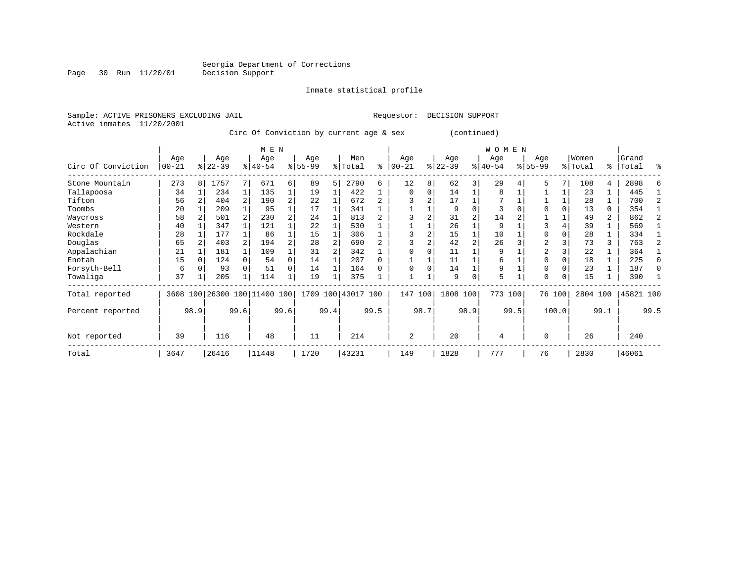Page 30 Run 11/20/01

#### Inmate statistical profile

Sample: ACTIVE PRISONERS EXCLUDING JAIL **Requestor: DECISION SUPPORT** Active inmates 11/20/2001

Circ Of Conviction by current age & sex (continued)

|                    |                   |              |                 |                | M E N                   |                |                    |      |                |      |                  |                |                  |                | <b>WOMEN</b>     |      |                    |        |                  |                |                |      |
|--------------------|-------------------|--------------|-----------------|----------------|-------------------------|----------------|--------------------|------|----------------|------|------------------|----------------|------------------|----------------|------------------|------|--------------------|--------|------------------|----------------|----------------|------|
| Circ Of Conviction | Age<br>$ 00 - 21$ |              | Age<br>$ 22-39$ |                | Age<br>$ 40-54 $        |                | Age<br>$8155 - 99$ |      | Men<br>% Total | ႜ    | Age<br>$00 - 21$ | %              | Age<br>$22 - 39$ |                | Age<br>$8 40-54$ |      | Age<br>$8155 - 99$ |        | Women<br>% Total | ွေ             | Grand<br>Total | ႜ    |
| Stone Mountain     | 273               | 8 I          | 1757            |                | 671                     | $6 \mid$       | 89                 | .5   | 2790           | 6    | 12               | 8              | 62               | 3              | 29               |      | 5                  |        | 108              | 4              | 2898           |      |
| Tallapoosa         | 34                |              | 234             |                | 135                     | $1\vert$       | 19                 |      | 422            |      | $\Omega$         | $\Omega$       | 14               |                | 8                |      |                    |        | 23               |                | 445            |      |
| Tifton             | 56                |              | 404             | 2              | 190                     | $\overline{a}$ | 22                 |      | 672            |      |                  |                | 17               |                |                  |      |                    |        | 28               |                | 700            |      |
| Toombs             | 20                |              | 209             |                | 95                      |                | 17                 |      | 341            |      |                  |                | 9                |                | 3                |      |                    |        | 13               | 0              | 354            |      |
| Waycross           | 58                |              | 501             | $\overline{2}$ | 230                     | $\overline{a}$ | 24                 |      | 813            |      |                  |                | 31               | $\overline{a}$ | 14               |      |                    |        | 49               | $\overline{a}$ | 862            |      |
| Western            | 40                |              | 347             |                | 121                     |                | 22                 |      | 530            |      |                  |                | 26               |                | 9                |      |                    |        | 39               |                | 569            |      |
| Rockdale           | 28                |              | 177             |                | 86                      |                | 15                 |      | 306            |      |                  | $\overline{2}$ | 15               |                | 10               |      | $\Omega$           |        | 28               |                | 334            |      |
| Douglas            | 65                |              | 403             |                | 194                     | $\overline{a}$ | 28                 |      | 690            |      |                  |                | 42               |                | 26               |      | $\overline{c}$     |        | 73               | 3              | 763            |      |
| Appalachian        | 21                |              | 181             |                | 109                     |                | 31                 |      | 342            |      |                  |                | 11               |                | 9                |      | $\overline{2}$     |        | 22               |                | 364            |      |
| Enotah             | 15                |              | 124             |                | 54                      | 0              | 14                 |      | 207            |      |                  |                | 11               |                | 6                |      |                    |        | 18               |                | 225            | ∩    |
| Forsyth-Bell       | 6                 |              | 93              |                | 51                      | 0              | 14                 |      | 164            |      | $\Omega$         |                | 14               |                | 9                |      | $\Omega$           |        | 23               |                | 187            |      |
| Towaliga           | 37                |              | 205             |                | 114                     | 1              | 19                 |      | 375            |      |                  |                | g                | $\Omega$       | 5                |      | $\Omega$           | 0      | 15               |                | 390            |      |
| Total reported     | 3608              |              |                 |                | 100 26300 100 11400 100 |                | 1709               | 100  | 43017 100      |      | 147              | 100            | 1808 100         |                | 773 100          |      |                    | 76 100 | 2804 100         |                | 45821 100      |      |
| Percent reported   |                   | 98.9<br>99.6 |                 |                |                         | 99.6           |                    | 99.4 |                | 99.5 |                  | 98.7           |                  | 98.9           |                  | 99.5 |                    | 100.0  |                  | 99.1           |                | 99.5 |
| Not reported       | 39                | 116          |                 |                | 48                      |                | 11                 |      | 214            |      | 2                |                | 20               |                | 4                |      | $\Omega$           |        | 26               |                | 240            |      |
| Total              | 3647              |              | 26416           |                | 11448                   |                | 1720               |      | 43231          |      | 149              |                | 1828             |                | 777              |      | 76                 |        | 2830             |                | 46061          |      |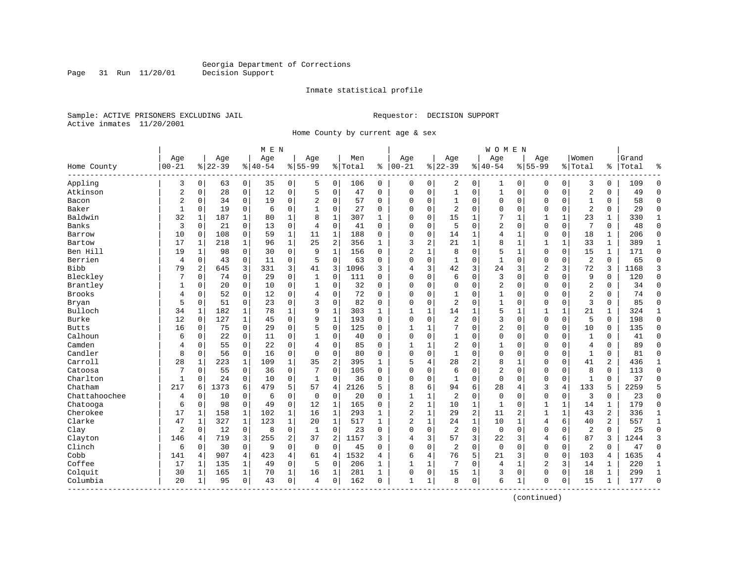Page 31 Run 11/20/01

#### Inmate statistical profile

Sample: ACTIVE PRISONERS EXCLUDING JAIL **Requestor: DECISION SUPPORT** Active inmates 11/20/2001

Home County by current age & sex

|                       |                  |                |                  |              | M E N           |                |                    |                |                |              |                 |             |                  |                | W O M E N        |              |                    |              |                  |              |                |                |
|-----------------------|------------------|----------------|------------------|--------------|-----------------|----------------|--------------------|----------------|----------------|--------------|-----------------|-------------|------------------|----------------|------------------|--------------|--------------------|--------------|------------------|--------------|----------------|----------------|
| Home County           | Age<br>$00 - 21$ |                | Age<br>$8 22-39$ |              | Age<br>$ 40-54$ |                | Age<br>$8155 - 99$ |                | Men<br>% Total | ి            | Age<br>$ 00-21$ |             | Age<br>$8 22-39$ |                | Age<br>$8 40-54$ |              | Age<br>$8155 - 99$ |              | Women<br>% Total | ి            | Grand<br>Total | န္             |
| Appling               | 3                | 0              | 63               | 0            | 35              | 0              | 5                  | 0              | 106            | 0            | 0               | 0           | 2                | 0              | 1                | 0            | 0                  | 0            | 3                | 0            | 109            | $\mathbf{0}$   |
| Atkinson              | $\overline{2}$   | $\mathbf 0$    | 28               | 0            | 12              | $\mathsf 0$    | 5                  | $\mathbf 0$    | 47             | 0            | $\Omega$        | 0           | $\mathbf 1$      | 0              | $\mathbf{1}$     | $\mathbf 0$  | $\Omega$           | 0            | $\overline{2}$   | 0            | 49             | $\Omega$       |
| Bacon                 | $\overline{2}$   | $\Omega$       | 34               | $\mathbf 0$  | 19              | $\mathbf 0$    | $\overline{2}$     | $\mathbf 0$    | 57             | $\Omega$     | $\Omega$        | 0           | $\mathbf{1}$     | $\Omega$       | $\Omega$         | $\mathbf 0$  | $\Omega$           | $\Omega$     | $\mathbf{1}$     | 0            | 58             | $\Omega$       |
| Baker                 | $\mathbf{1}$     | $\mathbf 0$    | 19               | $\mathbf 0$  | 6               | $\mathbf 0$    | 1                  | $\mathbf 0$    | 27             | O            | $\Omega$        | 0           | $\overline{2}$   | $\Omega$       | O                | $\Omega$     | $\Omega$           | 0            | $\overline{2}$   | $\Omega$     | 29             | $\Omega$       |
| Baldwin               | 32               | 1              | 187              | 1            | 80              | 1              | 8                  | 1              | 307            | 1            | $\Omega$        | 0           | 15               | 1              | 7                | 1            | 1                  | $\mathbf{1}$ | 23               | $\mathbf{1}$ | 330            | 1              |
| Banks                 | 3                | 0              | 21               | 0            | 13              | $\mathbf 0$    | $\overline{4}$     | $\mathbf 0$    | 41             | 0            | $\Omega$        | 0           | 5                | $\Omega$       | 2                | $\mathbf 0$  | $\Omega$           | $\mathbf 0$  | 7                | 0            | 48             | $\Omega$       |
| Barrow                | 10               | $\mathbf 0$    | 108              | $\mathbf 0$  | 59              | $\mathbf{1}$   | 11                 | $\mathbf{1}$   | 188            | 0            | $\Omega$        | 0           | 14               | $\mathbf{1}$   | 4                | $\mathbf{1}$ | $\Omega$           | 0            | 18               | 1            | 206            | $\Omega$       |
| Bartow                | 17               | $\mathbf{1}$   | 218              | $\mathbf{1}$ | 96              | $\mathbf{1}$   | 25                 | 2              | 356            | $\mathbf{1}$ | 3               | 2           | 21               | 1              | 8                | $\mathbf{1}$ | $\mathbf{1}$       | $\mathbf 1$  | 33               | $\mathbf{1}$ | 389            | $\mathbf{1}$   |
| Ben Hill              | 19               | 1              | 98               | 0            | 30              | $\mathbf 0$    | 9                  | 1              | 156            | $\Omega$     | $\overline{2}$  | 1           | 8                | 0              | 5                | 1            | $\Omega$           | 0            | 15               | 1            | 171            | $\mathbf{0}$   |
| Berrien               | 4                | 0              | 43               | $\mathbf 0$  | 11              | $\mathbf 0$    | 5                  | $\mathbf 0$    | 63             | 0            | $\Omega$        | 0           |                  | $\Omega$       | $\mathbf{1}$     | $\Omega$     | $\Omega$           | $\Omega$     | $\overline{2}$   | $\Omega$     | 65             | $\Omega$       |
| <b>Bibb</b>           | 79               | $\overline{2}$ | 645              | 3            | 331             | 3              | 41                 | 3              | 1096           | 3            | 4               | 3           | 42               | 3              | 24               | 3            | $\overline{2}$     | 3            | 72               | 3            | 1168           | 3              |
| Bleckley              | 7                | 0              | 74               | 0            | 29              | $\mathbf 0$    | 1                  | $\mathbf 0$    | 111            | $\Omega$     | $\Omega$        | 0           | 6                | 0              | 3                | $\mathbf 0$  | $\Omega$           | $\Omega$     | 9                | 0            | 120            | $\Omega$       |
| Brantley              | 1                | 0              | 20               | 0            | 10              | $\mathsf 0$    | 1                  | $\mathbf 0$    | 32             | 0            | 0               | 0           | $\Omega$         | 0              | 2                | $\mathbf 0$  | 0                  | 0            | $\overline{2}$   | 0            | 34             | $\Omega$       |
| <b>Brooks</b>         | 4                | $\mathbf 0$    | 52               | $\mathbf 0$  | 12              | $\mathbf 0$    | 4                  | $\mathbf 0$    | 72             | $\Omega$     | 0               | 0           | $\mathbf{1}$     | $\Omega$       | $\mathbf{1}$     | $\Omega$     | $\Omega$           | $\Omega$     | $\overline{2}$   | 0            | 74             | $\Omega$       |
| Bryan                 | 5                | $\mathbf 0$    | 51               | $\mathbf 0$  | 23              | $\mathbf 0$    | 3                  | $\mathbf 0$    | 82             | $\Omega$     | $\Omega$        | 0           | 2                | $\Omega$       | $\mathbf{1}$     | $\Omega$     | $\Omega$           | $\Omega$     | $\overline{3}$   | $\Omega$     | 85             | $\Omega$       |
| Bulloch               | 34               | $\mathbf{1}$   | 182              | 1            | 78              | 1              | 9                  | $\mathbf 1$    | 303            | 1            | $\mathbf{1}$    |             | 14               | 1              | 5                |              | 1                  |              | 21               | 1            | 324            | 1              |
| Burke                 | 12               | 0              | 127              | 1            | 45              | $\mathbf 0$    | 9                  | $\mathbf{1}$   | 193            | 0            | $\Omega$        | 0           | 2                | $\Omega$       | 3                | $\Omega$     | $\Omega$           | 0            | 5                | 0            | 198            | $\Omega$       |
| <b>Butts</b>          | 16               | $\Omega$       | 75               | 0            | 29              | $\mathbf 0$    | 5                  | $\mathbf 0$    | 125            | $\Omega$     | $\mathbf{1}$    | 1           | 7                | $\Omega$       | 2                | $\Omega$     | $\Omega$           | $\Omega$     | 10               | $\Omega$     | 135            | $\Omega$       |
| Calhoun               | 6                | 0              | 22               | $\mathbf 0$  | 11              | 0              | 1                  | 0              | 40             | 0            | $\Omega$        | 0           |                  | $\Omega$       | 0                | $\mathbf 0$  | $\Omega$           | 0            | $\mathbf{1}$     | 0            | 41             | $\Omega$       |
| Camden                | 4                | $\mathbf 0$    | 55               | $\mathbf 0$  | 22              | $\mathbf 0$    | 4                  | $\mathbf 0$    | 85             | 0            | $\mathbf{1}$    | 1           | $\overline{2}$   | 0              | 1                | 0            | $\Omega$           | 0            | $\overline{4}$   | 0            | 89             | $\Omega$       |
| Candler               | 8                | $\Omega$       | 56               | $\Omega$     | 16              | $\mathbf 0$    | $\Omega$           | $\mathbf 0$    | 80             | $\Omega$     | $\Omega$        | 0           | $\mathbf{1}$     | $\Omega$       | 0                | $\Omega$     | $\Omega$           | $\Omega$     | $\mathbf{1}$     | $\Omega$     | 81             | $\Omega$       |
| Carroll               | 28               | $\mathbf{1}$   | 223              | $\mathbf{1}$ | 109             | $\mathbf 1$    | 35                 | 2              | 395            | 1            | 5               | 4           | 28               | $\overline{2}$ | 8                | $\mathbf{1}$ | $\Omega$           | $\Omega$     | 41               | 2            | 436            | 1              |
| Catoosa               | 7                | 0              | 55               | 0            | 36              | 0              | 7                  | $\mathbf 0$    | 105            | 0            | $\Omega$        | 0           | 6                | $\Omega$       | $\overline{2}$   | $\Omega$     | $\Omega$           | $\Omega$     | 8                | 0            | 113            | $\Omega$       |
| Charlton              | 1                | 0              | 24               | $\mathbf 0$  | 10              | $\mathbf 0$    | 1                  | $\mathbf 0$    | 36             | 0            | $\Omega$        | 0           | 1                | $\Omega$       | $\mathbf 0$      | $\Omega$     | $\Omega$           | 0            | $\mathbf{1}$     | 0            | 37             | $\Omega$       |
| Chatham               | 217              | 6              | 1373             | 6            | 479             | 5              | 57                 | 4              | 2126           | 5            | 8               | 6           | 94               | 6              | 28               | 4            | 3                  | 4            | 133              | 5            | 2259           | 5              |
| Chattahoochee         | 4                | $\mathbf 0$    | 10               | 0            | 6               | $\mathsf 0$    | $\mathbf 0$        | $\mathbf 0$    | 20             | 0            | 1               | $\mathbf 1$ | $\overline{2}$   | 0              | $\Omega$         | $\mathbf 0$  | $\mathbf 0$        | 0            | $\overline{3}$   | 0            | 23             | $\Omega$       |
| Chatooga              | 6                | 0              | 98               | $\mathbf 0$  | 49              | 0              | 12                 | $\mathbf{1}$   | 165            | 0            | $\overline{2}$  | 1           | 10               | 1              | $\mathbf{1}$     | $\Omega$     | 1                  | 1            | 14               | $\mathbf{1}$ | 179            | $\Omega$       |
| Cherokee              | 17               | $\mathbf{1}$   | 158              | 1            | 102             | $\mathbf 1$    | 16                 | 1              | 293            | 1            | $\overline{2}$  | 1           | 29               | $\overline{2}$ | 11               | 2            | 1                  | 1            | 43               | 2            | 336            | 1              |
| Clarke                | 47               | 1              | 327              | $\mathbf{1}$ | 123             | $\mathbf 1$    | 20                 | $\mathbf 1$    | 517            | $\mathbf{1}$ | 2               | 1           | 24               | $\mathbf 1$    | 10               | $\mathbf{1}$ | 4                  | 6            | 40               | 2            | 557            | $\mathbf{1}$   |
| Clay                  | $\overline{2}$   | $\Omega$       | 12               | 0            | 8               | $\mathbf 0$    | $\mathbf{1}$       | $\mathbf 0$    | 23             | 0            | $\Omega$        | 0           | $\overline{2}$   | $\Omega$       | $\mathbf 0$      | $\Omega$     | $\Omega$           | $\Omega$     | $\overline{2}$   | $\Omega$     | 25             | $\Omega$       |
| Clayton               | 146              | 4              | 719              | 3            | 255             | $\overline{2}$ | 37                 | $\overline{c}$ | 1157           | 3            | 4               | 3           | 57               | 3              | 22               | 3            | 4                  | 6            | 87               | 3            | 1244           | 3              |
| Clinch                | 6                | 0              | 30               | $\mathbf 0$  | 9               | $\mathbf 0$    | $\mathbf 0$        | $\mathbf 0$    | 45             | 0            | 0               | 0           | $\overline{2}$   | 0              | $\mathbf 0$      | $\mathbf 0$  | $\Omega$           | 0            | $\overline{2}$   | 0            | 47             | $\Omega$       |
| Cobb                  | 141              | 4              | 907              | 4            | 423             | $\overline{4}$ | 61                 | 4              | 1532           | 4            | 6               | 4           | 76               | 5              | 21               | 3            | $\Omega$           | 0            | 103              | 4            | 1635           | $\overline{4}$ |
| Coffee                | 17               | 1              | 135              | $\mathbf 1$  | 49              | 0              | 5                  | 0              | 206            | 1            | $\mathbf{1}$    | 1           | 7                | 0              | 4                | 1            | $\overline{2}$     | 3            | 14               | 1            | 220            | 1              |
| Colquit               | 30               | 1              | 165              | 1            | 70              | $\mathbf 1$    | 16                 | 1              | 281            | 1            | 0               | 0           | 15               | 1              | 3                | $\mathbf 0$  | 0                  | 0            | 18               | 1            | 299            | 1              |
| Columbia<br>--------- | 20               | $\mathbf{1}$   | 95               | $\mathbf 0$  | 43              | $\mathbf 0$    | 4                  | $\mathbf 0$    | 162            | $\Omega$     | $\mathbf{1}$    | $\mathbf 1$ | 8                | 0              | 6                | $\mathbf{1}$ | $\Omega$           | 0            | 15               | $\mathbf{1}$ | 177            | $\Omega$       |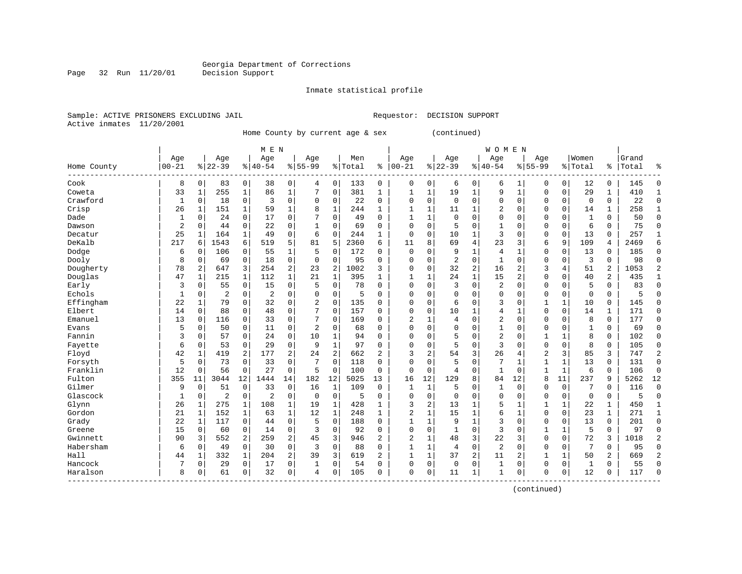Page 32 Run 11/20/01

#### Inmate statistical profile

Sample: ACTIVE PRISONERS EXCLUDING JAIL **Requestor: DECISION SUPPORT** Active inmates 11/20/2001

Home County by current age & sex (continued)

|                                                  | M E N     |                |                |                |                |              |                |                |         |                |                |                |                |                | <b>WOMEN</b>   |              |                |              |              |                |       |              |
|--------------------------------------------------|-----------|----------------|----------------|----------------|----------------|--------------|----------------|----------------|---------|----------------|----------------|----------------|----------------|----------------|----------------|--------------|----------------|--------------|--------------|----------------|-------|--------------|
|                                                  | Age       |                | Age            |                | Age            |              | Age            |                | Men     |                | Age            |                | Age            |                | Age            |              | Age            |              | Women        |                | Grand |              |
| Home County                                      | $00 - 21$ |                | $8 22-39$      |                | $8   40 - 54$  |              | $8155 - 99$    |                | % Total | ႜ              | $ 00 - 21$     |                | $8 22-39$      |                | $8140 - 54$    |              | $8155 - 99$    |              | % Total      | ႜ              | Total | 우            |
| Cook                                             | 8         | $\mathbf 0$    | 83             | 0              | 38             | 0            | 4              | $\Omega$       | 133     | 0              | $\mathbf 0$    | 0              | 6              | 0              | 6              |              | 0              | 0            | 12           | 0              | 145   | 0            |
| Coweta                                           | 33        | 1              | 255            | $\mathbf 1$    | 86             | $\mathbf 1$  | 7              | $\Omega$       | 381     | $\mathbf{1}$   | $\mathbf{1}$   | $\mathbf{1}$   | 19             | $\mathbf{1}$   | 9              | $\mathbf{1}$ | $\Omega$       | $\Omega$     | 29           | 1              | 410   | $\mathbf{1}$ |
| Crawford                                         | 1         | $\mathbf 0$    | 18             | 0              | 3              | 0            | $\Omega$       | $\Omega$       | 22      | $\Omega$       | $\Omega$       | $\Omega$       | $\mathbf 0$    | $\Omega$       | $\Omega$       | $\Omega$     | $\Omega$       | $\Omega$     | $\mathbf 0$  | 0              | 22    | $\Omega$     |
| Crisp                                            | 26        | 1              | 151            | 1              | 59             | $\mathbf{1}$ | 8              | $\mathbf{1}$   | 244     | $\mathbf{1}$   | $\mathbf{1}$   | 1              | 11             | 1              | 2              | $\Omega$     | $\Omega$       | $\Omega$     | 14           | 1              | 258   |              |
| Dade                                             | 1         | $\mathbf 0$    | 24             | $\mathbf 0$    | 17             | 0            |                | $\mathbf 0$    | 49      | $\Omega$       | 1              | $\mathbf{1}$   | $\mathbf{0}$   | $\Omega$       | 0              | $\Omega$     | $\Omega$       | $\Omega$     | $\mathbf{1}$ | 0              | 50    | $\Omega$     |
| Dawson                                           | 2         | $\mathbf 0$    | 44             | 0              | 22             | 0            |                | $\mathbf 0$    | 69      | $\Omega$       | $\Omega$       | 0              | 5              | $\Omega$       | $\mathbf{1}$   | $\Omega$     | $\Omega$       | $\mathbf 0$  | 6            | 0              | 75    | $\Omega$     |
| Decatur                                          | 25        | $\mathbf{1}$   | 164            | $\mathbf 1$    | 49             | 0            | 6              | $\mathbf 0$    | 244     | $\mathbf{1}$   | $\Omega$       | $\Omega$       | 10             | $\mathbf{1}$   | 3              | $\mathsf{C}$ | $\Omega$       | $\mathbf 0$  | 13           | $\Omega$       | 257   | $\mathbf{1}$ |
| DeKalb                                           | 217       | 6              | 1543           | 6              | 519            | 5            | 81             | 5              | 2360    | 6              | 11             | 8              | 69             | $\overline{4}$ | 23             | 3            | 6              | 9            | 109          | 4              | 2469  | 6            |
| Dodge                                            | 6         | $\mathbf 0$    | 106            | 0              | 55             | 1            | 5              | $\mathbf 0$    | 172     | 0              | $\overline{0}$ | 0              | 9              | 1              | 4              |              | $\Omega$       | $\mathbf 0$  | 13           | 0              | 185   | $\mathbf 0$  |
| Dooly                                            | 8         | $\mathbf 0$    | 69             | 0              | 18             | 0            | $\Omega$       | $\mathbf 0$    | 95      | 0              | $\Omega$       | 0              | $\overline{2}$ | $\mathbf 0$    | 1              | $\Omega$     | $\mathbf 0$    | 0            | 3            | 0              | 98    | $\mathbf 0$  |
| Dougherty                                        | 78        | $\overline{c}$ | 647            | 3              | 254            | 2            | 23             | 2              | 1002    | 3              | $\Omega$       | 0              | 32             | $\overline{2}$ | 16             | 2            | 3              | 4            | 51           | 2              | 1053  |              |
| Douglas                                          | 47        | 1              | 215            | 1              | 112            | 1            | 21             | 1              | 395     | $\mathbf{1}$   | 1              | 1              | 24             | $\mathbf{1}$   | 15             | 2            | $\mathbf 0$    | $\Omega$     | 40           | $\overline{2}$ | 435   |              |
| Early                                            | 3         | $\Omega$       | 55             | $\mathbf 0$    | 15             | 0            | 5              | $\Omega$       | 78      | $\Omega$       | $\Omega$       | 0              | 3              | $\Omega$       | 2              | $\Omega$     | $\Omega$       | $\Omega$     | 5            | 0              | 83    | ∩            |
| Echols                                           | 1         | $\mathbf 0$    | 2              | $\mathbf 0$    | $\overline{2}$ | 0            | $\Omega$       | $\mathbf 0$    | 5       | $\Omega$       | $\Omega$       | 0              | $\Omega$       | $\Omega$       | $\Omega$       | $\Omega$     | $\Omega$       | $\Omega$     | $\Omega$     | 0              | 5     | ſ            |
| Effingham                                        | 22        | 1              | 79             | $\mathbf 0$    | 32             | 0            | $\overline{2}$ | $\mathbf 0$    | 135     | $\Omega$       | $\Omega$       | 0              | 6              | 0              | 3              | $\Omega$     |                | $\mathbf 1$  | 10           | 0              | 145   | ſ            |
| Elbert                                           | 14        | 0              | 88             | 0              | 48             | 0            | 7              | 0              | 157     | $\Omega$       | $\Omega$       | O              | 10             | 1              | 4              | $\mathbf{1}$ | $\Omega$       | $\Omega$     | 14           | $\mathbf{1}$   | 171   | $\Omega$     |
| Emanuel                                          | 13        | $\mathbf 0$    | 116            | 0              | 33             | 0            | 7              | $\Omega$       | 169     | $\Omega$       | $\overline{2}$ | 1              | 4              | $\Omega$       | 2              | $\Omega$     | $\Omega$       | $\Omega$     | 8            | 0              | 177   | $\Omega$     |
| Evans                                            | 5         | 0              | 50             | 0              | 11             | 0            | 2              | 0              | 68      | 0              | $\Omega$       | 0              | $\Omega$       | 0              | 1              | $\Omega$     | $\Omega$       | $\Omega$     | 1            | 0              | 69    | $\Omega$     |
| Fannin                                           | 3         | 0              | 57             | 0              | 24             | 0            | 10             | 1              | 94      | $\Omega$       | $\Omega$       | 0              | 5              | $\Omega$       | 2              | $\Omega$     |                | 1            | 8            | 0              | 102   | $\Omega$     |
| Fayette                                          | 6         | $\mathbf 0$    | 53             | 0              | 29             | 0            | 9              | $\mathbf{1}$   | 97      | $\Omega$       | $\Omega$       | 0              | 5              | $\mathbf 0$    | 3              | $\sqrt{ }$   | $\Omega$       | $\Omega$     | 8            | 0              | 105   | $\Omega$     |
| Floyd                                            | 42        | 1              | 419            | $\overline{a}$ | 177            | 2            | 24             | $\overline{2}$ | 662     | $\overline{a}$ | 3              | $\overline{2}$ | 54             | 3              | 26             | 4            | $\overline{c}$ | 3            | 85           | 3              | 747   | 2            |
| Forsyth                                          | 5         | $\mathbf 0$    | 73             | $\Omega$       | 33             | 0            | 7              | $\mathbf 0$    | 118     | 0              | $\Omega$       | 0              | 5              | $\mathbf 0$    | 7              | -1           | 1              | $\mathbf{1}$ | 13           | 0              | 131   | $\Omega$     |
| Franklin                                         | 12        | 0              | 56             | $\mathbf 0$    | 27             | 0            | 5              | $\mathbf 0$    | 100     | 0              | $\Omega$       | 0              | 4              | $\mathbf 0$    | $\mathbf{1}$   | $\mathbf 0$  |                | $\mathbf{1}$ | 6            | 0              | 106   | $\Omega$     |
| Fulton                                           | 355       | 11             | 3044           | 12             | 1444           | 14           | 182            | 12             | 5025    | 13             | 16             | 12             | 129            | 8              | 84             | 12           | 8              | 11           | 237          | 9              | 5262  | 12           |
| Gilmer                                           | 9         | $\mathbf 0$    | 51             | $\mathbf 0$    | 33             | 0            | 16             | $\mathbf{1}$   | 109     | 0              | 1              | $\mathbf{1}$   | 5              | 0              | $\mathbf{1}$   | $\mathbf 0$  | $\Omega$       | $\mathbf 0$  | 7            | 0              | 116   | $\Omega$     |
| Glascock                                         | 1         | $\mathbf 0$    | $\overline{2}$ | 0              | $\overline{2}$ | 0            | $\Omega$       | $\mathbf 0$    | 5       | $\Omega$       | $\Omega$       | 0              | $\Omega$       | $\Omega$       | $\Omega$       | C            | 0              | $\Omega$     | $\Omega$     | 0              | 5     | $\Omega$     |
| Glynn                                            | 26        | 1              | 275            | 1              | 108            | $\mathbf{1}$ | 19             | 1              | 428     | 1              | 3              | 2              | 13             | 1              | 5              | 1            |                | $\mathbf{1}$ | 22           | 1              | 450   | $\mathbf{1}$ |
| Gordon                                           | 21        | 1              | 152            | 1              | 63             | 1            | 12             | 1              | 248     | 1              | $\overline{c}$ | 1              | 15             | 1              | 6              | 1            | $\Omega$       | $\Omega$     | 23           | 1              | 271   | -1           |
| Grady                                            | 22        | 1              | 117            | 0              | 44             | 0            | 5              | $\Omega$       | 188     | $\Omega$       | $\mathbf{1}$   | 1              | 9              | 1              | 3              | $\sqrt{ }$   | $\Omega$       | $\Omega$     | 13           | 0              | 201   | $\Omega$     |
| Greene                                           | 15        | $\Omega$       | 60             | $\Omega$       | 14             | 0            | 3              | $\Omega$       | 92      | $\Omega$       | $\Omega$       | $\Omega$       | $\mathbf{1}$   | $\Omega$       | 3              | $\sqrt{ }$   | 1              | $\mathbf{1}$ | 5            | $\Omega$       | 97    | $\cap$       |
| Gwinnett                                         | 90        | 3              | 552            | $\overline{a}$ | 259            | 2            | 45             | 3              | 946     | 2              | $\overline{c}$ | 1              | 48             | 3              | 22             | 3            | $\Omega$       | $\Omega$     | 72           | 3              | 1018  |              |
| Habersham                                        | 6         | $\mathbf 0$    | 49             | $\mathbf 0$    | 30             | 0            | 3              | $\mathbf 0$    | 88      | $\Omega$       | 1              | $\mathbf{1}$   | $\overline{4}$ | $\mathbf 0$    | $\overline{c}$ | $\Omega$     | $\Omega$       | $\Omega$     | 7            | 0              | 95    | O            |
| Hall                                             | 44        | 1              | 332            | $\mathbf 1$    | 204            | 2            | 39             | 3              | 619     | $\overline{a}$ | $\mathbf{1}$   | 1              | 37             | $\overline{2}$ | 11             | 2            | $\mathbf{1}$   | 1            | 50           | 2              | 669   | 2            |
| Hancock                                          |           | 0              | 29             | $\mathbf 0$    | 17             | 0            |                | $\mathbf 0$    | 54      | 0              | $\Omega$       | 0              | $\mathbf 0$    | $\mathbf 0$    | $\mathbf{1}$   | $\Omega$     | $\Omega$       | $\mathbf 0$  | $\mathbf{1}$ | 0              | 55    | $\sqrt{ }$   |
| Haralson<br>$\cdots \cdots \cdots \cdots \cdots$ | 8         | 0              | 61             | 0              | 32             | 0            | 4              | 0              | 105     | $\Omega$       | $\Omega$       | 0              | 11             | 1              | 1              | 0            | $\Omega$       | 0            | 12           | 0              | 117   | $\cap$       |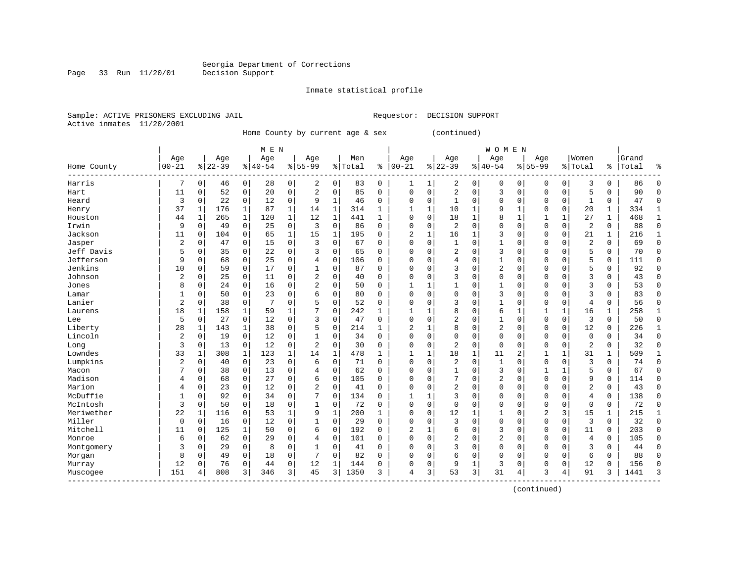Page 33 Run 11/20/01

#### Inmate statistical profile

Sample: ACTIVE PRISONERS EXCLUDING JAIL **Requestor: DECISION SUPPORT** Active inmates 11/20/2001

Home County by current age & sex (continued)

|                    | M E N          |              |           |             |           |              |                |              |         |              |                |              |                |               | <b>WOMEN</b>   |                |              |              |                |             |           |              |
|--------------------|----------------|--------------|-----------|-------------|-----------|--------------|----------------|--------------|---------|--------------|----------------|--------------|----------------|---------------|----------------|----------------|--------------|--------------|----------------|-------------|-----------|--------------|
|                    | Age            |              | Age       |             | Age       |              | Age            |              | Men     |              | Age            |              | Age            |               | Age            |                | Age          |              | Women          |             | Grand     |              |
| Home County        | $ 00 - 21$     |              | $8 22-39$ |             | $8 40-54$ |              | $8155 - 99$    |              | % Total | ి            | $00 - 21$      |              | $8 22-39$      | $\frac{1}{6}$ | $140 - 54$     |                | $8155 - 99$  |              | % Total        |             | %   Total | ႜ            |
| Harris             |                | 0            | 46        | 0           | 28        | 0            | 2              | 0            | 83      | 0            |                | 1            | 2              | 0             | $\mathbf 0$    | $\Omega$       | 0            | 0            | 3              | 0           | 86        | $\Omega$     |
| Hart               | 11             | $\Omega$     | 52        | 0           | 20        | 0            | $\overline{2}$ | 0            | 85      | 0            | $\Omega$       | 0            | $\overline{2}$ | $\mathbf 0$   | 3              | $\mathbf 0$    | $\Omega$     | $\Omega$     | 5              | $\Omega$    | 90        | $\Omega$     |
| Heard              | 3              | $\mathbf 0$  | 22        | 0           | 12        | 0            | 9              | 1            | 46      | 0            | $\Omega$       | $\Omega$     | 1              | $\Omega$      | $\Omega$       | $\mathbf 0$    | $\Omega$     | $\Omega$     | 1              | $\Omega$    | 47        | $\Omega$     |
| Henry              | 37             | 1            | 176       | 1           | 87        | $\mathbf{1}$ | 14             | 1            | 314     | $\mathbf{1}$ | $\mathbf{1}$   | $\mathbf{1}$ | 10             | $\mathbf{1}$  | 9              | 1              | 0            | $\Omega$     | 20             | 1           | 334       | $\mathbf{1}$ |
| Houston            | 44             | $\mathbf{1}$ | 265       | $\mathbf 1$ | 120       | 1            | 12             | $\mathbf{1}$ | 441     | 1            | $\mathbf 0$    | $\mathbf 0$  | 18             | 1             | 8              | $\mathbf{1}$   | 1            | $\mathbf 1$  | 27             | $\mathbf 1$ | 468       | $\mathbf{1}$ |
| Irwin              | 9              | $\mathbf 0$  | 49        | 0           | 25        | 0            | 3              | $\mathbf 0$  | 86      | 0            | $\Omega$       | 0            | 2              | $\mathbf 0$   | $\Omega$       | $\mathbf 0$    | $\mathbf 0$  | $\mathbf 0$  | $\overline{c}$ | 0           | 88        | $\Omega$     |
| Jackson            | 11             | 0            | 104       | 0           | 65        | $\mathbf{1}$ | 15             | 1            | 195     | 0            | $\overline{2}$ | $\mathbf 1$  | 16             | 1             | 3              | $\mathbf 0$    | $\mathbf 0$  | $\mathbf 0$  | 21             | $\mathbf 1$ | 216       | $\mathbf{1}$ |
| Jasper             | $\overline{a}$ | 0            | 47        | 0           | 15        | 0            | 3              | 0            | 67      | 0            | $\Omega$       | 0            | $\mathbf{1}$   | $\mathbf 0$   | $\mathbf{1}$   | 0              | $\mathbf 0$  | $\mathbf 0$  | $\overline{c}$ | $\mathbf 0$ | 69        | $\mathbf 0$  |
| Jeff Davis         | 5              | $\mathbf 0$  | 35        | 0           | 22        | 0            | 3              | 0            | 65      | 0            | $\mathbf 0$    | 0            | $\overline{2}$ | $\mathbf 0$   | 3              | $\mathbf 0$    | 0            | 0            | 5              | 0           | 70        | $\Omega$     |
| Jefferson          | 9              | $\Omega$     | 68        | 0           | 25        | 0            | 4              | $\Omega$     | 106     | 0            | $\Omega$       | 0            | 4              | $\Omega$      | 1              | $\mathbf 0$    | 0            | 0            | 5              | 0           | 111       | $\Omega$     |
| Jenkins            | 10             | $\Omega$     | 59        | 0           | 17        | 0            |                | $\Omega$     | 87      | O            | $\bigcap$      | 0            | 3              | $\Omega$      | 2              | $\mathbf 0$    | $\mathbf 0$  | $\Omega$     | 5              | $\Omega$    | 92        | $\Omega$     |
| Johnson            | $\overline{2}$ | $\mathbf 0$  | 25        | 0           | 11        | 0            | $\overline{2}$ | 0            | 40      | 0            | $\mathbf 0$    | $\Omega$     | 3              | $\Omega$      | $\mathbf 0$    | $\mathbf 0$    | $\Omega$     | $\Omega$     | 3              | $\Omega$    | 43        | ∩            |
| Jones              | 8              | $\Omega$     | 24        | $\Omega$    | 16        | 0            | 2              | $\Omega$     | 50      | 0            | 1              | $\mathbf{1}$ | $\mathbf{1}$   | $\Omega$      | 1              | $\Omega$       | $\Omega$     | $\Omega$     | 3              | $\Omega$    | 53        | ∩            |
| Lamar              |                | $\Omega$     | 50        | $\Omega$    | 23        | 0            | 6              | 0            | 80      | 0            | $\Omega$       | $\Omega$     | 0              | $\Omega$      | 3              | $\mathbf 0$    | $\Omega$     | $\Omega$     | 3              | 0           | 83        | $\Omega$     |
| Lanier             | 2              | $\mathbf 0$  | 38        | 0           | 7         | 0            | 5              | 0            | 52      | 0            | $\Omega$       | 0            | 3              | $\Omega$      | $\mathbf{1}$   | 0              | $\Omega$     | $\mathbf 0$  | 4              | 0           | 56        | $\Omega$     |
| Laurens            | 18             | 1            | 158       | 1           | 59        | 1            |                | 0            | 242     | 1            | $\mathbf{1}$   | 1            | 8              | $\Omega$      | 6              | 1              | 1            | $\mathbf{1}$ | 16             | 1           | 258       | $\mathbf{1}$ |
| Lee                | 5              | $\mathbf 0$  | 27        | 0           | 12        | 0            | 3              | 0            | 47      | $\Omega$     | $\Omega$       | $\Omega$     | $\overline{a}$ | 0             | 1              | $\mathbf 0$    | 0            | 0            | 3              | $\Omega$    | 50        | $\Omega$     |
| Liberty            | 28             | 1            | 143       | 1           | 38        | 0            | 5              | 0            | 214     | 1            | $\overline{2}$ | 1            | 8              | 0             | $\overline{2}$ | $\mathbf 0$    | 0            | $\Omega$     | 12             | 0           | 226       | 1            |
| Lincoln            | 2              | 0            | 19        | 0           | 12        | 0            |                | 0            | 34      | 0            | $\Omega$       | 0            | $\Omega$       | $\mathbf 0$   | $\Omega$       | 0              | 0            | 0            | $\mathbf 0$    | $\Omega$    | 34        | $\Omega$     |
| Long               | 3              | $\mathbf 0$  | 13        | 0           | 12        | 0            | $\overline{c}$ | 0            | 30      | 0            | $\mathbf 0$    | $\mathbf 0$  | $\overline{2}$ | $\mathbf 0$   | $\mathbf 0$    | $\mathbf 0$    | $\mathbf 0$  | $\mathbf 0$  | $\overline{c}$ | 0           | 32        | $\Omega$     |
| Lowndes            | 33             | 1            | 308       | $\mathbf 1$ | 123       | 1            | 14             | $\mathbf{1}$ | 478     | 1            | $\mathbf{1}$   | 1            | 18             | $\mathbf{1}$  | 11             | $\overline{2}$ | $\mathbf{1}$ | $\mathbf{1}$ | 31             | $\mathbf 1$ | 509       | $\mathbf{1}$ |
| Lumpkins           | 2              | $\mathbf 0$  | 40        | 0           | 23        | 0            | 6              | 0            | 71      | 0            | $\mathbf 0$    | 0            | $\overline{2}$ | $\mathbf 0$   | $\mathbf{1}$   | $\mathbf 0$    | $\mathbf 0$  | $\Omega$     | 3              | 0           | 74        | $\Omega$     |
| Macon              |                | $\mathbf 0$  | 38        | 0           | 13        | 0            | 4              | $\mathbf 0$  | 62      | 0            | $\Omega$       | $\mathbf 0$  | $\mathbf{1}$   | $\Omega$      | $\overline{3}$ | $\mathbf 0$    | 1            | 1            | 5              | 0           | 67        | $\Omega$     |
| Madison            | 4              | 0            | 68        | 0           | 27        | 0            | 6              | 0            | 105     | 0            | $\Omega$       | $\mathbf 0$  | 7              | $\mathbf 0$   | $\overline{2}$ | $\mathbf 0$    | $\mathbf 0$  | $\mathbf 0$  | 9              | 0           | 114       | $\Omega$     |
| Marion             | 4              | $\mathbf 0$  | 23        | 0           | 12        | 0            | $\overline{c}$ | 0            | 41      | 0            | $\Omega$       | 0            | $\overline{2}$ | $\Omega$      | $\Omega$       | $\mathbf 0$    | $\mathbf 0$  | $\Omega$     | $\overline{2}$ | 0           | 43        | $\Omega$     |
| McDuffie           | 1              | $\mathbf 0$  | 92        | 0           | 34        | 0            | 7              | 0            | 134     | 0            | 1              | 1            | 3              | $\Omega$      | $\Omega$       | $\mathbf 0$    | 0            | $\Omega$     | 4              | $\Omega$    | 138       | $\Omega$     |
| McIntosh           | 3              | $\mathbf 0$  | 50        | 0           | 18        | 0            |                | 0            | 72      | 0            | $\Omega$       | 0            | $\Omega$       | 0             | $\Omega$       | $\mathbf 0$    | 0            | $\Omega$     | $\mathbf 0$    | 0           | 72        | $\Omega$     |
| Meriwether         | 22             | 1            | 116       | 0           | 53        | 1            | 9              | $\mathbf{1}$ | 200     | 1            | $\Omega$       | $\Omega$     | 12             | 1             | 1              | 0              | 2            | 3            | 15             | 1           | 215       | 1            |
| Miller             | $\Omega$       | $\mathbf 0$  | 16        | 0           | 12        | 0            |                | 0            | 29      | O            | $\bigcap$      | 0            | 3              | $\Omega$      | $\Omega$       | $\mathbf 0$    | $\mathbf 0$  | $\Omega$     | 3              | $\Omega$    | 32        | $\Omega$     |
| Mitchell           | 11             | $\Omega$     | 125       | 1           | 50        | 0            | 6              | $\Omega$     | 192     | O            | $\overline{2}$ | $\mathbf{1}$ | 6              | $\Omega$      | 3              | $\Omega$       | $\Omega$     | $\Omega$     | 11             | $\Omega$    | 203       | $\Omega$     |
| Monroe             | 6              | $\Omega$     | 62        | $\Omega$    | 29        | 0            | $\overline{4}$ | 0            | 101     | O            | $\Omega$       | $\Omega$     | $\overline{a}$ | $\Omega$      | $\overline{2}$ | $\mathbf 0$    | 0            | $\Omega$     | $\overline{4}$ | 0           | 105       | $\Omega$     |
| Montgomery         | 3              | $\mathbf 0$  | 29        | $\mathbf 0$ | 8         | 0            |                | 0            | 41      | 0            | $\Omega$       | $\mathbf 0$  | 3              | $\mathbf 0$   | $\Omega$       | 0              | $\Omega$     | $\Omega$     | 3              | 0           | 44        | $\Omega$     |
| Morgan             | 8              | $\mathbf 0$  | 49        | 0           | 18        | 0            |                | 0            | 82      | O            | $\Omega$       | 0            | 6              | 0             | $\Omega$       | 0              | 0            | 0            | 6              | 0           | 88        | $\Omega$     |
| Murray             | 12             | $\Omega$     | 76        | 0           | 44        | 0            | 12             | 1            | 144     | 0            | $\Omega$       | $\mathsf 0$  | 9              | 1             | 3              | 0              | 0            | 0            | 12             | 0           | 156       | ∩            |
| Muscogee<br>------ | 151            | 4            | 808       | 3           | 346       | 3            | 45             | 3            | 1350    | 3            | 4              | 3            | 53             | 3             | 31             | 4              | 3            | 4            | 91             | 3           | 1441      | 3            |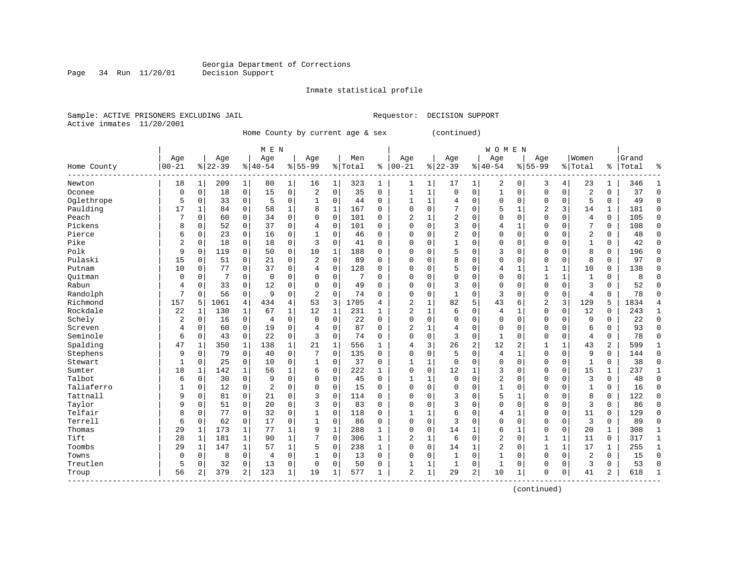Page 34 Run 11/20/01

#### Inmate statistical profile

Sample: ACTIVE PRISONERS EXCLUDING JAIL **Requestor: DECISION SUPPORT** Active inmates 11/20/2001

Home County by current age & sex

|  | (continued) |  |
|--|-------------|--|
|--|-------------|--|

|                         | M E N          |              |           |                |                |             |                |             |         |             |                |              |                | <b>WOMEN</b>   |                |                |              |              |                |                |       |              |
|-------------------------|----------------|--------------|-----------|----------------|----------------|-------------|----------------|-------------|---------|-------------|----------------|--------------|----------------|----------------|----------------|----------------|--------------|--------------|----------------|----------------|-------|--------------|
|                         | Age            |              | Age       |                | Age            |             | Age            |             | Men     |             | Age            |              | Age            |                | Age            |                | Age          |              | Women          |                | Grand |              |
| Home County<br>-------- | $ 00 - 21$     |              | $8 22-39$ |                | $8 40-54$      |             | $8155 - 99$    |             | % Total | ៖           | $ 00 - 21$     |              | $8 22-39$      |                | $ 40-54$       |                | $8155 - 99$  |              | % Total        | ႜ              | Total | ႜ            |
| Newton                  | 18             |              | 209       | 1              | 80             | 1           | 16             | 1           | 323     | 1           | 1              | 1            | 17             | 1              | 2              | 0              | 3            | 4            | 23             | 1              | 346   |              |
| Oconee                  | 0              | $\mathbf 0$  | 18        | 0              | 15             | 0           | $\overline{2}$ | $\mathbf 0$ | 35      | $\mathbf 0$ | $\mathbf{1}$   | 1            | $\mathbf 0$    | 0              | $\mathbf{1}$   | 0              | $\mathbf 0$  | $\mathbf 0$  | 2              | $\Omega$       | 37    | $\mathbf 0$  |
| Oglethrope              | 5              | $\mathbf 0$  | 33        | 0              | 5              | 0           | 1              | $\mathbf 0$ | 44      | $\mathbf 0$ | $\mathbf{1}$   | 1            | $\overline{4}$ | 0              | $\mathbf 0$    | $\mathbf 0$    | 0            | $\mathbf 0$  | 5              | $\Omega$       | 49    | $\Omega$     |
| Paulding                | 17             | $\mathbf{1}$ | 84        | 0              | 58             | 1           | 8              | 1           | 167     | $\Omega$    | $\Omega$       | $\Omega$     | 7              | 0              | 5              | $\mathbf 1$    | 2            | 3            | 14             | 1              | 181   | $\mathbf 0$  |
| Peach                   |                | 0            | 60        | 0              | 34             | $\mathbf 0$ | $\Omega$       | $\mathbf 0$ | 101     | $\mathbf 0$ | 2              |              | $\overline{2}$ | 0              | $\Omega$       | $\mathbf 0$    | $\Omega$     | $\mathbf 0$  | $\overline{4}$ | $\mathbf 0$    | 105   | $\mathbf 0$  |
| Pickens                 | 8              | $\mathbf 0$  | 52        | 0              | 37             | 0           | 4              | $\mathbf 0$ | 101     | $\Omega$    | $\Omega$       | $\Omega$     | 3              | O              | 4              | $\mathbf 1$    | $\Omega$     | $\mathbf 0$  | 7              | 0              | 108   | $\mathbf 0$  |
| Pierce                  | 6              | $\mathbf 0$  | 23        | $\Omega$       | 16             | 0           | $\mathbf{1}$   | $\mathbf 0$ | 46      | $\Omega$    | $\Omega$       | $\Omega$     | $\overline{c}$ | 0              | $\Omega$       | $\mathbf 0$    | $\Omega$     | $\mathbf 0$  | $\overline{2}$ | $\Omega$       | 48    | $\Omega$     |
| Pike                    | $\overline{2}$ | $\mathbf 0$  | 18        | $\Omega$       | 18             | 0           | 3              | $\mathbf 0$ | 41      | $\Omega$    | $\Omega$       | $\Omega$     | $\mathbf{1}$   | 0              | $\Omega$       | 0              | $\Omega$     | 0            | $\mathbf{1}$   | $\Omega$       | 42    | $\mathbf 0$  |
| Polk                    | 9              | 0            | 119       | $\Omega$       | 50             | 0           | 10             | 1           | 188     | 0           | $\Omega$       | $\Omega$     | 5              | 0              | 3              | 0              | 0            | 0            | 8              | $\Omega$       | 196   | $\mathbf 0$  |
| Pulaski                 | 15             | $\Omega$     | 51        | $\Omega$       | 21             | 0           | $\overline{c}$ | $\mathbf 0$ | 89      | $\Omega$    | $\Omega$       |              | 8              | 0              | $\Omega$       | $\mathbf 0$    | $\Omega$     | $\mathbf 0$  | 8              | $\Omega$       | 97    | $\mathbf 0$  |
| Putnam                  | 10             | 0            | 77        | $\Omega$       | 37             | 0           | 4              | $\mathbf 0$ | 128     | $\Omega$    | $\Omega$       | ∩            | 5              | O              | 4              | $\mathbf{1}$   |              | $\mathbf{1}$ | 10             | $\Omega$       | 138   | $\Omega$     |
| Ouitman                 | 0              | $\mathbf 0$  | 7         | 0              | $\mathbf 0$    | 0           | O              | $\mathbf 0$ | 7       | $\Omega$    | $\Omega$       | $\Omega$     | $\Omega$       | 0              | $\Omega$       | $\mathbf 0$    | $\mathbf{1}$ | $\mathbf{1}$ | $\mathbf{1}$   | $\Omega$       | 8     | $\Omega$     |
| Rabun                   | 4              | 0            | 33        | 0              | 12             | 0           | 0              | $\mathbf 0$ | 49      | $\Omega$    | $\Omega$       | $\Omega$     | 3              | 0              | $\mathbf 0$    | $\mathbf 0$    | $\Omega$     | $\mathbf 0$  | 3              | 0              | 52    | $\mathbf 0$  |
| Randolph                | 7              | 0            | 56        | 0              | 9              | 0           | $\overline{2}$ | $\mathbf 0$ | 74      | $\mathbf 0$ | $\Omega$       | $\mathbf 0$  | $\mathbf{1}$   | 0              | 3              | $\mathbf 0$    | $\Omega$     | $\mathbf 0$  | $\overline{4}$ | $\mathbf 0$    | 78    | $\mathbf 0$  |
| Richmond                | 157            | 5            | 1061      | 4              | 434            | 4           | 53             | 3           | 1705    | 4           | $\overline{2}$ | $\mathbf{1}$ | 82             | 5              | 43             | 6              | 2            | 3            | 129            | 5              | 1834  | 4            |
| Rockdale                | 22             | 1            | 130       | 1              | 67             | 1           | 12             | $\mathbf 1$ | 231     | 1           | $\overline{2}$ | 1            | 6              | 0              | 4              | $1\,$          | $\Omega$     | $\mathbf 0$  | 12             | $\mathbf 0$    | 243   | $\mathbf{1}$ |
| Schely                  | 2              | 0            | 16        | 0              | $\overline{4}$ | 0           | $\Omega$       | 0           | 22      | $\mathbf 0$ | $\Omega$       | $\Omega$     | 0              | 0              | $\Omega$       | 0              | 0            | 0            | 0              | 0              | 22    | 0            |
| Screven                 | 4              | $\mathbf 0$  | 60        | 0              | 19             | 0           | 4              | 0           | 87      | $\Omega$    | $\overline{2}$ |              | $\overline{4}$ | O              | $\Omega$       | 0              | $\Omega$     | $\mathbf 0$  | 6              | $\Omega$       | 93    | $\mathbf 0$  |
| Seminole                | 6              | $\Omega$     | 43        | $\Omega$       | 22             | $\Omega$    | 3              | $\mathbf 0$ | 74      | $\Omega$    | $\Omega$       | $\Omega$     | 3              | 0              | 1              | 0              | $\Omega$     | $\Omega$     | 4              | $\Omega$       | 78    | $\Omega$     |
| Spalding                | 47             | 1            | 350       | 1              | 138            | 1           | 21             | 1           | 556     | 1           | 4              | 3            | 26             | 2              | 12             | $\overline{2}$ | 1            | 1            | 43             | $\overline{2}$ | 599   | 1            |
| Stephens                | 9              | $\mathbf 0$  | 79        | 0              | 40             | 0           | 7              | $\mathbf 0$ | 135     | $\mathbf 0$ | $\Omega$       | $\Omega$     | 5              | 0              | 4              | $\mathbf{1}$   | $\Omega$     | $\mathbf 0$  | 9              | $\Omega$       | 144   | 0            |
| Stewart                 | 1              | 0            | 25        | 0              | 10             | 0           | 1              | 0           | 37      | $\mathbf 0$ |                |              | $\mathbf 0$    | 0              | $\mathbf 0$    | $\Omega$       | $\Omega$     | $\mathbf 0$  | 1              | $\Omega$       | 38    | $\mathbf 0$  |
| Sumter                  | 18             | $\mathbf{1}$ | 142       | $\mathbf{1}$   | 56             | 1           | 6              | $\mathbf 0$ | 222     | 1           | $\Omega$       | $\mathbf 0$  | 12             | 1              | 3              | $\mathbf 0$    | 0            | $\mathbf 0$  | 15             | $\mathbf{1}$   | 237   | $\mathbf{1}$ |
| Talbot                  | 6              | $\mathbf 0$  | 30        | 0              | 9              | 0           | $\Omega$       | $\mathbf 0$ | 45      | $\mathbf 0$ | 1              | 1            | $\mathbf 0$    | 0              | $\overline{2}$ | $\mathbf 0$    | $\Omega$     | $\mathbf 0$  | 3              | $\Omega$       | 48    | $\mathbf 0$  |
| Taliaferro              | 1              | $\mathbf 0$  | 12        | 0              | $\overline{2}$ | 0           | $\Omega$       | $\mathbf 0$ | 15      | $\mathbf 0$ | $\Omega$       | $\Omega$     | 0              | 0              | $\mathbf{1}$   | $\mathbf 0$    | 0            | $\mathbf 0$  | $\mathbf{1}$   | 0              | 16    | 0            |
| Tattnall                | 9              | 0            | 81        | 0              | 21             | 0           | 3              | $\mathsf 0$ | 114     | 0           | $\Omega$       | $\Omega$     | 3              | 0              | 5              | 1              | 0            | 0            | 8              | 0              | 122   | 0            |
| Taylor                  | 9              | $\mathbf 0$  | 51        | 0              | 20             | 0           | 3              | $\mathbf 0$ | 83      | 0           | $\Omega$       | $\Omega$     | 3              | O              | $\Omega$       | $\mathbf 0$    | $\Omega$     | $\mathbf 0$  | 3              | $\mathbf 0$    | 86    | $\mathbf 0$  |
| Telfair                 | 8              | $\Omega$     | 77        | $\Omega$       | 32             | 0           | $\mathbf 1$    | $\mathbf 0$ | 118     | $\Omega$    | 1              | 1            | 6              | O              | 4              | $\mathbf{1}$   | $\Omega$     | $\mathbf 0$  | 11             | $\Omega$       | 129   | $\Omega$     |
| Terrell                 | 6              | 0            | 62        | 0              | 17             | 0           | 1              | $\mathbf 0$ | 86      | 0           | $\Omega$       | $\Omega$     | 3              | O              | $\Omega$       | $\mathbf 0$    | $\Omega$     | $\mathbf 0$  | 3              | $\Omega$       | 89    | 0            |
| Thomas                  | 29             | 1            | 173       | 1              | 77             | 1           | 9              | $\mathbf 1$ | 288     | 1           | $\Omega$       | $\Omega$     | 14             | 1              | 6              | $\mathbf{1}$   | 0            | $\mathbf 0$  | 20             | $\mathbf{1}$   | 308   | 1            |
| Tift                    | 28             | $\mathbf{1}$ | 181       | $\mathbf 1$    | 90             | 1           | 7              | 0           | 306     | 1           | $\overline{2}$ | 1            | 6              | 0              | 2              | 0              | $\mathbf{1}$ | $\mathbf{1}$ | 11             | $\mathbf 0$    | 317   | $\mathbf{1}$ |
| Toombs                  | 29             | 1            | 147       | 1              | 57             | $\mathbf 1$ | 5              | $\mathbf 0$ | 238     | 1           | $\Omega$       | $\Omega$     | 14             | 1              | $\overline{2}$ | $\mathbf 0$    | 1            | $\mathbf{1}$ | 17             | 1              | 255   | $\mathbf{1}$ |
| Towns                   | 0              | 0            | 8         | 0              | $\overline{4}$ | 0           | 1              | $\mathbf 0$ | 13      | $\mathbf 0$ | $\Omega$       | $\Omega$     | 1              | 0              | $\mathbf{1}$   | 0              | 0            | $\mathbf 0$  | 2              | 0              | 15    | $\mathbf 0$  |
| Treutlen                | 5              | 0            | 32        | $\Omega$       | 13             | 0           | $\Omega$       | 0           | 50      | 0           |                |              | -1             | 0              | 1              | 0              | 0            | 0            | 3              | $\Omega$       | 53    | $\Omega$     |
| Troup                   | 56             | 2            | 379       | $\overline{a}$ | 123            | $\mathbf 1$ | 19             | 1           | 577     | 1           | 2              | 1            | 29             | $\overline{a}$ | 10             | 1              | $\Omega$     | $\mathbf 0$  | 41             | 2              | 618   | $\mathbf{1}$ |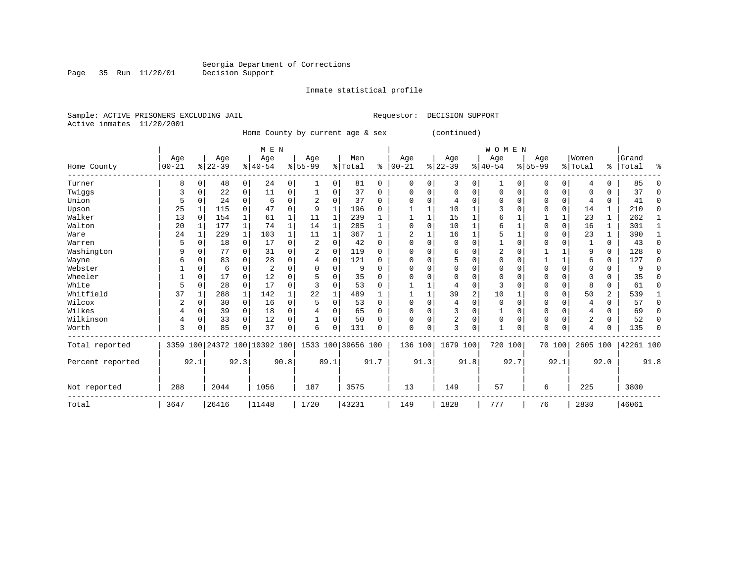Page 35 Run 11/20/01

#### Inmate statistical profile

Sample: ACTIVE PRISONERS EXCLUDING JAIL **Requestor: DECISION SUPPORT** Active inmates 11/20/2001

Home County by current age & sex (continued)

|                  |                 |             |                  |              | M E N                        |      |                  |          |                    |          |                  |          |                 |                | WOMEN           |             |                    |             |                  |          |                    |          |
|------------------|-----------------|-------------|------------------|--------------|------------------------------|------|------------------|----------|--------------------|----------|------------------|----------|-----------------|----------------|-----------------|-------------|--------------------|-------------|------------------|----------|--------------------|----------|
| Home County      | Age<br>$ 00-21$ |             | Age<br>$ 22-39 $ |              | Age<br>$ 40-54 $             |      | Age<br>$8 55-99$ |          | Men<br>% Total     | နွ       | Age<br>$00 - 21$ |          | Age<br>$ 22-39$ |                | Age<br>$ 40-54$ |             | Age<br>$8155 - 99$ |             | Women<br>% Total |          | Grand<br>%   Total | ႜ        |
|                  |                 |             |                  |              |                              |      |                  |          |                    |          |                  |          |                 |                |                 |             |                    |             |                  |          |                    |          |
| Turner           | 8               | $\Omega$    | 48               | 0            | 24                           | 0    |                  | 0        | 81                 | $\Omega$ | $\mathbf 0$      | 0        | 3               | $\Omega$       | 1               | 0           | $\Omega$           | 0           | 4                | $\Omega$ | 85                 |          |
| Twiggs           | 3               | 0           | 22               | 0            | 11                           | 0    |                  | 0        | 37                 | 0        | $\Omega$         | 0        | $\mathbf 0$     | $\mathbf 0$    | $\mathbf 0$     | 0           | 0                  | 0           | 0                | 0        | 37                 | $\Omega$ |
| Union            | 5               | 0           | 24               | 0            | 6                            | 0    |                  | 0        | 37                 | 0        |                  | $\Omega$ | 4               | $\Omega$       | 0               | $\Omega$    | 0                  | $\mathbf 0$ | 4                | 0        | 41                 | $\Omega$ |
| Upson            | 25              |             | 115              | 0            | 47                           | 0    | 9                | 1        | 196                | 0        |                  |          | 10              | $\mathbf{1}$   | 3               | $\mathbf 0$ | $\Omega$           | $\mathbf 0$ | 14               | 1        | 210                | $\Omega$ |
| Walker           | 13              | $\Omega$    | 154              |              | 61                           | 1    | 11               | 1        | 239                |          |                  |          | 15              | 1              | 6               |             |                    |             | 23               | 1        | 262                |          |
| Walton           | 20              | 1           | 177              | $\mathbf{1}$ | 74                           | 1    | 14               | 1        | 285                |          |                  | $\Omega$ | 10              | 1              | 6               |             | 0                  | $\mathbf 0$ | 16               | 1        | 301                |          |
| Ware             | 24              |             | 229              | 1            | 103                          | 1    | 11               |          | 367                |          | $\overline{2}$   |          | 16              | 1              | 5               |             | 0                  | $\mathbf 0$ | 23               | 1        | 390                |          |
| Warren           | 5               | $\mathbf 0$ | 18               | $\mathbf 0$  | 17                           | 0    | 2                | 0        | 42                 | $\Omega$ | C                | 0        | $\mathbf 0$     | 0              |                 | $\mathbf 0$ | 0                  | $\Omega$    |                  | 0        | 43                 | $\Omega$ |
| Washington       | 9               | $\Omega$    | 77               | 0            | 31                           | 0    |                  | 0        | 119                | $\Omega$ | $\Omega$         | 0        | 6               | $\Omega$       | 2               | $\mathbf 0$ |                    |             | 9                | 0        | 128                | $\Omega$ |
| Wayne            | 6               | $\Omega$    | 83               |              | 28                           | 0    |                  | 0        | 121                | 0        |                  | U        | 5               | $\Omega$       | 0               | $\Omega$    |                    | 1           | 6                | 0        | 127                | $\Omega$ |
| Webster          |                 | $\Omega$    | 6                | 0            | 2                            | 0    |                  | $\Omega$ | 9                  | U        |                  | U        | $\Omega$        | $\Omega$       | $\Omega$        | $\Omega$    | 0                  | $\Omega$    | 0                | 0        |                    |          |
| Wheeler          |                 | $\Omega$    | 17               | 0            | 12                           | 0    |                  | $\Omega$ | 35                 | U        |                  | 0        | $\Omega$        | $\Omega$       | $\Omega$        | $\Omega$    | $\Omega$           | $\Omega$    | $\Omega$         | 0        | 35                 |          |
| White            | 5               | 0           | 28               | $\Omega$     | 17                           | 0    |                  | $\Omega$ | 53                 | U        |                  |          | 4               | $\Omega$       | 3               | $\Omega$    | 0                  | $\Omega$    | 8                | $\Omega$ | 61                 |          |
| Whitfield        | 37              |             | 288              | 1            | 142                          |      | 22               |          | 489                |          |                  |          | 39              | $\overline{c}$ | 10              |             | 0                  | $\Omega$    | 50               | 2        | 539                |          |
| Wilcox           | 2               | 0           | 30               | 0            | 16                           | 0    | 5                | $\Omega$ | 53                 | 0        |                  | 0        | 4               | $\Omega$       | $\mathbf 0$     | $\Omega$    | 0                  | $\Omega$    | 4                | 0        | 57                 | $\Omega$ |
| Wilkes           |                 | $\mathbf 0$ | 39               | 0            | 18                           | 0    |                  | 0        | 65                 | 0        | O                | 0        | 3               | $\Omega$       |                 | $\Omega$    | 0                  | $\Omega$    | 4                | 0        | 69                 | ∩        |
| Wilkinson        |                 | $\mathbf 0$ | 33               | 0            | 12                           | 0    |                  | 0        | 50                 | U        |                  | 0        | 2               | 0              | 0               | $\Omega$    | $\Omega$           | $\Omega$    | 2                | 0        | 52                 | $\Omega$ |
| Worth            | 3               | 0           | 85               | $\Omega$     | 37                           | 0    | 6                | 0        | 131                | U        | $\Omega$         | 0        | 3               | $\Omega$       |                 | $\Omega$    | $\Omega$           | $\Omega$    | 4                | 0        | 135                | ∩        |
| Total reported   |                 |             |                  |              | 3359 100 24372 100 10392 100 |      |                  |          | 1533 100 39656 100 |          | 136 100          |          | 1679 100        |                | 720 100         |             | 70 100             |             | 2605 100         |          | 42261 100          |          |
| Percent reported |                 | 92.1        |                  | 92.3         |                              | 90.8 |                  | 89.1     |                    | 91.7     |                  | 91.3     |                 | 91.8           |                 | 92.7        |                    | 92.1        |                  | 92.0     |                    | 91.8     |
| Not reported     | 288             |             | 2044             |              | 1056                         |      | 187              |          | 3575               |          | 13               |          | 149             |                | 57              |             | 6                  |             | 225              |          | 3800               |          |
| Total            | 3647            |             | 26416            |              | 11448                        |      | 1720             |          | 43231              |          | 149              |          | 1828            |                | 777             |             | 76                 |             | 2830             |          | 46061              |          |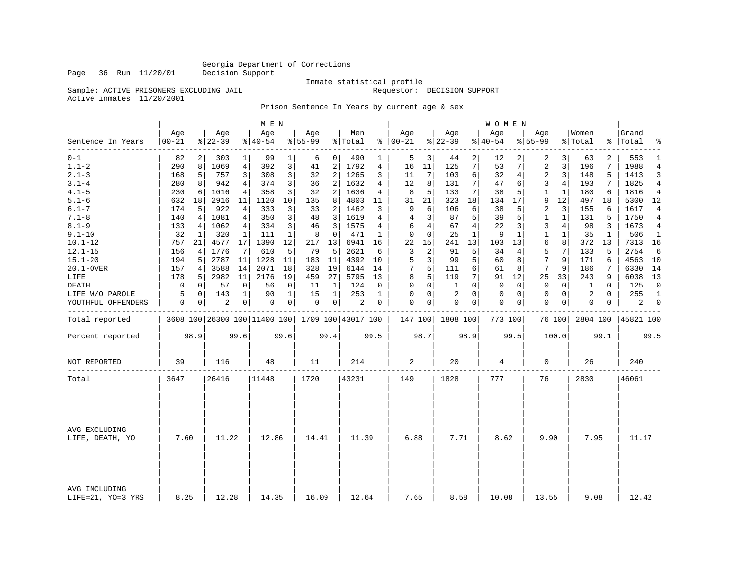Page 36 Run 11/20/01 Decision Support

Inmate statistical profile

Sample: ACTIVE PRISONERS EXCLUDING JAIL **Requestor: DECISION SUPPORT** 

Active inmates 11/20/2001

Prison Sentence In Years by current age & sex

|                                    |                   |                |                 |                | M E N                                           |                 |                  |                         |                |             |                      |                |                  |              | <b>WOMEN</b>     |              |                  |                |                  |              |                    |                |
|------------------------------------|-------------------|----------------|-----------------|----------------|-------------------------------------------------|-----------------|------------------|-------------------------|----------------|-------------|----------------------|----------------|------------------|--------------|------------------|--------------|------------------|----------------|------------------|--------------|--------------------|----------------|
| Sentence In Years                  | Age<br>$ 00 - 21$ |                | Age<br>$ 22-39$ |                | Aqe<br>$ 40-54 $                                |                 | Aqe<br>$8 55-99$ |                         | Men<br>% Total |             | Age<br>$8   00 - 21$ |                | Age<br>$ 22-39$  |              | Aqe<br>$8 40-54$ |              | Aqe<br>$8 55-99$ |                | Women<br>% Total |              | Grand<br>%   Total | ႜ              |
| ________<br>$0 - 1$                | 82                | $\overline{2}$ | 303             | $\mathbf{1}$   | 99                                              | 1               | 6                | 0 <sup>1</sup>          | 490            | $\mathbf 1$ | 5                    | 3              | 44               | 2            | 12               | 2            | 2                | 3              | 63               | 2            | 553                | 1              |
| $1.1 - 2$                          | 290               | 8              | 1069            | 4 <sup>1</sup> | 392                                             | 3               | 41               | 2                       | 1792           | 4           | 16                   | 11             | 125              | 7            | 53               | 7            | 2                | 3              | 196              | 7            | 1988               | $\overline{4}$ |
| $2.1 - 3$                          | 168               | 5              | 757             | 3              | 308                                             | 3 <sup>1</sup>  | 32               | $\overline{2}$          | 1265           | 3           | 11                   | 7              | 103              | 6            | 32               | 4            | 2                | 3              | 148              | 5            | 1413               | 3              |
| $3.1 - 4$                          | 280               | 8              | 942             | 4              | 374                                             | 3               | 36               | 2                       | 1632           | 4           | 12                   | 8              | 131              | 7            | 47               | 6            | 3                | 4              | 193              | 7            | 1825               | 4              |
| $4.1 - 5$                          | 230               | 6              | 1016            | 4              | 358                                             | 3 <sup>1</sup>  | 32               | 2 <sup>1</sup>          | 1636           | 4           | 8                    | 5              | 133              | 7            | 38               | 5            | 1                | $\mathbf{1}$   | 180              | 6            | 1816               | 4              |
| $5.1 - 6$                          | 632               | 18             | 2916            | 11             | 1120                                            | 10 <sup>1</sup> | 135              | 8                       | 4803           | 11          | 31                   | 21             | 323              | 18           | 134              | 17           | 9                | 12             | 497              | 18           | 5300               | 12             |
| $6.1 - 7$                          | 174               | 5              | 922             | 4              | 333                                             | 3               | 33               | 2                       | 1462           | 3           | 9                    | 6              | 106              | 6            | 38               | 5            | 2                | 3              | 155              | 6            | 1617               | 4              |
| $7.1 - 8$                          | 140               | 4              | 1081            | 4              | 350                                             | 3 <sup>1</sup>  | 48               | $\overline{\mathbf{3}}$ | 1619           | 4           | 4                    | 3              | 87               | 5            | 39               | 5            | 1                | 1              | 131              | 5            | 1750               | 4              |
| $8.1 - 9$                          | 133               | 4              | 1062            | 4 <sup>1</sup> | 334                                             | 3               | 46               | $\overline{3}$          | 1575           | 4           | 6                    | $\overline{4}$ | 67               | 4            | 22               | 3            | 3                | $\overline{4}$ | 98               | 3            | 1673               | 4              |
| $9.1 - 10$                         | 32                | 1              | 320             | 1              | 111                                             | $\mathbf{1}$    | 8                | $\mathbf 0$             | 471            | 1           | $\Omega$             | $\Omega$       | 25               | $\mathbf{1}$ | 9                | $\mathbf{1}$ | 1                | 1              | 35               | $\mathbf{1}$ | 506                | $\mathbf{1}$   |
| $10.1 - 12$                        | 757               | 21             | 4577            | 17             | 1390                                            | 12              | 217              | 13                      | 6941           | 16          | 22                   | 15             | 241              | 13           | 103              | 13           | 6                | 8              | 372              | 13           | 7313               | 16             |
| $12.1 - 15$                        | 156               | 4              | 1776            | 7              | 610                                             | 5               | 79               | 5                       | 2621           | 6           | 3                    | $\overline{c}$ | 91               | 5            | 34               | 4            | 5                | 7              | 133              | 5            | 2754               | 6              |
| $15.1 - 20$                        | 194               | 5              | 2787            | 11             | 1228                                            | 11              | 183              | 11                      | 4392           | 10          | 5                    | 3              | 99               | 5            | 60               | 8            | 7                | 9              | 171              | 6            | 4563               | 10             |
| 20.1-OVER                          | 157               | 4              | 3588            | 14             | 2071                                            | 18              | 328              | 19                      | 6144           | 14          | 7                    | 5              | 111              | 6            | 61               | 8            | 7                | 9              | 186              | 7            | 6330               | 14             |
| LIFE                               | 178               | 5              | 2982            | 11             | 2176                                            | 19              | 459              | 27                      | 5795           | 13          | 8                    | 5              | 119              | 7            | 91               | 12           | 25               | 33             | 243              | 9            | 6038               | 13             |
| <b>DEATH</b>                       | 0                 | 0              | 57              | $\mathbf 0$    | 56                                              | $\mathbf 0$     | 11               | $\mathbf{1}$            | 124            | 0           | 0                    | $\mathbf 0$    | $\mathbf{1}$     | $\Omega$     | $\Omega$         | $\Omega$     | 0                | $\mathbf 0$    | 1                | $\Omega$     | 125                | $\mathbf 0$    |
| LIFE W/O PAROLE                    | 5                 | 0              | 143             | 1              | 90                                              | $\mathbf{1}$    | 15               | $\mathbf{1}$            | 253            | 1           | $\Omega$             | $\mathbf 0$    | 2                | $\Omega$     | 0                | $\Omega$     | 0                | $\mathbf 0$    | 2                | $\Omega$     | 255                | -1             |
| YOUTHFUL OFFENDERS                 | 0                 | 0              | 2               | 0              | 0                                               | 0 <sup>1</sup>  | $\mathbf 0$      | 0                       | $\overline{c}$ | 0           | $\Omega$             | 0              | 0                | 0            | 0                | 0            | $\mathbf 0$      | 0              | 0                | 0            | $\overline{a}$     | $\mathbf 0$    |
| Total reported                     |                   |                |                 |                | 3608 100 26300 100 11400 100 1709 100 43017 100 |                 |                  |                         |                |             |                      |                | 147 100 1808 100 |              | 773 100          |              |                  | 76 100         | 2804 100         |              | 45821 100          |                |
| Percent reported                   |                   | 98.9           |                 | 99.6           |                                                 | 99.6            |                  | 99.4                    |                | 99.5        |                      | 98.7           |                  | 98.9         |                  | 99.5         |                  | 100.0          |                  | 99.1         |                    | 99.5           |
| NOT REPORTED                       | 39                |                | 116             |                | 48                                              |                 | 11               |                         | 214            |             | 2                    |                | 20               |              | 4                |              | $\mathbf 0$      |                | 26               |              | 240                |                |
| Total                              | 3647              |                | 26416           |                | 11448                                           |                 | 1720             |                         | 43231          |             | 149                  |                | 1828             |              | 777              |              | 76               |                | 2830             |              | 46061              |                |
|                                    |                   |                |                 |                |                                                 |                 |                  |                         |                |             |                      |                |                  |              |                  |              |                  |                |                  |              |                    |                |
| AVG EXCLUDING<br>LIFE, DEATH, YO   | 7.60              |                | 11.22           |                | 12.86                                           |                 | 14.41            |                         | 11.39          |             | 6.88                 |                | 7.71             |              | 8.62             |              | 9.90             |                | 7.95             |              | 11.17              |                |
| AVG INCLUDING<br>LIFE=21, YO=3 YRS | 8.25              |                | 12.28           |                | 14.35                                           |                 | 16.09            |                         | 12.64          |             | 7.65                 |                | 8.58             |              | 10.08            |              | 13.55            |                | 9.08             |              | 12.42              |                |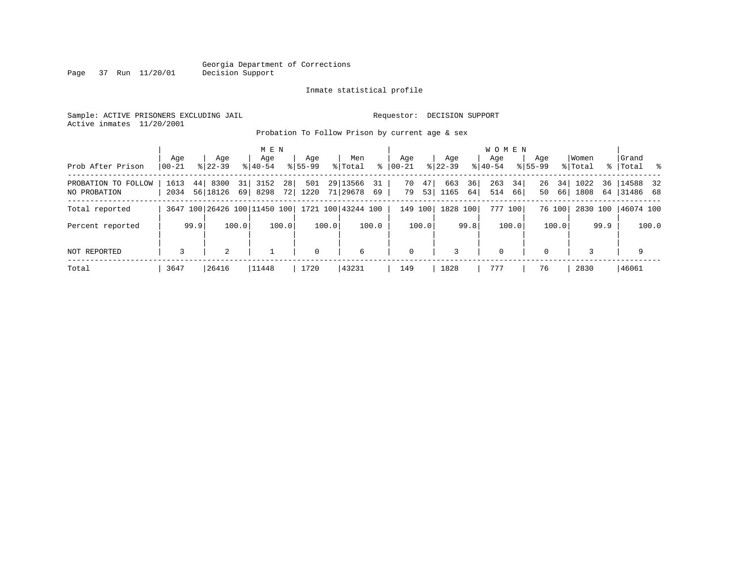Page 37 Run 11/20/01

#### Inmate statistical profile

Sample: ACTIVE PRISONERS EXCLUDING JAIL **Requestor: DECISION SUPPORT** Active inmates 11/20/2001

Probation To Follow Prison by current age & sex

|                                     | Age          |      | Age                          |          | M E N<br>Aqe |          | Aqe         |       | Men                  |            | Aqe         |          | Aqe         |          | <b>WOMEN</b><br>Aqe |          | Aqe         |          | Women        |          | Grand                |       |
|-------------------------------------|--------------|------|------------------------------|----------|--------------|----------|-------------|-------|----------------------|------------|-------------|----------|-------------|----------|---------------------|----------|-------------|----------|--------------|----------|----------------------|-------|
| Prob After Prison                   | $ 00-21 $    |      | $8122 - 39$                  |          | $8140 - 54$  |          | $8155 - 99$ |       | % Total              | ి          | $ 00-21$    |          | $ 22-39 $   |          | $8140 - 54$         |          | $8155 - 99$ |          | % Total      |          | %   Total            | ိ     |
| PROBATION TO FOLLOW<br>NO PROBATION | 1613<br>2034 | 44   | 8300<br>56 18126             | 31<br>69 | 3152<br>8298 | 28<br>72 | 501<br>1220 |       | 29 13566<br>71 29678 | - 31<br>69 | 70<br>79    | 47<br>53 | 663<br>1165 | 36<br>64 | 263<br>514          | 34<br>66 | 26<br>50    | 34<br>66 | 1022<br>1808 | 36<br>64 | 14588 32<br>31486 68 |       |
| Total reported                      |              |      | 3647 100 26426 100 11450 100 |          |              |          |             |       | 1721 100 43244 100   |            | 149 100     |          | 1828 100    |          |                     | 777 100  |             | 76 100   | 2830 100     |          | 46074 100            |       |
| Percent reported                    |              | 99.9 |                              | 100.0    |              | 100.0    |             | 100.0 |                      | 100.0      |             | 100.0    |             | 99.8     |                     | 100.0    |             | 100.0    |              | 99.9     |                      | 100.0 |
| <b>NOT REPORTED</b>                 | 3            |      | 2                            |          |              |          | $\mathbf 0$ |       | 6                    |            | $\mathbf 0$ |          | 3           |          | 0                   |          | $\Omega$    |          |              |          | 9                    |       |
| Total                               | 3647         |      | 26416                        |          | 11448        |          | 1720        |       | 43231                |            | 149         |          | 1828        |          | 777                 |          | 76          |          | 2830         |          | 46061                |       |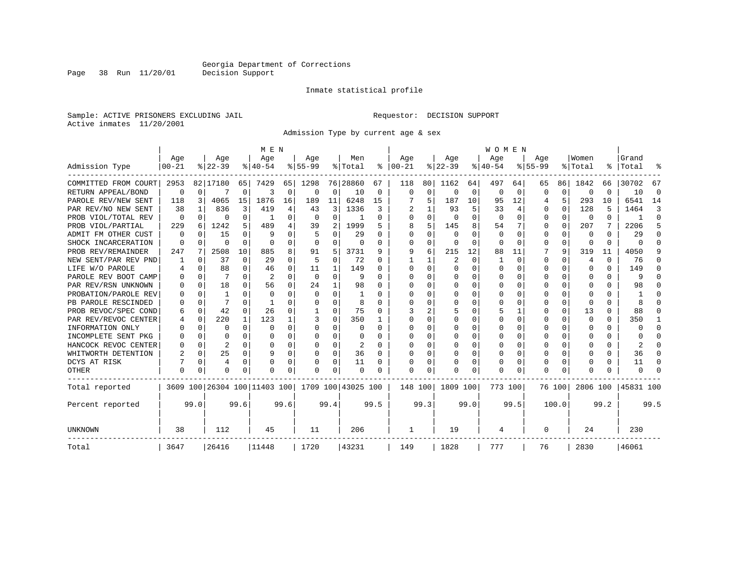Page 38 Run 11/20/01

#### Inmate statistical profile

Sample: ACTIVE PRISONERS EXCLUDING JAIL **Requestor: DECISION SUPPORT** Active inmates 11/20/2001

Admission Type by current age & sex

|                      |           |          |           |          | M E N                                           |              |           |              |          |              |          |              |                |          | <b>WOMEN</b> |          |             |          |                |          |              |          |
|----------------------|-----------|----------|-----------|----------|-------------------------------------------------|--------------|-----------|--------------|----------|--------------|----------|--------------|----------------|----------|--------------|----------|-------------|----------|----------------|----------|--------------|----------|
|                      | Age       |          | Age       |          | Age                                             |              | Age       |              | Men      |              | Age      |              | Age            |          | Age          |          | Age         |          | Women          |          | Grand        |          |
| Admission Type       | $00 - 21$ |          | $8 22-39$ |          | $8 40-54$                                       |              | $8 55-99$ |              | % Total  | ႜ            | $ 00-21$ |              | $ 22-39$       |          | $ 40-54$     |          | $ 55-99$    |          | % Total        | ి        | Total        |          |
| COMMITTED FROM COURT | 2953      |          | 82 17180  | 65       | 7429                                            | 65           | 1298      |              | 76 28860 | 67           | 118      | 80           | 1162           | 64       | 497          | 64       | 65          | 86       | 1842           | 66       | 30702        | 67       |
| RETURN APPEAL/BOND   | 0         | $\Omega$ |           | 0        | 3                                               | 0            | 0         | 0            | 10       | 0            | $\Omega$ | $\Omega$     | 0              | 0        | 0            | 0        | O           | 0        | 0              | U        | 10           | 0        |
| PAROLE REV/NEW SENT  | 118       | 3        | 4065      | 15       | 1876                                            | 16           | 189       | 11           | 6248     | 15           |          | 5            | 187            | 10       | 95           | 12       | 4           | 5        | 293            | 10       | 6541         | 14       |
| PAR REV/NO NEW SENT  | 38        |          | 836       | 3        | 419                                             | 4            | 43        | 3            | 1336     | 3            |          |              | 93             | 5        | 33           | 4        | 0           | 0        | 128            | 5        | 1464         | 3        |
| PROB VIOL/TOTAL REV  | 0         | $\Omega$ | 0         | 0        |                                                 | O            | O         | 0            |          | 0            |          | U            | $\Omega$       | O        | $\Omega$     | 0        | 0           | 0        | 0              | 0        |              | $\Omega$ |
| PROB VIOL/PARTIAL    | 229       | 6        | 1242      | 5        | 489                                             | 4            | 39        | 2            | 1999     | 5            |          | 5            | 145            | 8        | 54           |          | 0           | $\Omega$ | 207            |          | 2206         | 5        |
| ADMIT FM OTHER CUST  | $\Omega$  | $\Omega$ | 15        | O        | q                                               | 0            |           | 0            | 29       | $\Omega$     | $\Omega$ | <sup>0</sup> | $\Omega$       | U        | 0            | $\Omega$ | 0           | 0        | $\Omega$       | U        | 29           | $\Omega$ |
| SHOCK INCARCERATION  | $\Omega$  | $\Omega$ | O         | $\Omega$ | $\cap$                                          | 0            | $\Omega$  | 0            | 0        | $\Omega$     | ∩        | 0            | 0              | $\Omega$ | $\Omega$     | $\Omega$ | 0           | $\Omega$ | 0              | $\Omega$ | $\Omega$     | $\Omega$ |
| PROB REV/REMAINDER   | 247       |          | 2508      | 10       | 885                                             | 8            | 91        | 5            | 3731     | 9            | 9        | 6            | 215            | 12       | 88           | 11       |             | 9        | 319            | 11       | 4050         | 9        |
| NEW SENT/PAR REV PND |           | 0        | 37        | $\Omega$ | 29                                              | $\Omega$     | 5         | $\mathbf 0$  | 72       | $\Omega$     |          |              | $\overline{2}$ | 0        | 1            | 0        | 0           | 0        | $\overline{4}$ | U        | 76           | O        |
| LIFE W/O PAROLE      |           | $\Omega$ | 88        | 0        | 46                                              | 0            | 11        | 1            | 149      | $\Omega$     |          | $\Omega$     | $\Omega$       | O        | $\Omega$     | $\Omega$ | O           | 0        | $\Omega$       | 0        | 149          | ∩        |
| PAROLE REV BOOT CAMP |           | $\Omega$ |           | 0        | 2                                               | <sup>0</sup> | $\Omega$  | $\Omega$     | 9        | $\Omega$     |          | U            | $\Omega$       | U        | O            | $\Omega$ | O           | 0        | $\Omega$       | 0        | 9            | n        |
| PAR REV/RSN UNKNOWN  |           | $\Omega$ | 18        | 0        | 56                                              | 0            | 24        | $\mathbf{1}$ | 98       | $\Omega$     |          | U            | $\Omega$       | O        | O            | $\Omega$ | U           | 0        | $\Omega$       | 0        | 98           |          |
| PROBATION/PAROLE REV |           | $\Omega$ |           | 0        | $\Omega$                                        | U            | $\Omega$  | O            |          | O            |          | U            | $\Omega$       | O        | O            | 0        | O           |          | n              | U        |              |          |
| PB PAROLE RESCINDED  |           | $\Omega$ |           | O        |                                                 | U            | U         | O            | 8        |              |          |              | $\Omega$       | U        | O            | 0        | O           | 0        | n              | U        |              |          |
| PROB REVOC/SPEC COND | 6         | $\Omega$ | 42        | 0        | 26                                              | U            |           | 0            | 75       | $\Omega$     |          | 2            | 5              | U        |              | 1        | 0           | 0        | 13             | 0        | 88           | $\Omega$ |
| PAR REV/REVOC CENTER |           | 0        | 220       | 1        | 123                                             |              | 3         | 0            | 350      |              |          |              | 0              | U        | 0            | 0        | O           | 0        | $\Omega$       | 0        | 350          | -1       |
| INFORMATION ONLY     |           | 0        | 0         | 0        | $\cap$                                          | O            | U         | 0            | 0        | 0            | n        | U            | 0              | 0        | 0            | 0        | O           | $\Omega$ | n              | 0        | <sup>0</sup> | $\Omega$ |
| INCOMPLETE SENT PKG  |           | $\Omega$ | N         | 0        | n                                               | 0            | U         | $\Omega$     | 0        | <sup>0</sup> |          | U            | 0              | O        | O            | $\Omega$ | O           | 0        | n              | 0        |              | $\cap$   |
| HANCOCK REVOC CENTER |           | $\Omega$ | 2         | 0        | O                                               | 0            | U         | 0            | 2        | $\Omega$     |          | U            | $\Omega$       | 0        | $\Omega$     | 0        | O           | 0        | <sup>0</sup>   | U        |              | n        |
| WHITWORTH DETENTION  |           | $\Omega$ | 25        | 0        | 9                                               | $\Omega$     | U         | 0            | 36       | $\Omega$     |          | $\Omega$     | $\Omega$       | O        | $\Omega$     | 0        | 0           | 0        | <sup>0</sup>   | U        | 36           | $\cap$   |
| DCYS AT RISK         |           | $\Omega$ | 4         | 0        |                                                 | U            |           | 0            | 11       | $\Omega$     |          | $\Omega$     |                | 0        | $\Omega$     | 0        | 0           | 0        | O              | 0        | 11           | $\cap$   |
| OTHER                | $\Omega$  | $\Omega$ | 0         | 0        | n                                               | 0            | U         | 0            | $\Omega$ | $\Omega$     | $\Omega$ | O            |                | 0        | $\Omega$     | $\Omega$ | $\Omega$    | $\Omega$ | ∩              | U        | <sup>0</sup> |          |
| Total reported       |           |          |           |          | 3609 100 26304 100 11403 100 1709 100 43025 100 |              |           |              |          |              | 148 100  |              | 1809 100       |          | 773 100      |          |             | 76 100   | 2806 100       |          | 45831 100    |          |
| Percent reported     |           | 99.0     |           | 99.6     |                                                 | 99.6         |           | 99.4         |          | 99.5         |          | 99.3         |                | 99.0     |              | 99.5     |             | 100.0    |                | 99.2     |              | 99.5     |
| UNKNOWN              | 38        |          | 112       |          | 45                                              |              | 11        |              | 206      |              | 1        |              | 19             |          | 4            |          | $\mathbf 0$ |          | 24             |          | 230          |          |
| Total                | 3647      |          | 26416     |          | 11448                                           |              | 1720      |              | 43231    |              | 149      |              | 1828           |          | 777          |          | 76          |          | 2830           |          | 46061        |          |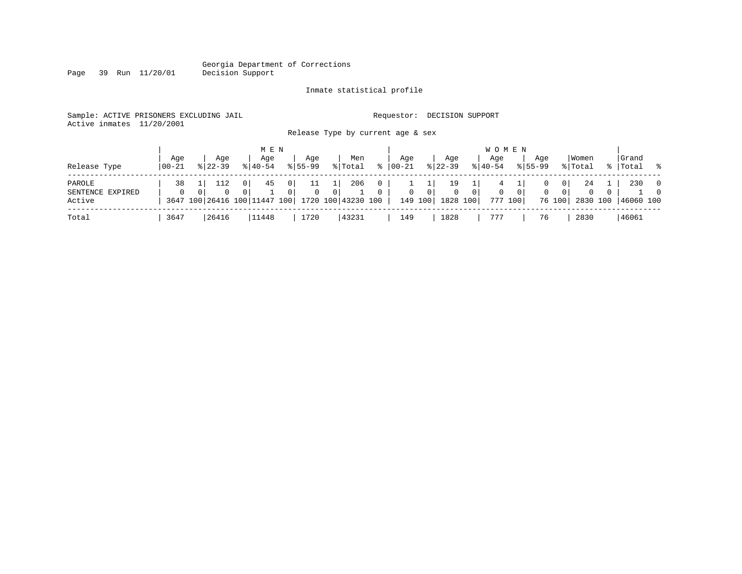Page 39 Run 11/20/01

#### Inmate statistical profile

Sample: ACTIVE PRISONERS EXCLUDING JAIL **Requestor: DECISION SUPPORT** Active inmates 11/20/2001

Release Type by current age & sex

| Release Type                         | Aqe<br>  00-21 | Aqe<br>$8 22-39$ | M E N<br>Aqe<br>$8 40-54$ | Age<br>$8155 - 99$                       | Men<br>% Total                                                     | °≈                       | Aqe<br>$00 - 21$ | Aqe<br>$ 22-39 $                  |                            | <b>WOMEN</b><br>Aqe<br>$8140 - 54$ |                           | Aqe<br>$8155 - 99$ |                             | Women<br>% Total               | Grand<br>%   Total | း                                    |
|--------------------------------------|----------------|------------------|---------------------------|------------------------------------------|--------------------------------------------------------------------|--------------------------|------------------|-----------------------------------|----------------------------|------------------------------------|---------------------------|--------------------|-----------------------------|--------------------------------|--------------------|--------------------------------------|
| PAROLE<br>SENTENCE EXPIRED<br>Active | 38<br>$\Omega$ | $\Omega$         | 0<br>45                   | $\overline{0}$<br>11<br>0<br>$\mathbf 0$ | 206<br>$\Omega$<br>3647 100 26416 100 11447 100 1720 100 43230 100 | $\mathbf{0}$<br>$\Omega$ | $\mathbf{0}$     | 19<br>$\circ$<br>149 100 1828 100 | $\overline{0}$<br>$\Omega$ | 4<br>0                             | 0 <sup>1</sup><br>777 100 | $\mathbf{0}$       | $\mathbf{0}$<br>0<br>76 100 | 24<br>$\mathbf{0}$<br>2830 100 | 230<br>46060 100   | $\overline{\phantom{0}}$<br>$\Omega$ |
| Total                                | 3647           | 26416            | 11448                     | 1720                                     | 43231                                                              |                          | 149              | 1828                              |                            | 777                                |                           | 76                 |                             | 2830                           | 46061              |                                      |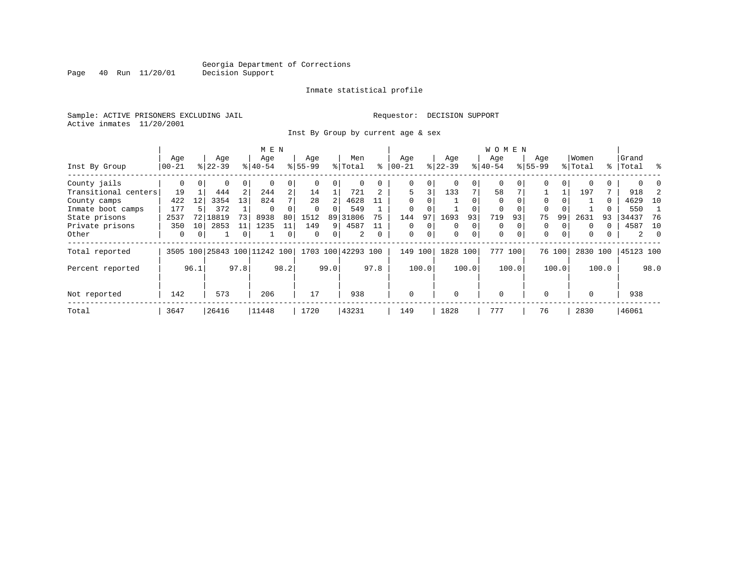Page 40 Run 11/20/01

#### Inmate statistical profile

Sample: ACTIVE PRISONERS EXCLUDING JAIL **Requestor: DECISION SUPPORT** Active inmates 11/20/2001

Inst By Group by current age & sex

|                      |           |      |           |                | M E N               |      |             |      |                    |          |          |                |             |       | W O M E N |          |           |        |          |       |                |      |
|----------------------|-----------|------|-----------|----------------|---------------------|------|-------------|------|--------------------|----------|----------|----------------|-------------|-------|-----------|----------|-----------|--------|----------|-------|----------------|------|
|                      | Age       |      | Age       |                | Age                 |      | Age         |      | Men                |          | Age      |                | Age         |       | Age       |          | Age       |        | Women    |       | Grand          |      |
| Inst By Group        | $00 - 21$ |      | $ 22-39 $ |                | $8140 - 54$         |      | $ 55-99$    |      | % Total            | ႜ        | $ 00-21$ |                | $8 22-39$   |       | $ 40-54 $ |          | $8 55-99$ |        | % Total  |       | %   Total      | ႜ    |
| County jails         | 0         |      | 0         | $\Omega$       | $\Omega$            |      | $\Omega$    |      |                    |          |          | $\Omega$       | $\Omega$    | 0     | $\Omega$  |          | 0         |        |          |       |                |      |
| Transitional centers | 19        |      | 444       | $\overline{2}$ | 244                 | 2    | 14          |      | 721                |          | 5        | 3 <sup>1</sup> | 133         | 7     | 58        |          |           |        | 197      |       | 918            |      |
| County camps         | 422       | 12   | 3354      | 13             | 824                 |      | 28          | 2    | 4628               | 11       |          |                |             | 0     |           |          | 0         |        |          | 0     | 4629           | 10   |
| Inmate boot camps    | 177       |      | 372       |                | $\Omega$            |      | $\mathbf 0$ | 0    | 549                |          |          |                |             |       |           |          | 0         |        |          |       | 550            |      |
| State prisons        | 2537      | 72   | 18819     | 73             | 8938                | 80   | 1512        |      | 89 31806           | 75       | 144      | 97             | 1693        | 93    | 719       | 93       | 75        | 99     | 2631     | 93    | 34437          | 76   |
| Private prisons      | 350       | 10   | 2853      | 11             | 1235                |      | 149         | 9    | 4587               | 11       | $\Omega$ | 0              | 0           | 0     |           |          | 0         |        | $\Omega$ |       | 4587           | 10   |
| Other                | $\Omega$  |      |           | 0              |                     | 0    | $\Omega$    | 0    | 2                  | $\Omega$ | $\Omega$ | $\Omega$       | $\mathbf 0$ | 0     | $\Omega$  | $\Omega$ | $\Omega$  |        | $\Omega$ |       | $\overline{a}$ |      |
| Total reported       | 3505 100  |      |           |                | 25843 100 11242 100 |      |             |      | 1703 100 42293 100 |          | 149      | 100            | 1828        | 100   | 777       | 100      |           | 76 100 | 2830 100 |       | 45123 100      |      |
| Percent reported     |           | 96.1 |           | 97.8           |                     | 98.2 |             | 99.0 |                    | 97.8     |          | 100.0          |             | 100.0 |           | 100.0    |           | 100.0  |          | 100.0 |                | 98.0 |
| Not reported         | 142       | 573  |           |                | 206                 |      | 17          |      | 938                |          | 0        |                | $\mathbf 0$ |       | $\Omega$  |          | $\Omega$  |        | 0        |       | 938            |      |
| Total                | 3647      |      | 26416     |                | 11448               |      | 1720        |      | 43231              |          | 149      |                | 1828        |       | 777       |          | 76        |        | 2830     |       | 46061          |      |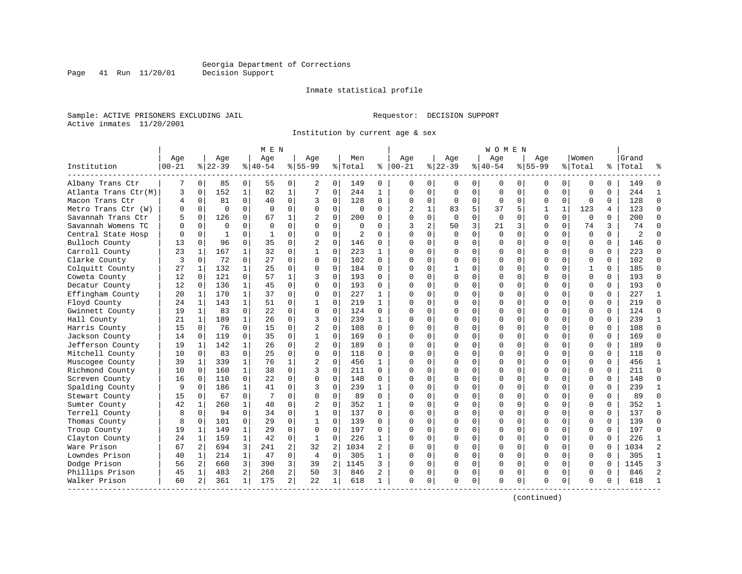Page 41 Run 11/20/01

#### Inmate statistical profile

Sample: ACTIVE PRISONERS EXCLUDING JAIL **Requestor: DECISION SUPPORT** Active inmates 11/20/2001

Institution by current age & sex

| Age<br>Men<br>Aqe<br>Women<br>Grand<br>Age<br>Age<br>Aqe<br>Age<br>Aqe<br>Aqe<br>% Total<br>$ 00 - 21$<br>$8 55-99$<br>Institution<br>$00 - 21$<br>$8 22-39$<br>$8 40-54$<br>$8155 - 99$<br>ႜ<br>$ 22-39 $<br>$8 40-54$<br>% Total<br>Total<br>ႜၟ<br>Albany Trans Ctr<br>0 <sup>1</sup><br>85<br>0<br>55<br>0<br>149<br>$\overline{0}$<br>7<br>0<br>2<br>0<br>$\Omega$<br>0<br>0<br>0<br>0<br>149<br>0<br>0<br>0<br>0<br>152<br>$\mathbf{1}$<br>82<br>7<br>244<br>3<br>$\mathbf 0$<br>$\mathbf{1}$<br>$\mathbf 0$<br>244<br>$\mathbf{1}$<br>$\Omega$<br>$\mathbf 0$<br>0<br>$\Omega$<br>$\Omega$<br>Atlanta Trans Ctr(M)<br>$\Omega$<br>$\mathbf 0$<br>0<br>$\Omega$<br>0<br>$\Omega$<br>128<br>128<br>Macon Trans Ctr<br>0<br>81<br>40<br>0<br>3<br>0<br>$\cap$<br>$\Omega$<br>0<br>0<br>0<br>$\Omega$<br>4<br>0<br>$\Omega$<br>$\Omega$<br>0<br>$\Omega$<br>$\mathbf 0$<br>$\mathbf 0$<br>5<br>$\mathbf{1}$<br>123<br>Metro Trans Ctr (W)<br>0<br>$\Omega$<br>$\Omega$<br>$\Omega$<br>$\Omega$<br>$\Omega$<br>$\Omega$<br>83<br>37<br>5<br>123<br>O<br>4<br>Savannah Trans Ctr<br>$\Omega$<br>126<br>0<br>67<br>$\mathbf{1}$<br>$\overline{c}$<br>$\Omega$<br>200<br>$\cap$<br>$\Omega$<br>$\Omega$<br>$\Omega$<br>$\Omega$<br>O<br>$\Omega$<br>$\Omega$<br>$\Omega$<br>200<br>5<br>$\Omega$<br>$\Omega$<br>2<br>3<br>Savannah Womens TC<br>$\Omega$<br>$\Omega$<br>$\Omega$<br>50<br>21<br>$\Omega$<br>74<br>3<br>74<br>$\Omega$<br>$\Omega$<br>$\Omega$<br>$\Omega$<br>$\Omega$<br>$\Omega$<br>3<br>3<br>0<br>$\Omega$<br>$\mathbf 0$<br>$\mathbf 0$<br>$\mathbf{1}$<br>$\Omega$<br>$\mathbf 0$<br>$\mathbf 0$<br>$\overline{c}$<br>$\Omega$<br>$\Omega$<br>$\Omega$<br>$\Omega$<br>$\Omega$<br>$\Omega$<br>$\Omega$<br>$\Omega$<br>$\Omega$<br>$\overline{2}$<br>Central State Hosp<br>1<br>$\Omega$<br>$\Omega$<br>$\mathbf 0$<br>35<br>$\overline{2}$<br>$\mathbf 0$<br>Bulloch County<br>13<br>$\Omega$<br>96<br>0<br>146<br>$\Omega$<br>U<br>$\Omega$<br>$\Omega$<br>$\Omega$<br>146<br>0<br>O<br>U<br>O<br>$\Omega$<br>23<br>167<br>32<br>$\mathbf 0$<br>223<br>223<br>Carroll County<br>$\mathbf{1}$<br>0<br>$\mathbf{1}$<br>$\Omega$<br>$\mathbf 1$<br>$\mathbf{1}$<br>$\cap$<br>$\Omega$<br>$\Omega$<br>$\Omega$<br>$\Omega$<br>O<br>$\Omega$<br>0<br>O<br>72<br>$\Omega$<br>102<br>102<br>Clarke County<br>3<br>$\Omega$<br>$\Omega$<br>27<br>$\Omega$<br>$\Omega$<br>$\Omega$<br>$\Omega$<br>$\Omega$<br>$\Omega$<br>O<br>$\Omega$<br>O<br>0<br>$\Omega$<br>O<br>$\mathbf{1}$<br>Colquitt County<br>$\mathbf{1}$<br>132<br>25<br>$\Omega$<br>$\Omega$<br>$\Omega$<br>184<br>$\Omega$<br>$\mathbf{1}$<br>$\Omega$<br>185<br>27<br>$\Omega$<br>$\cap$<br>$\Omega$<br>$\mathbf{1}$<br>O<br>$\Omega$<br>O<br>O<br>12<br>121<br>$\Omega$<br>57<br>$\mathbf 0$<br>193<br>$\Omega$<br>193<br>Coweta County<br>$\Omega$<br>1<br>3<br>$\Omega$<br>$\Omega$<br>$\Omega$<br>$\Omega$<br>$\Omega$<br>O<br>0<br>$\Omega$<br><sup>0</sup><br>O<br>$\mathbf{1}$<br>45<br>$\mathbf 0$<br>0<br>$\Omega$<br>$\Omega$<br>$\Omega$<br>$\mathbf{0}$<br>193<br>Decatur County<br>12<br>0<br>136<br>0<br>193<br>$\Omega$<br>$\Omega$<br>$\Omega$<br>O<br>$\Omega$<br>$\mathbf{1}$<br>$\mathbf 0$<br>$\Omega$<br>227<br>Effingham County<br>$\mathbf 1$<br>170<br>37<br>0<br>0<br>227<br>$\mathbf{1}$<br>$\Omega$<br>$\Omega$<br>$\Omega$<br>$\Omega$<br>20<br>$\cap$<br>O<br>O<br>219<br>219<br>Floyd County<br>24<br>143<br>$\mathbf{1}$<br>51<br>$\mathbf{1}$<br>0<br>$\mathbf 0$<br>$\mathbf 1$<br>0<br>$\mathbf{1}$<br>$\cap$<br>$\Omega$<br>$\Omega$<br>$\Omega$<br>$\Omega$<br>O<br>$\Omega$<br>0<br>124<br>Gwinnett County<br>83<br>$\Omega$<br>2.2.<br>$\Omega$<br>$\Omega$<br>$\Omega$<br>124<br>$\Omega$<br>19<br>1<br>$\Omega$<br>$\Omega$<br>O<br>$\Omega$<br>0<br>0<br>$\Omega$<br>O<br>$\mathbf{1}$<br>189<br>26<br>$\Omega$<br>3<br>$\Omega$<br>239<br>$\Omega$<br>$\Omega$<br>239<br>Hall County<br>21<br>$\mathbf{1}$<br>$\mathbf{1}$<br>$\Omega$<br>$\cap$<br>O<br>$\Omega$<br>O<br>0<br>O<br>76<br>$\Omega$<br>15<br>$\mathbf 0$<br>$\overline{2}$<br>$\mathbf 0$<br>108<br>$\Omega$<br>108<br>Harris County<br>15<br>$\Omega$<br>$\Omega$<br>$\cap$<br>$\Omega$<br>$\Omega$<br>O<br>0<br>$\Omega$<br>∩<br>U<br>O<br>$\mathbf 0$<br>35<br>$\mathbf 0$<br>$\mathbf{1}$<br>0<br>169<br>$\mathbf{0}$<br>Jackson County<br>$\mathbf{0}$<br>119<br>$\Omega$<br>$\Omega$<br>$\Omega$<br>O<br>$\Omega$<br>O<br>$\Omega$<br>$\Omega$<br>169<br>14<br>$\mathbf{1}$<br>$\overline{2}$<br>$\mathbf 0$<br>Jefferson County<br>$\mathbf 1$<br>142<br>26<br>0<br>189<br>$\Omega$<br>$\Omega$<br>$\Omega$<br>$\Omega$<br>$\Omega$<br>189<br>19<br>$\Omega$<br>0<br>$\Omega$<br>O<br>$\Omega$<br>Mitchell County<br>10<br>83<br>25<br>$\Omega$<br>$\Omega$<br>$\Omega$<br>118<br>$\Omega$<br>118<br>$\Omega$<br>$\Omega$<br>$\cap$<br>$\Omega$<br>$\Omega$<br>$\Omega$<br>$\Omega$<br>O<br>$\Omega$<br>$\Omega$<br>$\Omega$<br>339<br>$\mathbf{1}$<br>76<br>$\mathbf 1$<br>$\overline{c}$<br>456<br>456<br>Muscogee County<br>39<br>1<br>O<br>O<br>0<br>$\Omega$<br>$\Omega$<br>1<br>0<br>O<br>O<br>$\Omega$<br>$\mathbf{1}$<br>160<br>38<br>$\Omega$<br>3<br>$\Omega$<br>211<br>$\Omega$<br>$\Omega$<br>211<br>Richmond County<br>10<br>$\Omega$<br>$\Omega$<br>$\Omega$<br>$\Omega$<br>$\Omega$<br>$\Omega$<br>O<br>0<br>O<br>110<br>$\Omega$<br>22<br>$\mathbf 0$<br>$\mathbf 0$<br>$\Omega$<br>148<br>16<br>$\Omega$<br>148<br>$\Omega$<br>$\Omega$<br>$\Omega$<br>0<br>$\Omega$<br>Screven County<br>$\Omega$<br>$\Omega$<br>∩<br>U<br>O<br>U<br>$\mathbf{1}$<br>$\mathbf 0$<br>0<br>$\Omega$<br>$\Omega$<br>239<br>Spalding County<br>0<br>186<br>41<br>3<br>239<br>O<br>0<br>$\Omega$<br>$\Omega$<br>9<br>1<br>O<br>U<br>$\Omega$<br>$\Omega$<br>$\Omega$<br>Stewart County<br>67<br>7<br>$\Omega$<br>$\Omega$<br>89<br>$\Omega$<br>$\Omega$<br>0<br>$\Omega$<br>89<br>15<br>$\Omega$<br>$\Omega$<br>0<br>$\Omega$<br>0<br>352<br>42<br>260<br>$\mathbf{1}$<br>48<br>$\overline{c}$<br>$\Omega$<br>352<br>$\Omega$<br>Sumter County<br>$\mathbf{1}$<br>$\Omega$<br>$\mathbf{1}$<br>$\cap$<br>$\Omega$<br>$\Omega$<br>$\Omega$<br>$\Omega$<br>O<br>$\Omega$<br>$\Omega$<br>94<br>$\Omega$<br>$\mathbf 0$<br>$\Omega$<br>137<br>Terrell County<br>8<br>$\Omega$<br>34<br>$\mathbf{1}$<br>137<br>$\Omega$<br>O<br>0<br>$\Omega$<br>$\Omega$<br>0<br>O<br>O<br>$\Omega$<br>U<br>0<br>29<br>$\mathbf 0$<br>$\mathbf{1}$<br>$\Omega$<br>139<br>$\Omega$<br>$\Omega$<br>139<br>Thomas County<br>8<br>0<br>101<br>$\Omega$<br>$\Omega$<br>$\cap$<br>U<br>$\Omega$<br>U<br>0<br>U<br>149<br>$\mathbf{1}$<br>29<br>197<br>197<br>19<br>1<br>0<br>$\Omega$<br>0<br>$\Omega$<br>0<br>$\Omega$<br>$\Omega$<br>Troup County<br>$\Omega$<br>∩<br><sup>n</sup><br>O<br>$\Omega$<br>U<br>O<br>$\mathbf{1}$<br>42<br>$\mathbf 0$<br>$\mathbf 0$<br>226<br>Clayton County<br>$\mathbf 1$<br>159<br>1<br>226<br>$\Omega$<br>O<br>$\Omega$<br>$\Omega$<br>$\mathbf 0$<br>$\Omega$<br>24<br>1<br>$\Omega$<br>O<br>3<br>2<br>2<br>Ware Prison<br>67<br>2 <br>694<br>32<br>1034<br>2<br>$\mathbf 0$<br>$\Omega$<br>1034<br>241<br>$\Omega$<br>$\Omega$<br>0<br>0<br>O<br>$\Omega$<br>Lowndes Prison<br>40<br>214<br>$\mathbf{1}$<br>$\mathbf 0$<br>$\mathbf 0$<br>305<br>305<br>1<br>47<br>4<br>$\mathbf{1}$<br>$\Omega$<br>$\Omega$<br>$\Omega$<br>$\Omega$<br>$\Omega$<br><sup>0</sup><br>0<br>O<br>0<br>$\Omega$<br>3<br>3'<br>$\overline{2}$<br>Dodge Prison<br>56<br>2 <br>660<br>390<br>39<br>1145<br>ς<br>$\Omega$<br>0<br>0<br>$\Omega$<br>1145<br>0<br>O<br>O<br>U<br>U<br>Phillips Prison<br>$\overline{a}$<br>$\overline{a}$<br>3<br>846<br>1<br>483<br>268<br>50<br>846<br>0<br>0<br>0<br>0<br>0<br>$\Omega$<br>$\Omega$<br>45<br>0<br>0<br>$\overline{a}$<br>Walker Prison<br>2<br>361<br>$\mathbf{1}$<br>175<br>22<br>1<br>618<br>$\Omega$<br>0<br>0<br>$\Omega$<br>618<br>60<br>$\mathbf{1}$<br>O<br>0<br>$\Omega$<br>0<br>O<br>0 |  |  | M E N |  |  |  |  | W O M E N |  |  |  |                |
|----------------------------------------------------------------------------------------------------------------------------------------------------------------------------------------------------------------------------------------------------------------------------------------------------------------------------------------------------------------------------------------------------------------------------------------------------------------------------------------------------------------------------------------------------------------------------------------------------------------------------------------------------------------------------------------------------------------------------------------------------------------------------------------------------------------------------------------------------------------------------------------------------------------------------------------------------------------------------------------------------------------------------------------------------------------------------------------------------------------------------------------------------------------------------------------------------------------------------------------------------------------------------------------------------------------------------------------------------------------------------------------------------------------------------------------------------------------------------------------------------------------------------------------------------------------------------------------------------------------------------------------------------------------------------------------------------------------------------------------------------------------------------------------------------------------------------------------------------------------------------------------------------------------------------------------------------------------------------------------------------------------------------------------------------------------------------------------------------------------------------------------------------------------------------------------------------------------------------------------------------------------------------------------------------------------------------------------------------------------------------------------------------------------------------------------------------------------------------------------------------------------------------------------------------------------------------------------------------------------------------------------------------------------------------------------------------------------------------------------------------------------------------------------------------------------------------------------------------------------------------------------------------------------------------------------------------------------------------------------------------------------------------------------------------------------------------------------------------------------------------------------------------------------------------------------------------------------------------------------------------------------------------------------------------------------------------------------------------------------------------------------------------------------------------------------------------------------------------------------------------------------------------------------------------------------------------------------------------------------------------------------------------------------------------------------------------------------------------------------------------------------------------------------------------------------------------------------------------------------------------------------------------------------------------------------------------------------------------------------------------------------------------------------------------------------------------------------------------------------------------------------------------------------------------------------------------------------------------------------------------------------------------------------------------------------------------------------------------------------------------------------------------------------------------------------------------------------------------------------------------------------------------------------------------------------------------------------------------------------------------------------------------------------------------------------------------------------------------------------------------------------------------------------------------------------------------------------------------------------------------------------------------------------------------------------------------------------------------------------------------------------------------------------------------------------------------------------------------------------------------------------------------------------------------------------------------------------------------------------------------------------------------------------------------------------------------------------------------------------------------------------------------------------------------------------------------------------------------------------------------------------------------------------------------------------------------------------------------------------------------------------------------------------------------------------------------------------------------------------------------------------------------------------------------------------------------------------------------------------------------------------------------------------------------------------------------------------------------------------------------------------------------------------------------------------------------------------------------------------------------------------------------------------------------------------------------------------------------------------------------------------------------------------------------------------------------------------------------------------------------------------------------------------------------------------------------------------------------------------------------------------------------------------------------------------------------------------------------------------------------------------------------------------------------------------------------------------------------------------------------------------------------------------------------------------------------------------------------------------------------------------------------------------------------------------------------------------------------------------------------------------------------------------------------------------------------------------------------------------------------------------------------------------------------------------------------------------------------------------------------------------------------------------------------------------------------------------------------------------------------------------------------------------------------------------------------------------------------------------------------------------------------------------------------------------------------------------------------------------------------------------------------------------------------------------------------------------------------------------------------------------------------------------------------------------------------------------------------------------------------------------------------------------------------|--|--|-------|--|--|--|--|-----------|--|--|--|----------------|
|                                                                                                                                                                                                                                                                                                                                                                                                                                                                                                                                                                                                                                                                                                                                                                                                                                                                                                                                                                                                                                                                                                                                                                                                                                                                                                                                                                                                                                                                                                                                                                                                                                                                                                                                                                                                                                                                                                                                                                                                                                                                                                                                                                                                                                                                                                                                                                                                                                                                                                                                                                                                                                                                                                                                                                                                                                                                                                                                                                                                                                                                                                                                                                                                                                                                                                                                                                                                                                                                                                                                                                                                                                                                                                                                                                                                                                                                                                                                                                                                                                                                                                                                                                                                                                                                                                                                                                                                                                                                                                                                                                                                                                                                                                                                                                                                                                                                                                                                                                                                                                                                                                                                                                                                                                                                                                                                                                                                                                                                                                                                                                                                                                                                                                                                                                                                                                                                                                                                                                                                                                                                                                                                                                                                                                                                                                                                                                                                                                                                                                                                                                                                                                                                                                                                                                                                                                                                                                                                                                                                                                                                                                                                                                                                                                                                                                                                                                                                                                                                                                                                                                                                                                                                                                                                                                                                                                                                                                                            |  |  |       |  |  |  |  |           |  |  |  |                |
|                                                                                                                                                                                                                                                                                                                                                                                                                                                                                                                                                                                                                                                                                                                                                                                                                                                                                                                                                                                                                                                                                                                                                                                                                                                                                                                                                                                                                                                                                                                                                                                                                                                                                                                                                                                                                                                                                                                                                                                                                                                                                                                                                                                                                                                                                                                                                                                                                                                                                                                                                                                                                                                                                                                                                                                                                                                                                                                                                                                                                                                                                                                                                                                                                                                                                                                                                                                                                                                                                                                                                                                                                                                                                                                                                                                                                                                                                                                                                                                                                                                                                                                                                                                                                                                                                                                                                                                                                                                                                                                                                                                                                                                                                                                                                                                                                                                                                                                                                                                                                                                                                                                                                                                                                                                                                                                                                                                                                                                                                                                                                                                                                                                                                                                                                                                                                                                                                                                                                                                                                                                                                                                                                                                                                                                                                                                                                                                                                                                                                                                                                                                                                                                                                                                                                                                                                                                                                                                                                                                                                                                                                                                                                                                                                                                                                                                                                                                                                                                                                                                                                                                                                                                                                                                                                                                                                                                                                                                            |  |  |       |  |  |  |  |           |  |  |  |                |
|                                                                                                                                                                                                                                                                                                                                                                                                                                                                                                                                                                                                                                                                                                                                                                                                                                                                                                                                                                                                                                                                                                                                                                                                                                                                                                                                                                                                                                                                                                                                                                                                                                                                                                                                                                                                                                                                                                                                                                                                                                                                                                                                                                                                                                                                                                                                                                                                                                                                                                                                                                                                                                                                                                                                                                                                                                                                                                                                                                                                                                                                                                                                                                                                                                                                                                                                                                                                                                                                                                                                                                                                                                                                                                                                                                                                                                                                                                                                                                                                                                                                                                                                                                                                                                                                                                                                                                                                                                                                                                                                                                                                                                                                                                                                                                                                                                                                                                                                                                                                                                                                                                                                                                                                                                                                                                                                                                                                                                                                                                                                                                                                                                                                                                                                                                                                                                                                                                                                                                                                                                                                                                                                                                                                                                                                                                                                                                                                                                                                                                                                                                                                                                                                                                                                                                                                                                                                                                                                                                                                                                                                                                                                                                                                                                                                                                                                                                                                                                                                                                                                                                                                                                                                                                                                                                                                                                                                                                                            |  |  |       |  |  |  |  |           |  |  |  | $\Omega$       |
|                                                                                                                                                                                                                                                                                                                                                                                                                                                                                                                                                                                                                                                                                                                                                                                                                                                                                                                                                                                                                                                                                                                                                                                                                                                                                                                                                                                                                                                                                                                                                                                                                                                                                                                                                                                                                                                                                                                                                                                                                                                                                                                                                                                                                                                                                                                                                                                                                                                                                                                                                                                                                                                                                                                                                                                                                                                                                                                                                                                                                                                                                                                                                                                                                                                                                                                                                                                                                                                                                                                                                                                                                                                                                                                                                                                                                                                                                                                                                                                                                                                                                                                                                                                                                                                                                                                                                                                                                                                                                                                                                                                                                                                                                                                                                                                                                                                                                                                                                                                                                                                                                                                                                                                                                                                                                                                                                                                                                                                                                                                                                                                                                                                                                                                                                                                                                                                                                                                                                                                                                                                                                                                                                                                                                                                                                                                                                                                                                                                                                                                                                                                                                                                                                                                                                                                                                                                                                                                                                                                                                                                                                                                                                                                                                                                                                                                                                                                                                                                                                                                                                                                                                                                                                                                                                                                                                                                                                                                            |  |  |       |  |  |  |  |           |  |  |  | $\mathbf{1}$   |
|                                                                                                                                                                                                                                                                                                                                                                                                                                                                                                                                                                                                                                                                                                                                                                                                                                                                                                                                                                                                                                                                                                                                                                                                                                                                                                                                                                                                                                                                                                                                                                                                                                                                                                                                                                                                                                                                                                                                                                                                                                                                                                                                                                                                                                                                                                                                                                                                                                                                                                                                                                                                                                                                                                                                                                                                                                                                                                                                                                                                                                                                                                                                                                                                                                                                                                                                                                                                                                                                                                                                                                                                                                                                                                                                                                                                                                                                                                                                                                                                                                                                                                                                                                                                                                                                                                                                                                                                                                                                                                                                                                                                                                                                                                                                                                                                                                                                                                                                                                                                                                                                                                                                                                                                                                                                                                                                                                                                                                                                                                                                                                                                                                                                                                                                                                                                                                                                                                                                                                                                                                                                                                                                                                                                                                                                                                                                                                                                                                                                                                                                                                                                                                                                                                                                                                                                                                                                                                                                                                                                                                                                                                                                                                                                                                                                                                                                                                                                                                                                                                                                                                                                                                                                                                                                                                                                                                                                                                                            |  |  |       |  |  |  |  |           |  |  |  | $\Omega$       |
|                                                                                                                                                                                                                                                                                                                                                                                                                                                                                                                                                                                                                                                                                                                                                                                                                                                                                                                                                                                                                                                                                                                                                                                                                                                                                                                                                                                                                                                                                                                                                                                                                                                                                                                                                                                                                                                                                                                                                                                                                                                                                                                                                                                                                                                                                                                                                                                                                                                                                                                                                                                                                                                                                                                                                                                                                                                                                                                                                                                                                                                                                                                                                                                                                                                                                                                                                                                                                                                                                                                                                                                                                                                                                                                                                                                                                                                                                                                                                                                                                                                                                                                                                                                                                                                                                                                                                                                                                                                                                                                                                                                                                                                                                                                                                                                                                                                                                                                                                                                                                                                                                                                                                                                                                                                                                                                                                                                                                                                                                                                                                                                                                                                                                                                                                                                                                                                                                                                                                                                                                                                                                                                                                                                                                                                                                                                                                                                                                                                                                                                                                                                                                                                                                                                                                                                                                                                                                                                                                                                                                                                                                                                                                                                                                                                                                                                                                                                                                                                                                                                                                                                                                                                                                                                                                                                                                                                                                                                            |  |  |       |  |  |  |  |           |  |  |  | $\Omega$       |
|                                                                                                                                                                                                                                                                                                                                                                                                                                                                                                                                                                                                                                                                                                                                                                                                                                                                                                                                                                                                                                                                                                                                                                                                                                                                                                                                                                                                                                                                                                                                                                                                                                                                                                                                                                                                                                                                                                                                                                                                                                                                                                                                                                                                                                                                                                                                                                                                                                                                                                                                                                                                                                                                                                                                                                                                                                                                                                                                                                                                                                                                                                                                                                                                                                                                                                                                                                                                                                                                                                                                                                                                                                                                                                                                                                                                                                                                                                                                                                                                                                                                                                                                                                                                                                                                                                                                                                                                                                                                                                                                                                                                                                                                                                                                                                                                                                                                                                                                                                                                                                                                                                                                                                                                                                                                                                                                                                                                                                                                                                                                                                                                                                                                                                                                                                                                                                                                                                                                                                                                                                                                                                                                                                                                                                                                                                                                                                                                                                                                                                                                                                                                                                                                                                                                                                                                                                                                                                                                                                                                                                                                                                                                                                                                                                                                                                                                                                                                                                                                                                                                                                                                                                                                                                                                                                                                                                                                                                                            |  |  |       |  |  |  |  |           |  |  |  | $\Omega$       |
|                                                                                                                                                                                                                                                                                                                                                                                                                                                                                                                                                                                                                                                                                                                                                                                                                                                                                                                                                                                                                                                                                                                                                                                                                                                                                                                                                                                                                                                                                                                                                                                                                                                                                                                                                                                                                                                                                                                                                                                                                                                                                                                                                                                                                                                                                                                                                                                                                                                                                                                                                                                                                                                                                                                                                                                                                                                                                                                                                                                                                                                                                                                                                                                                                                                                                                                                                                                                                                                                                                                                                                                                                                                                                                                                                                                                                                                                                                                                                                                                                                                                                                                                                                                                                                                                                                                                                                                                                                                                                                                                                                                                                                                                                                                                                                                                                                                                                                                                                                                                                                                                                                                                                                                                                                                                                                                                                                                                                                                                                                                                                                                                                                                                                                                                                                                                                                                                                                                                                                                                                                                                                                                                                                                                                                                                                                                                                                                                                                                                                                                                                                                                                                                                                                                                                                                                                                                                                                                                                                                                                                                                                                                                                                                                                                                                                                                                                                                                                                                                                                                                                                                                                                                                                                                                                                                                                                                                                                                            |  |  |       |  |  |  |  |           |  |  |  | $\Omega$       |
|                                                                                                                                                                                                                                                                                                                                                                                                                                                                                                                                                                                                                                                                                                                                                                                                                                                                                                                                                                                                                                                                                                                                                                                                                                                                                                                                                                                                                                                                                                                                                                                                                                                                                                                                                                                                                                                                                                                                                                                                                                                                                                                                                                                                                                                                                                                                                                                                                                                                                                                                                                                                                                                                                                                                                                                                                                                                                                                                                                                                                                                                                                                                                                                                                                                                                                                                                                                                                                                                                                                                                                                                                                                                                                                                                                                                                                                                                                                                                                                                                                                                                                                                                                                                                                                                                                                                                                                                                                                                                                                                                                                                                                                                                                                                                                                                                                                                                                                                                                                                                                                                                                                                                                                                                                                                                                                                                                                                                                                                                                                                                                                                                                                                                                                                                                                                                                                                                                                                                                                                                                                                                                                                                                                                                                                                                                                                                                                                                                                                                                                                                                                                                                                                                                                                                                                                                                                                                                                                                                                                                                                                                                                                                                                                                                                                                                                                                                                                                                                                                                                                                                                                                                                                                                                                                                                                                                                                                                                            |  |  |       |  |  |  |  |           |  |  |  | $\Omega$       |
|                                                                                                                                                                                                                                                                                                                                                                                                                                                                                                                                                                                                                                                                                                                                                                                                                                                                                                                                                                                                                                                                                                                                                                                                                                                                                                                                                                                                                                                                                                                                                                                                                                                                                                                                                                                                                                                                                                                                                                                                                                                                                                                                                                                                                                                                                                                                                                                                                                                                                                                                                                                                                                                                                                                                                                                                                                                                                                                                                                                                                                                                                                                                                                                                                                                                                                                                                                                                                                                                                                                                                                                                                                                                                                                                                                                                                                                                                                                                                                                                                                                                                                                                                                                                                                                                                                                                                                                                                                                                                                                                                                                                                                                                                                                                                                                                                                                                                                                                                                                                                                                                                                                                                                                                                                                                                                                                                                                                                                                                                                                                                                                                                                                                                                                                                                                                                                                                                                                                                                                                                                                                                                                                                                                                                                                                                                                                                                                                                                                                                                                                                                                                                                                                                                                                                                                                                                                                                                                                                                                                                                                                                                                                                                                                                                                                                                                                                                                                                                                                                                                                                                                                                                                                                                                                                                                                                                                                                                                            |  |  |       |  |  |  |  |           |  |  |  | $\Omega$       |
|                                                                                                                                                                                                                                                                                                                                                                                                                                                                                                                                                                                                                                                                                                                                                                                                                                                                                                                                                                                                                                                                                                                                                                                                                                                                                                                                                                                                                                                                                                                                                                                                                                                                                                                                                                                                                                                                                                                                                                                                                                                                                                                                                                                                                                                                                                                                                                                                                                                                                                                                                                                                                                                                                                                                                                                                                                                                                                                                                                                                                                                                                                                                                                                                                                                                                                                                                                                                                                                                                                                                                                                                                                                                                                                                                                                                                                                                                                                                                                                                                                                                                                                                                                                                                                                                                                                                                                                                                                                                                                                                                                                                                                                                                                                                                                                                                                                                                                                                                                                                                                                                                                                                                                                                                                                                                                                                                                                                                                                                                                                                                                                                                                                                                                                                                                                                                                                                                                                                                                                                                                                                                                                                                                                                                                                                                                                                                                                                                                                                                                                                                                                                                                                                                                                                                                                                                                                                                                                                                                                                                                                                                                                                                                                                                                                                                                                                                                                                                                                                                                                                                                                                                                                                                                                                                                                                                                                                                                                            |  |  |       |  |  |  |  |           |  |  |  | $\Omega$       |
|                                                                                                                                                                                                                                                                                                                                                                                                                                                                                                                                                                                                                                                                                                                                                                                                                                                                                                                                                                                                                                                                                                                                                                                                                                                                                                                                                                                                                                                                                                                                                                                                                                                                                                                                                                                                                                                                                                                                                                                                                                                                                                                                                                                                                                                                                                                                                                                                                                                                                                                                                                                                                                                                                                                                                                                                                                                                                                                                                                                                                                                                                                                                                                                                                                                                                                                                                                                                                                                                                                                                                                                                                                                                                                                                                                                                                                                                                                                                                                                                                                                                                                                                                                                                                                                                                                                                                                                                                                                                                                                                                                                                                                                                                                                                                                                                                                                                                                                                                                                                                                                                                                                                                                                                                                                                                                                                                                                                                                                                                                                                                                                                                                                                                                                                                                                                                                                                                                                                                                                                                                                                                                                                                                                                                                                                                                                                                                                                                                                                                                                                                                                                                                                                                                                                                                                                                                                                                                                                                                                                                                                                                                                                                                                                                                                                                                                                                                                                                                                                                                                                                                                                                                                                                                                                                                                                                                                                                                                            |  |  |       |  |  |  |  |           |  |  |  | $\Omega$       |
|                                                                                                                                                                                                                                                                                                                                                                                                                                                                                                                                                                                                                                                                                                                                                                                                                                                                                                                                                                                                                                                                                                                                                                                                                                                                                                                                                                                                                                                                                                                                                                                                                                                                                                                                                                                                                                                                                                                                                                                                                                                                                                                                                                                                                                                                                                                                                                                                                                                                                                                                                                                                                                                                                                                                                                                                                                                                                                                                                                                                                                                                                                                                                                                                                                                                                                                                                                                                                                                                                                                                                                                                                                                                                                                                                                                                                                                                                                                                                                                                                                                                                                                                                                                                                                                                                                                                                                                                                                                                                                                                                                                                                                                                                                                                                                                                                                                                                                                                                                                                                                                                                                                                                                                                                                                                                                                                                                                                                                                                                                                                                                                                                                                                                                                                                                                                                                                                                                                                                                                                                                                                                                                                                                                                                                                                                                                                                                                                                                                                                                                                                                                                                                                                                                                                                                                                                                                                                                                                                                                                                                                                                                                                                                                                                                                                                                                                                                                                                                                                                                                                                                                                                                                                                                                                                                                                                                                                                                                            |  |  |       |  |  |  |  |           |  |  |  | $\Omega$       |
|                                                                                                                                                                                                                                                                                                                                                                                                                                                                                                                                                                                                                                                                                                                                                                                                                                                                                                                                                                                                                                                                                                                                                                                                                                                                                                                                                                                                                                                                                                                                                                                                                                                                                                                                                                                                                                                                                                                                                                                                                                                                                                                                                                                                                                                                                                                                                                                                                                                                                                                                                                                                                                                                                                                                                                                                                                                                                                                                                                                                                                                                                                                                                                                                                                                                                                                                                                                                                                                                                                                                                                                                                                                                                                                                                                                                                                                                                                                                                                                                                                                                                                                                                                                                                                                                                                                                                                                                                                                                                                                                                                                                                                                                                                                                                                                                                                                                                                                                                                                                                                                                                                                                                                                                                                                                                                                                                                                                                                                                                                                                                                                                                                                                                                                                                                                                                                                                                                                                                                                                                                                                                                                                                                                                                                                                                                                                                                                                                                                                                                                                                                                                                                                                                                                                                                                                                                                                                                                                                                                                                                                                                                                                                                                                                                                                                                                                                                                                                                                                                                                                                                                                                                                                                                                                                                                                                                                                                                                            |  |  |       |  |  |  |  |           |  |  |  | $\Omega$       |
|                                                                                                                                                                                                                                                                                                                                                                                                                                                                                                                                                                                                                                                                                                                                                                                                                                                                                                                                                                                                                                                                                                                                                                                                                                                                                                                                                                                                                                                                                                                                                                                                                                                                                                                                                                                                                                                                                                                                                                                                                                                                                                                                                                                                                                                                                                                                                                                                                                                                                                                                                                                                                                                                                                                                                                                                                                                                                                                                                                                                                                                                                                                                                                                                                                                                                                                                                                                                                                                                                                                                                                                                                                                                                                                                                                                                                                                                                                                                                                                                                                                                                                                                                                                                                                                                                                                                                                                                                                                                                                                                                                                                                                                                                                                                                                                                                                                                                                                                                                                                                                                                                                                                                                                                                                                                                                                                                                                                                                                                                                                                                                                                                                                                                                                                                                                                                                                                                                                                                                                                                                                                                                                                                                                                                                                                                                                                                                                                                                                                                                                                                                                                                                                                                                                                                                                                                                                                                                                                                                                                                                                                                                                                                                                                                                                                                                                                                                                                                                                                                                                                                                                                                                                                                                                                                                                                                                                                                                                            |  |  |       |  |  |  |  |           |  |  |  | $\Omega$       |
|                                                                                                                                                                                                                                                                                                                                                                                                                                                                                                                                                                                                                                                                                                                                                                                                                                                                                                                                                                                                                                                                                                                                                                                                                                                                                                                                                                                                                                                                                                                                                                                                                                                                                                                                                                                                                                                                                                                                                                                                                                                                                                                                                                                                                                                                                                                                                                                                                                                                                                                                                                                                                                                                                                                                                                                                                                                                                                                                                                                                                                                                                                                                                                                                                                                                                                                                                                                                                                                                                                                                                                                                                                                                                                                                                                                                                                                                                                                                                                                                                                                                                                                                                                                                                                                                                                                                                                                                                                                                                                                                                                                                                                                                                                                                                                                                                                                                                                                                                                                                                                                                                                                                                                                                                                                                                                                                                                                                                                                                                                                                                                                                                                                                                                                                                                                                                                                                                                                                                                                                                                                                                                                                                                                                                                                                                                                                                                                                                                                                                                                                                                                                                                                                                                                                                                                                                                                                                                                                                                                                                                                                                                                                                                                                                                                                                                                                                                                                                                                                                                                                                                                                                                                                                                                                                                                                                                                                                                                            |  |  |       |  |  |  |  |           |  |  |  | $\mathbf{1}$   |
|                                                                                                                                                                                                                                                                                                                                                                                                                                                                                                                                                                                                                                                                                                                                                                                                                                                                                                                                                                                                                                                                                                                                                                                                                                                                                                                                                                                                                                                                                                                                                                                                                                                                                                                                                                                                                                                                                                                                                                                                                                                                                                                                                                                                                                                                                                                                                                                                                                                                                                                                                                                                                                                                                                                                                                                                                                                                                                                                                                                                                                                                                                                                                                                                                                                                                                                                                                                                                                                                                                                                                                                                                                                                                                                                                                                                                                                                                                                                                                                                                                                                                                                                                                                                                                                                                                                                                                                                                                                                                                                                                                                                                                                                                                                                                                                                                                                                                                                                                                                                                                                                                                                                                                                                                                                                                                                                                                                                                                                                                                                                                                                                                                                                                                                                                                                                                                                                                                                                                                                                                                                                                                                                                                                                                                                                                                                                                                                                                                                                                                                                                                                                                                                                                                                                                                                                                                                                                                                                                                                                                                                                                                                                                                                                                                                                                                                                                                                                                                                                                                                                                                                                                                                                                                                                                                                                                                                                                                                            |  |  |       |  |  |  |  |           |  |  |  | $\Omega$       |
|                                                                                                                                                                                                                                                                                                                                                                                                                                                                                                                                                                                                                                                                                                                                                                                                                                                                                                                                                                                                                                                                                                                                                                                                                                                                                                                                                                                                                                                                                                                                                                                                                                                                                                                                                                                                                                                                                                                                                                                                                                                                                                                                                                                                                                                                                                                                                                                                                                                                                                                                                                                                                                                                                                                                                                                                                                                                                                                                                                                                                                                                                                                                                                                                                                                                                                                                                                                                                                                                                                                                                                                                                                                                                                                                                                                                                                                                                                                                                                                                                                                                                                                                                                                                                                                                                                                                                                                                                                                                                                                                                                                                                                                                                                                                                                                                                                                                                                                                                                                                                                                                                                                                                                                                                                                                                                                                                                                                                                                                                                                                                                                                                                                                                                                                                                                                                                                                                                                                                                                                                                                                                                                                                                                                                                                                                                                                                                                                                                                                                                                                                                                                                                                                                                                                                                                                                                                                                                                                                                                                                                                                                                                                                                                                                                                                                                                                                                                                                                                                                                                                                                                                                                                                                                                                                                                                                                                                                                                            |  |  |       |  |  |  |  |           |  |  |  | $\Omega$       |
|                                                                                                                                                                                                                                                                                                                                                                                                                                                                                                                                                                                                                                                                                                                                                                                                                                                                                                                                                                                                                                                                                                                                                                                                                                                                                                                                                                                                                                                                                                                                                                                                                                                                                                                                                                                                                                                                                                                                                                                                                                                                                                                                                                                                                                                                                                                                                                                                                                                                                                                                                                                                                                                                                                                                                                                                                                                                                                                                                                                                                                                                                                                                                                                                                                                                                                                                                                                                                                                                                                                                                                                                                                                                                                                                                                                                                                                                                                                                                                                                                                                                                                                                                                                                                                                                                                                                                                                                                                                                                                                                                                                                                                                                                                                                                                                                                                                                                                                                                                                                                                                                                                                                                                                                                                                                                                                                                                                                                                                                                                                                                                                                                                                                                                                                                                                                                                                                                                                                                                                                                                                                                                                                                                                                                                                                                                                                                                                                                                                                                                                                                                                                                                                                                                                                                                                                                                                                                                                                                                                                                                                                                                                                                                                                                                                                                                                                                                                                                                                                                                                                                                                                                                                                                                                                                                                                                                                                                                                            |  |  |       |  |  |  |  |           |  |  |  | 1              |
|                                                                                                                                                                                                                                                                                                                                                                                                                                                                                                                                                                                                                                                                                                                                                                                                                                                                                                                                                                                                                                                                                                                                                                                                                                                                                                                                                                                                                                                                                                                                                                                                                                                                                                                                                                                                                                                                                                                                                                                                                                                                                                                                                                                                                                                                                                                                                                                                                                                                                                                                                                                                                                                                                                                                                                                                                                                                                                                                                                                                                                                                                                                                                                                                                                                                                                                                                                                                                                                                                                                                                                                                                                                                                                                                                                                                                                                                                                                                                                                                                                                                                                                                                                                                                                                                                                                                                                                                                                                                                                                                                                                                                                                                                                                                                                                                                                                                                                                                                                                                                                                                                                                                                                                                                                                                                                                                                                                                                                                                                                                                                                                                                                                                                                                                                                                                                                                                                                                                                                                                                                                                                                                                                                                                                                                                                                                                                                                                                                                                                                                                                                                                                                                                                                                                                                                                                                                                                                                                                                                                                                                                                                                                                                                                                                                                                                                                                                                                                                                                                                                                                                                                                                                                                                                                                                                                                                                                                                                            |  |  |       |  |  |  |  |           |  |  |  | $\Omega$       |
|                                                                                                                                                                                                                                                                                                                                                                                                                                                                                                                                                                                                                                                                                                                                                                                                                                                                                                                                                                                                                                                                                                                                                                                                                                                                                                                                                                                                                                                                                                                                                                                                                                                                                                                                                                                                                                                                                                                                                                                                                                                                                                                                                                                                                                                                                                                                                                                                                                                                                                                                                                                                                                                                                                                                                                                                                                                                                                                                                                                                                                                                                                                                                                                                                                                                                                                                                                                                                                                                                                                                                                                                                                                                                                                                                                                                                                                                                                                                                                                                                                                                                                                                                                                                                                                                                                                                                                                                                                                                                                                                                                                                                                                                                                                                                                                                                                                                                                                                                                                                                                                                                                                                                                                                                                                                                                                                                                                                                                                                                                                                                                                                                                                                                                                                                                                                                                                                                                                                                                                                                                                                                                                                                                                                                                                                                                                                                                                                                                                                                                                                                                                                                                                                                                                                                                                                                                                                                                                                                                                                                                                                                                                                                                                                                                                                                                                                                                                                                                                                                                                                                                                                                                                                                                                                                                                                                                                                                                                            |  |  |       |  |  |  |  |           |  |  |  | $\Omega$       |
|                                                                                                                                                                                                                                                                                                                                                                                                                                                                                                                                                                                                                                                                                                                                                                                                                                                                                                                                                                                                                                                                                                                                                                                                                                                                                                                                                                                                                                                                                                                                                                                                                                                                                                                                                                                                                                                                                                                                                                                                                                                                                                                                                                                                                                                                                                                                                                                                                                                                                                                                                                                                                                                                                                                                                                                                                                                                                                                                                                                                                                                                                                                                                                                                                                                                                                                                                                                                                                                                                                                                                                                                                                                                                                                                                                                                                                                                                                                                                                                                                                                                                                                                                                                                                                                                                                                                                                                                                                                                                                                                                                                                                                                                                                                                                                                                                                                                                                                                                                                                                                                                                                                                                                                                                                                                                                                                                                                                                                                                                                                                                                                                                                                                                                                                                                                                                                                                                                                                                                                                                                                                                                                                                                                                                                                                                                                                                                                                                                                                                                                                                                                                                                                                                                                                                                                                                                                                                                                                                                                                                                                                                                                                                                                                                                                                                                                                                                                                                                                                                                                                                                                                                                                                                                                                                                                                                                                                                                                            |  |  |       |  |  |  |  |           |  |  |  | $\Omega$       |
|                                                                                                                                                                                                                                                                                                                                                                                                                                                                                                                                                                                                                                                                                                                                                                                                                                                                                                                                                                                                                                                                                                                                                                                                                                                                                                                                                                                                                                                                                                                                                                                                                                                                                                                                                                                                                                                                                                                                                                                                                                                                                                                                                                                                                                                                                                                                                                                                                                                                                                                                                                                                                                                                                                                                                                                                                                                                                                                                                                                                                                                                                                                                                                                                                                                                                                                                                                                                                                                                                                                                                                                                                                                                                                                                                                                                                                                                                                                                                                                                                                                                                                                                                                                                                                                                                                                                                                                                                                                                                                                                                                                                                                                                                                                                                                                                                                                                                                                                                                                                                                                                                                                                                                                                                                                                                                                                                                                                                                                                                                                                                                                                                                                                                                                                                                                                                                                                                                                                                                                                                                                                                                                                                                                                                                                                                                                                                                                                                                                                                                                                                                                                                                                                                                                                                                                                                                                                                                                                                                                                                                                                                                                                                                                                                                                                                                                                                                                                                                                                                                                                                                                                                                                                                                                                                                                                                                                                                                                            |  |  |       |  |  |  |  |           |  |  |  | $\Omega$       |
|                                                                                                                                                                                                                                                                                                                                                                                                                                                                                                                                                                                                                                                                                                                                                                                                                                                                                                                                                                                                                                                                                                                                                                                                                                                                                                                                                                                                                                                                                                                                                                                                                                                                                                                                                                                                                                                                                                                                                                                                                                                                                                                                                                                                                                                                                                                                                                                                                                                                                                                                                                                                                                                                                                                                                                                                                                                                                                                                                                                                                                                                                                                                                                                                                                                                                                                                                                                                                                                                                                                                                                                                                                                                                                                                                                                                                                                                                                                                                                                                                                                                                                                                                                                                                                                                                                                                                                                                                                                                                                                                                                                                                                                                                                                                                                                                                                                                                                                                                                                                                                                                                                                                                                                                                                                                                                                                                                                                                                                                                                                                                                                                                                                                                                                                                                                                                                                                                                                                                                                                                                                                                                                                                                                                                                                                                                                                                                                                                                                                                                                                                                                                                                                                                                                                                                                                                                                                                                                                                                                                                                                                                                                                                                                                                                                                                                                                                                                                                                                                                                                                                                                                                                                                                                                                                                                                                                                                                                                            |  |  |       |  |  |  |  |           |  |  |  | 1              |
|                                                                                                                                                                                                                                                                                                                                                                                                                                                                                                                                                                                                                                                                                                                                                                                                                                                                                                                                                                                                                                                                                                                                                                                                                                                                                                                                                                                                                                                                                                                                                                                                                                                                                                                                                                                                                                                                                                                                                                                                                                                                                                                                                                                                                                                                                                                                                                                                                                                                                                                                                                                                                                                                                                                                                                                                                                                                                                                                                                                                                                                                                                                                                                                                                                                                                                                                                                                                                                                                                                                                                                                                                                                                                                                                                                                                                                                                                                                                                                                                                                                                                                                                                                                                                                                                                                                                                                                                                                                                                                                                                                                                                                                                                                                                                                                                                                                                                                                                                                                                                                                                                                                                                                                                                                                                                                                                                                                                                                                                                                                                                                                                                                                                                                                                                                                                                                                                                                                                                                                                                                                                                                                                                                                                                                                                                                                                                                                                                                                                                                                                                                                                                                                                                                                                                                                                                                                                                                                                                                                                                                                                                                                                                                                                                                                                                                                                                                                                                                                                                                                                                                                                                                                                                                                                                                                                                                                                                                                            |  |  |       |  |  |  |  |           |  |  |  | $\Omega$       |
|                                                                                                                                                                                                                                                                                                                                                                                                                                                                                                                                                                                                                                                                                                                                                                                                                                                                                                                                                                                                                                                                                                                                                                                                                                                                                                                                                                                                                                                                                                                                                                                                                                                                                                                                                                                                                                                                                                                                                                                                                                                                                                                                                                                                                                                                                                                                                                                                                                                                                                                                                                                                                                                                                                                                                                                                                                                                                                                                                                                                                                                                                                                                                                                                                                                                                                                                                                                                                                                                                                                                                                                                                                                                                                                                                                                                                                                                                                                                                                                                                                                                                                                                                                                                                                                                                                                                                                                                                                                                                                                                                                                                                                                                                                                                                                                                                                                                                                                                                                                                                                                                                                                                                                                                                                                                                                                                                                                                                                                                                                                                                                                                                                                                                                                                                                                                                                                                                                                                                                                                                                                                                                                                                                                                                                                                                                                                                                                                                                                                                                                                                                                                                                                                                                                                                                                                                                                                                                                                                                                                                                                                                                                                                                                                                                                                                                                                                                                                                                                                                                                                                                                                                                                                                                                                                                                                                                                                                                                            |  |  |       |  |  |  |  |           |  |  |  | $\Omega$       |
|                                                                                                                                                                                                                                                                                                                                                                                                                                                                                                                                                                                                                                                                                                                                                                                                                                                                                                                                                                                                                                                                                                                                                                                                                                                                                                                                                                                                                                                                                                                                                                                                                                                                                                                                                                                                                                                                                                                                                                                                                                                                                                                                                                                                                                                                                                                                                                                                                                                                                                                                                                                                                                                                                                                                                                                                                                                                                                                                                                                                                                                                                                                                                                                                                                                                                                                                                                                                                                                                                                                                                                                                                                                                                                                                                                                                                                                                                                                                                                                                                                                                                                                                                                                                                                                                                                                                                                                                                                                                                                                                                                                                                                                                                                                                                                                                                                                                                                                                                                                                                                                                                                                                                                                                                                                                                                                                                                                                                                                                                                                                                                                                                                                                                                                                                                                                                                                                                                                                                                                                                                                                                                                                                                                                                                                                                                                                                                                                                                                                                                                                                                                                                                                                                                                                                                                                                                                                                                                                                                                                                                                                                                                                                                                                                                                                                                                                                                                                                                                                                                                                                                                                                                                                                                                                                                                                                                                                                                                            |  |  |       |  |  |  |  |           |  |  |  | $\mathbf{1}$   |
|                                                                                                                                                                                                                                                                                                                                                                                                                                                                                                                                                                                                                                                                                                                                                                                                                                                                                                                                                                                                                                                                                                                                                                                                                                                                                                                                                                                                                                                                                                                                                                                                                                                                                                                                                                                                                                                                                                                                                                                                                                                                                                                                                                                                                                                                                                                                                                                                                                                                                                                                                                                                                                                                                                                                                                                                                                                                                                                                                                                                                                                                                                                                                                                                                                                                                                                                                                                                                                                                                                                                                                                                                                                                                                                                                                                                                                                                                                                                                                                                                                                                                                                                                                                                                                                                                                                                                                                                                                                                                                                                                                                                                                                                                                                                                                                                                                                                                                                                                                                                                                                                                                                                                                                                                                                                                                                                                                                                                                                                                                                                                                                                                                                                                                                                                                                                                                                                                                                                                                                                                                                                                                                                                                                                                                                                                                                                                                                                                                                                                                                                                                                                                                                                                                                                                                                                                                                                                                                                                                                                                                                                                                                                                                                                                                                                                                                                                                                                                                                                                                                                                                                                                                                                                                                                                                                                                                                                                                                            |  |  |       |  |  |  |  |           |  |  |  | $\Omega$       |
|                                                                                                                                                                                                                                                                                                                                                                                                                                                                                                                                                                                                                                                                                                                                                                                                                                                                                                                                                                                                                                                                                                                                                                                                                                                                                                                                                                                                                                                                                                                                                                                                                                                                                                                                                                                                                                                                                                                                                                                                                                                                                                                                                                                                                                                                                                                                                                                                                                                                                                                                                                                                                                                                                                                                                                                                                                                                                                                                                                                                                                                                                                                                                                                                                                                                                                                                                                                                                                                                                                                                                                                                                                                                                                                                                                                                                                                                                                                                                                                                                                                                                                                                                                                                                                                                                                                                                                                                                                                                                                                                                                                                                                                                                                                                                                                                                                                                                                                                                                                                                                                                                                                                                                                                                                                                                                                                                                                                                                                                                                                                                                                                                                                                                                                                                                                                                                                                                                                                                                                                                                                                                                                                                                                                                                                                                                                                                                                                                                                                                                                                                                                                                                                                                                                                                                                                                                                                                                                                                                                                                                                                                                                                                                                                                                                                                                                                                                                                                                                                                                                                                                                                                                                                                                                                                                                                                                                                                                                            |  |  |       |  |  |  |  |           |  |  |  | $\mathbf{1}$   |
|                                                                                                                                                                                                                                                                                                                                                                                                                                                                                                                                                                                                                                                                                                                                                                                                                                                                                                                                                                                                                                                                                                                                                                                                                                                                                                                                                                                                                                                                                                                                                                                                                                                                                                                                                                                                                                                                                                                                                                                                                                                                                                                                                                                                                                                                                                                                                                                                                                                                                                                                                                                                                                                                                                                                                                                                                                                                                                                                                                                                                                                                                                                                                                                                                                                                                                                                                                                                                                                                                                                                                                                                                                                                                                                                                                                                                                                                                                                                                                                                                                                                                                                                                                                                                                                                                                                                                                                                                                                                                                                                                                                                                                                                                                                                                                                                                                                                                                                                                                                                                                                                                                                                                                                                                                                                                                                                                                                                                                                                                                                                                                                                                                                                                                                                                                                                                                                                                                                                                                                                                                                                                                                                                                                                                                                                                                                                                                                                                                                                                                                                                                                                                                                                                                                                                                                                                                                                                                                                                                                                                                                                                                                                                                                                                                                                                                                                                                                                                                                                                                                                                                                                                                                                                                                                                                                                                                                                                                                            |  |  |       |  |  |  |  |           |  |  |  | $\Omega$       |
|                                                                                                                                                                                                                                                                                                                                                                                                                                                                                                                                                                                                                                                                                                                                                                                                                                                                                                                                                                                                                                                                                                                                                                                                                                                                                                                                                                                                                                                                                                                                                                                                                                                                                                                                                                                                                                                                                                                                                                                                                                                                                                                                                                                                                                                                                                                                                                                                                                                                                                                                                                                                                                                                                                                                                                                                                                                                                                                                                                                                                                                                                                                                                                                                                                                                                                                                                                                                                                                                                                                                                                                                                                                                                                                                                                                                                                                                                                                                                                                                                                                                                                                                                                                                                                                                                                                                                                                                                                                                                                                                                                                                                                                                                                                                                                                                                                                                                                                                                                                                                                                                                                                                                                                                                                                                                                                                                                                                                                                                                                                                                                                                                                                                                                                                                                                                                                                                                                                                                                                                                                                                                                                                                                                                                                                                                                                                                                                                                                                                                                                                                                                                                                                                                                                                                                                                                                                                                                                                                                                                                                                                                                                                                                                                                                                                                                                                                                                                                                                                                                                                                                                                                                                                                                                                                                                                                                                                                                                            |  |  |       |  |  |  |  |           |  |  |  | $\Omega$       |
|                                                                                                                                                                                                                                                                                                                                                                                                                                                                                                                                                                                                                                                                                                                                                                                                                                                                                                                                                                                                                                                                                                                                                                                                                                                                                                                                                                                                                                                                                                                                                                                                                                                                                                                                                                                                                                                                                                                                                                                                                                                                                                                                                                                                                                                                                                                                                                                                                                                                                                                                                                                                                                                                                                                                                                                                                                                                                                                                                                                                                                                                                                                                                                                                                                                                                                                                                                                                                                                                                                                                                                                                                                                                                                                                                                                                                                                                                                                                                                                                                                                                                                                                                                                                                                                                                                                                                                                                                                                                                                                                                                                                                                                                                                                                                                                                                                                                                                                                                                                                                                                                                                                                                                                                                                                                                                                                                                                                                                                                                                                                                                                                                                                                                                                                                                                                                                                                                                                                                                                                                                                                                                                                                                                                                                                                                                                                                                                                                                                                                                                                                                                                                                                                                                                                                                                                                                                                                                                                                                                                                                                                                                                                                                                                                                                                                                                                                                                                                                                                                                                                                                                                                                                                                                                                                                                                                                                                                                                            |  |  |       |  |  |  |  |           |  |  |  | $\Omega$       |
|                                                                                                                                                                                                                                                                                                                                                                                                                                                                                                                                                                                                                                                                                                                                                                                                                                                                                                                                                                                                                                                                                                                                                                                                                                                                                                                                                                                                                                                                                                                                                                                                                                                                                                                                                                                                                                                                                                                                                                                                                                                                                                                                                                                                                                                                                                                                                                                                                                                                                                                                                                                                                                                                                                                                                                                                                                                                                                                                                                                                                                                                                                                                                                                                                                                                                                                                                                                                                                                                                                                                                                                                                                                                                                                                                                                                                                                                                                                                                                                                                                                                                                                                                                                                                                                                                                                                                                                                                                                                                                                                                                                                                                                                                                                                                                                                                                                                                                                                                                                                                                                                                                                                                                                                                                                                                                                                                                                                                                                                                                                                                                                                                                                                                                                                                                                                                                                                                                                                                                                                                                                                                                                                                                                                                                                                                                                                                                                                                                                                                                                                                                                                                                                                                                                                                                                                                                                                                                                                                                                                                                                                                                                                                                                                                                                                                                                                                                                                                                                                                                                                                                                                                                                                                                                                                                                                                                                                                                                            |  |  |       |  |  |  |  |           |  |  |  | 1              |
|                                                                                                                                                                                                                                                                                                                                                                                                                                                                                                                                                                                                                                                                                                                                                                                                                                                                                                                                                                                                                                                                                                                                                                                                                                                                                                                                                                                                                                                                                                                                                                                                                                                                                                                                                                                                                                                                                                                                                                                                                                                                                                                                                                                                                                                                                                                                                                                                                                                                                                                                                                                                                                                                                                                                                                                                                                                                                                                                                                                                                                                                                                                                                                                                                                                                                                                                                                                                                                                                                                                                                                                                                                                                                                                                                                                                                                                                                                                                                                                                                                                                                                                                                                                                                                                                                                                                                                                                                                                                                                                                                                                                                                                                                                                                                                                                                                                                                                                                                                                                                                                                                                                                                                                                                                                                                                                                                                                                                                                                                                                                                                                                                                                                                                                                                                                                                                                                                                                                                                                                                                                                                                                                                                                                                                                                                                                                                                                                                                                                                                                                                                                                                                                                                                                                                                                                                                                                                                                                                                                                                                                                                                                                                                                                                                                                                                                                                                                                                                                                                                                                                                                                                                                                                                                                                                                                                                                                                                                            |  |  |       |  |  |  |  |           |  |  |  | $\overline{c}$ |
|                                                                                                                                                                                                                                                                                                                                                                                                                                                                                                                                                                                                                                                                                                                                                                                                                                                                                                                                                                                                                                                                                                                                                                                                                                                                                                                                                                                                                                                                                                                                                                                                                                                                                                                                                                                                                                                                                                                                                                                                                                                                                                                                                                                                                                                                                                                                                                                                                                                                                                                                                                                                                                                                                                                                                                                                                                                                                                                                                                                                                                                                                                                                                                                                                                                                                                                                                                                                                                                                                                                                                                                                                                                                                                                                                                                                                                                                                                                                                                                                                                                                                                                                                                                                                                                                                                                                                                                                                                                                                                                                                                                                                                                                                                                                                                                                                                                                                                                                                                                                                                                                                                                                                                                                                                                                                                                                                                                                                                                                                                                                                                                                                                                                                                                                                                                                                                                                                                                                                                                                                                                                                                                                                                                                                                                                                                                                                                                                                                                                                                                                                                                                                                                                                                                                                                                                                                                                                                                                                                                                                                                                                                                                                                                                                                                                                                                                                                                                                                                                                                                                                                                                                                                                                                                                                                                                                                                                                                                            |  |  |       |  |  |  |  |           |  |  |  | $\mathbf{1}$   |
|                                                                                                                                                                                                                                                                                                                                                                                                                                                                                                                                                                                                                                                                                                                                                                                                                                                                                                                                                                                                                                                                                                                                                                                                                                                                                                                                                                                                                                                                                                                                                                                                                                                                                                                                                                                                                                                                                                                                                                                                                                                                                                                                                                                                                                                                                                                                                                                                                                                                                                                                                                                                                                                                                                                                                                                                                                                                                                                                                                                                                                                                                                                                                                                                                                                                                                                                                                                                                                                                                                                                                                                                                                                                                                                                                                                                                                                                                                                                                                                                                                                                                                                                                                                                                                                                                                                                                                                                                                                                                                                                                                                                                                                                                                                                                                                                                                                                                                                                                                                                                                                                                                                                                                                                                                                                                                                                                                                                                                                                                                                                                                                                                                                                                                                                                                                                                                                                                                                                                                                                                                                                                                                                                                                                                                                                                                                                                                                                                                                                                                                                                                                                                                                                                                                                                                                                                                                                                                                                                                                                                                                                                                                                                                                                                                                                                                                                                                                                                                                                                                                                                                                                                                                                                                                                                                                                                                                                                                                            |  |  |       |  |  |  |  |           |  |  |  | 3              |
|                                                                                                                                                                                                                                                                                                                                                                                                                                                                                                                                                                                                                                                                                                                                                                                                                                                                                                                                                                                                                                                                                                                                                                                                                                                                                                                                                                                                                                                                                                                                                                                                                                                                                                                                                                                                                                                                                                                                                                                                                                                                                                                                                                                                                                                                                                                                                                                                                                                                                                                                                                                                                                                                                                                                                                                                                                                                                                                                                                                                                                                                                                                                                                                                                                                                                                                                                                                                                                                                                                                                                                                                                                                                                                                                                                                                                                                                                                                                                                                                                                                                                                                                                                                                                                                                                                                                                                                                                                                                                                                                                                                                                                                                                                                                                                                                                                                                                                                                                                                                                                                                                                                                                                                                                                                                                                                                                                                                                                                                                                                                                                                                                                                                                                                                                                                                                                                                                                                                                                                                                                                                                                                                                                                                                                                                                                                                                                                                                                                                                                                                                                                                                                                                                                                                                                                                                                                                                                                                                                                                                                                                                                                                                                                                                                                                                                                                                                                                                                                                                                                                                                                                                                                                                                                                                                                                                                                                                                                            |  |  |       |  |  |  |  |           |  |  |  | $\overline{2}$ |
|                                                                                                                                                                                                                                                                                                                                                                                                                                                                                                                                                                                                                                                                                                                                                                                                                                                                                                                                                                                                                                                                                                                                                                                                                                                                                                                                                                                                                                                                                                                                                                                                                                                                                                                                                                                                                                                                                                                                                                                                                                                                                                                                                                                                                                                                                                                                                                                                                                                                                                                                                                                                                                                                                                                                                                                                                                                                                                                                                                                                                                                                                                                                                                                                                                                                                                                                                                                                                                                                                                                                                                                                                                                                                                                                                                                                                                                                                                                                                                                                                                                                                                                                                                                                                                                                                                                                                                                                                                                                                                                                                                                                                                                                                                                                                                                                                                                                                                                                                                                                                                                                                                                                                                                                                                                                                                                                                                                                                                                                                                                                                                                                                                                                                                                                                                                                                                                                                                                                                                                                                                                                                                                                                                                                                                                                                                                                                                                                                                                                                                                                                                                                                                                                                                                                                                                                                                                                                                                                                                                                                                                                                                                                                                                                                                                                                                                                                                                                                                                                                                                                                                                                                                                                                                                                                                                                                                                                                                                            |  |  |       |  |  |  |  |           |  |  |  | $\mathbf{1}$   |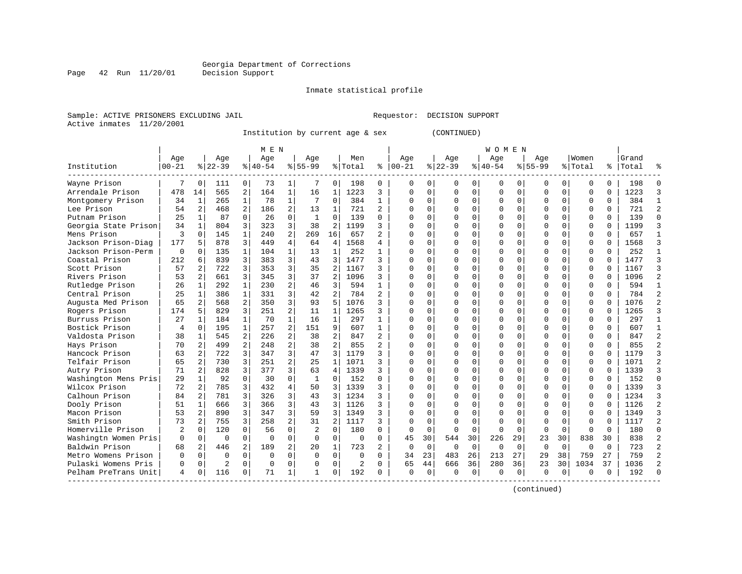Page 42 Run 11/20/01

#### Inmate statistical profile

Sample: ACTIVE PRISONERS EXCLUDING JAIL **Requestor: DECISION SUPPORT** Active inmates 11/20/2001

Institution by current age & sex (CONTINUED)

|                      |                |                |          |                | M E N     |                |              |                |          |                |               |             |             |             | W O M E N |             |             |             |             |          |           |                |
|----------------------|----------------|----------------|----------|----------------|-----------|----------------|--------------|----------------|----------|----------------|---------------|-------------|-------------|-------------|-----------|-------------|-------------|-------------|-------------|----------|-----------|----------------|
|                      | Aqe            |                | Age      |                | Age       |                | Aqe          |                | Men      |                | Aqe           |             | Aqe         |             | Aqe       |             | Aqe         |             | Women       |          | Grand     |                |
| Institution          | $ 00-21$       |                | $ 22-39$ |                | $ 40-54 $ |                | $8 55-99$    |                | % Total  |                | $8   00 - 21$ |             | $ 22-39$    |             | $ 40-54$  |             | $ 55-99$    |             | % Total     |          | %   Total |                |
| Wayne Prison         | 7              | $\Omega$       | 111      | $\Omega$       | 73        | 1              | 7            | 0              | 198      | U              | ∩             | 0           | U           | 0           | 0         | $\Omega$    | O           | 0           | $\Omega$    | $\Omega$ | 198       | ∩              |
| Arrendale Prison     | 478            | 14             | 565      | 2              | 164       | $\mathbf{1}$   | 16           | 1              | 1223     | 3              | $\Omega$      | 0           | 0           | $\mathbf 0$ | 0         | $\mathbf 0$ | $\Omega$    | 0           | $\mathbf 0$ | 0        | 1223      | 3              |
| Montgomery Prison    | 34             | 1              | 265      | 1              | 78        | 1              | 7            | $\Omega$       | 384      | 1              | $\Omega$      | 0           | $\Omega$    | $\mathbf 0$ | $\Omega$  | 0           | $\Omega$    | $\Omega$    | $\mathbf 0$ | 0        | 384       | $\mathbf{1}$   |
| Lee Prison           | 54             | 2              | 468      | 2              | 186       | 2              | 13           | 1              | 721      | 2              | $\cap$        | $\Omega$    | $\Omega$    | $\Omega$    | U         | $\mathbf 0$ | $\Omega$    | $\Omega$    | $\Omega$    | $\Omega$ | 721       | $\overline{2}$ |
| Putnam Prison        | 25             | 1              | 87       | 0              | 26        | $\Omega$       | 1            | $\Omega$       | 139      | 0              | $\Omega$      | $\Omega$    | $\Omega$    | $\Omega$    | $\Omega$  | 0           | O           | $\Omega$    | $\Omega$    | $\Omega$ | 139       | $\Omega$       |
| Georgia State Prison | 34             | 1              | 804      | 3              | 323       | 3              | 38           | $\overline{c}$ | 1199     | 3              | C             | $\Omega$    | $\Omega$    | $\mathbf 0$ | $\Omega$  | $\Omega$    | $\Omega$    | $\Omega$    | $\mathbf 0$ | $\Omega$ | 1199      | 3              |
| Mens Prison          | 3              | $\Omega$       | 145      | $\mathbf{1}$   | 240       | $\overline{a}$ | 269          | 16             | 657      | $\overline{a}$ | C             | $\mathbf 0$ | $\Omega$    | $\mathbf 0$ | U         | $\mathbf 0$ | $\Omega$    | $\Omega$    | $\mathbf 0$ | $\Omega$ | 657       | $\mathbf{1}$   |
| Jackson Prison-Diag  | 177            | 5              | 878      | 3              | 449       | 4              | 64           | 4              | 1568     | 4              | $\bigcap$     | $\Omega$    | $\Omega$    | $\Omega$    | $\Omega$  | $\Omega$    | $\Omega$    | $\Omega$    | $\Omega$    | $\Omega$ | 1568      | 3              |
| Jackson Prison-Perm  | $\Omega$       | $\Omega$       | 135      | $\mathbf{1}$   | 104       | 1              | 13           | $\mathbf{1}$   | 252      | $\mathbf{1}$   | $\Omega$      | $\Omega$    | U           | $\Omega$    | $\Omega$  | $\Omega$    | 0           | $\Omega$    | $\Omega$    | $\Omega$ | 252       | $\mathbf{1}$   |
| Coastal Prison       | 212            | 6              | 839      | 3              | 383       | 3              | 43           | 3              | 1477     | 3              | $\Omega$      | 0           | $\Omega$    | $\mathbf 0$ | $\Omega$  | 0           | $\Omega$    | $\Omega$    | $\mathbf 0$ | 0        | 1477      | $\overline{3}$ |
| Scott Prison         | 57             | 2              | 722      | 3              | 353       | 3              | 35           | 2              | 1167     | ς              | n             | 0           | U           | $\Omega$    | $\Omega$  | $\mathbf 0$ | $\Omega$    | $\Omega$    | $\mathbf 0$ |          | 1167      | 3              |
| Rivers Prison        | 53             |                | 661      | 3              | 345       | 3              | 37           | 2              | 1096     | 3              | $\cap$        | $\Omega$    | $\Omega$    | $\Omega$    | U         | $\Omega$    | $\Omega$    | $\Omega$    | $\Omega$    | $\Omega$ | 1096      | $\overline{2}$ |
| Rutledge Prison      | 26             | 1              | 292      | 1              | 230       | $\overline{a}$ | 46           | 3              | 594      | -1             | C             | 0           | $\Omega$    | 0           | $\Omega$  | 0           | O           | 0           | $\mathbf 0$ | 0        | 594       | $\mathbf{1}$   |
| Central Prison       | 25             | 1              | 386      | $\mathbf{1}$   | 331       | 3              | 42           | $\overline{2}$ | 784      | $\overline{a}$ | C             | $\Omega$    | $\Omega$    | $\mathbf 0$ | $\Omega$  | $\Omega$    | $\Omega$    | $\Omega$    | $\mathbf 0$ | 0        | 784       | $\overline{2}$ |
| Augusta Med Prison   | 65             | 2              | 568      | 2              | 350       | 3              | 93           | 5              | 1076     | 3              | C             | $\mathbf 0$ | $\Omega$    | $\mathbf 0$ | 0         | $\mathbf 0$ | $\Omega$    | $\Omega$    | $\mathbf 0$ | U        | 1076      | $\overline{2}$ |
| Rogers Prison        | 174            | 5              | 829      | 3              | 251       | 2              | 11           | 1              | 1265     | 3              | $\cap$        | $\Omega$    | $\Omega$    | $\Omega$    | U         | $\Omega$    | $\Omega$    | $\Omega$    | $\mathbf 0$ | $\Omega$ | 1265      | 3              |
| Burruss Prison       | 27             | $\mathbf{1}$   | 184      | $\mathbf{1}$   | 70        | $\mathbf{1}$   | 16           | 1              | 297      | $\mathbf{1}$   | $\Omega$      | $\Omega$    | $\Omega$    | $\Omega$    | $\Omega$  | $\Omega$    | $\Omega$    | $\Omega$    | $\Omega$    | $\Omega$ | 297       | $\mathbf{1}$   |
| Bostick Prison       | $\overline{4}$ | $\Omega$       | 195      | 1              | 257       | 2              | 151          | 9              | 607      | 1              | $\Omega$      | 0           | 0           | 0           | 0         | 0           | $\Omega$    | $\Omega$    | 0           | 0        | 607       | $\mathbf{1}$   |
| Valdosta Prison      | 38             | 1              | 545      | 2              | 226       | 2              | 38           | 2              | 847      | 2              | C             | 0           | U           | $\Omega$    | 0         | 0           | $\Omega$    | $\Omega$    | $\Omega$    | 0        | 847       | $\overline{2}$ |
| Hays Prison          | 70             | $\mathbf{2}$   | 499      | $\overline{2}$ | 248       | $\overline{a}$ | 38           | $\overline{2}$ | 855      | $\overline{a}$ | $\cap$        | $\Omega$    | $\cap$      | $\Omega$    | $\Omega$  | $\Omega$    | $\Omega$    | $\Omega$    | $\Omega$    | $\cap$   | 855       | $\overline{a}$ |
| Hancock Prison       | 63             | 2              | 722      | 3              | 347       | 3              | 47           | 3              | 1179     | 3              | $\Omega$      | $\Omega$    | $\Omega$    | $\Omega$    | $\Omega$  | $\Omega$    | $\Omega$    | $\Omega$    | $\Omega$    | $\Omega$ | 1179      | 3              |
| Telfair Prison       | 65             | 2              | 730      | 3              | 251       | $\overline{2}$ | 25           | $\mathbf{1}$   | 1071     | 3              | $\Omega$      | $\Omega$    | $\Omega$    | $\mathbf 0$ | $\Omega$  | 0           | $\Omega$    | $\Omega$    | $\mathbf 0$ | $\Omega$ | 1071      | $\overline{c}$ |
| Autry Prison         | 71             | $\overline{c}$ | 828      | 3              | 377       | 3              | 63           | 4              | 1339     | 3              | $\cap$        | $\mathbf 0$ | $\Omega$    | 0           | 0         | $\mathbf 0$ | $\Omega$    | $\Omega$    | 0           | $\Omega$ | 1339      | $\overline{3}$ |
| Washington Mens Pris | 29             | $\mathbf{1}$   | 92       | $\Omega$       | 30        | $\Omega$       | $\mathbf{1}$ | $\Omega$       | 152      | 0              | $\Omega$      | $\Omega$    | $\Omega$    | $\Omega$    | U         | $\Omega$    | $\Omega$    | $\Omega$    | $\mathbf 0$ | $\Omega$ | 152       | $\Omega$       |
| Wilcox Prison        | 72             | 2              | 785      | 3              | 432       | 4              | 50           | 3              | 1339     | 3              | $\Omega$      | $\Omega$    | $\Omega$    | $\Omega$    | $\Omega$  | $\Omega$    | $\Omega$    | $\Omega$    | $\mathbf 0$ | $\Omega$ | 1339      | 3              |
| Calhoun Prison       | 84             | 2              | 781      | 3              | 326       | 3              | 43           | 3              | 1234     | 3              | C             | $\Omega$    | 0           | $\Omega$    | $\Omega$  | $\Omega$    | 0           | $\Omega$    | 0           | $\Omega$ | 1234      | 3              |
| Dooly Prison         | 51             | 1              | 666      | 3              | 366       | 3              | 43           | 3              | 1126     | 3              | n             | 0           | U           | $\Omega$    | 0         | 0           | $\Omega$    | $\Omega$    | $\mathbf 0$ |          | 1126      | $\overline{2}$ |
| Macon Prison         | 53             | $\overline{a}$ | 890      | 3              | 347       | 3              | 59           | 3              | 1349     | 3              | n             | $\Omega$    | $\cap$      | $\Omega$    | ∩         | $\Omega$    | $\cap$      | $\Omega$    | $\Omega$    | $\cap$   | 1349      | 3              |
| Smith Prison         | 73             | 2              | 755      | 3              | 258       | 2              | 31           | $\overline{2}$ | 1117     | 3              | $\cap$        | $\Omega$    | $\Omega$    | $\Omega$    | $\Omega$  | $\Omega$    | $\Omega$    | $\Omega$    | $\Omega$    | 0        | 1117      | $\overline{a}$ |
| Homerville Prison    | 2              | $\Omega$       | 120      | $\Omega$       | 56        | 0              | 2            | $\mathbf 0$    | 180      | 0              | 0             | $\mathbf 0$ | $\Omega$    | $\mathbf 0$ | $\Omega$  | $\mathbf 0$ | $\mathbf 0$ | $\mathbf 0$ | $\mathbf 0$ | $\Omega$ | 180       | $\Omega$       |
| Washingtn Women Pris | $\mathbf 0$    | $\mathbf 0$    | $\Omega$ | $\Omega$       | $\Omega$  | 0              | 0            | $\mathbf 0$    | $\Omega$ | $\Omega$       | 45            | 30          | 544         | 30          | 226       | 29          | 23          | 30          | 838         | 30       | 838       | $\overline{c}$ |
| Baldwin Prison       | 68             | 2              | 446      | 2              | 189       | 2              | 20           | 1              | 723      | $\overline{a}$ | $\Omega$      | $\mathbf 0$ | $\mathbf 0$ | $\mathbf 0$ | $\Omega$  | $\mathbf 0$ | 0           | $\Omega$    | $\Omega$    | $\Omega$ | 723       | $\mathfrak{D}$ |
| Metro Womens Prison  | $\Omega$       | $\Omega$       | $\Omega$ | $\Omega$       | $\Omega$  | 0              | $\Omega$     | $\Omega$       | $\Omega$ | 0              | 34            | 23          | 483         | 26          | 213       | 27          | 29          | 38          | 759         | 27       | 759       | 2              |
| Pulaski Womens Pris  | 0              | 0              | 2        | 0              | $\Omega$  | $\Omega$       | $\Omega$     | $\Omega$       | 2        | 0              | 65            | 44          | 666         | 36          | 280       | 36          | 23          | 30          | 1034        | 37       | 1036      |                |
| Pelham PreTrans Unit | 4              | 0              | 116      | 0              | 71        | 1              | 1            | $\Omega$       | 192      | U              | $\Omega$      | 0           | ∩           | 0           | ∩         | $\Omega$    | U           | 0           | $\Omega$    | 0        | 192       |                |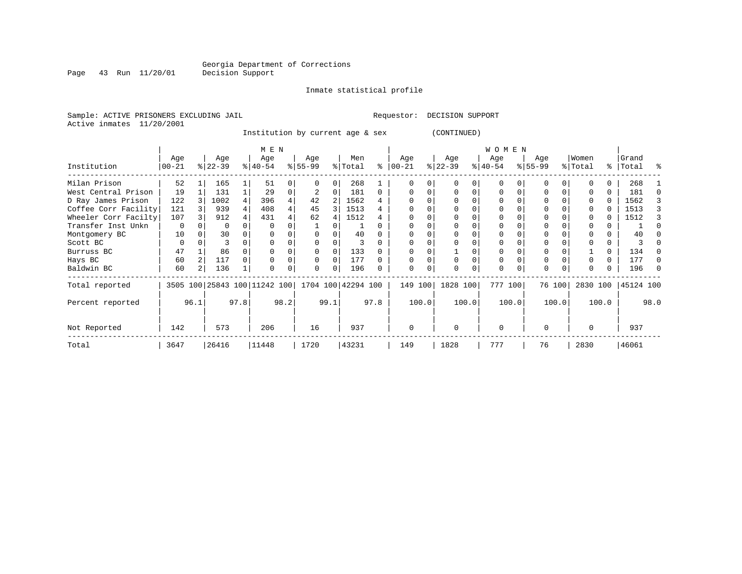Page 43 Run 11/20/01

#### Inmate statistical profile

Sample: ACTIVE PRISONERS EXCLUDING JAIL **Requestor: DECISION SUPPORT** Active inmates 11/20/2001

Institution by current age & sex (CONTINUED)

|                      |             |      |           |      | M E N                        |      |                    |      |         |          |           |             |           |   | W O M E N |          |           |        |          |       |           |      |
|----------------------|-------------|------|-----------|------|------------------------------|------|--------------------|------|---------|----------|-----------|-------------|-----------|---|-----------|----------|-----------|--------|----------|-------|-----------|------|
|                      | Age         |      | Age       |      | Age                          |      | Age                |      | Men     |          | Age       |             | Age       |   | Age       |          | Age       |        | Women    |       | Grand     |      |
| Institution          | $ 00-21$    |      | $ 22-39 $ |      | $ 40-54 $                    |      | $ 55-99$           |      | % Total | ి        | $00 - 21$ |             | $ 22-39 $ |   | $ 40-54 $ |          | $ 55-99 $ |        | % Total  | ွေ    | Total     | ႜ    |
| Milan Prison         | 52          |      | 165       |      | 51                           |      |                    | 0    | 268     |          |           |             |           |   | 0         |          | O         |        |          |       | 268       |      |
| West Central Prison  | 19          |      | 131       |      | 29                           | 0    |                    | 0    | 181     | 0        |           |             | 0         | 0 | 0         |          | 0         |        |          | 0     | 181       |      |
| D Ray James Prison   | 122         |      | 1002      | 4    | 396                          | 4    | 42                 | 2    | 1562    | 4        |           |             | $\Omega$  |   |           |          |           |        |          |       | 1562      |      |
| Coffee Corr Facility | 121         |      | 939       | 4    | 408                          | 4    | 45                 |      | 1513    | 4        |           |             | $\Omega$  |   |           |          |           |        |          |       | 1513      |      |
| Wheeler Corr Facilty | 107         |      | 912       |      | 431                          | 4    | 62                 | 4    | 1512    | 4        |           |             |           |   |           |          |           |        |          |       | 1512      |      |
| Transfer Inst Unkn   | $\mathbf 0$ |      | 0         |      | $\Omega$                     |      |                    |      |         |          |           |             | $\Omega$  |   |           |          |           |        |          |       |           |      |
| Montgomery BC        | 10          |      | 30        |      |                              |      |                    |      | 40      |          |           |             |           |   |           |          |           |        |          |       | 40        |      |
| Scott BC             | 0           |      |           |      | $\Omega$                     |      |                    |      | 3       |          |           |             |           |   |           |          |           |        |          | 0     |           |      |
| Burruss BC           | 47          |      | 86        |      |                              |      |                    |      | 133     |          |           |             |           |   |           |          |           |        |          | 0     | 134       |      |
| Hays BC              | 60          |      | 117       |      |                              |      | $\Omega$           | 0    | 177     |          |           |             | $\Omega$  |   | 0         |          | 0         |        |          | 0     | 177       |      |
| Baldwin BC           | 60          |      | 136       |      |                              |      | 0                  | 0    | 196     |          |           |             |           |   | $\Omega$  |          | $\Omega$  |        |          |       | 196       |      |
| Total reported       |             |      |           |      | 3505 100 25843 100 11242 100 |      | 1704 100 42294 100 |      |         |          | 149 100   |             | 1828 100  |   | 777 100   |          |           | 76 100 | 2830 100 |       | 45124 100 |      |
| Percent reported     |             | 96.1 |           | 97.8 |                              | 98.2 |                    | 99.1 |         | 97.8     |           | 100.0       | 100.0     |   |           | 100.0    |           | 100.0  |          | 100.0 |           | 98.0 |
| Not Reported         | 142         | 573  |           | 206  |                              | 16   |                    | 937  |         | $\Omega$ |           | $\mathbf 0$ |           | 0 |           | $\Omega$ |           | 0      |          | 937   |           |      |
| Total                | 3647        |      | 26416     |      | 11448                        |      | 1720               |      | 43231   |          | 149       |             | 1828      |   | 777       |          | 76        |        | 2830     |       | 46061     |      |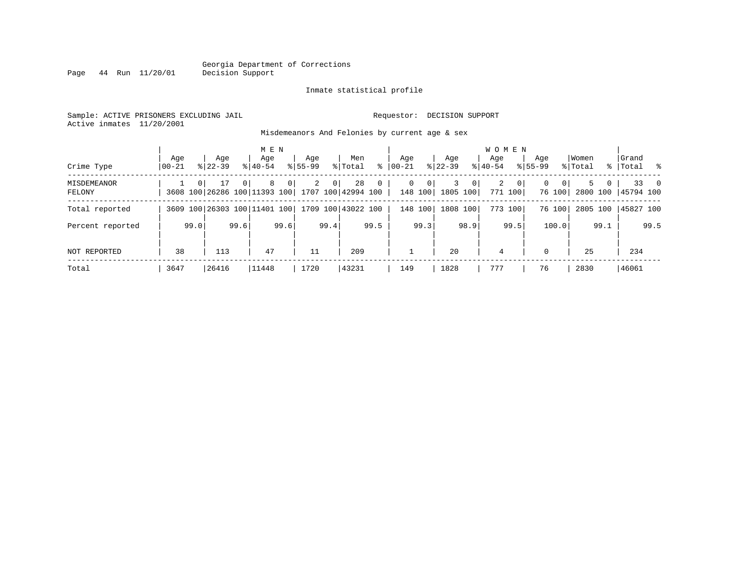Page 44 Run 11/20/01

#### Inmate statistical profile

Sample: ACTIVE PRISONERS EXCLUDING JAIL **Requestor: DECISION SUPPORT** Active inmates 11/20/2001

Misdemeanors And Felonies by current age & sex

| Crime Type            | Aqe<br>$00 - 21$ |          | Age<br>$8122 - 39$                 |          | M E N<br>Age<br>$8140 - 54$ |      | Aqe<br>$8155 - 99$ |      | Men<br>% Total           | ႜ        | Aqe<br>$00 - 21$ |                           | Age<br>$ 22-39$ |                | <b>WOMEN</b><br>Aqe<br>$8140 - 54$ |                         | Age<br>$8155 - 99$ |                    | Women<br>% Total |                     | Grand<br>%   Total | - 왕       |
|-----------------------|------------------|----------|------------------------------------|----------|-----------------------------|------|--------------------|------|--------------------------|----------|------------------|---------------------------|-----------------|----------------|------------------------------------|-------------------------|--------------------|--------------------|------------------|---------------------|--------------------|-----------|
| MISDEMEANOR<br>FELONY |                  | $\Omega$ | 17<br>3608 100 26286 100 11393 100 | $\Omega$ | 8                           | 0    | 2                  | 0    | 28<br>1707 100 42994 100 | $\Omega$ | 0                | $\overline{0}$<br>148 100 | 3<br>1805 100   | 0 <sup>1</sup> | 2                                  | $\mathbf{0}$<br>771 100 | $\Omega$           | $\Omega$<br>76 100 |                  | 5.<br>0<br>2800 100 | 45794 100          | $33 \t 0$ |
| Total reported        |                  |          | 3609 100 26303 100 11401 100       |          |                             |      |                    |      | 1709 100 43022 100       |          |                  | 148 100                   | 1808 100        |                |                                    | 773 100                 |                    | 76 100             | 2805 100         |                     | 45827 100          |           |
| Percent reported      |                  | 99.0     |                                    | 99.6     |                             | 99.6 |                    | 99.4 |                          | 99.5     |                  | 99.3                      |                 | 98.9'          |                                    | 99.5                    |                    | 100.0              |                  | 99.1                |                    | 99.5      |
| <b>NOT REPORTED</b>   | 38               |          | 113                                |          | 47                          |      | 11                 |      | 209                      |          |                  |                           | 20              |                | 4                                  |                         | $\Omega$           |                    | 25               |                     | 234                |           |
| Total                 | 3647             |          | 26416                              |          | 11448                       |      | 1720               |      | 43231                    |          | 149              |                           | 1828            |                | 777                                |                         | 76                 |                    | 2830             |                     | 46061              |           |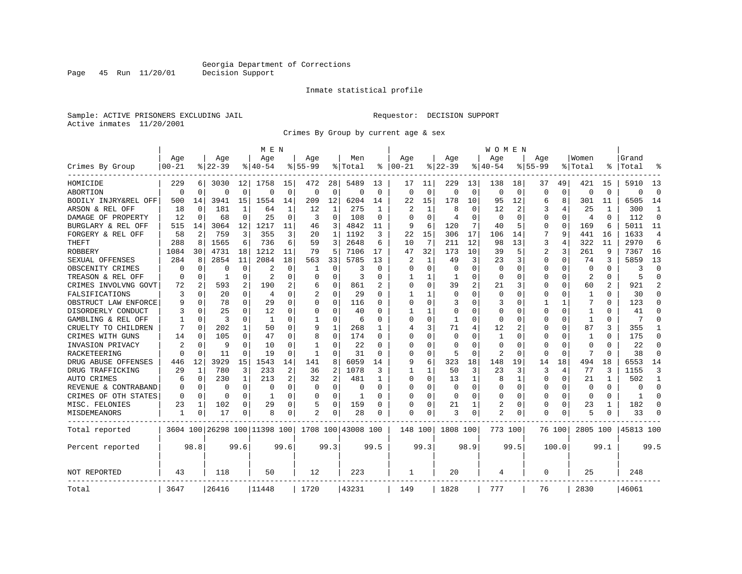Page 45 Run 11/20/01

#### Inmate statistical profile

Sample: ACTIVE PRISONERS EXCLUDING JAIL **Requestor: DECISION SUPPORT** Active inmates 11/20/2001

Crimes By Group by current age & sex

|                      |           |                |          |              | M E N                        |             |             |              |                    |          |                |          |              |      | W O M E N   |             |             |                |             |          |           |                |
|----------------------|-----------|----------------|----------|--------------|------------------------------|-------------|-------------|--------------|--------------------|----------|----------------|----------|--------------|------|-------------|-------------|-------------|----------------|-------------|----------|-----------|----------------|
|                      | Age       |                | Age      |              | Age                          |             | Aqe         |              | Men                |          | Age            |          | Age          |      | Age         |             | Aqe         |                | Women       |          | Grand     |                |
| Crimes By Group      | $00 - 21$ |                | $ 22-39$ |              | $8140 - 54$                  |             | $8155 - 99$ |              | % Total            | နွ       | $ 00-21$       |          | $8122 - 39$  |      | $8140 - 54$ |             | $8155 - 99$ |                | % Total     |          | Total     | °              |
| HOMICIDE             | 229       | <sup>6</sup>   | 3030     | 12           | 1758                         | 15          | 472         | 28           | 5489               | 13       | 17             | 11       | 229          | 13   | 138         | 18          | 37          | 49             | 421         | 15       | 5910      | 13             |
| ABORTION             | $\Omega$  | $\Omega$       | $\Omega$ | 0            | $\Omega$                     | $\mathbf 0$ | $\Omega$    | 0            | $\Omega$           | $\Omega$ | $\Omega$       | $\Omega$ | $\Omega$     | 0    | $\Omega$    | $\mathbf 0$ | $\Omega$    | $\overline{0}$ | $\Omega$    | $\Omega$ | $\Omega$  | $\Omega$       |
| BODILY INJRY&REL OFF | 500       | 14             | 3941     | 15           | 1554                         | 14          | 209         | 12           | 6204               | 14       | 22             | 15       | 178          | 10   | 95          | 12          | 6           | 8              | 301         | 11       | 6505      | 14             |
| ARSON & REL OFF      | 18        | 0              | 181      | 1            | 64                           | 1           | 12          | 1            | 275                |          | $\overline{2}$ |          | 8            | 0    | 12          | 2           | 3           |                | 25          |          | 300       | 1              |
| DAMAGE OF PROPERTY   | 12        | $\Omega$       | 68       | 0            | 25                           | $\Omega$    | 3           | 0            | 108                | $\Omega$ | ∩              | ∩        | 4            | U    | $\Omega$    | $\Omega$    | 0           | $\Omega$       | 4           | $\Omega$ | 112       | $\Omega$       |
| BURGLARY & REL OFF   | 515       | 14             | 3064     | 12           | 1217                         | 11          | 46          | 3            | 4842               | 11       | 9              | 6        | 120          | 7    | 40          | 5           | 0           | $\Omega$       | 169         | 6        | 5011      | 11             |
| FORGERY & REL OFF    | 58        | $\overline{c}$ | 759      | 3            | 355                          | 3           | 20          | $\mathbf{1}$ | 1192               | 3        | 22             | 15       | 306          | 17   | 106         | 14          |             | 9              | 441         | 16       | 1633      | 4              |
| THEFT                | 288       | 8              | 1565     | 6            | 736                          | 6           | 59          | 3            | 2648               | 6        | 10             | 7        | 211          | 12   | 98          | 13          | 3           | 4              | 322         | 11       | 2970      | 6              |
| <b>ROBBERY</b>       | 1084      | 30             | 4731     | 18           | 1212                         | 11          | 79          | 5            | 7106               | 17       | 47             | 32       | 173          | 10   | 39          | 5           | 2           | 3              | 261         | 9        | 7367      | 16             |
| SEXUAL OFFENSES      | 284       | 8              | 2854     | 11           | 2084                         | 18          | 563         | 33           | 5785               | 13       | 2              |          | 49           | 3    | 23          | 3           | C           | $\Omega$       | 74          | 3        | 5859      | 13             |
| OBSCENITY CRIMES     | O         | $\Omega$       | U        | 0            | 2                            | O           | 1           | $\Omega$     | 3                  | O        | $\Omega$       | $\Omega$ | $\Omega$     | U    | $\Omega$    | $\Omega$    | U           | $\Omega$       | $\Omega$    | $\Omega$ | 3         | $\Omega$       |
| TREASON & REL OFF    | O         | $\Omega$       | 1        | 0            | 2                            | $\Omega$    | U           | $\Omega$     | 3                  | O        |                |          | 1            | 0    | O           | $\Omega$    | 0           | $\Omega$       | 2           | $\Omega$ | 5         | $\Omega$       |
| CRIMES INVOLVNG GOVT | 72        | 2              | 593      | 2            | 190                          | 2           | 6           | 0            | 861                |          | $\Omega$       | $\Omega$ | 39           | 2    | 21          | 3           | C           | 0              | 60          | 2        | 921       | $\overline{a}$ |
| FALSIFICATIONS       | 3         | $\mathbf 0$    | 20       | 0            | 4                            | $\Omega$    |             | 0            | 29                 | $\Omega$ | 1              |          | $\Omega$     | 0    | $\Omega$    | $\Omega$    | C           | $\Omega$       | 1           | $\Omega$ | 30        | $\Omega$       |
| OBSTRUCT LAW ENFORCE | 9         | $\mathbf 0$    | 78       | $\Omega$     | 29                           | 0           | U           | 0            | 116                | O        | $\Omega$       | $\Omega$ | 3            | 0    | 3           | $\Omega$    |             | 1              | 7           | $\Omega$ | 123       | 0              |
| DISORDERLY CONDUCT   |           | $\mathbf 0$    | 25       | 0            | 12                           | 0           | 0           | 0            | 40                 |          |                |          | $\Omega$     | 0    | $\Omega$    | $\Omega$    | Ω           | 0              |             |          | 41        | $\Omega$       |
| GAMBLING & REL OFF   |           | $\Omega$       | 3        | 0            | $\mathbf{1}$                 | 0           | 1           | $\Omega$     | -6                 | U        | $\Omega$       | $\Omega$ | $\mathbf{1}$ | 0    | $\Omega$    | $\Omega$    | C           | $\Omega$       | 1           | $\Omega$ | 7         | $\Omega$       |
| CRUELTY TO CHILDREN  | 7         | $\Omega$       | 202      | $\mathbf{1}$ | 50                           | $\Omega$    | 9           | 1            | 268                | 1        | 4              | 3        | 71           | 4    | 12          | 2           | 0           | $\Omega$       | 87          | 3        | 355       | 1              |
| CRIMES WITH GUNS     | 14        | $\Omega$       | 105      | 0            | 47                           | $\Omega$    | 8           | 0            | 174                | O        | $\Omega$       | $\Omega$ | 0            | U    | 1           | $\Omega$    | Ω           | $\Omega$       | 1           | $\Omega$ | 175       | $\Omega$       |
| INVASION PRIVACY     | 2         | $\Omega$       | 9        | $\Omega$     | 10                           | 0           | -1          | O            | 22                 | U        | $\Omega$       | ∩        | $\Omega$     | U    | $\Omega$    | $\Omega$    | U           | $\Omega$       | ∩           | $\Omega$ | 22        | $\Omega$       |
| RACKETEERING         | O         | $\Omega$       | 11       | 0            | 19                           | 0           | -1          | 0            | 31                 | $\Omega$ | ∩              | $\Omega$ | 5            | 0    | 2           | $\mathbf 0$ | C           | $\Omega$       |             | ∩        | 38        | $\mathbf 0$    |
| DRUG ABUSE OFFENSES  | 446       | 12             | 3929     | 15           | 1543                         | 14          | 141         | 8            | 6059               | 14       | 9              | 6        | 323          | 18   | 148         | 19          | 14          | 18             | 494         | 18       | 6553      | 14             |
| DRUG TRAFFICKING     | 29        | 1              | 780      | 3            | 233                          | 2           | 36          | 2            | 1078               | 3        |                |          | 50           | 3    | 23          | 3           | 3           | 4              | 77          | २        | 1155      | 3              |
| AUTO CRIMES          | 6         | 0              | 230      | 1            | 213                          | 2           | 32          | 2            | 481                | 1        | $\Omega$       | $\Omega$ | 13           | 1    | 8           | 1           | 0           | 0              | 21          |          | 502       | 1              |
| REVENUE & CONTRABAND |           | 0              | 0        | 0            | $\Omega$                     | 0           | 0           | 0            | $\Omega$           | $\Omega$ | $\Omega$       | $\Omega$ | 0            | 0    | 0           | 0           | C           | 0              | $\mathbf 0$ | $\Omega$ | 0         | $\mathbf 0$    |
| CRIMES OF OTH STATES | O         | $\Omega$       | $\Omega$ | $\Omega$     | -1                           | $\Omega$    | U           | $\Omega$     | -1                 | O        | $\Omega$       | $\Omega$ | $\Omega$     | U    | $\Omega$    | $\Omega$    | 0           | $\Omega$       | $\Omega$    | $\Omega$ | -1        | $\Omega$       |
| MISC. FELONIES       | 23        | 1              | 102      | 0            | 29                           | 0           | 5           | 0            | 159                | O        | $\Omega$       | $\Omega$ | 21           |      | 2           | $\Omega$    | 0           | 0              | 23          |          | 182       | $\Omega$       |
| MISDEMEANORS         | 1         | 0              | 17       | 0            | 8                            | 0           |             | 0            | 28                 |          | $\Omega$       | 0        | 3            | 0    | 2           | 0           | C           | 0              | 5           |          | 33        | $\Omega$       |
| Total reported       |           |                |          |              | 3604 100 26298 100 11398 100 |             |             |              | 1708 100 43008 100 |          | 148 100        |          | 1808 100     |      | 773 100     |             |             | 76 100         | 2805 100    |          | 45813 100 |                |
| Percent reported     |           | 98.8           |          | 99.6         |                              | 99.6        |             | 99.3         |                    | 99.5     |                | 99.3     |              | 98.9 |             | 99.5        |             | 100.0          |             | 99.1     |           | 99.5           |
| NOT REPORTED         | 43        |                | 118      |              | 50                           |             | 12          |              | 223                |          | 1              |          | 20           |      | 4           |             | 0           |                | 25          |          | 248       |                |
| Total                | 3647      |                | 26416    |              | 11448                        |             | 1720        |              | 43231              |          | 149            |          | 1828         |      | 777         |             | 76          |                | 2830        |          | 46061     |                |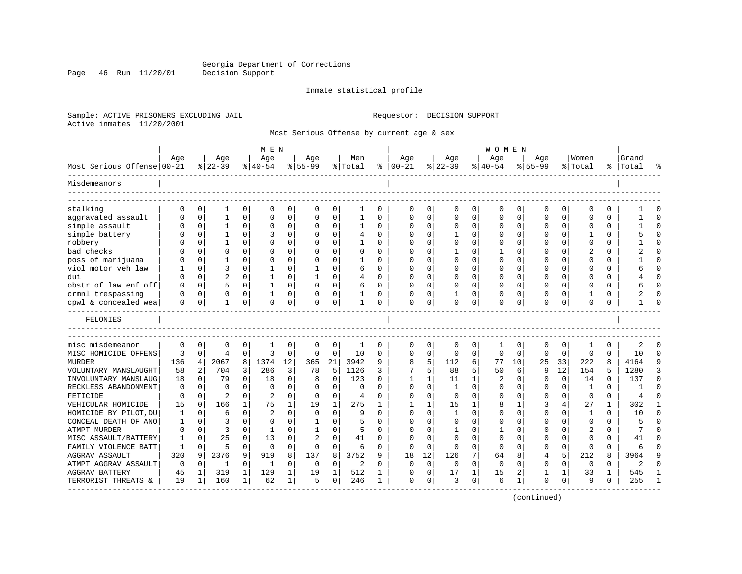Page 46 Run 11/20/01

#### Inmate statistical profile

Sample: ACTIVE PRISONERS EXCLUDING JAIL **Requestor: DECISION SUPPORT** Active inmates 11/20/2001

Most Serious Offense by current age & sex

|                                              |              |             |                 |              | M E N            |          |                  |              |                |              |                      |              |                 |              | <b>WOMEN</b>    |             |                    |          |                  |              |                    |              |
|----------------------------------------------|--------------|-------------|-----------------|--------------|------------------|----------|------------------|--------------|----------------|--------------|----------------------|--------------|-----------------|--------------|-----------------|-------------|--------------------|----------|------------------|--------------|--------------------|--------------|
| Most Serious Offense 00-21                   | Age          |             | Age<br>$ 22-39$ |              | Age<br>$8 40-54$ |          | Age<br>$8 55-99$ |              | Men<br>% Total | နွ           | Age<br>$ 00-21$      |              | Age<br>$ 22-39$ |              | Age<br>$ 40-54$ |             | Aqe<br>$8155 - 99$ |          | Women<br>% Total |              | Grand<br>%   Total |              |
| Misdemeanors                                 |              |             |                 |              |                  |          |                  |              |                |              |                      |              |                 |              |                 |             |                    |          |                  |              |                    |              |
| stalking                                     | $\Omega$     | $\Omega$    |                 | 0            | $\Omega$         | 0        | $\Omega$         | 0            | 1              | 0            | $\Omega$             | 0            | $\Omega$        | 0            | 0               | 0           | $\Omega$           | 0        | $\Omega$         | 0            |                    |              |
| aggravated assault                           | O            | $\mathbf 0$ | 1               | $\mathbf 0$  | $\Omega$         | 0        | $\Omega$         | $\mathbf 0$  | $\mathbf{1}$   | 0            | $\mathbf 0$          | 0            | $\Omega$        | $\mathbf 0$  | 0               | 0           | $\Omega$           | 0        | $\Omega$         | $\Omega$     |                    | $\Omega$     |
| simple assault                               | U            | $\mathbf 0$ |                 | $\Omega$     | $\Omega$         | 0        |                  | $\Omega$     | 1              | $\Omega$     | O                    | $\Omega$     | $\Omega$        | $\Omega$     | $\Omega$        | $\mathbf 0$ | $\Omega$           | $\Omega$ | ∩                | $\Omega$     |                    | $\cap$       |
| simple battery                               | O            | $\Omega$    |                 | $\Omega$     | 3                | $\Omega$ | $\Omega$         | $\Omega$     | 4              | 0            | $\Omega$             | $\Omega$     | $\mathbf{1}$    | $\Omega$     | $\Omega$        | $\Omega$    | $\Omega$           | $\Omega$ | 1                | $\Omega$     |                    | $\cap$       |
| robbery                                      |              | $\Omega$    |                 | $\Omega$     | $\Omega$         | $\Omega$ |                  | 0            |                | 0            | $\Omega$             | $\Omega$     | 0               | $\Omega$     | $\Omega$        | 0           | $\Omega$           | $\Omega$ | $\Omega$         | $\Omega$     |                    | $\Omega$     |
| bad checks                                   |              | $\Omega$    | $\Omega$        | $\Omega$     | O                | $\Omega$ |                  | $\Omega$     | U              | $\Omega$     | $\cap$               | $\Omega$     | 1               | $\Omega$     | 1               | $\Omega$    | $\Omega$           | $\Omega$ | 2                | $\Omega$     |                    | $\cap$       |
| poss of marijuana                            | U            | $\Omega$    | 1               | 0            | n                | 0        | ∩                | $\Omega$     | -1             | <sup>0</sup> | n                    | $\Omega$     | $\Omega$        | $\Omega$     | $\Omega$        | 0           | $\Omega$           | $\Omega$ | $\Omega$         | $\Omega$     |                    | $\Omega$     |
| viol motor yeh law                           |              | $\mathbf 0$ | 3               | 0            |                  | O        |                  | $\Omega$     | 6              | U            | $\Omega$             | $\Omega$     | $\Omega$        | $\Omega$     | $\Omega$        | 0           | O                  | 0        | ∩                | O            |                    |              |
| dui                                          | U            | $\Omega$    | 2               | 0            |                  | O        |                  | $\Omega$     | 4              | 0            | $\Omega$             | $\Omega$     | $\Omega$        | $\Omega$     | $\Omega$        | $\Omega$    | O                  | 0        | $\Omega$         | 0            |                    | $\Omega$     |
| obstr of law enf off                         | O            | $\Omega$    | 5               | $\Omega$     | 1                | 0        | $\Omega$         | 0            | 6              | 0            | 0                    | $\Omega$     | 0               | 0            | $\Omega$        | $\Omega$    | 0                  | $\Omega$ | $\Omega$         | 0            |                    | ∩            |
| crmnl trespassing                            | U            | $\mathbf 0$ | $\Omega$        | $\Omega$     | $\mathbf{1}$     | 0        | O                | 0            |                | 0            | $\Omega$             | $\mathbf 0$  | $\mathbf{1}$    | 0            | $\Omega$        | 0           | $\Omega$           | $\Omega$ | 1                | 0            | 2                  |              |
| cpwl & concealed wea                         | 0            | 0           | $\mathbf{1}$    | 0            | 0                | 0        | $\Omega$         | 0            | $\mathbf{1}$   | 0            | $\mathbf 0$          | 0            | 0               | 0            | $\Omega$        | 0           | $\Omega$           | 0        | $\mathbf 0$      | 0            | $\mathbf{1}$       | ∩            |
| FELONIES                                     |              |             |                 |              |                  |          |                  |              |                |              |                      |              |                 |              |                 |             |                    |          |                  |              |                    |              |
|                                              |              |             |                 |              |                  |          |                  |              |                |              |                      |              |                 |              |                 |             |                    |          |                  |              |                    |              |
| misc misdemeanor                             | $\mathbf 0$  | 0           | 0               | 0            | 1                | 0        | 0                | 0            | 1              | 0            | 0                    | 0            | $\mathbf 0$     | 0            | 1               | 0           | 0                  | 0        | 1                | 0            | 2                  |              |
| MISC HOMICIDE OFFENS                         | 3            | $\mathbf 0$ | $\overline{4}$  | $\Omega$     | 3                | $\Omega$ | $\Omega$         | $\Omega$     | 10             | 0            | $\Omega$             | 0            | 0               | 0            | $\Omega$        | 0           | $\Omega$           | $\Omega$ | $\Omega$         | $\Omega$     | 10                 | $\Omega$     |
| <b>MURDER</b>                                | 136          | 4           | 2067            | 8            | 1374             | 12       | 365              | 21           | 3942           | 9            | 8                    | 5            | 112             | 6            | 77              | 10          | 25                 | 33       | 222              | 8            | 4164               | q            |
| VOLUNTARY MANSLAUGHT                         | 58           | 2           | 704             | 3            | 286              | 3        | 78               | 5            | 1126           | 3            | 7                    | 5            | 88              | 5            | 50              | 6           | 9                  | 12       | 154              | 5            | 1280               | 3            |
| INVOLUNTARY MANSLAUG                         | 18           | $\Omega$    | 79              | 0            | 18               | 0        | 8                | $\Omega$     | 123            | 0            | 1                    | 1            | 11              | $\mathbf{1}$ | 2               | 0           | O                  | $\Omega$ | 14               | 0            | 137                | $\Omega$     |
| RECKLESS ABANDONMENT                         | $\Omega$     | $\Omega$    | $\Omega$        | $\Omega$     | $\Omega$         | $\Omega$ | $\Omega$         | 0            | 0              | U            | $\Omega$             | $\Omega$     | $\mathbf{1}$    | $\Omega$     | $\mathbf 0$     | 0           | $\Omega$           | $\Omega$ | 1                | $\Omega$     |                    | $\Omega$     |
| FETICIDE                                     | $\Omega$     | $\Omega$    | $\overline{c}$  | $\Omega$     | 2                | $\Omega$ | $\Omega$         | $\mathbf 0$  | 4              | U            | $\Omega$             | $\Omega$     | $\Omega$        | $\Omega$     | $\Omega$        | 0           | $\Omega$           | $\Omega$ | $\mathbf 0$      | $\Omega$     | $\overline{4}$     | $\cap$       |
| VEHICULAR HOMICIDE                           | 15           | $\Omega$    | 166             | $\mathbf{1}$ | 75               | 1        | 19               | $\mathbf{1}$ | 275            | $\mathbf{1}$ | $\mathbf{1}$         | $\mathbf{1}$ | 15              | 1            | 8               | 1           | 3                  | 4        | 27               | $\mathbf{1}$ | 302                | $\mathbf{1}$ |
| HOMICIDE BY PILOT, DU                        | 1            | $\Omega$    | 6               | $\Omega$     | $\overline{c}$   | $\Omega$ | $\Omega$         | $\Omega$     | 9              | 0            | $\Omega$             | $\Omega$     | $\mathbf{1}$    | $\Omega$     | $\Omega$        | $\Omega$    | $\Omega$           | $\Omega$ | 1                | $\Omega$     | 10                 | $\Omega$     |
| CONCEAL DEATH OF ANO                         | 1            | $\Omega$    | 3               | 0            | $\Omega$         | $\Omega$ |                  | $\Omega$     | 5              | U            | C                    | $\Omega$     | $\Omega$        | $\Omega$     | $\Omega$        | $\Omega$    | $\Omega$           | 0        | $\Omega$         | $\Omega$     |                    | $\Omega$     |
| ATMPT MURDER                                 | O            | $\Omega$    | 3               | 0            | -1               | $\Omega$ |                  | $\Omega$     | 5              | U            | $\Omega$             | $\Omega$     | -1              | $\Omega$     | 1               | $\Omega$    | O                  | 0        | $\overline{c}$   | 0            | 7                  | $\Omega$     |
| MISC ASSAULT/BATTERY                         | 1            | $\Omega$    | 25              | $\Omega$     | 13               | 0        | 2                | $\Omega$     | 41             | 0            | $\Omega$             | $\Omega$     | $\Omega$        | $\Omega$     | $\Omega$        | $\Omega$    | $\Omega$           | $\Omega$ | $\Omega$         | 0            | 41                 | ∩            |
| FAMILY VIOLENCE BATT                         | $\mathbf{1}$ | $\mathbf 0$ | 5               | 0            | $\mathbf 0$      | $\Omega$ | $\Omega$         | $\mathbf 0$  | 6              | $\Omega$     | $\Omega$             | $\Omega$     | 0               | $\Omega$     | $\Omega$        | $\Omega$    | $\Omega$           | $\Omega$ | $\mathbf 0$      | $\Omega$     | 6                  | $\Omega$     |
| <b>AGGRAV ASSAULT</b>                        | 320          | 9           | 2376            | 9            | 919              | 8        | 137              | 8            | 3752           | 9            | 18                   | 12           | 126             | 7            | 64              | 8           | 4                  | 5        | 212              | 8            | 3964               | q            |
| ATMPT AGGRAV ASSAULT                         | 0            | $\mathbf 0$ | $\mathbf{1}$    | 0            | 1                | 0        | 0                | 0            | 2              | $\Omega$     | $\mathbf 0$          | 0            | $\mathbf 0$     | $\Omega$     | $\mathbf 0$     | 0           | 0                  | $\Omega$ | $\mathbf 0$      | 0            | 2                  | $\Omega$     |
| <b>AGGRAV BATTERY</b><br>TERRORIST THREATS & | 45<br>19     | 1<br>1      | 319<br>160      | 1<br>1       | 129<br>62        | 1<br>1   | 19<br>5          | 1<br>0       | 512<br>246     | 1<br>1       | $\Omega$<br>$\Omega$ | 0<br>0       | 17<br>3         | 1<br>0       | 15<br>6         | 2<br>1      | 1<br>$\Omega$      | 1<br>0   | 33<br>9          | 1<br>0       | 545<br>255         |              |
|                                              |              |             |                 |              |                  |          |                  |              |                |              |                      |              |                 |              |                 |             |                    |          |                  |              |                    |              |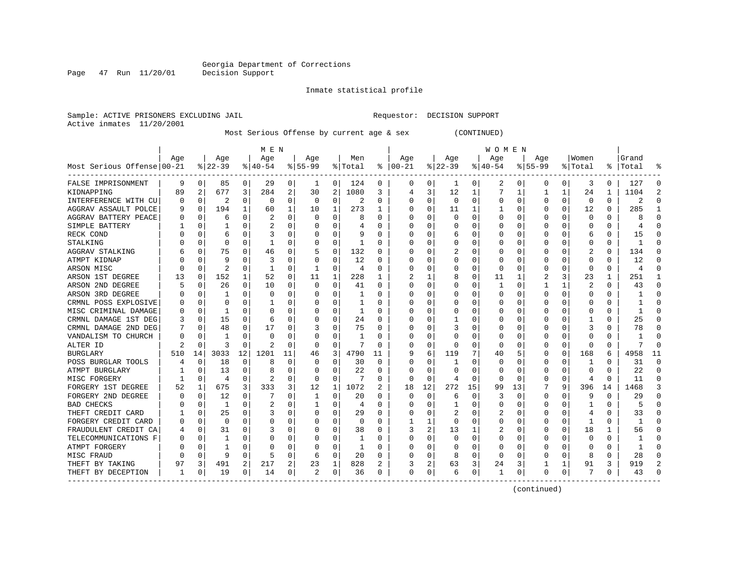Page 47 Run 11/20/01

#### Inmate statistical profile

Sample: ACTIVE PRISONERS EXCLUDING JAIL **Requestor: DECISION SUPPORT** Active inmates 11/20/2001

Most Serious Offense by current age & sex (CONTINUED)

|                                     |          |              |                |          | M E N     |    |           |             |         |          |               |             |              |             | <b>WOMEN</b> |              |             |          |             |          |                |          |
|-------------------------------------|----------|--------------|----------------|----------|-----------|----|-----------|-------------|---------|----------|---------------|-------------|--------------|-------------|--------------|--------------|-------------|----------|-------------|----------|----------------|----------|
|                                     | Age      |              | Age            |          | Age       |    | Age       |             | Men     |          | Age           |             | Age          |             | Age          |              | Age         |          | Women       |          | Grand          |          |
| Most Serious Offense 00-21          |          |              | $ 22-39$       |          | $8 40-54$ |    | $8 55-99$ |             | % Total |          | $8   00 - 21$ |             | $ 22-39 $    |             | $ 40-54$     |              | $8155 - 99$ |          | % Total     |          | %   Total      |          |
| FALSE IMPRISONMENT                  | 9        | 0            | 85             | 0        | 29        | 0  | 1         | 0           | 124     | 0        | 0             | 0           | 1            | 0           | 2            | 0            | 0           | 0        | 3           | 0        | 127            | $\Omega$ |
| KIDNAPPING                          | 89       | 2            | 677            | 3        | 284       | 2  | 30        | 2           | 1080    | 3        | 4             | 3           | 12           | 1           |              | 1            |             | 1        | 24          | 1        | 1104           | 2        |
| INTERFERENCE WITH CU                | 0        | 0            | 2              | 0        | 0         | 0  | 0         | $\mathbf 0$ | 2       | 0        | 0             | 0           | $\Omega$     | $\mathbf 0$ | 0            | $\mathbf 0$  | $\Omega$    | 0        | $\mathbf 0$ | 0        | 2              | ∩        |
| AGGRAV ASSAULT POLCE                | 9        | $\mathbf 0$  | 194            | 1        | 60        | 1  | 10        | 1           | 273     | 1        |               | 0           | 11           | 1           |              | 0            | 0           | 0        | 12          | 0        | 285            |          |
| AGGRAV BATTERY PEACE                |          | $\Omega$     | 6              | $\Omega$ | 2         | 0  |           | 0           | 8       | O        | O             | $\Omega$    | <sup>0</sup> | $\Omega$    | O            | 0            | 0           | O        | $\Omega$    | $\Omega$ |                | $\cap$   |
| SIMPLE BATTERY                      |          | $\Omega$     |                | $\Omega$ | 2         | 0  |           | 0           | 4       | 0        | O             | 0           | 0            | 0           | 0            | 0            | 0           | 0        | 0           | 0        |                | ∩        |
| RECK COND                           |          | n            | 6              | 0        | 3         | 0  |           | 0           | 9       | 0        | 0             | 0           | 6            | 0           | 0            | 0            | 0           | 0        | 6           | 0        | 15             | ∩        |
| STALKING                            |          | 0            | 0              |          |           | 0  |           | $\Omega$    | -1      | 0        |               | 0           | 0            | 0           | 0            | 0            | 0           | 0        | 0           | 0        |                |          |
| AGGRAV STALKING                     |          | 0            | 75             |          | 46        | 0  |           | $\Omega$    | 132     | 0        |               | 0           |              | 0           | 0            | C.           | 0           | O        | 2           | 0        | 134            |          |
| ATMPT KIDNAP                        |          | $\Omega$     | 9              |          | 3         | 0  |           | $\Omega$    | 12      | O        | C             | 0           | 0            | 0           | 0            | $\Omega$     | O           | O        | $\Omega$    | 0        | 12             |          |
| ARSON MISC                          | C        | 0            | $\overline{2}$ | $\Omega$ | -1        | 0  | 1         | $\Omega$    | 4       | 0        | 0             | 0           | 0            | 0           | 0            | $\Omega$     | 0           | 0        | $\Omega$    | 0        | $\overline{4}$ |          |
| ARSON 1ST DEGREE                    | 13       | 0            | 152            |          | 52        | 0  | 11        | 1           | 228     | 1        | 2             | 1           | 8            | 0           | 11           | 1            | 2           | 3        | 23          | 1        | 251            |          |
| ARSON 2ND DEGREE                    |          | 0            | 26             | $\Omega$ | 10        | 0  | $\Omega$  | $\Omega$    | 41      | $\Omega$ |               | 0           | $\Omega$     | $\Omega$    |              | $\mathbf 0$  |             | 1        | 2           | O        | 43             | $\Omega$ |
| ARSON 3RD DEGREE                    |          | 0            |                | $\Omega$ | $\Omega$  | 0  |           | $\Omega$    | 1       | O        |               | 0           | 0            | 0           | 0            | 0            | $\Omega$    | $\Omega$ | $\Omega$    | $\Omega$ |                | $\Omega$ |
| CRMNL POSS EXPLOSIVE                | O        | $\mathbf 0$  | $\Omega$       | $\Omega$ |           | 0  |           | 0           | 1       | O        | C             | 0           | O            | 0           | O            | 0            | O           | 0        | $\Omega$    | 0        |                | $\Omega$ |
| MISC CRIMINAL DAMAGE                | $\Omega$ | $\Omega$     | ٦              | $\Omega$ | C         | 0  |           | 0           | 1       | 0        | O             | 0           | 0            | $\Omega$    | 0            | 0            | O           | 0        | $\Omega$    | 0        |                | ∩        |
| CRMNL DAMAGE 1ST DEG                | 3        | 0            | 15             | O        | 6         | 0  |           | $\Omega$    | 24      | 0        | 0             | 0           |              | 0           | 0            | 0            | 0           | O        |             | U        | 25             |          |
| CRMNL DAMAGE 2ND DEG                |          | U            | 48             | O        | 17        | 0  |           | $\Omega$    | 75      | 0        | 0             | 0           |              | 0           | 0            | 0            | 0           | O        | 3           | U        | 78             |          |
| VANDALISM TO CHURCH                 | N        | n            |                |          | C         | 0  |           | $\Omega$    |         | O        | 0             | 0           | <sup>0</sup> | 0           | 0            | 0            | O           | O        | $\Omega$    | U        |                |          |
| ALTER ID                            | 2        | <sup>0</sup> | 3              | $\Omega$ | 2         | 0  | $\Omega$  | 0           | 7       | O        | 0             | 0           | 0            | 0           | 0            | 0            | 0           | 0        | 0           | 0        | 7              | $\cap$   |
| <b>BURGLARY</b>                     | 510      | 14           | 3033           | 12       | 1201      | 11 | 46        | 3           | 4790    | 11       | 9             | 6           | 119          | 7           | 40           | 5            | 0           | 0        | 168         | 6        | 4958           | 11       |
| POSS BURGLAR TOOLS                  |          | $\mathbf 0$  | 18             | $\Omega$ | 8         | 0  |           | 0           | 30      | $\Omega$ | O             | 0           | 1            | $\Omega$    | 0            | 0            | 0           | 0        | 1           | 0        | 31             | $\Omega$ |
| ATMPT BURGLARY                      |          | $\Omega$     | 13             | $\Omega$ | 8         | 0  |           | $\Omega$    | 22      | 0        | O             | $\Omega$    | $\Omega$     | 0           | 0            | $\Omega$     | 0           | 0        | $\Omega$    | O        | 22             | $\Omega$ |
| MISC FORGERY                        |          | 0            | 4              | $\Omega$ | 2         | 0  | $\Omega$  | $\Omega$    | 7       | 0        | <sup>0</sup>  | $\Omega$    | 4            | $\Omega$    | <sup>0</sup> | $\Omega$     | 0           | $\Omega$ | 4           | $\Omega$ | 11             | $\Omega$ |
| FORGERY 1ST DEGREE                  | 52       |              | 675            | 3        | 333       | 3  | 12        | 1           | 1072    | 2        | 18            | 12          | 272          | 15          | 99           | 13           |             | 9        | 396         | 14       | 1468           | 3        |
| FORGERY 2ND DEGREE                  | O        | 0            | 12             | $\Omega$ |           | 0  |           | 0           | 20      | O        | 0             | $\mathbf 0$ | 6            | 0           | 3            | 0            | 0           | O        | 9           | 0        | 29             | $\Omega$ |
| <b>BAD CHECKS</b>                   |          | n            | 1              | O        | 2         | 0  |           | $\Omega$    | 4       | O        |               | 0           |              | 0           | 0            | 0            | 0           | O        |             | 0        |                |          |
| THEFT CREDIT CARD                   |          | $\Omega$     | 25             | $\Omega$ | 3         | 0  |           | $\Omega$    | 29      | O        | C             | O           |              | O           | 2            | $\mathsf{C}$ | O           | O        | 4           | 0        | 33             |          |
| FORGERY CREDIT CARD                 | $\left($ | $\Omega$     | $\Omega$       | $\Omega$ | O         | 0  |           | $\Omega$    | 0       | O        |               | 1           | $\Omega$     | O           | 0            | $\Omega$     | O           | $\Omega$ | -1          | U        | -1             |          |
| FRAUDULENT CREDIT CA                |          | $\mathbf 0$  | 31             | $\Omega$ | 3         | 0  |           | 0           | 38      | O        | 3             | 2           | 13           | 1           | 2            | 0            | 0           | $\Omega$ | 18          | 1        | 56             |          |
| TELECOMMUNICATIONS F                | 0        | $\Omega$     |                | $\Omega$ | C         | 0  |           | 0           | -1      | O        |               | $\Omega$    | 0            | $\Omega$    | 0            | 0            | 0           | 0        | $\mathbf 0$ | O        |                |          |
| ATMPT FORGERY                       |          | $\Omega$     |                | $\Omega$ |           | 0  |           | 0           | 1       | O        |               | $\Omega$    | 0            | O           | 0            | $\mathbf 0$  | O           | $\Omega$ | O           | $\Omega$ |                | $\Omega$ |
| MISC FRAUD                          | C        | $\Omega$     | 9              | 0        | 5         | 0  | 6         | 0           | 20      | 0        | O             | 0           | 8            | 0           | 0            | 0            | 0           | 0        | 8           | 0        | 28             | ∩        |
| THEFT BY TAKING                     | 97       | 3            | 491            | 2        | 217       | 2  | 23        | 1           | 828     | 2        | 3             | 2           | 63           | 3           | 24           | 3            |             | 1        | 91          | 3        | 919            | 2        |
| THEFT BY DECEPTION<br>------------- | 1        | 0            | 19             | 0        | 14        | 0  | 2         | 0           | 36      | 0        | 0             | 0           | 6            | 0           | 1            | 0            | 0           | 0        | 7           | 0        | 43             |          |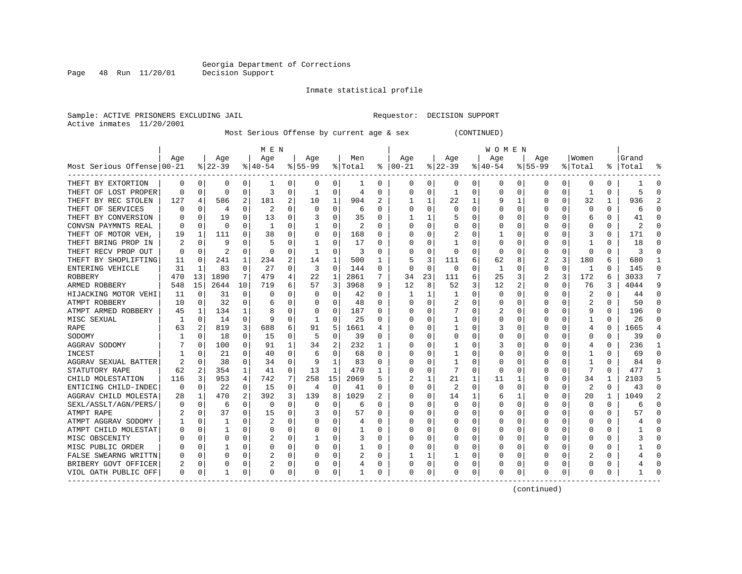Page 48 Run 11/20/01

#### Inmate statistical profile

Sample: ACTIVE PRISONERS EXCLUDING JAIL **Requestor: DECISION SUPPORT** Active inmates 11/20/2001

Most Serious Offense by current age & sex (CONTINUED)

|                            |          |             |           |          | M E N    |          |           |          |         |          |          |              |              |   | W O M E N |             |           |          |              |              |           |                |
|----------------------------|----------|-------------|-----------|----------|----------|----------|-----------|----------|---------|----------|----------|--------------|--------------|---|-----------|-------------|-----------|----------|--------------|--------------|-----------|----------------|
|                            | Aqe      |             | Age       |          | Age      |          | Aqe       |          | Men     |          | Age      |              | Age          |   | Aqe       |             | Aqe       |          | Women        |              | Grand     |                |
| Most Serious Offense 00-21 |          |             | $ 22-39 $ |          | $ 40-54$ |          | $8 55-99$ |          | % Total | ႜ        | $ 00-21$ |              | $ 22-39$     |   | $ 40-54$  |             | $8 55-99$ |          | % Total      |              | %   Total | °              |
| THEFT BY EXTORTION         | 0        | 0           | $\Omega$  | 0        |          | 0        | 0         | 0        | -1      | 0        | 0        | 0            | 0            | 0 | 0         | 0           | 0         | 0        | $\Omega$     | 0            |           | $\Omega$       |
| THEFT OF LOST PROPER       | 0        | $\Omega$    | $\Omega$  | $\Omega$ | 3        | 0        | 1         | 0        | 4       | 0        | 0        | $\Omega$     | -1           | 0 | Ω         | $\Omega$    | 0         | $\Omega$ | 1            | 0            | 5         | $\Omega$       |
| THEFT BY REC STOLEN        | 127      | 4           | 586       | 2        | 181      | 2        | 10        | 1        | 904     | 2        |          | 1            | 22           | 1 |           | 1           | U         | 0        | 32           | 1            | 936       | $\mathfrak{D}$ |
| THEFT OF SERVICES          |          | $\Omega$    | 4         | $\Omega$ | 2        | $\Omega$ | O         | $\Omega$ | 6       | O        |          | $\Omega$     | U            | O |           | $\Omega$    |           | 0        | $\Omega$     | <sup>0</sup> | 6         | $\Omega$       |
| THEFT BY CONVERSION        |          | $\Omega$    | 19        | 0        | 13       | 0        |           | $\Omega$ | 35      | $\Omega$ |          | 1            | 5            | 0 |           | $\Omega$    |           | 0        | 6            | 0            | 41        | ∩              |
| CONVSN PAYMNTS REAL        | n        | $\Omega$    | $\Omega$  | O        | -1       | 0        |           | $\Omega$ | 2       | $\Omega$ |          | 0            |              | U |           | $\Omega$    |           | 0        | <sup>0</sup> | 0            | 2         | ∩              |
| THEFT OF MOTOR VEH,        | 19       | 1           | 111       | 0        | 38       | 0        | 0         | 0        | 168     | 0        |          | 0            |              | 0 |           | 0           | 0         | 0        | 3            | 0            | 171       | $\Omega$       |
| THEFT BRING PROP IN        | 2        | 0           | 9         | 0        | 5        | 0        |           | 0        | 17      | 0        |          | 0            |              | 0 |           | 0           |           | U        |              |              | 18        | $\Omega$       |
| THEFT RECV PROP OUT        | 0        | $\Omega$    | 2         | 0        | 0        | 0        |           | 0        | 3       | 0        |          | 0            | 0            | 0 | 0         | $\Omega$    | 0         | 0        | $\Omega$     | 0            |           | $\Omega$       |
| THEFT BY SHOPLIFTING       | 11       | $\Omega$    | 241       | 1        | 234      | 2        | 14        | 1        | 500     |          |          | 3            | 111          | 6 | 62        | 8           |           | 3        | 180          | 6            | 680       | 1              |
| ENTERING VEHICLE           | 31       | 1           | 83        | 0        | 27       | 0        | 3         | 0        | 144     | O        | $\Omega$ | $\Omega$     | $\Omega$     | U | -1        | $\Omega$    | 0         | 0        | 1            | 0            | 145       | $\Omega$       |
| ROBBERY                    | 470      | 13          | 1890      | 7        | 479      | 4        | 22        | 1        | 2861    |          | 34       | 23           | 111          | 6 | 25        | 3           | 2         | 3        | 172          | 6            | 3033      | 7              |
| ARMED ROBBERY              | 548      | 15          | 2644      | 10       | 719      | 6        | 57        | 3        | 3968    | 9        | 12       | 8            | 52           | 3 | 12        | 2           | 0         | 0        | 76           | 3            | 4044      | 9              |
| HIJACKING MOTOR VEHI       | 11       | $\mathbf 0$ | 31        | 0        | C        | 0        | 0         | 0        | 42      | 0        |          | 1            | 1            | 0 |           | $\Omega$    | 0         | 0        | 2            | O            | 44        | $\Omega$       |
| ATMPT ROBBERY              | 10       | $\Omega$    | 32        | 0        | 6        | 0        | O         | 0        | 48      | $\Omega$ | U        | 0            | 2            | U |           | $\Omega$    | U         | 0        | 2            | 0            | 50        | $\Omega$       |
| ATMPT ARMED ROBBERY        | 45       | 1           | 134       | 1        | 8        | 0        | O         | 0        | 187     | O        |          | 0            | 7            | U | 2         | $\Omega$    | U         | 0        | q            | 0            | 196       | $\Omega$       |
| MISC SEXUAL                | 1        | 0           | 14        | 0        | 9        | 0        | -1        | 0        | 25      | O        |          |              |              | U |           | 0           |           | 0        |              |              | 26        | $\Omega$       |
| RAPE                       | 63       |             | 819       | 3        | 688      | 6        | 91        | 5        | 1661    | 4        |          |              | 1            | 0 |           | $\Omega$    |           | O        | 4            | O            | 1665      |                |
| SODOMY                     |          | $\Omega$    | 18        | 0        | 15       | O        | 5         | 0        | 39      | O        |          | <sup>0</sup> | U            | U |           | $\Omega$    |           | 0        | $\Omega$     | <sup>0</sup> | 39        | $\Omega$       |
| AGGRAV SODOMY              |          | $\Omega$    | 100       | 0        | 91       | 1        | 34        | 2        | 232     | 1        |          | $\Omega$     |              | U |           | $\Omega$    | Ω         | 0        |              | 0            | 236       |                |
| INCEST                     |          | 0           | 21        | 0        | 40       | $\Omega$ |           | $\Omega$ | 68      | $\Omega$ |          | $\Omega$     |              | U |           | O           |           | 0        | -1           | U            | 69        | $\Omega$       |
| AGGRAV SEXUAL BATTER       |          | $\mathbf 0$ | 38        | $\Omega$ | 34       | $\Omega$ | 9         | 1        | 83      | O        |          | $\Omega$     | $\mathbf{1}$ | O |           | $\Omega$    |           | 0        | $\mathbf{1}$ | O            | 84        | $\Omega$       |
| STATUTORY RAPE             | 62       | 2           | 354       | 1        | 41       | $\Omega$ | 13        | 1        | 470     | 1        |          | $\Omega$     | 7            | 0 |           | $\Omega$    |           | 0        | 7            | $\Omega$     | 477       | $\mathbf{1}$   |
| CHILD MOLESTATION          | 116      | 3           | 953       | 4        | 742      | 7        | 258       | 15       | 2069    | 5        |          | 1            | 21           | 1 | 11        | -1          | 0         | 0        | 34           |              | 2103      | 5              |
| ENTICING CHILD-INDEC       | $\Omega$ | 0           | 22        | 0        | 15       | 0        | 4         | 0        | 41      | 0        |          | 0            | 2            | 0 | $\Omega$  | 0           | 0         | 0        | 2            | O            | 43        | $\Omega$       |
| AGGRAV CHILD MOLESTA       | 28       | 1           | 470       | 2        | 392      | 3        | 139       | 8        | 1029    | 2        |          | 0            | 14           | 1 |           |             |           | 0        | 20           |              | 1049      | $\overline{2}$ |
| SEXL/ASSLT/AGN/PERS/       | O        | $\Omega$    | 6         | O        | $\Omega$ | O        | 0         | 0        | 6       | n        |          |              | 0            | 0 |           | $\Omega$    | U         | U        | $\Omega$     | 0            |           | ∩              |
| ATMPT RAPE                 |          | $\Omega$    | 37        | 0        | 15       | 0        |           | 0        | 57      | $\Omega$ |          | 0            | U            | 0 |           | $\Omega$    | U         | 0        | $\Omega$     | 0            | 57        | ∩              |
| ATMPT AGGRAV SODOMY        |          | 0           | 1         | 0        | 2        | 0        |           | $\Omega$ | 4       | O        |          | <sup>0</sup> | 0            | U |           | O           |           | 0        | <sup>0</sup> | O            |           | $\Omega$       |
| ATMPT CHILD MOLESTAT       |          | 0           |           | 0        | 0        | 0        |           | 0        | 1       | 0        |          | $\Omega$     |              | 0 |           | 0           |           | 0        |              | 0            |           | $\Omega$       |
| MISC OBSCENITY             |          | 0           | O         | 0        |          | 0        |           | $\Omega$ | 3       | $\Omega$ |          | 0            |              | 0 |           | 0           |           | 0        | ∩            | 0            |           | $\Omega$       |
| MISC PUBLIC ORDER          |          | 0           |           | 0        | 0        | 0        | O         | 0        |         | 0        | U        | 0            | 0            | 0 |           | 0           | U         | 0        | n            | 0            |           | ∩              |
| FALSE SWEARNG WRITTN       | O        | 0           | O         | 0        | 2        | 0        | U         | 0        | 2       | 0        |          | 1            |              | U |           | 0           |           | 0        | 2            | U            |           | $\Omega$       |
| BRIBERY GOVT OFFICER       | 2        | 0           | 0         | 0        | 2        | 0        |           | 0        |         | 0        |          | 0            |              | 0 |           | 0           |           | 0        |              |              |           | $\Omega$       |
| VIOL OATH PUBLIC OFF       | 0        | 0           |           | $\Omega$ | $\Omega$ | 0        | O         | 0        |         | 0        | $\Omega$ | 0            | 0            | 0 | O         | $\mathbf 0$ | U         | 0        | $\Omega$     | U            |           | $\Omega$       |
|                            |          |             |           |          |          |          |           |          |         |          |          |              |              |   |           |             |           |          |              |              |           |                |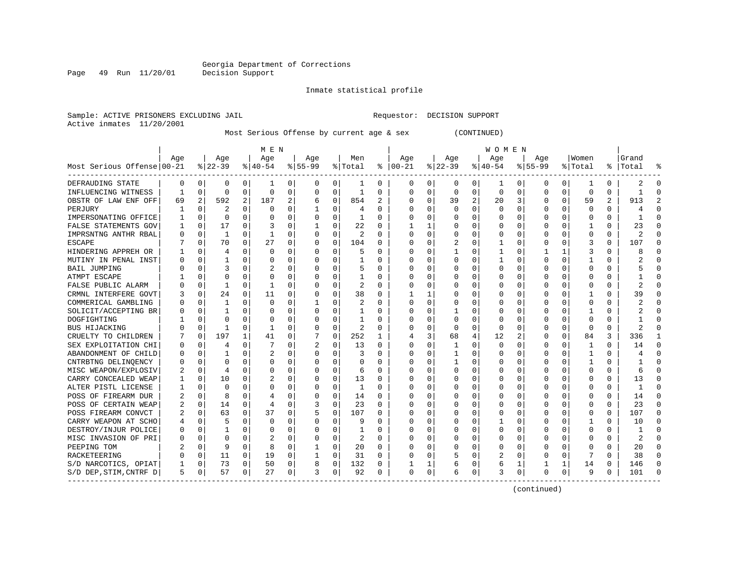Page 49 Run 11/20/01

#### Inmate statistical profile

Sample: ACTIVE PRISONERS EXCLUDING JAIL **Requestor: DECISION SUPPORT** Active inmates 11/20/2001

Most Serious Offense by current age & sex (CONTINUED)

| Age<br>Age<br>Men<br>Age<br>Age<br>Women<br>Grand<br>Age<br>Age<br>Age<br>Age<br>$ 22-39$<br>Most Serious Offense 00-21<br>$ 40-54$<br>$8 55-99$<br>% Total<br>$ 00-21$<br>$ 22-39$<br>$ 40-54$<br>$8155 - 99$<br>ႜ<br>% Total<br> Total<br>ႜ<br>DEFRAUDING STATE<br>0<br>0<br>0<br>0<br>0<br>0<br>0<br>0<br>0<br>0<br>0<br>0<br>$\Omega$<br>-1<br>0<br>1<br>0<br>0<br>2<br>ı<br>1<br>0<br>0<br>$\Omega$<br>$\mathbf 0$<br>0<br>0<br>$\Omega$<br>0<br>0<br>0<br>INFLUENCING WITNESS<br>$\Omega$<br>1<br>$\Omega$<br>0<br>0<br>$\Omega$<br>$\Omega$<br>1<br>$\Omega$<br>$\Omega$<br>-1<br>$\overline{2}$<br>2<br>$\overline{a}$<br>$\mathbf 0$<br>2<br>592<br>187<br>2<br>$\Omega$<br>3<br>0<br>2<br>913<br>854<br>39<br>59<br>OBSTR OF LAW ENF OFF<br>69<br>6<br>$\Omega$<br>20<br>0<br>$\mathbf 0$<br>2<br>$\Omega$<br>$\mathbf 0$<br>0<br>0<br>$\Omega$<br>$\Omega$<br>$\Omega$<br>$\Omega$<br>$\Omega$<br>$\Omega$<br>PERJURY<br>1<br>$\Omega$<br>$\cap$<br>4<br>$\Omega$<br>C<br>4<br>$\Omega$<br>$\Omega$<br>$\Omega$<br>IMPERSONATING OFFICE<br>0<br>$\Omega$<br>$\Omega$<br>0<br>1<br>$\Omega$<br>$\Omega$<br>0<br>$\Omega$<br>$\Omega$<br>$\Omega$<br>$\Omega$<br>-1<br>$\Omega$<br>O<br>0<br>$\mathbf 0$<br>17<br>0<br>FALSE STATEMENTS GOV<br>$\Omega$<br>3<br>0<br>22<br>0<br>0<br>$\Omega$<br>23<br>1<br>0<br>$\Omega$<br>C<br>0<br>0<br>IMPRSNTNG ANTHR RBAL<br>0<br>0<br>0<br>2<br>$\Omega$<br>0<br>0<br>$\Omega$<br>$\Omega$<br>$\Omega$<br>0<br>1<br>1<br>0<br>O<br>$\Omega$<br>C<br>70<br>27<br>0<br>107<br><b>ESCAPE</b><br>0<br>0<br>104<br>2<br>$\Omega$<br>$\Omega$<br>3<br>$\Omega$<br>0<br>0<br>$\Omega$<br>$\Omega$<br>0<br>0<br>Ω<br>HINDERING APPREH OR<br>$\Omega$<br>$\Omega$<br>$\Omega$<br>$\Omega$<br>$\Omega$<br>$\Omega$<br>$\Omega$<br>$\mathbf{1}$<br>$\Omega$<br>$\Omega$<br>$\mathbf{1}$<br>3<br>$\Omega$<br>8<br>4<br>$\Omega$<br>$\Omega$<br>5<br>MUTINY IN PENAL INST<br>$\Omega$<br>1<br>$\Omega$<br>$\Omega$<br>$\Omega$<br>$\Omega$<br>$\Omega$<br>$\Omega$<br>$\Omega$<br>$\Omega$<br>$\Omega$<br>O<br>1<br>$\Omega$<br>$\Omega$<br>U<br>1<br>$\Omega$<br>O<br>3<br>$\Omega$<br>$\Omega$<br><b>BAIL JUMPING</b><br>$\Omega$<br>$\Omega$<br>$\overline{c}$<br>$\Omega$<br>5<br>$\Omega$<br>$\Omega$<br>$\Omega$<br>$\Omega$<br>$\Omega$<br>O<br>$\Omega$<br>$\Omega$<br>$\Omega$<br>U<br>$\Omega$<br>0<br>$\Omega$<br>0<br>$\Omega$<br>$\mathbf 0$<br>$\Omega$<br>$\mathbf 0$<br>0<br>$\Omega$<br>$\Omega$<br>$\Omega$<br>ATMPT ESCAPE<br>O<br>1<br>0<br>O<br>Ω<br>1<br>0<br>2<br>FALSE PUBLIC ALARM<br>0<br>0<br>-1<br>$\Omega$<br>O<br>$\Omega$<br>$\Omega$<br>$\Omega$<br>$\Omega$<br>$\Omega$<br>$\Omega$<br>$\Omega$<br>O<br>0<br>Ω<br>$\Omega$<br>CRMNL INTERFERE GOVT<br>$\mathbf 0$<br>24<br>$\Omega$<br>11<br>$\Omega$<br>$\Omega$<br>38<br>$\Omega$<br>$\Omega$<br>39<br>$\Omega$<br>O<br>1<br>$\Omega$<br>C<br>O<br>COMMERICAL GAMBLING<br>$\mathbf 0$<br>1<br>$\Omega$<br>$\mathbf 0$<br>0<br>0<br>2<br>$\Omega$<br>0<br>$\Omega$<br>1<br>$\Omega$<br>$\Omega$<br>O<br>$\Omega$<br>$\Omega$<br>C<br>O<br>0<br>SOLICIT/ACCEPTING BR<br>$\mathbf 0$<br>$\Omega$<br>0<br>$\Omega$<br>$\Omega$<br>1<br>0<br>$\Omega$<br>$\Omega$<br>$\Omega$<br>0<br>$\Omega$<br>$\Omega$<br>O<br>1<br>C<br>0<br>DOGFIGHTING<br>$\mathbf 0$<br>$\Omega$<br>0<br>$\Omega$<br>$\Omega$<br>$\Omega$<br>$\Omega$<br>$\Omega$<br>O<br>C.<br>O<br>$\Omega$<br>O<br>C<br>$\Omega$<br>2<br>BUS HIJACKING<br>$\Omega$<br>1<br>$\Omega$<br>$\mathbf{1}$<br>$\Omega$<br>$\Omega$<br>$\Omega$<br>$\Omega$<br>$\Omega$<br>$\Omega$<br>$\Omega$<br>$\Omega$<br>$\mathfrak{D}$<br>$\Omega$<br>$\Omega$<br>$\cap$<br>$\Omega$<br>C |                |
|-------------------------------------------------------------------------------------------------------------------------------------------------------------------------------------------------------------------------------------------------------------------------------------------------------------------------------------------------------------------------------------------------------------------------------------------------------------------------------------------------------------------------------------------------------------------------------------------------------------------------------------------------------------------------------------------------------------------------------------------------------------------------------------------------------------------------------------------------------------------------------------------------------------------------------------------------------------------------------------------------------------------------------------------------------------------------------------------------------------------------------------------------------------------------------------------------------------------------------------------------------------------------------------------------------------------------------------------------------------------------------------------------------------------------------------------------------------------------------------------------------------------------------------------------------------------------------------------------------------------------------------------------------------------------------------------------------------------------------------------------------------------------------------------------------------------------------------------------------------------------------------------------------------------------------------------------------------------------------------------------------------------------------------------------------------------------------------------------------------------------------------------------------------------------------------------------------------------------------------------------------------------------------------------------------------------------------------------------------------------------------------------------------------------------------------------------------------------------------------------------------------------------------------------------------------------------------------------------------------------------------------------------------------------------------------------------------------------------------------------------------------------------------------------------------------------------------------------------------------------------------------------------------------------------------------------------------------------------------------------------------------------------------------------------------------------------------------------------------------------------------------------------------------------------------------------------------------------------------------------------------------------------------------------------------------------------------------------------------------------------------------------------------------------------------------------------------------------------------------------------------------------------------------------------------------------------------------------------------------------------------------------------------|----------------|
|                                                                                                                                                                                                                                                                                                                                                                                                                                                                                                                                                                                                                                                                                                                                                                                                                                                                                                                                                                                                                                                                                                                                                                                                                                                                                                                                                                                                                                                                                                                                                                                                                                                                                                                                                                                                                                                                                                                                                                                                                                                                                                                                                                                                                                                                                                                                                                                                                                                                                                                                                                                                                                                                                                                                                                                                                                                                                                                                                                                                                                                                                                                                                                                                                                                                                                                                                                                                                                                                                                                                                                                                                                                       |                |
|                                                                                                                                                                                                                                                                                                                                                                                                                                                                                                                                                                                                                                                                                                                                                                                                                                                                                                                                                                                                                                                                                                                                                                                                                                                                                                                                                                                                                                                                                                                                                                                                                                                                                                                                                                                                                                                                                                                                                                                                                                                                                                                                                                                                                                                                                                                                                                                                                                                                                                                                                                                                                                                                                                                                                                                                                                                                                                                                                                                                                                                                                                                                                                                                                                                                                                                                                                                                                                                                                                                                                                                                                                                       | °              |
|                                                                                                                                                                                                                                                                                                                                                                                                                                                                                                                                                                                                                                                                                                                                                                                                                                                                                                                                                                                                                                                                                                                                                                                                                                                                                                                                                                                                                                                                                                                                                                                                                                                                                                                                                                                                                                                                                                                                                                                                                                                                                                                                                                                                                                                                                                                                                                                                                                                                                                                                                                                                                                                                                                                                                                                                                                                                                                                                                                                                                                                                                                                                                                                                                                                                                                                                                                                                                                                                                                                                                                                                                                                       | $\Omega$       |
|                                                                                                                                                                                                                                                                                                                                                                                                                                                                                                                                                                                                                                                                                                                                                                                                                                                                                                                                                                                                                                                                                                                                                                                                                                                                                                                                                                                                                                                                                                                                                                                                                                                                                                                                                                                                                                                                                                                                                                                                                                                                                                                                                                                                                                                                                                                                                                                                                                                                                                                                                                                                                                                                                                                                                                                                                                                                                                                                                                                                                                                                                                                                                                                                                                                                                                                                                                                                                                                                                                                                                                                                                                                       | $\Omega$       |
|                                                                                                                                                                                                                                                                                                                                                                                                                                                                                                                                                                                                                                                                                                                                                                                                                                                                                                                                                                                                                                                                                                                                                                                                                                                                                                                                                                                                                                                                                                                                                                                                                                                                                                                                                                                                                                                                                                                                                                                                                                                                                                                                                                                                                                                                                                                                                                                                                                                                                                                                                                                                                                                                                                                                                                                                                                                                                                                                                                                                                                                                                                                                                                                                                                                                                                                                                                                                                                                                                                                                                                                                                                                       | $\overline{a}$ |
|                                                                                                                                                                                                                                                                                                                                                                                                                                                                                                                                                                                                                                                                                                                                                                                                                                                                                                                                                                                                                                                                                                                                                                                                                                                                                                                                                                                                                                                                                                                                                                                                                                                                                                                                                                                                                                                                                                                                                                                                                                                                                                                                                                                                                                                                                                                                                                                                                                                                                                                                                                                                                                                                                                                                                                                                                                                                                                                                                                                                                                                                                                                                                                                                                                                                                                                                                                                                                                                                                                                                                                                                                                                       | $\Omega$       |
|                                                                                                                                                                                                                                                                                                                                                                                                                                                                                                                                                                                                                                                                                                                                                                                                                                                                                                                                                                                                                                                                                                                                                                                                                                                                                                                                                                                                                                                                                                                                                                                                                                                                                                                                                                                                                                                                                                                                                                                                                                                                                                                                                                                                                                                                                                                                                                                                                                                                                                                                                                                                                                                                                                                                                                                                                                                                                                                                                                                                                                                                                                                                                                                                                                                                                                                                                                                                                                                                                                                                                                                                                                                       | $\Omega$       |
|                                                                                                                                                                                                                                                                                                                                                                                                                                                                                                                                                                                                                                                                                                                                                                                                                                                                                                                                                                                                                                                                                                                                                                                                                                                                                                                                                                                                                                                                                                                                                                                                                                                                                                                                                                                                                                                                                                                                                                                                                                                                                                                                                                                                                                                                                                                                                                                                                                                                                                                                                                                                                                                                                                                                                                                                                                                                                                                                                                                                                                                                                                                                                                                                                                                                                                                                                                                                                                                                                                                                                                                                                                                       | $\Omega$       |
|                                                                                                                                                                                                                                                                                                                                                                                                                                                                                                                                                                                                                                                                                                                                                                                                                                                                                                                                                                                                                                                                                                                                                                                                                                                                                                                                                                                                                                                                                                                                                                                                                                                                                                                                                                                                                                                                                                                                                                                                                                                                                                                                                                                                                                                                                                                                                                                                                                                                                                                                                                                                                                                                                                                                                                                                                                                                                                                                                                                                                                                                                                                                                                                                                                                                                                                                                                                                                                                                                                                                                                                                                                                       | $\Omega$       |
|                                                                                                                                                                                                                                                                                                                                                                                                                                                                                                                                                                                                                                                                                                                                                                                                                                                                                                                                                                                                                                                                                                                                                                                                                                                                                                                                                                                                                                                                                                                                                                                                                                                                                                                                                                                                                                                                                                                                                                                                                                                                                                                                                                                                                                                                                                                                                                                                                                                                                                                                                                                                                                                                                                                                                                                                                                                                                                                                                                                                                                                                                                                                                                                                                                                                                                                                                                                                                                                                                                                                                                                                                                                       | $\Omega$       |
|                                                                                                                                                                                                                                                                                                                                                                                                                                                                                                                                                                                                                                                                                                                                                                                                                                                                                                                                                                                                                                                                                                                                                                                                                                                                                                                                                                                                                                                                                                                                                                                                                                                                                                                                                                                                                                                                                                                                                                                                                                                                                                                                                                                                                                                                                                                                                                                                                                                                                                                                                                                                                                                                                                                                                                                                                                                                                                                                                                                                                                                                                                                                                                                                                                                                                                                                                                                                                                                                                                                                                                                                                                                       | $\Omega$       |
|                                                                                                                                                                                                                                                                                                                                                                                                                                                                                                                                                                                                                                                                                                                                                                                                                                                                                                                                                                                                                                                                                                                                                                                                                                                                                                                                                                                                                                                                                                                                                                                                                                                                                                                                                                                                                                                                                                                                                                                                                                                                                                                                                                                                                                                                                                                                                                                                                                                                                                                                                                                                                                                                                                                                                                                                                                                                                                                                                                                                                                                                                                                                                                                                                                                                                                                                                                                                                                                                                                                                                                                                                                                       | $\Omega$       |
|                                                                                                                                                                                                                                                                                                                                                                                                                                                                                                                                                                                                                                                                                                                                                                                                                                                                                                                                                                                                                                                                                                                                                                                                                                                                                                                                                                                                                                                                                                                                                                                                                                                                                                                                                                                                                                                                                                                                                                                                                                                                                                                                                                                                                                                                                                                                                                                                                                                                                                                                                                                                                                                                                                                                                                                                                                                                                                                                                                                                                                                                                                                                                                                                                                                                                                                                                                                                                                                                                                                                                                                                                                                       | $\Omega$       |
|                                                                                                                                                                                                                                                                                                                                                                                                                                                                                                                                                                                                                                                                                                                                                                                                                                                                                                                                                                                                                                                                                                                                                                                                                                                                                                                                                                                                                                                                                                                                                                                                                                                                                                                                                                                                                                                                                                                                                                                                                                                                                                                                                                                                                                                                                                                                                                                                                                                                                                                                                                                                                                                                                                                                                                                                                                                                                                                                                                                                                                                                                                                                                                                                                                                                                                                                                                                                                                                                                                                                                                                                                                                       | $\Omega$       |
|                                                                                                                                                                                                                                                                                                                                                                                                                                                                                                                                                                                                                                                                                                                                                                                                                                                                                                                                                                                                                                                                                                                                                                                                                                                                                                                                                                                                                                                                                                                                                                                                                                                                                                                                                                                                                                                                                                                                                                                                                                                                                                                                                                                                                                                                                                                                                                                                                                                                                                                                                                                                                                                                                                                                                                                                                                                                                                                                                                                                                                                                                                                                                                                                                                                                                                                                                                                                                                                                                                                                                                                                                                                       | $\Omega$       |
|                                                                                                                                                                                                                                                                                                                                                                                                                                                                                                                                                                                                                                                                                                                                                                                                                                                                                                                                                                                                                                                                                                                                                                                                                                                                                                                                                                                                                                                                                                                                                                                                                                                                                                                                                                                                                                                                                                                                                                                                                                                                                                                                                                                                                                                                                                                                                                                                                                                                                                                                                                                                                                                                                                                                                                                                                                                                                                                                                                                                                                                                                                                                                                                                                                                                                                                                                                                                                                                                                                                                                                                                                                                       | $\Omega$       |
|                                                                                                                                                                                                                                                                                                                                                                                                                                                                                                                                                                                                                                                                                                                                                                                                                                                                                                                                                                                                                                                                                                                                                                                                                                                                                                                                                                                                                                                                                                                                                                                                                                                                                                                                                                                                                                                                                                                                                                                                                                                                                                                                                                                                                                                                                                                                                                                                                                                                                                                                                                                                                                                                                                                                                                                                                                                                                                                                                                                                                                                                                                                                                                                                                                                                                                                                                                                                                                                                                                                                                                                                                                                       | $\Omega$       |
|                                                                                                                                                                                                                                                                                                                                                                                                                                                                                                                                                                                                                                                                                                                                                                                                                                                                                                                                                                                                                                                                                                                                                                                                                                                                                                                                                                                                                                                                                                                                                                                                                                                                                                                                                                                                                                                                                                                                                                                                                                                                                                                                                                                                                                                                                                                                                                                                                                                                                                                                                                                                                                                                                                                                                                                                                                                                                                                                                                                                                                                                                                                                                                                                                                                                                                                                                                                                                                                                                                                                                                                                                                                       | $\Omega$       |
|                                                                                                                                                                                                                                                                                                                                                                                                                                                                                                                                                                                                                                                                                                                                                                                                                                                                                                                                                                                                                                                                                                                                                                                                                                                                                                                                                                                                                                                                                                                                                                                                                                                                                                                                                                                                                                                                                                                                                                                                                                                                                                                                                                                                                                                                                                                                                                                                                                                                                                                                                                                                                                                                                                                                                                                                                                                                                                                                                                                                                                                                                                                                                                                                                                                                                                                                                                                                                                                                                                                                                                                                                                                       | $\Omega$       |
|                                                                                                                                                                                                                                                                                                                                                                                                                                                                                                                                                                                                                                                                                                                                                                                                                                                                                                                                                                                                                                                                                                                                                                                                                                                                                                                                                                                                                                                                                                                                                                                                                                                                                                                                                                                                                                                                                                                                                                                                                                                                                                                                                                                                                                                                                                                                                                                                                                                                                                                                                                                                                                                                                                                                                                                                                                                                                                                                                                                                                                                                                                                                                                                                                                                                                                                                                                                                                                                                                                                                                                                                                                                       | $\Omega$       |
| 197<br>$\mathbf{1}$<br>0<br>252<br>3<br>2<br>84<br>336<br>CRUELTY TO CHILDREN<br>$\mathbf 0$<br>41<br>0<br>68<br>4<br>12<br>$\Omega$<br>3<br>1<br>U                                                                                                                                                                                                                                                                                                                                                                                                                                                                                                                                                                                                                                                                                                                                                                                                                                                                                                                                                                                                                                                                                                                                                                                                                                                                                                                                                                                                                                                                                                                                                                                                                                                                                                                                                                                                                                                                                                                                                                                                                                                                                                                                                                                                                                                                                                                                                                                                                                                                                                                                                                                                                                                                                                                                                                                                                                                                                                                                                                                                                                                                                                                                                                                                                                                                                                                                                                                                                                                                                                   | 1              |
| $\mathbf 0$<br>$\Omega$<br>SEX EXPLOITATION CHI<br>$\mathbf 0$<br>$\Omega$<br>7<br>$\Omega$<br>2<br>13<br>0<br>$\Omega$<br>$\Omega$<br>$\Omega$<br>$\Omega$<br>14<br>4<br>$\Omega$<br>$\Omega$<br>1<br>O<br>0<br>-1                                                                                                                                                                                                                                                                                                                                                                                                                                                                                                                                                                                                                                                                                                                                                                                                                                                                                                                                                                                                                                                                                                                                                                                                                                                                                                                                                                                                                                                                                                                                                                                                                                                                                                                                                                                                                                                                                                                                                                                                                                                                                                                                                                                                                                                                                                                                                                                                                                                                                                                                                                                                                                                                                                                                                                                                                                                                                                                                                                                                                                                                                                                                                                                                                                                                                                                                                                                                                                   | $\Omega$       |
| $\mathbf 0$<br>$\overline{2}$<br>0<br>$\Omega$<br>0<br>ABANDONMENT OF CHILD<br>1<br>$\Omega$<br>0<br>$\Omega$<br>$\Omega$<br>0<br>$\Omega$<br>$\Omega$<br>3<br>-1<br>0<br>1<br>N                                                                                                                                                                                                                                                                                                                                                                                                                                                                                                                                                                                                                                                                                                                                                                                                                                                                                                                                                                                                                                                                                                                                                                                                                                                                                                                                                                                                                                                                                                                                                                                                                                                                                                                                                                                                                                                                                                                                                                                                                                                                                                                                                                                                                                                                                                                                                                                                                                                                                                                                                                                                                                                                                                                                                                                                                                                                                                                                                                                                                                                                                                                                                                                                                                                                                                                                                                                                                                                                      | $\Omega$       |
| $\mathbf 0$<br>0<br>CNTRBTNG DELINQENCY<br>$\Omega$<br>$\Omega$<br>$\Omega$<br>$\Omega$<br>$\Omega$<br>$\Omega$<br>$\Omega$<br>$\Omega$<br>$\mathbf{1}$<br>$\Omega$<br>0<br>$\Omega$<br>1<br>$\Omega$<br>$\mathbf{1}$<br>$\Omega$<br>Ω                                                                                                                                                                                                                                                                                                                                                                                                                                                                                                                                                                                                                                                                                                                                                                                                                                                                                                                                                                                                                                                                                                                                                                                                                                                                                                                                                                                                                                                                                                                                                                                                                                                                                                                                                                                                                                                                                                                                                                                                                                                                                                                                                                                                                                                                                                                                                                                                                                                                                                                                                                                                                                                                                                                                                                                                                                                                                                                                                                                                                                                                                                                                                                                                                                                                                                                                                                                                                | $\Omega$       |
| MISC WEAPON/EXPLOSIV<br>$\mathbf 0$<br>$\Omega$<br>0<br>$\Omega$<br>$\Omega$<br>0<br>$\Omega$<br>4<br>$\Omega$<br>0<br>O<br>6<br>$\Omega$<br>$\Omega$<br>C<br>0<br>$\Omega$<br>$\Omega$<br>6                                                                                                                                                                                                                                                                                                                                                                                                                                                                                                                                                                                                                                                                                                                                                                                                                                                                                                                                                                                                                                                                                                                                                                                                                                                                                                                                                                                                                                                                                                                                                                                                                                                                                                                                                                                                                                                                                                                                                                                                                                                                                                                                                                                                                                                                                                                                                                                                                                                                                                                                                                                                                                                                                                                                                                                                                                                                                                                                                                                                                                                                                                                                                                                                                                                                                                                                                                                                                                                          | $\Omega$       |
| CARRY CONCEALED WEAP<br>$\mathbf 0$<br>10<br>2<br>0<br>13<br>0<br>13<br>$\Omega$<br>0<br>$\Omega$<br>0<br>$\Omega$<br>$\Omega$<br>0<br>0<br>$\Omega$<br>0<br>O<br>0                                                                                                                                                                                                                                                                                                                                                                                                                                                                                                                                                                                                                                                                                                                                                                                                                                                                                                                                                                                                                                                                                                                                                                                                                                                                                                                                                                                                                                                                                                                                                                                                                                                                                                                                                                                                                                                                                                                                                                                                                                                                                                                                                                                                                                                                                                                                                                                                                                                                                                                                                                                                                                                                                                                                                                                                                                                                                                                                                                                                                                                                                                                                                                                                                                                                                                                                                                                                                                                                                   | $\Omega$       |
| ALTER PISTL LICENSE<br>0<br>0<br>0<br>$\Omega$<br>$\mathbf{1}$<br>O<br>$\Omega$<br>0<br>O<br>$\Omega$<br>O<br>0<br>$\Omega$<br>0<br>$\Omega$<br>1<br>O<br>C                                                                                                                                                                                                                                                                                                                                                                                                                                                                                                                                                                                                                                                                                                                                                                                                                                                                                                                                                                                                                                                                                                                                                                                                                                                                                                                                                                                                                                                                                                                                                                                                                                                                                                                                                                                                                                                                                                                                                                                                                                                                                                                                                                                                                                                                                                                                                                                                                                                                                                                                                                                                                                                                                                                                                                                                                                                                                                                                                                                                                                                                                                                                                                                                                                                                                                                                                                                                                                                                                           | $\Omega$       |
| POSS OF FIREARM DUR<br>0<br>0<br>$\Omega$<br>14<br>8<br>O<br>0<br>0<br>14<br>$\Omega$<br>O<br>0<br>$\Omega$<br>O<br>$\Omega$<br>4<br>O<br>Ω                                                                                                                                                                                                                                                                                                                                                                                                                                                                                                                                                                                                                                                                                                                                                                                                                                                                                                                                                                                                                                                                                                                                                                                                                                                                                                                                                                                                                                                                                                                                                                                                                                                                                                                                                                                                                                                                                                                                                                                                                                                                                                                                                                                                                                                                                                                                                                                                                                                                                                                                                                                                                                                                                                                                                                                                                                                                                                                                                                                                                                                                                                                                                                                                                                                                                                                                                                                                                                                                                                           | $\Omega$       |
| 23<br>2.3<br>POSS OF CERTAIN WEAP<br>$\mathbf 0$<br>14<br>$\Omega$<br>3<br>0<br>$\Omega$<br>$\Omega$<br>$\Omega$<br>$\Omega$<br>$\Omega$<br>$\overline{4}$<br>$\Omega$<br>∩<br>C<br>$\Omega$<br>U<br>$\Omega$                                                                                                                                                                                                                                                                                                                                                                                                                                                                                                                                                                                                                                                                                                                                                                                                                                                                                                                                                                                                                                                                                                                                                                                                                                                                                                                                                                                                                                                                                                                                                                                                                                                                                                                                                                                                                                                                                                                                                                                                                                                                                                                                                                                                                                                                                                                                                                                                                                                                                                                                                                                                                                                                                                                                                                                                                                                                                                                                                                                                                                                                                                                                                                                                                                                                                                                                                                                                                                         | $\Omega$       |
| 63<br>37<br>$\mathbf 0$<br>107<br>107<br>POSS FIREARM CONVCT<br>2<br>$\mathbf 0$<br>$\Omega$<br>0<br>5<br>$\Omega$<br>$\Omega$<br>$\Omega$<br>$\Omega$<br>$\Omega$<br>$\Omega$<br>C<br>$\Omega$<br>O<br>O                                                                                                                                                                                                                                                                                                                                                                                                                                                                                                                                                                                                                                                                                                                                                                                                                                                                                                                                                                                                                                                                                                                                                                                                                                                                                                                                                                                                                                                                                                                                                                                                                                                                                                                                                                                                                                                                                                                                                                                                                                                                                                                                                                                                                                                                                                                                                                                                                                                                                                                                                                                                                                                                                                                                                                                                                                                                                                                                                                                                                                                                                                                                                                                                                                                                                                                                                                                                                                             | $\Omega$       |
| $\Omega$<br>0<br>$\Omega$<br>10<br>CARRY WEAPON AT SCHO<br>$\mathbf 0$<br>5<br>$\mathbf 0$<br>0<br>$\Omega$<br>9<br>$\Omega$<br>$\Omega$<br>0<br>$\Omega$<br>C<br>$\Omega$<br>4<br>0                                                                                                                                                                                                                                                                                                                                                                                                                                                                                                                                                                                                                                                                                                                                                                                                                                                                                                                                                                                                                                                                                                                                                                                                                                                                                                                                                                                                                                                                                                                                                                                                                                                                                                                                                                                                                                                                                                                                                                                                                                                                                                                                                                                                                                                                                                                                                                                                                                                                                                                                                                                                                                                                                                                                                                                                                                                                                                                                                                                                                                                                                                                                                                                                                                                                                                                                                                                                                                                                  | $\Omega$       |
| 0<br>0<br>DESTROY/INJUR POLICE<br>0<br>0<br>0<br>0<br>$\Omega$<br>$\Omega$<br>$\Omega$<br>$\Omega$<br>$\Omega$<br>$\mathbf{1}$<br>0<br>$\Omega$<br>O<br>0<br>1<br>Ω                                                                                                                                                                                                                                                                                                                                                                                                                                                                                                                                                                                                                                                                                                                                                                                                                                                                                                                                                                                                                                                                                                                                                                                                                                                                                                                                                                                                                                                                                                                                                                                                                                                                                                                                                                                                                                                                                                                                                                                                                                                                                                                                                                                                                                                                                                                                                                                                                                                                                                                                                                                                                                                                                                                                                                                                                                                                                                                                                                                                                                                                                                                                                                                                                                                                                                                                                                                                                                                                                   | $\Omega$       |
| 0<br>MISC INVASION OF PRI<br>$\mathbf 0$<br>$\Omega$<br>$\Omega$<br>2<br>$\Omega$<br>2<br>$\Omega$<br>$\Omega$<br>$\Omega$<br>$\Omega$<br>$\Omega$<br>$\Omega$<br>2<br>N<br>0<br>$\Omega$<br>O<br>O<br>Ω                                                                                                                                                                                                                                                                                                                                                                                                                                                                                                                                                                                                                                                                                                                                                                                                                                                                                                                                                                                                                                                                                                                                                                                                                                                                                                                                                                                                                                                                                                                                                                                                                                                                                                                                                                                                                                                                                                                                                                                                                                                                                                                                                                                                                                                                                                                                                                                                                                                                                                                                                                                                                                                                                                                                                                                                                                                                                                                                                                                                                                                                                                                                                                                                                                                                                                                                                                                                                                              | $\Omega$       |
| $\Omega$<br>0<br>PEEPING TOM<br>0<br>9<br>8<br>20<br>$\Omega$<br>0<br>0<br>20<br>0<br>1<br>0<br>0<br>$\Omega$<br>$\Omega$<br>O<br>O<br>O<br>O                                                                                                                                                                                                                                                                                                                                                                                                                                                                                                                                                                                                                                                                                                                                                                                                                                                                                                                                                                                                                                                                                                                                                                                                                                                                                                                                                                                                                                                                                                                                                                                                                                                                                                                                                                                                                                                                                                                                                                                                                                                                                                                                                                                                                                                                                                                                                                                                                                                                                                                                                                                                                                                                                                                                                                                                                                                                                                                                                                                                                                                                                                                                                                                                                                                                                                                                                                                                                                                                                                         | $\Omega$       |
| 0<br>RACKETEERING<br>0<br>11<br>0<br>19<br>0<br>31<br>$\Omega$<br>0<br>0<br>38<br>O<br>1<br>0<br>5<br>0<br>2<br>$\Omega$<br>O                                                                                                                                                                                                                                                                                                                                                                                                                                                                                                                                                                                                                                                                                                                                                                                                                                                                                                                                                                                                                                                                                                                                                                                                                                                                                                                                                                                                                                                                                                                                                                                                                                                                                                                                                                                                                                                                                                                                                                                                                                                                                                                                                                                                                                                                                                                                                                                                                                                                                                                                                                                                                                                                                                                                                                                                                                                                                                                                                                                                                                                                                                                                                                                                                                                                                                                                                                                                                                                                                                                         | $\Omega$       |
| S/D NARCOTICS, OPIAT<br>0<br>73<br>50<br>0<br>0<br>0<br>8<br>132<br>1<br>14<br>0<br>146<br>0<br>0<br>6<br>1<br>6                                                                                                                                                                                                                                                                                                                                                                                                                                                                                                                                                                                                                                                                                                                                                                                                                                                                                                                                                                                                                                                                                                                                                                                                                                                                                                                                                                                                                                                                                                                                                                                                                                                                                                                                                                                                                                                                                                                                                                                                                                                                                                                                                                                                                                                                                                                                                                                                                                                                                                                                                                                                                                                                                                                                                                                                                                                                                                                                                                                                                                                                                                                                                                                                                                                                                                                                                                                                                                                                                                                                      | $\Omega$       |
| 57<br>$\mathbf 0$<br>S/D DEP, STIM, CNTRF D<br>5<br>0<br>0<br>27<br>0<br>3<br>0<br>92<br>3<br>0<br>0<br>9<br>101<br>$\Omega$<br>$\Omega$<br>6<br>0<br>U<br>$\Omega$                                                                                                                                                                                                                                                                                                                                                                                                                                                                                                                                                                                                                                                                                                                                                                                                                                                                                                                                                                                                                                                                                                                                                                                                                                                                                                                                                                                                                                                                                                                                                                                                                                                                                                                                                                                                                                                                                                                                                                                                                                                                                                                                                                                                                                                                                                                                                                                                                                                                                                                                                                                                                                                                                                                                                                                                                                                                                                                                                                                                                                                                                                                                                                                                                                                                                                                                                                                                                                                                                   | $\cap$         |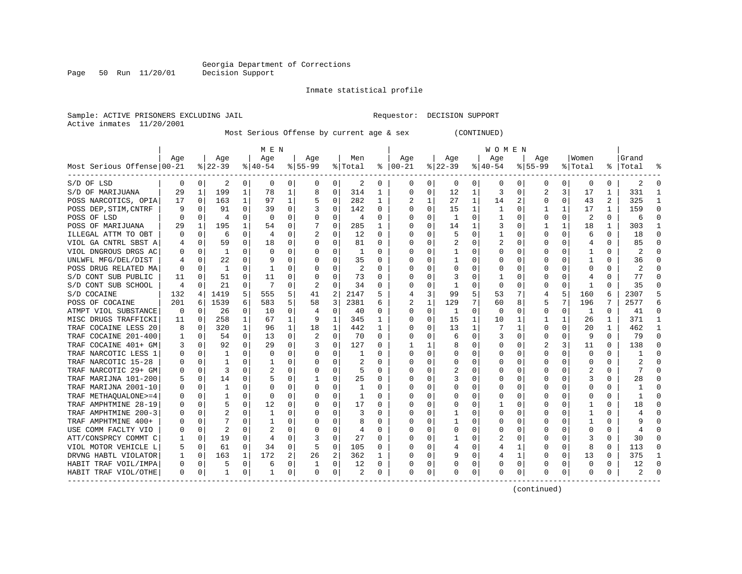Page 50 Run 11/20/01

#### Inmate statistical profile

Sample: ACTIVE PRISONERS EXCLUDING JAIL **Requestor: DECISION SUPPORT** Active inmates 11/20/2001

Most Serious Offense by current age & sex (CONTINUED)

|                            | M E N    |             |                |              |              |          |           |              |         |          | W O M E N      |              |              |          |          |             |          |              |                |          |                |              |
|----------------------------|----------|-------------|----------------|--------------|--------------|----------|-----------|--------------|---------|----------|----------------|--------------|--------------|----------|----------|-------------|----------|--------------|----------------|----------|----------------|--------------|
|                            | Age      |             | Age            |              | Age          |          | Age       |              | Men     |          | Age            |              | Age          |          | Age      |             | Age      |              | Women          |          | Grand          |              |
| Most Serious Offense 00-21 |          |             | $ 22-39 $      |              | $8 40-54$    |          | $8 55-99$ |              | % Total | ႜ        | $ 00-21$       |              | $ 22-39 $    |          | $ 40-54$ |             | $ 55-99$ |              | % Total        |          | %   Total      | ႜ            |
| S/D OF LSD                 | $\Omega$ | 0           | 2              | 0            | 0            | $\Omega$ | $\Omega$  | 0            | 2       | 0        | 0              | $\Omega$     | 0            | 0        | $\Omega$ | 0           | 0        | 0            | $\Omega$       | $\Omega$ | 2              | $\Omega$     |
| S/D OF MARIJUANA           | 29       | 1           | 199            | 1            | 78           | 1        | 8         | 0            | 314     | 1        | $\Omega$       | 0            | 12           | 1        | 3        | 0           | 2        | 3            | 17             | 1        | 331            | 1            |
| POSS NARCOTICS, OPIA       | 17       | 0           | 163            | $\mathbf 1$  | 97           | 1        | 5         | 0            | 282     | 1        | 2              | 1            | 27           | 1        | 14       | 2           | 0        | 0            | 43             | 2        | 325            | 1            |
| POSS DEP, STIM, CNTRF      |          | 0           | 91             | 0            | 39           | 0        | 3         | $\mathbf 0$  | 142     | 0        | $\Omega$       | $\mathbf 0$  | 15           | 1        |          | $\mathbf 0$ |          | 1            | 17             |          | 159            | $\Omega$     |
| POSS OF LSD                |          | $\mathbf 0$ | $\overline{4}$ | $\Omega$     | $\Omega$     | 0        | O         | $\mathbf 0$  | 4       | $\Omega$ | $\Omega$       | $\Omega$     | 1            | $\Omega$ |          | 0           | 0        | $\Omega$     | $\overline{2}$ | $\Omega$ | 6              | $\Omega$     |
| POSS OF MARIJUANA          | 29       | 1           | 195            | $\mathbf{1}$ | 54           | 0        |           | 0            | 285     | 1        | $\Omega$       | $\Omega$     | 14           | 1        | 3        | 0           |          | $\mathbf{1}$ | 18             | 1        | 303            | $\mathbf{1}$ |
| ILLEGAL ATTM TO OBT        | O        | $\mathbf 0$ | 6              | $\Omega$     | 4            | 0        |           | 0            | 12      | $\Omega$ | O              | $\Omega$     | 5            | 0        |          | 0           | 0        | 0            | 6              | $\Omega$ | 18             | $\Omega$     |
| VIOL GA CNTRL SBST A       |          | 0           | 59             | 0            | 18           | 0        | 0         | 0            | 81      | $\Omega$ |                |              | 2            | 0        | 2        | $\Omega$    | C        | 0            | 4              |          | 85             | $\Omega$     |
| VIOL DNGROUS DRGS AC       |          | 0           | 1              | O            | $\Omega$     | $\Omega$ | O         | 0            | 1       | $\Omega$ | $\Omega$       |              | ำ            | O        |          | $\Omega$    | C        | $\Omega$     |                | $\Omega$ |                | $\Omega$     |
| UNLWFL MFG/DEL/DIST        |          | $\Omega$    | 22             | $\Omega$     |              | $\Omega$ | $\Omega$  | $\Omega$     | 35      | $\Omega$ | $\Omega$       | $\Omega$     | -1           | 0        |          | $\Omega$    | U        | $\Omega$     | 1              | $\Omega$ | 36             | $\Omega$     |
| POSS DRUG RELATED MA       | $\Omega$ | 0           | 1              | $\Omega$     | -1           | 0        | 0         | 0            | 2       | $\Omega$ | $\Omega$       | $\Omega$     | 0            | 0        |          | $\Omega$    | 0        | $\Omega$     | $\Omega$       | $\Omega$ | 2              | U            |
| S/D CONT SUB PUBLIC        | 11       | 0           | 51             | 0            | 11           | 0        | 0         | $\mathbf 0$  | 73      | 0        |                | $\Omega$     | 3            | $\Omega$ |          | 0           | Ω        | 0            | 4              | $\Omega$ | 77             | $\Omega$     |
| S/D CONT SUB SCHOOL        | 4        | $\mathbf 0$ | 21             | 0            | 7            | 0        |           | $\mathbf 0$  | 34      | $\Omega$ | $\Omega$       | $\Omega$     | $\mathbf{1}$ | 0        | $\Omega$ | $\Omega$    | Ω        | $\Omega$     | $\mathbf{1}$   | $\Omega$ | 35             | $\Omega$     |
| S/D COCAINE                | 132      | 4           | 1419           | 5            | 555          | 5        | 41        | 2            | 2147    | 5        |                | 3            | 99           | 5        | 53       | 7           | 4        | 5            | 160            | 6        | 2307           | 5            |
| POSS OF COCAINE            | 201      | 6           | 1539           | 6            | 583          | 5        | 58        | 3            | 2381    | 6        | $\overline{2}$ | $\mathbf{1}$ | 129          | 7        | 60       | 8           | 5        | 7            | 196            | 7        | 2577           | 6            |
| ATMPT VIOL SUBSTANCE       | 0        | 0           | 26             | $\Omega$     | 10           | 0        | 4         | 0            | 40      | $\Omega$ | $\Omega$       | $\Omega$     | 1            | 0        | 0        | 0           | 0        | 0            | -1             | $\Omega$ | 41             | $\Omega$     |
| MISC DRUGS TRAFFICKI       | 11       | 0           | 258            | $\mathbf{1}$ | 67           | 1        | 9         | $\mathbf{1}$ | 345     | 1        | $\Omega$       | $\Omega$     | 15           | 1        | 10       | 1           |          | $\mathbf{1}$ | 26             |          | 371            | 1            |
| COCAINE LESS 20<br>TRAF    | 8        | 0           | 320            | $\mathbf{1}$ | 96           | 1        | 18        | 1            | 442     | 1        | $\Omega$       | $\Omega$     | 13           | 1        |          | 1           | 0        | $\Omega$     | 20             |          | 462            | 1            |
| TRAF COCAINE 201-400       | 1        | 0           | 54             | 0            | 13           | 0        | 2         | 0            | 70      | 0        | $\Omega$       | 0            | 6            | 0        | 3        | 0           | 0        | 0            | 9              | $\Omega$ | 79             | 0            |
| TRAF COCAINE 401+ GM       | 3        | 0           | 92             | $\Omega$     | 29           | $\Omega$ | 3         | 0            | 127     | $\Omega$ |                | 1            | 8            | 0        | O        | $\Omega$    | 2        | 3            | 11             | $\Omega$ | 138            | $\Omega$     |
| TRAF NARCOTIC LESS 1       | 0        | 0           | 1              | 0            | 0            | 0        | 0         | 0            | 1       | 0        | 0              | 0            | 0            | 0        |          | 0           | 0        | 0            | 0              | 0        | 1              | $\mathbf 0$  |
| TRAF NARCOTIC 15-28        | O        | $\mathbf 0$ | 1              | O            | 1            | 0        | O         | 0            | 2       | $\Omega$ | $\Omega$       | $\Omega$     | O            | 0        |          | $\Omega$    | 0        | $\Omega$     | $\Omega$       | $\Omega$ | 2              | $\Omega$     |
| TRAF NARCOTIC 29+ GM       | 0        | 0           | 3              | $\Omega$     | 2            | 0        | 0         | 0            | 5       | 0        | O              | $\Omega$     | 2            | 0        |          | $\Omega$    | 0        | $\Omega$     | $\overline{2}$ | 0        |                | $\Omega$     |
| TRAF MARIJNA 101-200       | 5        | 0           | 14             | $\Omega$     | 5            | 0        | 1         | 0            | 25      | 0        |                | $\Omega$     | 3            | 0        | $\left($ | $\Omega$    | O        | $\Omega$     | 3              | 0        | 28             | $\Omega$     |
| TRAF MARIJNA 2001-10       | O        | 0           | 1              | O            | $\mathsf{C}$ | $\Omega$ | O         | 0            |         |          | O              |              | O            | O        |          | $\Omega$    |          | $\Omega$     | $\Omega$       |          | $\mathbf{1}$   | $\Omega$     |
| TRAF METHAOUALONE>=4       | O        | $\Omega$    | 1              | $\Omega$     | $\Omega$     | $\Omega$ | O         | $\Omega$     | 1       | $\Omega$ | $\Omega$       | $\Omega$     | O            | O        |          | $\Omega$    |          | $\Omega$     | $\Omega$       | $\Omega$ | $\overline{1}$ | $\cap$       |
| TRAF AMPHTMINE 28-19       | 0        | $\Omega$    | 5              | $\Omega$     | 12           | $\Omega$ | 0         | $\Omega$     | 17      | $\Omega$ | $\Omega$       | $\Omega$     | $\Omega$     | $\Omega$ |          | $\Omega$    | 0        | $\Omega$     |                | $\Omega$ | 18             | $\Omega$     |
| TRAF AMPHTMINE 200-3       | 0        | $\Omega$    | 2              | $\Omega$     | -1           | $\Omega$ | O         | $\Omega$     | 3       | $\Omega$ | $\Omega$       | $\Omega$     |              | 0        | 0        | $\Omega$    | 0        | $\Omega$     |                | $\Omega$ | 4              | O            |
| TRAF AMPHTMINE 400+        |          | 0           |                | 0            | 1            | 0        | 0         | 0            | 8       | 0        |                | 0            |              | 0        |          | 0           | C        | 0            |                | 0        | 9              | $\Omega$     |
| USE COMM FACLTY VIO        | 0        | $\mathbf 0$ | 2              | O            |              | 0        | O         | 0            | 4       | $\Omega$ | $\Omega$       | $\Omega$     | O            | 0        |          | $\Omega$    | O        | $\Omega$     | $\Omega$       | $\Omega$ | 4              | $\Omega$     |
| ATT/CONSPRCY COMMT C       | 1        | 0           | 19             | $\Omega$     | 4            | 0        | 3         | 0            | 27      | $\Omega$ | O              | $\Omega$     | ำ            | 0        | 2        | 0           | O        | $\Omega$     | 3              | $\Omega$ | 30             | $\Omega$     |
| VIOL MOTOR VEHICLE L       | 5        | $\mathbf 0$ | 61             | $\Omega$     | 34           | 0        | 5         | 0            | 105     | 0        | $\Omega$       | $\Omega$     | 4            | 0        | 4        | 1           | 0        | 0            | 8              | 0        | 113            | $\Omega$     |
| DRVNG HABTL VIOLATOR       |          | $\mathbf 0$ | 163            | 1            | 172          | 2        | 26        | 2            | 362     | 1        | $\Omega$       | $\Omega$     | q            | $\Omega$ | 4        | 1           | 0        | 0            | 13             | $\Omega$ | 375            | 1            |
| HABIT TRAF VOIL/IMPA       | 0        | 0           | 5              | $\Omega$     | 6            | 0        | 1         | 0            | 12      | $\Omega$ |                | 0            | O            | 0        |          | $\Omega$    | Ω        | 0            | $\Omega$       | $\Omega$ | 12             | $\Omega$     |
| HABIT TRAF VIOL/OTHE       | 0        | 0           | 1              | 0            | -1           | 0        | $\Omega$  | 0            | 2       | $\Omega$ | $\Omega$       | 0            | $\Omega$     | 0        | $\Omega$ | 0           | 0        | 0            | $\Omega$       | $\Omega$ | 2              | $\cap$       |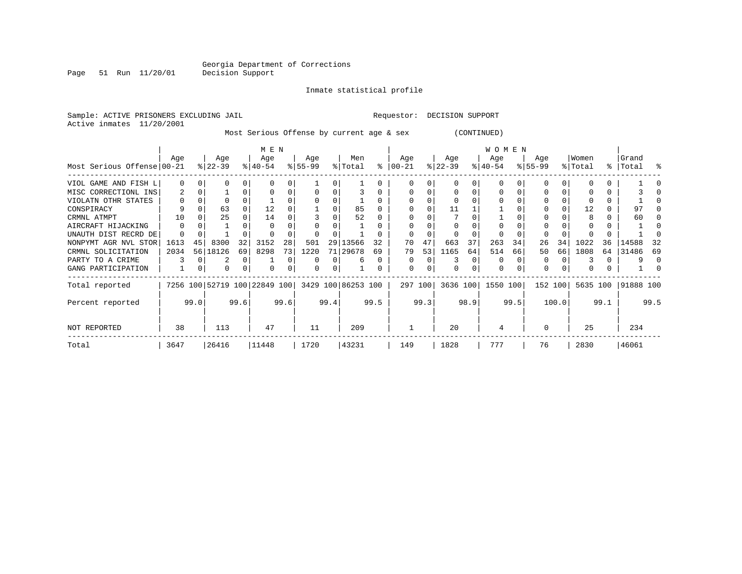Page 51 Run 11/20/01

#### Inmate statistical profile

Sample: ACTIVE PRISONERS EXCLUDING JAIL **Requestor: DECISION SUPPORT** Active inmates 11/20/2001 Most Serious Offense by current age & sex (CONTINUED)

|                            | M E N         |    |               |    |         |       |           |    |                                                 |      |               |         |           |    |                   |      |          |          |          |      |           |      |
|----------------------------|---------------|----|---------------|----|---------|-------|-----------|----|-------------------------------------------------|------|---------------|---------|-----------|----|-------------------|------|----------|----------|----------|------|-----------|------|
|                            | Aqe           |    | Age           |    | Age     |       | Age       |    | Men                                             |      | Age           |         | Age       |    | Age               |      | Age      |          | Women    |      | Grand     |      |
| Most Serious Offense 00-21 |               |    | $ 22-39 $     |    | % 40-54 |       | $8 55-99$ |    | % Total                                         |      | $8   00 - 21$ |         | $ 22-39 $ |    | $8 40-54$         |      | $ 55-99$ |          | % Total  |      | %   Total | °    |
| VIOL GAME AND FISH L       | $\Omega$      |    | O             |    |         | 0     |           |    |                                                 |      |               |         |           | 0  |                   |      |          |          |          |      |           |      |
| MISC CORRECTIONL INS       | 2             |    |               | 0  |         | 0     |           |    |                                                 | 0    |               |         |           | 0  |                   |      |          | 0        |          | 0    |           |      |
| VIOLATN OTHR STATES        | O             |    | $\Omega$      |    |         |       |           |    |                                                 | 0    |               |         |           |    |                   |      |          |          |          |      |           |      |
| CONSPIRACY                 | 9             |    | 63            |    | 12      |       |           |    | 85                                              |      |               |         | 11        |    |                   |      |          |          | 12       |      | 97        |      |
| CRMNL ATMPT                | 10            |    | 25            |    | 14      |       |           |    | 52                                              |      |               |         |           |    |                   |      |          |          |          |      | 60        |      |
| AIRCRAFT HIJACKING         | $\Omega$      |    |               |    |         |       |           |    |                                                 |      |               |         |           |    |                   |      |          |          |          |      |           |      |
| UNAUTH DIST RECRD DE       | O             |    |               |    |         |       |           |    |                                                 |      |               |         |           |    |                   |      |          |          |          |      |           |      |
| NONPYMT AGR NVL STOR       | 1613          | 45 | 8300          | 32 | 3152    | 28    | 501       | 29 | 13566                                           | 32   | 70            | 47      | 663       | 37 | 263               | 34   | 26       | 34       | 1022     | 36   | 14588     | -32  |
| CRMNL SOLICITATION         | 2034          |    | 56 18126      | 69 | 8298    | 73    | 1220      |    | 71 29678                                        | 69   | 79            | 53      | 1165      | 64 | 514               | 66   | 50       | 66       | 1808     | 64   | 31486     | 69   |
| PARTY TO A CRIME           |               |    | 2             | 0  |         | 0     | O         |    | 6                                               | 0    | 0             | 0       |           | 0  | O                 |      | 0        | $\Omega$ |          |      | 9         |      |
| GANG PARTICIPATION         |               |    | 0             | 0  | 0       | 0     | 0         | 0  |                                                 |      | $\Omega$      | 0       |           |    | 0                 |      | $\Omega$ | $\Omega$ |          |      |           |      |
| Total reported             |               |    |               |    |         |       |           |    | 7256 100 52719 100 22849 100 3429 100 86253 100 |      |               | 297 100 |           |    | 3636 100 1550 100 |      | 152 100  |          | 5635 100 |      | 91888 100 |      |
| Percent reported           |               |    | 99.0<br>99.6  |    | 99.6    |       | 99.4      |    | 99.5                                            |      |               | 99.3    | 98.9      |    | 99.5              |      | 100.0    |          |          | 99.1 |           | 99.5 |
| NOT REPORTED               | 38            |    | 113           |    | 47      |       | 11        |    | 209                                             |      |               |         | 20        |    | 4                 |      | $\Omega$ |          | 25       |      | 234       |      |
| Total                      | 26416<br>3647 |    | 11448<br>1720 |    |         | 43231 |           |    | 149                                             | 1828 |               | 777     |           | 76 |                   | 2830 |          | 46061    |          |      |           |      |